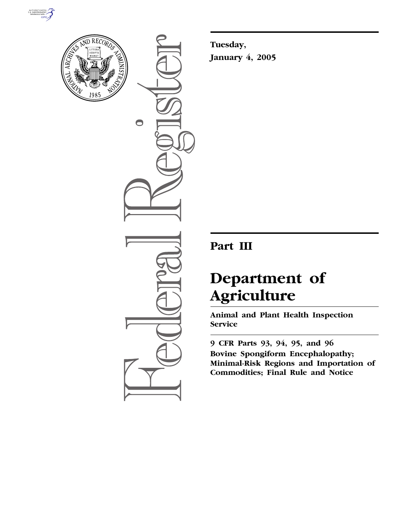



 $\bigcirc$ 

**Tuesday, January 4, 2005**

# **Part III**

# **Department of Agriculture**

**Animal and Plant Health Inspection Service** 

**9 CFR Parts 93, 94, 95, and 96 Bovine Spongiform Encephalopathy; Minimal-Risk Regions and Importation of Commodities; Final Rule and Notice**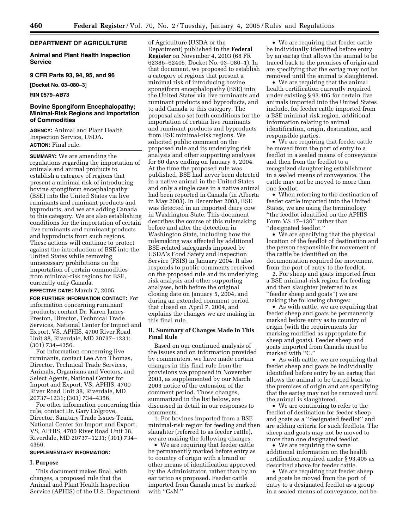# **DEPARTMENT OF AGRICULTURE**

# **Animal and Plant Health Inspection Service**

# **9 CFR Parts 93, 94, 95, and 96**

**[Docket No. 03–080–3]** 

**RIN 0579–AB73** 

# **Bovine Spongiform Encephalopathy; Minimal-Risk Regions and Importation of Commodities**

**AGENCY:** Animal and Plant Health Inspection Service, USDA. **ACTION:** Final rule.

**SUMMARY:** We are amending the regulations regarding the importation of animals and animal products to establish a category of regions that present a minimal risk of introducing bovine spongiform encephalopathy (BSE) into the United States via live ruminants and ruminant products and byproducts, and we are adding Canada to this category. We are also establishing conditions for the importation of certain live ruminants and ruminant products and byproducts from such regions. These actions will continue to protect against the introduction of BSE into the United States while removing unnecessary prohibitions on the importation of certain commodities from minimal-risk regions for BSE, currently only Canada.

# **EFFECTIVE DATE:** March 7, 2005.

**FOR FURTHER INFORMATION CONTACT:** For information concerning ruminant products, contact Dr. Karen James-Preston, Director, Technical Trade Services, National Center for Import and Export, VS, APHIS, 4700 River Road Unit 38, Riverdale, MD 20737–1231; (301) 734–4356.

For information concerning live ruminants, contact Lee Ann Thomas, Director, Technical Trade Services, Animals, Organisms and Vectors, and Select Agents, National Center for Import and Export, VS, APHIS, 4700 River Road Unit 38, Riverdale, MD 20737–1231; (301) 734–4356.

For other information concerning this rule, contact Dr. Gary Colgrove, Director, Sanitary Trade Issues Team, National Center for Import and Export, VS, APHIS, 4700 River Road Unit 38, Riverdale, MD 20737–1231; (301) 734– 4356.

#### **SUPPLEMENTARY INFORMATION:**

#### **I. Purpose**

This document makes final, with changes, a proposed rule that the Animal and Plant Health Inspection Service (APHIS) of the U.S. Department of Agriculture (USDA or the Department) published in the **Federal Register** on November 4, 2003 (68 FR 62386–62405, Docket No. 03–080–1). In that document, we proposed to establish a category of regions that present a minimal risk of introducing bovine spongiform encephalopathy (BSE) into the United States via live ruminants and ruminant products and byproducts, and to add Canada to this category. The proposal also set forth conditions for the importation of certain live ruminants and ruminant products and byproducts from BSE minimal-risk regions. We solicited public comment on the proposed rule and its underlying risk analysis and other supporting analyses for 60 days ending on January 5, 2004. At the time the proposed rule was published, BSE had never been detected in a native animal in the United States and only a single case in a native animal had been reported in Canada (in Alberta in May 2003). In December 2003, BSE was detected in an imported dairy cow in Washington State. This document describes the course of this rulemaking before and after the detection in Washington State, including how the rulemaking was affected by additional BSE-related safeguards imposed by USDA's Food Safety and Inspection Service (FSIS) in January 2004. It also responds to public comments received on the proposed rule and its underlying risk analysis and other supporting analyses, both before the original closing date on January 5, 2004, and during an extended comment period that closed on April 7, 2004, and explains the changes we are making in this final rule.

#### **II. Summary of Changes Made in This Final Rule**

Based on our continued analysis of the issues and on information provided by commenters, we have made certain changes in this final rule from the provisions we proposed in November 2003, as supplemented by our March 2003 notice of the extension of the comment period. Those changes, summarized in the list below, are discussed in detail in our responses to comments.

1. For bovines imported from a BSE minimal-risk region for feeding and then slaughter (referred to as feeder cattle), we are making the following changes:

• We are requiring that feeder cattle be permanently marked before entry as to country of origin with a brand or other means of identification approved by the Administrator, rather than by an ear tattoo as proposed. Feeder cattle imported from Canada must be marked with ''C∧N.''

• We are requiring that feeder cattle be individually identified before entry by an eartag that allows the animal to be traced back to the premises of origin and are specifying that the eartag may not be removed until the animal is slaughtered.

• We are requiring that the animal health certification currently required under existing § 93.405 for certain live animals imported into the United States include, for feeder cattle imported from a BSE minimal-risk region, additional information relating to animal identification, origin, destination, and responsible parties.

• We are requiring that feeder cattle be moved from the port of entry to a feedlot in a sealed means of conveyance and then from the feedlot to a recognized slaughtering establishment in a sealed means of conveyance. The cattle may not be moved to more than one feedlot.

• When referring to the destination of feeder cattle imported into the United States, we are using the terminology ''the feedlot identified on the APHIS Form VS 17–130'' rather than ''designated feedlot.''

• We are specifying that the physical location of the feedlot of destination and the person responsible for movement of the cattle be identified on the documentation required for movement from the port of entry to the feedlot.

2. For sheep and goats imported from a BSE minimal-risk region for feeding and then slaughter (referred to as ''feeder sheep and goats'') we are making the following changes:

• As with cattle, we are requiring that feeder sheep and goats be permanently marked before entry as to country of origin (with the requirements for marking modified as appropriate for sheep and goats). Feeder sheep and goats imported from Canada must be marked with ''C.''

• As with cattle, we are requiring that feeder sheep and goats be individually identified before entry by an eartag that allows the animal to be traced back to the premises of origin and are specifying that the eartag may not be removed until the animal is slaughtered.

• We are continuing to refer to the feedlot of destination for feeder sheep and goats as a ''designated feedlot'' and are adding criteria for such feedlots. The sheep and goats may not be moved to more than one designated feedlot.

• We are requiring the same additional information on the health certification required under § 93.405 as described above for feeder cattle.

• We are requiring that feeder sheep and goats be moved from the port of entry to a designated feedlot as a group in a sealed means of conveyance, not be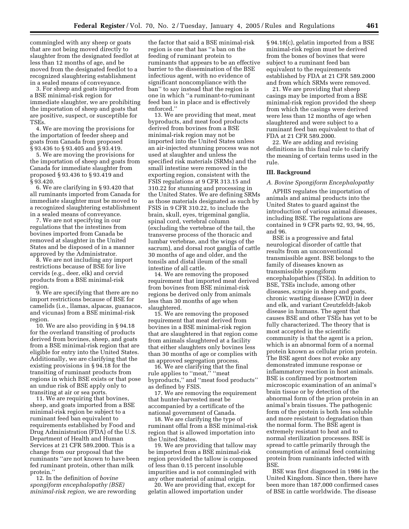commingled with any sheep or goats that are not being moved directly to slaughter from the designated feedlot at less than 12 months of age, and be moved from the designated feedlot to a recognized slaughtering establishment in a sealed means of conveyance.

3. For sheep and goats imported from a BSE minimal-risk region for immediate slaughter, we are prohibiting the importation of sheep and goats that are positive, suspect, or susceptible for TSEs.

4. We are moving the provisions for the importation of feeder sheep and goats from Canada from proposed § 93.436 to § 93.405 and § 93.419.

5. We are moving the provisions for the importation of sheep and goats from Canada for immediate slaughter from proposed § 93.436 to § 93.419 and § 93.420.

6. We are clarifying in § 93.420 that all ruminants imported from Canada for immediate slaughter must be moved to a recognized slaughtering establishment in a sealed means of conveyance.

7. We are not specifying in our regulations that the intestines from bovines imported from Canada be removed at slaughter in the United States and be disposed of in a manner approved by the Administrator.

8. We are not including any import restrictions because of BSE for live cervids (e.g., deer, elk) and cervid products from a BSE minimal-risk region.

9. We are specifying that there are no import restrictions because of BSE for camelids (i.e., llamas, alpacas, guanacos, and vicunas) from a BSE minimal-risk region.

10. We are also providing in § 94.18 for the overland transiting of products derived from bovines, sheep, and goats from a BSE minimal-risk region that are eligible for entry into the United States. Additionally, we are clarifying that the existing provisions in § 94.18 for the transiting of ruminant products from regions in which BSE exists or that pose an undue risk of BSE apply only to transiting at air or sea ports.

11. We are requiring that bovines, sheep, and goats imported from a BSE minimal-risk region be subject to a ruminant feed ban equivalent to requirements established by Food and Drug Administration (FDA) of the U.S. Department of Health and Human Services at 21 CFR 589.2000. This is a change from our proposal that the ruminants ''are not known to have been fed ruminant protein, other than milk protein.''

12. In the definition of *bovine spongiform encephalopathy (BSE) minimal-risk region,* we are rewording

the factor that said a BSE minimal-risk region is one that has ''a ban on the feeding of ruminant protein to ruminants that appears to be an effective barrier to the dissemination of the BSE infectious agent, with no evidence of significant noncompliance with the ban'' to say instead that the region is one in which ''a ruminant-to-ruminant feed ban is in place and is effectively enforced.''

13. We are providing that meat, meat byproducts, and meat food products derived from bovines from a BSE minimal-risk region may not be imported into the United States unless an air-injected stunning process was not used at slaughter and unless the specified risk materials (SRMs) and the small intestine were removed in the exporting region, consistent with the FSIS regulations at 9 CFR 313.15 and 310.22 for stunning and processing in the United States. We are defining SRMs as those materials designated as such by FSIS in 9 CFR 310.22, to include the brain, skull, eyes, trigeminal ganglia, spinal cord, vertebral column (excluding the vertebrae of the tail, the transverse process of the thoracic and lumbar vertebrae, and the wings of the sacrum), and dorsal root ganglia of cattle 30 months of age and older, and the tonsils and distal ileum of the small intestine of all cattle.

14. We are removing the proposed requirement that imported meat derived from bovines from BSE minimal-risk regions be derived only from animals less than 30 months of age when slaughtered.

15. We are removing the proposed requirement that meat derived from bovines in a BSE minimal-risk region that are slaughtered in that region come from animals slaughtered at a facility that either slaughters only bovines less than 30 months of age or complies with an approved segregation process.

16. We are clarifying that the final rule applies to "meat," "meat byproducts,'' and ''meat food products'' as defined by FSIS.

17. We are removing the requirement that hunter-harvested meat be accompanied by a certificate of the national government of Canada.

18. We are clarifying the type of ruminant offal from a BSE minimal-risk region that is allowed importation into the United States.

19. We are providing that tallow may be imported from a BSE minimal-risk region provided the tallow is composed of less than 0.15 percent insoluble impurities and is not commingled with any other material of animal origin.

20. We are providing that, except for gelatin allowed importation under

§ 94.18(c), gelatin imported from a BSE minimal-risk region must be derived from the bones of bovines that were subject to a ruminant feed ban equivalent to the requirements established by FDA at 21 CFR 589.2000 and from which SRMs were removed.

21. We are providing that sheep casings may be imported from a BSE minimal-risk region provided the sheep from which the casings were derived were less than 12 months of age when slaughtered and were subject to a ruminant feed ban equivalent to that of FDA at 21 CFR 589.2000.

22. We are adding and revising definitions in this final rule to clarify the meaning of certain terms used in the rule.

#### **III. Background**

#### *A. Bovine Spongiform Encephalopathy*

APHIS regulates the importation of animals and animal products into the United States to guard against the introduction of various animal diseases, including BSE. The regulations are contained in 9 CFR parts 92, 93, 94, 95, and 96.

BSE is a progressive and fatal neurological disorder of cattle that results from an unconventional transmissible agent. BSE belongs to the family of diseases known as transmissible spongiform encephalopathies (TSEs). In addition to BSE, TSEs include, among other diseases, scrapie in sheep and goats, chronic wasting disease (CWD) in deer and elk, and variant Creutzfeldt-Jakob disease in humans. The agent that causes BSE and other TSEs has yet to be fully characterized. The theory that is most accepted in the scientific community is that the agent is a prion, which is an abnormal form of a normal protein known as cellular prion protein. The BSE agent does not evoke any demonstrated immune response or inflammatory reaction in host animals. BSE is confirmed by postmortem microscopic examination of an animal's brain tissue or by detection of the abnormal form of the prion protein in an animal's brain tissues. The pathogenic form of the protein is both less soluble and more resistant to degradation than the normal form. The BSE agent is extremely resistant to heat and to normal sterilization processes. BSE is spread to cattle primarily through the consumption of animal feed containing protein from ruminants infected with **BSE** 

BSE was first diagnosed in 1986 in the United Kingdom. Since then, there have been more than 187,000 confirmed cases of BSE in cattle worldwide. The disease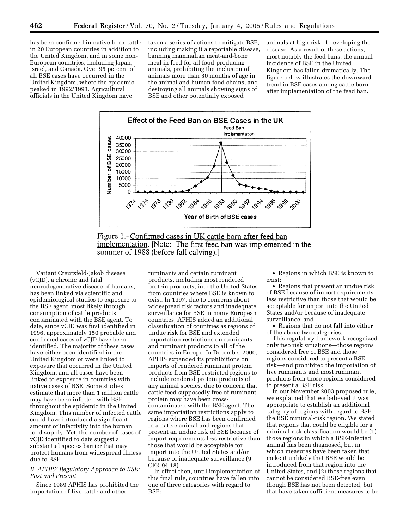has been confirmed in native-born cattle in 20 European countries in addition to the United Kingdom, and in some non-European countries, including Japan, Israel, and Canada. Over 95 percent of all BSE cases have occurred in the United Kingdom, where the epidemic peaked in 1992/1993. Agricultural officials in the United Kingdom have

taken a series of actions to mitigate BSE, including making it a reportable disease, banning mammalian meat-and-bone meal in feed for all food-producing animals, prohibiting the inclusion of animals more than 30 months of age in the animal and human food chains, and destroying all animals showing signs of BSE and other potentially exposed

animals at high risk of developing the disease. As a result of these actions, most notably the feed bans, the annual incidence of BSE in the United Kingdom has fallen dramatically. The figure below illustrates the downward trend in BSE cases among cattle born after implementation of the feed ban.



Figure 1.–Confirmed cases in UK cattle born after feed ban implementation. [Note: The first feed ban was implemented in the summer of 1988 (before fall calving).

Variant Creutzfeld-Jakob disease (vCJD), a chronic and fatal neurodegenerative disease of humans, has been linked via scientific and epidemiological studies to exposure to the BSE agent, most likely through consumption of cattle products contaminated with the BSE agent. To date, since vCJD was first identified in 1996, approximately 150 probable and confirmed cases of vCJD have been identified. The majority of these cases have either been identified in the United Kingdom or were linked to exposure that occurred in the United Kingdom, and all cases have been linked to exposure in countries with native cases of BSE. Some studies estimate that more than 1 million cattle may have been infected with BSE throughout the epidemic in the United Kingdom. This number of infected cattle could have introduced a significant amount of infectivity into the human food supply. Yet, the number of cases of vCJD identified to date suggest a substantial species barrier that may protect humans from widespread illness due to BSE.

# *B. APHIS' Regulatory Approach to BSE: Past and Present*

Since 1989 APHIS has prohibited the importation of live cattle and other

ruminants and certain ruminant products, including most rendered protein products, into the United States from countries where BSE is known to exist. In 1997, due to concerns about widespread risk factors and inadequate surveillance for BSE in many European countries, APHIS added an additional classification of countries as regions of undue risk for BSE and extended importation restrictions on ruminants and ruminant products to all of the countries in Europe. In December 2000, APHIS expanded its prohibitions on imports of rendered ruminant protein products from BSE-restricted regions to include rendered protein products of any animal species, due to concern that cattle feed supposedly free of ruminant protein may have been crosscontaminated with the BSE agent. The same importation restrictions apply to regions where BSE has been confirmed in a native animal and regions that present an undue risk of BSE because of import requirements less restrictive than those that would be acceptable for import into the United States and/or because of inadequate surveillance (9 CFR 94.18).

In effect then, until implementation of this final rule, countries have fallen into one of three categories with regard to BSE:

• Regions in which BSE is known to exist;

• Regions that present an undue risk of BSE because of import requirements less restrictive than those that would be acceptable for import into the United States and/or because of inadequate surveillance; and

• Regions that do not fall into either of the above two categories.

This regulatory framework recognized only two risk situations—those regions considered free of BSE and those regions considered to present a BSE risk—and prohibited the importation of live ruminants and most ruminant products from those regions considered to present a BSE risk.

In our November 2003 proposed rule, we explained that we believed it was appropriate to establish an additional category of regions with regard to BSE the BSE minimal-risk region. We stated that regions that could be eligible for a minimal-risk classification would be (1) those regions in which a BSE-infected animal has been diagnosed, but in which measures have been taken that make it unlikely that BSE would be introduced from that region into the United States, and (2) those regions that cannot be considered BSE-free even though BSE has not been detected, but that have taken sufficient measures to be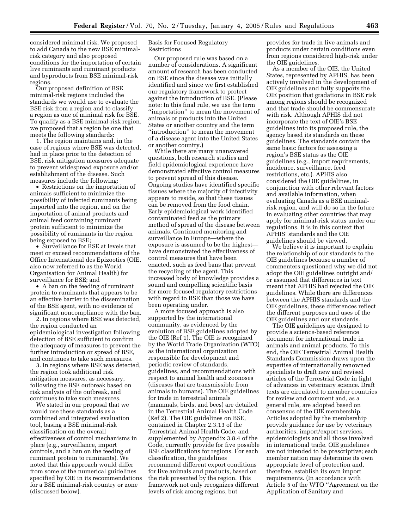considered minimal risk. We proposed to add Canada to the new BSE minimalrisk category and also proposed conditions for the importation of certain live ruminants and ruminant products and byproducts from BSE minimal-risk regions.

Our proposed definition of BSE minimal-risk regions included the standards we would use to evaluate the BSE risk from a region and to classify a region as one of minimal risk for BSE. To qualify as a BSE minimal-risk region, we proposed that a region be one that meets the following standards:

1. The region maintains and, in the case of regions where BSE was detected, had in place prior to the detection of BSE, risk mitigation measures adequate to prevent widespread exposure and/or establishment of the disease. Such measures include the following:

• Restrictions on the importation of animals sufficient to minimize the possibility of infected ruminants being imported into the region, and on the importation of animal products and animal feed containing ruminant protein sufficient to minimize the possibility of ruminants in the region being exposed to BSE;

• Surveillance for BSE at levels that meet or exceed recommendations of the Office International des Epizooties (OIE, also now referred to as the World Organisation for Animal Health) for surveillance for BSE; and

• A ban on the feeding of ruminant protein to ruminants that appears to be an effective barrier to the dissemination of the BSE agent, with no evidence of significant noncompliance with the ban.

2. In regions where BSE was detected, the region conducted an epidemiological investigation following detection of BSE sufficient to confirm the adequacy of measures to prevent the further introduction or spread of BSE, and continues to take such measures.

3. In regions where BSE was detected, the region took additional risk mitigation measures, as necessary, following the BSE outbreak based on risk analysis of the outbreak, and continues to take such measures.

We stated in our proposal that we would use these standards as a combined and integrated evaluation tool, basing a BSE minimal-risk classification on the overall effectiveness of control mechanisms in place (e.g., surveillance, import controls, and a ban on the feeding of ruminant protein to ruminants). We noted that this approach would differ from some of the numerical guidelines specified by OIE in its recommendations for a BSE minimal-risk country or zone (discussed below).

#### Basis for Focused Regulatory Restrictions

Our proposed rule was based on a number of considerations. A significant amount of research has been conducted on BSE since the disease was initially identified and since we first established our regulatory framework to protect against the introduction of BSE. (Please note: In this final rule, we use the term ''importation'' to mean the movement of animals or products into the United States or another country and the term ''introduction'' to mean the movement of a disease agent into the United States or another country.)

While there are many unanswered questions, both research studies and field epidemiological experience have demonstrated effective control measures to prevent spread of this disease. Ongoing studies have identified specific tissues where the majority of infectivity appears to reside, so that these tissues can be removed from the food chain. Early epidemiological work identified contaminated feed as the primary method of spread of the disease between animals. Continued monitoring and surveillance in Europe—where the exposure is assumed to be the highest have demonstrated the effectiveness of control measures that have been enacted, such as feed bans that prevent the recycling of the agent. This increased body of knowledge provides a sound and compelling scientific basis for more focused regulatory restrictions with regard to BSE than those we have been operating under.

A more focused approach is also supported by the international community, as evidenced by the evolution of BSE guidelines adopted by the OIE (Ref 1). The OIE is recognized by the World Trade Organization (WTO) as the international organization responsible for development and periodic review of standards, guidelines, and recommendations with respect to animal health and zoonoses (diseases that are transmissible from animals to humans). The OIE guidelines for trade in terrestrial animals (mammals, birds, and bees) are detailed in the Terrestrial Animal Health Code (Ref 2). The OIE guidelines on BSE, contained in Chapter 2.3.13 of the Terrestrial Animal Health Code, and supplemented by Appendix 3.8.4 of the Code, currently provide for five possible BSE classifications for regions. For each classification, the guidelines recommend different export conditions for live animals and products, based on the risk presented by the region. This framework not only recognizes different levels of risk among regions, but

provides for trade in live animals and products under certain conditions even from regions considered high-risk under the OIE guidelines.

As a member of the OIE, the United States, represented by APHIS, has been actively involved in the development of OIE guidelines and fully supports the OIE position that gradations in BSE risk among regions should be recognized and that trade should be commensurate with risk. Although APHIS did not incorporate the text of OIE's BSE guidelines into its proposed rule, the agency based its standards on these guidelines. The standards contain the same basic factors for assessing a region's BSE status as the OIE guidelines (e.g., import requirements, incidence, surveillance, feed restrictions, etc.). APHIS also considered the OIE guidelines, in conjunction with other relevant factors and available information, when evaluating Canada as a BSE minimalrisk region, and will do so in the future in evaluating other countries that may apply for minimal-risk status under our regulations. It is in this context that APHIS' standards and the OIE guidelines should be viewed.

We believe it is important to explain the relationship of our standards to the OIE guidelines because a number of commenters questioned why we did not adopt the OIE guidelines outright and/ or assumed that differences in text meant that APHIS had rejected the OIE guidelines. While there are differences between the APHIS standards and the OIE guidelines, these differences reflect the different purposes and uses of the OIE guidelines and our standards.

The OIE guidelines are designed to provide a science-based reference document for international trade in animals and animal products. To this end, the OIE Terrestrial Animal Health Standards Commission draws upon the expertise of internationally renowned specialists to draft new and revised articles of the Terrestrial Code in light of advances in veterinary science. Draft texts are circulated to member countries for review and comment and, as a general rule, are adopted based on consensus of the OIE membership. Articles adopted by the membership provide guidance for use by veterinary authorities, import/export services, epidemiologists and all those involved in international trade. OIE guidelines are not intended to be prescriptive; each member nation may determine its own appropriate level of protection and, therefore, establish its own import requirements. (In accordance with Article 5 of the WTO ''Agreement on the Application of Sanitary and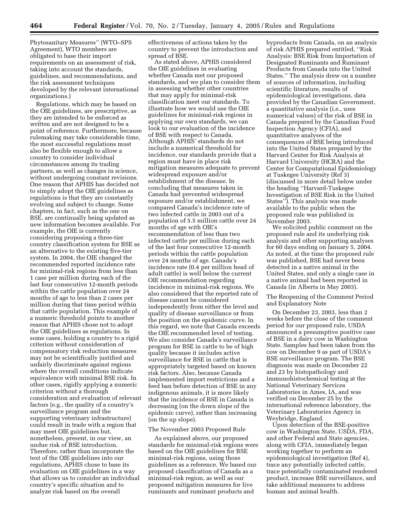Phytosanitary Measures'' (WTO–SPS Agreement), WTO members are obligated to base their import requirements on an assessment of risk, taking into account the standards, guidelines, and recommendations, and the risk assessment techniques developed by the relevant international organizations.)

Regulations, which may be based on the OIE guidelines, are prescriptive, as they are intended to be enforced as written and are not designed to be a point of reference. Furthermore, because rulemaking may take considerable time, the most successful regulations must also be flexible enough to allow a country to consider individual circumstances among its trading partners, as well as changes in science, without undergoing constant revisions. One reason that APHIS has decided not to simply adopt the OIE guidelines as regulations is that they are constantly evolving and subject to change. Some chapters, in fact, such as the one on BSE, are continually being updated as new information becomes available. For example, the OIE is currently considering proposing a three-tier country classification system for BSE as an alternative to the existing five-tier system. In 2004, the OIE changed the recommended reported incidence rate for minimal-risk regions from less than 1 case per million during each of the last four consecutive 12-month periods within the cattle population over 24 months of age to less than 2 cases per million during that time period within that cattle population. This example of a numeric threshold points to another reason that APHIS chose not to adopt the OIE guidelines as regulations. In some cases, holding a country to a rigid criterion without consideration of compensatory risk reduction measures may not be scientifically justified and unfairly discriminate against regions where the overall conditions indicate equivalence with minimal BSE risk. In other cases, rigidly applying a numeric criterion without a thorough consideration and evaluation of relevant factors (e.g., the quality of a country's surveillance program and the supporting veterinary infrastructure) could result in trade with a region that may meet OIE guidelines but, nonetheless, present, in our view, an undue risk of BSE introduction. Therefore, rather than incorporate the text of the OIE guidelines into our regulations, APHIS chose to base its evaluation on OIE guidelines in a way that allows us to consider an individual country's specific situation and to analyze risk based on the overall

effectiveness of actions taken by the country to prevent the introduction and spread of BSE.

As stated above, APHIS considered the OIE guidelines in evaluating whether Canada met our proposed standards, and we plan to consider them in assessing whether other countries that may apply for minimal-risk classification meet our standards. To illustrate how we would use the OIE guidelines for minimal-risk regions in applying our own standards, we can look to our evaluation of the incidence of BSE with respect to Canada. Although APHIS' standards do not include a numerical threshold for incidence, our standards provide that a region must have in place risk mitigation measures adequate to prevent widespread exposure and/or establishment of the disease. In concluding that measures taken in Canada had prevented widespread exposure and/or establishment, we compared Canada's incidence rate of two infected cattle in 2003 out of a population of 5.5 million cattle over 24 months of age with OIE's recommendation of less than two infected cattle per million during each of the last four consecutive 12-month periods within the cattle population over 24 months of age. Canada's incidence rate (0.4 per million head of adult cattle) is well below the current OIE recommendation regarding incidence in minimal-risk regions. We also considered that the reported rate of disease cannot be considered independently from either the level and quality of disease surveillance or from the position on the epidemic curve. In this regard, we note that Canada exceeds the OIE recommended level of testing. We also consider Canada's surveillance program for BSE in cattle to be of high quality because it includes active surveillance for BSE in cattle that is appropriately targeted based on known risk factors. Also, because Canada implemented import restrictions and a feed ban before detection of BSE in any indigenous animals, it is more likely that the incidence of BSE in Canada is decreasing (on the down slope of the epidemic curve), rather than increasing (on the up slope).

#### The November 2003 Proposed Rule

As explained above, our proposed standards for minimal-risk regions were based on the OIE guidelines for BSE minimal-risk regions, using those guidelines as a reference. We based our proposed classification of Canada as a minimal-risk region, as well as our proposed mitigation measures for live ruminants and ruminant products and

byproducts from Canada, on an analysis of risk APHIS prepared entitled, ''Risk Analysis: BSE Risk from Importation of Designated Ruminants and Ruminant Products from Canada into the United States.'' The analysis drew on a number of sources of information, including scientific literature, results of epidemiological investigations, data provided by the Canadian Government, a quantitative analysis (i.e., uses numerical values) of the risk of BSE in Canada prepared by the Canadian Food Inspection Agency (CFIA), and quantitative analyses of the consequences of BSE being introduced into the United States prepared by the Harvard Center for Risk Analysis at Harvard University (HCRA) and the Center for Computational Epidemiology at Tuskegee University (Ref 3) (discussed in more detail below under the heading ''Harvard-Tuskegee Investigation of BSE Risk in the United States''). This analysis was made available to the public when the proposed rule was published in November 2003.

We solicited public comment on the proposed rule and its underlying risk analysis and other supporting analyses for 60 days ending on January 5, 2004. As noted, at the time the proposed rule was published, BSE had never been detected in a native animal in the United States, and only a single case in a native animal had been reported in Canada (in Alberta in May 2003).

The Reopening of the Comment Period and Explanatory Note

On December 23, 2003, less than 2 weeks before the close of the comment period for our proposed rule, USDA announced a presumptive positive case of BSE in a dairy cow in Washington State. Samples had been taken from the cow on December 9 as part of USDA's BSE surveillance program. The BSE diagnosis was made on December 22 and 23 by histopathology and immunohistochemical testing at the National Veterinary Services Laboratories in Ames, IA, and was verified on December 25 by the international reference laboratory, the Veterinary Laboratories Agency in Weybridge, England.

Upon detection of the BSE-positive cow in Washington State, USDA, FDA, and other Federal and State agencies, along with CFIA, immediately began working together to perform an epidemiological investigation (Ref 4), trace any potentially infected cattle, trace potentially contaminated rendered product, increase BSE surveillance, and take additional measures to address human and animal health.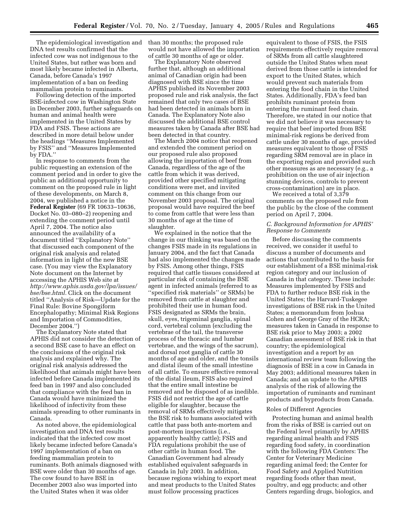The epidemiological investigation and DNA test results confirmed that the infected cow was not indigenous to the United States, but rather was born and most likely became infected in Alberta, Canada, before Canada's 1997 implementation of a ban on feeding mammalian protein to ruminants.

Following detection of the imported BSE-infected cow in Washington State in December 2003, further safeguards on human and animal health were implemented in the United States by FDA and FSIS. These actions are described in more detail below under the headings ''Measures Implemented by FSIS'' and ''Measures Implemented by FDA.''

In response to comments from the public requesting an extension of the comment period and in order to give the public an additional opportunity to comment on the proposed rule in light of these developments, on March 8, 2004, we published a notice in the **Federal Register** (69 FR 10633–10636, Docket No. 03–080–2) reopening and extending the comment period until April 7, 2004. The notice also announced the availability of a document titled ''Explanatory Note'' that discussed each component of the original risk analysis and related information in light of the new BSE case. (You may view the Explanatory Note document on the Internet by accessing the APHIS Web site at *http://www.aphis.usda.gov/lpa/issues/ bse/bse.html.* Click on the document titled ''Analysis of Risk—Update for the Final Rule: Bovine Spongiform Encephalopathy; Minimal Risk Regions and Importation of Commodities, December 2004.'')

The Explanatory Note stated that APHIS did not consider the detection of a second BSE case to have an effect on the conclusions of the original risk analysis and explained why. The original risk analysis addressed the likelihood that animals might have been infected before Canada implemented its feed ban in 1997 and also concluded that compliance with the feed ban in Canada would have minimized the likelihood of infectivity from these animals spreading to other ruminants in Canada.

As noted above, the epidemiological investigation and DNA test results indicated that the infected cow most likely became infected before Canada's 1997 implementation of a ban on feeding mammalian protein to ruminants. Both animals diagnosed with BSE were older than 30 months of age. The cow found to have BSE in December 2003 also was imported into the United States when it was older

than 30 months; the proposed rule would not have allowed the importation of cattle 30 months of age or older.

The Explanatory Note observed further that, although an additional animal of Canadian origin had been diagnosed with BSE since the time APHIS published its November 2003 proposed rule and risk analysis, the fact remained that only two cases of BSE had been detected in animals born in Canada. The Explanatory Note also discussed the additional BSE control measures taken by Canada after BSE had been detected in that country.

The March 2004 notice that reopened and extended the comment period on our proposed rule also proposed allowing the importation of beef from Canada, regardless of the age of the cattle from which it was derived, provided other specified mitigating conditions were met, and invited comment on this change from our November 2003 proposal. The original proposal would have required the beef to come from cattle that were less than 30 months of age at the time of slaughter.

We explained in the notice that the change in our thinking was based on the changes FSIS made in its regulations in January 2004, and the fact that Canada had also implemented the changes made by FSIS. Among other things, FSIS required that cattle tissues considered at particular risk of containing the BSE agent in infected animals (referred to as ''specified risk materials'' or SRMs) be removed from cattle at slaughter and prohibited their use in human food. FSIS designated as SRMs the brain, skull, eyes, trigeminal ganglia, spinal cord, vertebral column (excluding the vertebrae of the tail, the transverse process of the thoracic and lumbar vertebrae, and the wings of the sacrum), and dorsal root ganglia of cattle 30 months of age and older, and the tonsils and distal ileum of the small intestine of all cattle. To ensure effective removal of the distal ileum, FSIS also required that the entire small intestine be removed and be disposed of as inedible. FSIS did not restrict the age of cattle eligible for slaughter, because the removal of SRMs effectively mitigates the BSE risk to humans associated with cattle that pass both ante-mortem and post-mortem inspections (i.e., apparently healthy cattle); FSIS and FDA regulations prohibit the use of other cattle in human food. The Canadian Government had already established equivalent safeguards in Canada in July 2003. In addition, because regions wishing to export meat and meat products to the United States must follow processing practices

equivalent to those of FSIS, the FSIS requirements effectively require removal of SRMs from all cattle slaughtered outside the United States when meat derived from those cattle is intended for export to the United States, which would prevent such materials from entering the food chain in the United States. Additionally, FDA's feed ban prohibits ruminant protein from entering the ruminant feed chain. Therefore, we stated in our notice that we did not believe it was necessary to require that beef imported from BSE minimal-risk regions be derived from cattle under 30 months of age, provided measures equivalent to those of FSIS regarding SRM removal are in place in the exporting region and provided such other measures as are necessary (e.g., a prohibition on the use of air injection stunning devices, controls to prevent cross-contamination) are in place.

We received a total of 3,379 comments on the proposed rule from the public by the close of the comment period on April 7, 2004.

# *C. Background Information for APHIS' Response to Comments*

Before discussing the comments received, we consider it useful to discuss a number of documents and actions that contributed to the basis for our establishment of a BSE minimal-risk region category and our inclusion of Canada in that category. These include: Measures implemented by FSIS and FDA to further reduce BSE risk in the United States; the Harvard-Tuskegee investigations of BSE risk in the United States; a memorandum from Joshua Cohen and George Gray of the HCRA; measures taken in Canada in response to BSE risk prior to May 2003; a 2002 Canadian assessment of BSE risk in that country; the epidemiological investigation and a report by an international review team following the diagnosis of BSE in a cow in Canada in May 2003; additional measures taken in Canada; and an update to the APHIS analysis of the risk of allowing the importation of ruminants and ruminant products and byproducts from Canada.

#### Roles of Different Agencies

Protecting human and animal health from the risks of BSE is carried out on the Federal level primarily by APHIS regarding animal health and FSIS regarding food safety, in coordination with the following FDA Centers: The Center for Veterinary Medicine regarding animal feed; the Center for Food Safety and Applied Nutrition regarding foods other than meat, poultry, and egg products; and other Centers regarding drugs, biologics, and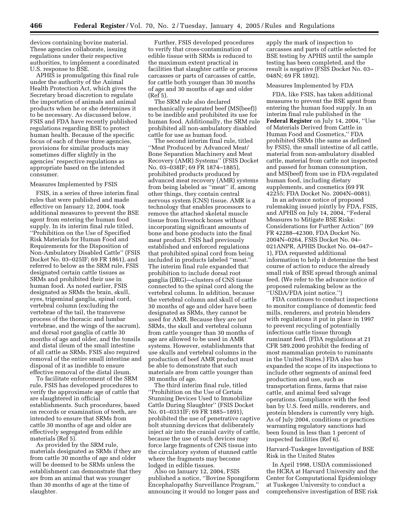devices containing bovine material. These agencies collaborate, issuing regulations under their respective authorities, to implement a coordinated U.S. response to BSE.

APHIS is promulgating this final rule under the authority of the Animal Health Protection Act, which gives the Secretary broad discretion to regulate the importation of animals and animal products when he or she determines it to be necessary. As discussed below, FSIS and FDA have recently published regulations regarding BSE to protect human health. Because of the specific focus of each of these three agencies, provisions for similar products may sometimes differ slightly in the agencies' respective regulations as appropriate based on the intended consumer.

#### Measures Implemented by FSIS

FSIS, in a series of three interim final rules that were published and made effective on January 12, 2004, took additional measures to prevent the BSE agent from entering the human food supply. In its interim final rule titled, ''Prohibition on the Use of Specified Risk Materials for Human Food and Requirements for the Disposition of Non-Ambulatory Disabled Cattle'' (FSIS Docket No. 03–025IF; 69 FR 1861), and referred to below as the SRM rule, FSIS designated certain cattle tissues as SRMs and prohibited their use in human food. As noted earlier, FSIS designated as SRMs the brain, skull, eyes, trigeminal ganglia, spinal cord, vertebral column (excluding the vertebrae of the tail, the transverse process of the thoracic and lumbar vertebrae, and the wings of the sacrum), and dorsal root ganglia of cattle 30 months of age and older, and the tonsils and distal ileum of the small intestine of all cattle as SRMs. FSIS also required removal of the entire small intestine and disposal of it as inedible to ensure effective removal of the distal ileum.

To facilitate enforcement of the SRM rule, FSIS has developed procedures to verify the approximate age of cattle that are slaughtered in official establishments. Such procedures, based on records or examination of teeth, are intended to ensure that SRMs from cattle 30 months of age and older are effectively segregated from edible materials (Ref 5).

As provided by the SRM rule, materials designated as SRMs if they are from cattle 30 months of age and older will be deemed to be SRMs unless the establishment can demonstrate that they are from an animal that was younger than 30 months of age at the time of slaughter.

Further, FSIS developed procedures to verify that cross-contamination of edible tissue with SRMs is reduced to the maximum extent practical in facilities that slaughter cattle or process carcasses or parts of carcasses of cattle, for cattle both younger than 30 months of age and 30 months of age and older (Ref 5).

The SRM rule also declared mechanically separated beef (MS(beef)) to be inedible and prohibited its use for human food. Additionally, the SRM rule prohibited all non-ambulatory disabled cattle for use as human food.

The second interim final rule, titled ''Meat Produced by Advanced Meat/ Bone Separation Machinery and Meat Recovery (AMR) Systems'' (FSIS Docket No. 03–038IF; 69 FR 1874–1885), prohibited products produced by advanced meat recovery (AMR) systems from being labeled as ''meat'' if, among other things, they contain central nervous system (CNS) tissue. AMR is a technology that enables processors to remove the attached skeletal muscle tissue from livestock bones without incorporating significant amounts of bone and bone products into the final meat product. FSIS had previously established and enforced regulations that prohibited spinal cord from being included in products labeled ''meat.'' The interim final rule expanded that prohibition to include dorsal root ganglia (DRG)—clusters of CNS tissue connected to the spinal cord along the vertebral column. In addition, because the vertebral column and skull of cattle 30 months of age and older have been designated as SRMs, they cannot be used for AMR. Because they are not SRMs, the skull and vertebral column from cattle younger than 30 months of age are allowed to be used in AMR systems. However, establishments that use skulls and vertebral columns in the production of beef AMR product must be able to demonstrate that such materials are from cattle younger than 30 months of age.

The third interim final rule, titled ''Prohibition on the Use of Certain Stunning Devices Used to Immobilize Cattle During Slaughter'' (FSIS Docket No. 01–0331IF; 69 FR 1885–1891), prohibited the use of penetrative captive bolt stunning devices that deliberately inject air into the cranial cavity of cattle, because the use of such devices may force large fragments of CNS tissue into the circulatory system of stunned cattle where the fragments may become lodged in edible tissues.

Also on January 12, 2004, FSIS published a notice, ''Bovine Spongiform Encephalopathy Surveillance Program,'' announcing it would no longer pass and apply the mark of inspection to carcasses and parts of cattle selected for BSE testing by APHIS until the sample testing has been completed, and the result is negative (FSIS Docket No. 03– 048N; 69 FR 1892).

#### Measures Implemented by FDA

FDA, like FSIS, has taken additional measures to prevent the BSE agent from entering the human food supply. In an interim final rule published in the **Federal Register** on July 14, 2004, ''Use of Materials Derived from Cattle in Human Food and Cosmetics,'' FDA prohibited SRMs (the same as defined by FSIS), the small intestine of all cattle, material from non-ambulatory disabled cattle, material from cattle not inspected and passed for human consumption, and MS(beef) from use in FDA-regulated human food, including dietary supplements, and cosmetics (69 FR 42255; FDA Docket No. 2004N–0081).

In an advance notice of proposed rulemaking issued jointly by FDA, FSIS, and APHIS on July 14, 2004, ''Federal Measures to Mitigate BSE Risks: Considerations for Further Action'' (69 FR 42288–42300, FDA Docket No. 2004N–0264, FSIS Docket No. 04– 021ANPR, APHIS Docket No. 04–047– 1), FDA requested additional information to help it determine the best course of action to reduce the already small risk of BSE spread through animal feed. (We refer to the advance notice of proposed rulemaking below as the ''USDA/FDA joint notice.'')

FDA continues to conduct inspections to monitor compliance of domestic feed mills, renderers, and protein blenders with regulations it put in place in 1997 to prevent recycling of potentially infectious cattle tissue through ruminant feed. (FDA regulations at 21 CFR 589.2000 prohibit the feeding of most mammalian protein to ruminants in the United States.) FDA also has expanded the scope of its inspections to include other segments of animal feed production and use, such as transportation firms, farms that raise cattle, and animal feed salvage operations. Compliance with the feed ban by U.S. feed mills, renderers, and protein blenders is currently very high. As of July 2004, conditions or practices warranting regulatory sanctions had been found in less than 1 percent of inspected facilities (Ref 6).

Harvard-Tuskegee Investigation of BSE Risk in the United States

In April 1998, USDA commissioned the HCRA at Harvard University and the Center for Computational Epidemiology at Tuskegee University to conduct a comprehensive investigation of BSE risk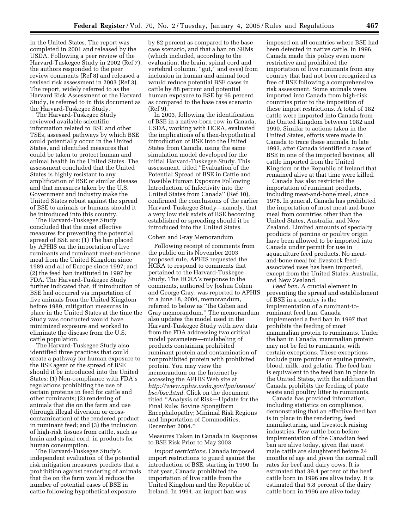in the United States. The report was completed in 2001 and released by the USDA. Following a peer review of the Harvard-Tuskegee Study in 2002 (Ref 7), the authors responded to the peer review comments (Ref 8) and released a revised risk assessment in 2003 (Ref 3). The report, widely referred to as the Harvard Risk Assessment or the Harvard Study, is referred to in this document as the Harvard-Tuskegee Study.

The Harvard-Tuskegee Study reviewed available scientific information related to BSE and other TSEs, assessed pathways by which BSE could potentially occur in the United States, and identified measures that could be taken to protect human and animal health in the United States. The assessment concluded that the United States is highly resistant to any amplification of BSE or similar disease and that measures taken by the U.S. Government and industry make the United States robust against the spread of BSE to animals or humans should it be introduced into this country.

The Harvard-Tuskegee Study concluded that the most effective measures for preventing the potential spread of BSE are: (1) The ban placed by APHIS on the importation of live ruminants and ruminant meat-and-bone meal from the United Kingdom since 1989 and all of Europe since 1997; and (2) the feed ban instituted in 1997 by FDA. The Harvard-Tuskegee Study further indicated that, if introduction of BSE had occurred via importation of live animals from the United Kingdom before 1989, mitigation measures in place in the United States at the time the Study was conducted would have minimized exposure and worked to eliminate the disease from the U.S. cattle population.

The Harvard-Tuskegee Study also identified three practices that could create a pathway for human exposure to the BSE agent or the spread of BSE should it be introduced into the United States: (1) Non-compliance with FDA's regulations prohibiting the use of certain proteins in feed for cattle and other ruminants; (2) rendering of animals that die on the farm and use (through illegal diversion or crosscontamination) of the rendered product in ruminant feed; and (3) the inclusion of high-risk tissues from cattle, such as brain and spinal cord, in products for human consumption.

The Harvard-Tuskegee Study's independent evaluation of the potential risk mitigation measures predicts that a prohibition against rendering of animals that die on the farm would reduce the number of potential cases of BSE in cattle following hypothetical exposure

by 82 percent as compared to the base case scenario, and that a ban on SRMs (which included, according to the evaluation, the brain, spinal cord and vertebral column, ''gut,'' and eyes) from inclusion in human and animal food would reduce potential BSE cases in cattle by 88 percent and potential human exposure to BSE by 95 percent as compared to the base case scenario (Ref 9).

In 2003, following the identification of BSE in a native-born cow in Canada, USDA, working with HCRA, evaluated the implications of a then-hypothetical introduction of BSE into the United States from Canada, using the same simulation model developed for the initial Harvard-Tuskegee Study. This assessment, titled ''Evaluation of the Potential Spread of BSE in Cattle and Possible Human Exposure Following Introduction of Infectivity into the United States from Canada'' (Ref 10), confirmed the conclusions of the earlier Harvard-Tuskegee Study—namely, that a very low risk exists of BSE becoming established or spreading should it be introduced into the United States.

#### Cohen and Gray Memorandum

Following receipt of comments from the public on its November 2003 proposed rule, APHIS requested the HCRA to respond to comments that pertained to the Harvard-Tuskegee Study. The HCRA's response to the comments, authored by Joshua Cohen and George Gray, was reported to APHIS in a June 18, 2004, memorandum, referred to below as ''the Cohen and Gray memorandum.'' The memorandum also updates the model used in the Harvard-Tuskegee Study with new data from the FDA addressing two critical model parameters—mislabeling of products containing prohibited ruminant protein and contamination of nonprohibited protein with prohibited protein. You may view the memorandum on the Internet by accessing the APHIS Web site at *http://www.aphis.usda.gov/lpa/issues/ bse/bse.html.* Click on the document titled ''Analysis of Risk—Update for the Final Rule: Bovine Spongiform Encephalopathy; Minimal Risk Regions and Importation of Commodities, December 2004.''

# Measures Taken in Canada in Response to BSE Risk Prior to May 2003

*Import restrictions.* Canada imposed import restrictions to guard against the introduction of BSE, starting in 1990. In that year, Canada prohibited the importation of live cattle from the United Kingdom and the Republic of Ireland. In 1994, an import ban was

imposed on all countries where BSE had been detected in native cattle. In 1996, Canada made this policy even more restrictive and prohibited the importation of live ruminants from any country that had not been recognized as free of BSE following a comprehensive risk assessment. Some animals were imported into Canada from high-risk countries prior to the imposition of these import restrictions. A total of 182 cattle were imported into Canada from the United Kingdom between 1982 and 1990. Similar to actions taken in the United States, efforts were made in Canada to trace these animals. In late 1993, after Canada identified a case of BSE in one of the imported bovines, all cattle imported from the United Kingdom or the Republic of Ireland that remained alive at that time were killed.

Canada has also restricted the importation of ruminant products, including meat-and-bone meal, since 1978. In general, Canada has prohibited the importation of most meat-and-bone meal from countries other than the United States, Australia, and New Zealand. Limited amounts of specialty products of porcine or poultry origin have been allowed to be imported into Canada under permit for use in aquaculture feed products. No meatand-bone meal for livestock feedassociated uses has been imported, except from the United States, Australia, and New Zealand.

*Feed ban.* A crucial element in preventing the spread and establishment of BSE in a country is the implementation of a ruminant-toruminant feed ban. Canada implemented a feed ban in 1997 that prohibits the feeding of most mammalian protein to ruminants. Under the ban in Canada, mammalian protein may not be fed to ruminants, with certain exceptions. These exceptions include pure porcine or equine protein, blood, milk, and gelatin. The feed ban is equivalent to the feed ban in place in the United States, with the addition that Canada prohibits the feeding of plate waste and poultry litter to ruminants.

Canada has provided information, including statistics on compliance, demonstrating that an effective feed ban is in place in the rendering, feed manufacturing, and livestock raising industries. Few cattle born before implementation of the Canadian feed ban are alive today, given that most male cattle are slaughtered before 24 months of age and given the normal cull rates for beef and dairy cows. It is estimated that 39.4 percent of the beef cattle born in 1996 are alive today. It is estimated that 5.8 percent of the dairy cattle born in 1996 are alive today.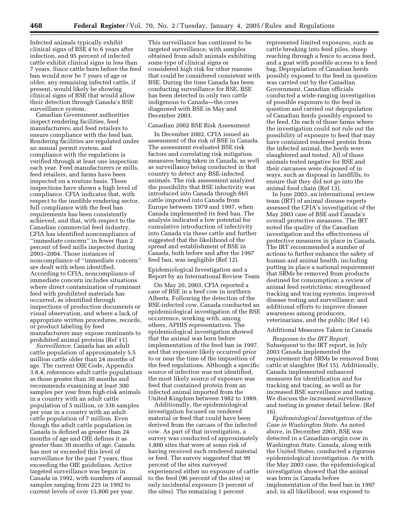Infected animals typically exhibit clinical signs of BSE 4 to 6 years after infection, and 95 percent of infected cattle exhibit clinical signs in less than 7 years. Since cattle born before the feed ban would now be 7 years of age or older, any remaining infected cattle, if present, would likely be showing clinical signs of BSE that would allow their detection through Canada's BSE surveillance system.

Canadian Government authorities inspect rendering facilities, feed manufacturers, and feed retailers to ensure compliance with the feed ban. Rendering facilities are regulated under an annual permit system, and compliance with the regulations is verified through at least one inspection each year. Feed manufacturers or mills, feed retailers, and farms have been inspected on a routine basis. These inspections have shown a high level of compliance. CFIA indicates that, with respect to the inedible rendering sector, full compliance with the feed ban requirements has been consistently achieved, and that, with respect to the Canadian commercial feed industry, CFIA has identified noncompliance of ''immediate concern'' in fewer than 2 percent of feed mills inspected during 2003–2004. Those instances of noncompliance of ''immediate concern'' are dealt with when identified. According to CFIA, noncompliance of immediate concern includes situations where direct contamination of ruminant feed with prohibited materials has occurred, as identified through inspections of production documents or visual observation, and where a lack of appropriate written procedures, records, or product labeling by feed manufacturers may expose ruminants to prohibited animal proteins (Ref 11).

*Surveillance.* Canada has an adult cattle population of approximately 5.5 million cattle older than 24 months of age. The current OIE Code, Appendix 3.8.4, references adult cattle populations as those greater than 30 months and recommends examining at least 300 samples per year from high-risk animals in a country with an adult cattle population of 5 million, or 336 samples per year in a country with an adult cattle population of 7 million. Even though the adult cattle population in Canada is defined as greater than 24 months of age and OIE defines it as greater than 30 months of age, Canada has met or exceeded this level of surveillance for the past 7 years, thus exceeding the OIE guidelines. Active targeted surveillance was begun in Canada in 1992, with numbers of annual samples ranging from 225 in 1992 to current levels of over 15,800 per year.

This surveillance has continued to be targeted surveillance, with samples obtained from adult animals exhibiting some type of clinical signs or considered high risk for other reasons that could be considered consistent with BSE. During the time Canada has been conducting surveillance for BSE, BSE has been detected in only two cattle indigenous to Canada—the cows diagnosed with BSE in May and December 2003.

# Canadian 2002 BSE Risk Assessment

In December 2002, CFIA issued an assessment of the risk of BSE in Canada. The assessment evaluated BSE risk factors and correlating risk mitigation measures being taken in Canada, as well as surveillance being conducted in that country to detect any BSE-infected animals. The risk assessment analyzed the possibility that BSE infectivity was introduced into Canada through 665 cattle imported into Canada from Europe between 1979 and 1997, when Canada implemented its feed ban. The analysis indicated a low potential for cumulative introduction of infectivity into Canada via these cattle and further suggested that the likelihood of the spread and establishment of BSE in Canada, both before and after the 1997 feed ban, was negligible (Ref 12).

Epidemiological Investigation and a Report by an International Review Team

On May 20, 2003, CFIA reported a case of BSE in a beef cow in northern Alberta. Following the detection of the BSE-infected cow, Canada conducted an epidemiological investigation of the BSE occurrence, working with, among others, APHIS representatives. The epidemiological investigation showed that the animal was born before implementation of the feed ban in 1997, and that exposure likely occurred prior to or near the time of the imposition of the feed regulations. Although a specific source of infection was not identified, the most likely source of exposure was feed that contained protein from an infected animal imported from the United Kingdom between 1982 to 1989.

Additionally, the epidemiological investigation focused on rendered material or feed that could have been derived from the carcass of the infected cow. As part of that investigation, a survey was conducted of approximately 1,800 sites that were at some risk of having received such rendered material or feed. The survey suggested that 99 percent of the sites surveyed experienced either no exposure of cattle to the feed (96 percent of the sites) or only incidental exposure (3 percent of the sites). The remaining 1 percent

represented limited exposures, such as cattle breaking into feed piles, sheep reaching through a fence to access feed, and a goat with possible access to a feed bag. Depopulation of Canadian herds possibly exposed to the feed in question was carried out by the Canadian Government. Canadian officials conducted a wide-ranging investigation of possible exposure to the feed in question and carried out depopulation of Canadian herds possibly exposed to the feed. On each of those farms where the investigation could not rule out the possibility of exposure to feed that may have contained rendered protein from the infected animal, the herds were slaughtered and tested. All of those animals tested negative for BSE and their carcasses were disposed of in ways, such as disposal in landfills, to ensure that they did not go into the animal food chain (Ref 13).

In June 2003, an international review team (IRT) of animal disease experts assessed the CFIA's investigation of the May 2003 case of BSE and Canada's overall protective measures. The IRT noted the quality of the Canadian investigation and the effectiveness of protective measures in place in Canada. The IRT recommended a number of actions to further enhance the safety of human and animal health, including putting in place a national requirement that SRMs be removed from products destined for consumption; a review of animal feed restrictions; strengthened tracking and tracing systems; improved disease testing and surveillance; and additional efforts to improve disease awareness among producers, veterinarians, and the public (Ref 14).

# Additional Measures Taken in Canada

*Response to the IRT Report.* Subsequent to the IRT report, in July 2003 Canada implemented the requirement that SRMs be removed from cattle at slaughter (Ref 15). Additionally, Canada implemented enhanced measures for identification and for tracking and tracing, as well as for increased BSE surveillance and testing. We discuss the increased surveillance and testing in greater detail below. (Ref 16).

*Epidemiological Investigation of the Case in Washington State.* As noted above, in December 2003, BSE was detected in a Canadian-origin cow in Washington State. Canada, along with the United States, conducted a rigorous epidemiological investigation. As with the May 2003 case, the epidemiological investigation showed that the animal was born in Canada before implementation of the feed ban in 1997 and, in all likelihood, was exposed to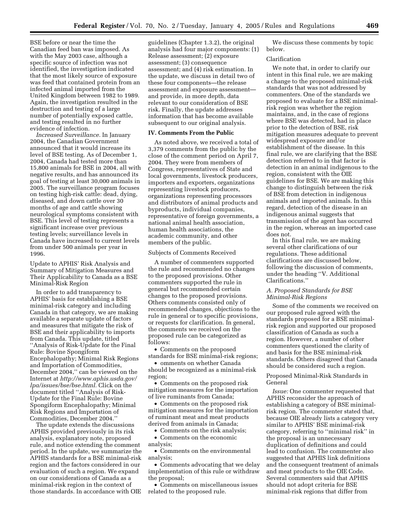BSE before or near the time the Canadian feed ban was imposed. As with the May 2003 case, although a specific source of infection was not identified, the investigation indicated that the most likely source of exposure was feed that contained protein from an infected animal imported from the United Kingdom between 1982 to 1989. Again, the investigation resulted in the destruction and testing of a large number of potentially exposed cattle, and testing resulted in no further evidence of infection.

*Increased Surveillance.* In January 2004, the Canadian Government announced that it would increase its level of BSE testing. As of December 1, 2004, Canada had tested more than 15,800 animals for BSE in 2004, all with negative results, and has announced its goal of testing at least 30,000 animals in 2005. The surveillance program focuses on testing high-risk cattle: dead, dying, diseased, and down cattle over 30 months of age and cattle showing neurological symptoms consistent with BSE. This level of testing represents a significant increase over previous testing levels; surveillance levels in Canada have increased to current levels from under 500 animals per year in 1996.

Update to APHIS' Risk Analysis and Summary of Mitigation Measures and Their Applicability to Canada as a BSE Minimal-Risk Region

In order to add transparency to APHIS' basis for establishing a BSE minimal-risk category and including Canada in that category, we are making available a separate update of factors and measures that mitigate the risk of BSE and their applicability to imports from Canada. This update, titled ''Analysis of Risk-Update for the Final Rule: Bovine Spongiform Encephalopathy; Minimal Risk Regions and Importation of Commodities, December 2004,'' can be viewed on the Internet at *http://www.aphis.usda.gov/ lpa/issues/bse/bse.html.* Click on the document titled ''Analysis of Risk-Update for the Final Rule: Bovine Spongiform Encephalopathy; Minimal Risk Regions and Importation of Commodities, December 2004.''

The update extends the discussions APHIS provided previously in its risk analysis, explanatory note, proposed rule, and notice extending the comment period. In the update, we summarize the APHIS standards for a BSE minimal-risk region and the factors considered in our evaluation of such a region. We expand on our considerations of Canada as a minimal-risk region in the context of those standards. In accordance with OIE

guidelines (Chapter 1.3.2), the original analysis had four major components: (1) Release assessment; (2) exposure assessment; (3) consequence assessment; and (4) risk estimation. In the update, we discuss in detail two of these four components—the release assessment and exposure assessment and provide, in more depth, data relevant to our consideration of BSE risk. Finally, the update addresses information that has become available subsequent to our original analysis.

# **IV. Comments From the Public**

As noted above, we received a total of 3,379 comments from the public by the close of the comment period on April 7, 2004. They were from members of Congress, representatives of State and local governments, livestock producers, importers and exporters, organizations representing livestock producers, organizations representing processors and distributors of animal products and byproducts, individual companies, representative of foreign governments, a national animal health association, human health associations, the academic community, and other members of the public.

#### Subjects of Comments Received

A number of commenters supported the rule and recommended no changes to the proposed provisions. Other commenters supported the rule in general but recommended certain changes to the proposed provisions. Others comments consisted only of recommended changes, objections to the rule in general or to specific provisions, or requests for clarification. In general, the comments we received on the proposed rule can be categorized as follows:

• Comments on the proposed standards for BSE minimal-risk regions;

• omments on whether Canada should be recognized as a minimal-risk region;

• Comments on the proposed risk mitigation measures for the importation of live ruminants from Canada;

• Comments on the proposed risk mitigation measures for the importation of ruminant meat and meat products derived from animals in Canada;

• Comments on the risk analysis;

• Comments on the economic analysis;

• Comments on the environmental analysis;

• Comments advocating that we delay implementation of this rule or withdraw the proposal;

• Comments on miscellaneous issues related to the proposed rule.

We discuss these comments by topic below.

# Clarification

We note that, in order to clarify our intent in this final rule, we are making a change to the proposed minimal-risk standards that was not addressed by commenters. One of the standards we proposed to evaluate for a BSE minimalrisk region was whether the region maintains, and, in the case of regions where BSE was detected, had in place prior to the detection of BSE, risk mitigation measures adequate to prevent widespread exposure and/or establishment of the disease. In this final rule, we are clarifying that the BSE detection referred to in that factor is detection in an animal indigenous to the region, consistent with the OIE guidelines for BSE. We are making this change to distinguish between the risk of BSE from detection in indigenous animals and imported animals. In this regard, detection of the disease in an indigenous animal suggests that transmission of the agent has occurred in the region, whereas an imported case does not.

In this final rule, we are making several other clarifications of our regulations. These additional clarifications are discussed below, following the discussion of comments, under the heading ''V. Additional Clarifications.''

# *A. Proposed Standards for BSE Minimal-Risk Regions*

Some of the comments we received on our proposed rule agreed with the standards proposed for a BSE minimalrisk region and supported our proposed classification of Canada as such a region. However, a number of other commenters questioned the clarity of and basis for the BSE minimal-risk standards. Others disagreed that Canada should be considered such a region.

# Proposed Minimal-Risk Standards in General

*Issue:* One commenter requested that APHIS reconsider the approach of establishing a category of BSE minimalrisk region. The commenter stated that, because OIE already lists a category very similar to APHIS' BSE minimal-risk category, referring to ''minimal risk'' in the proposal is an unnecessary duplication of definitions and could lead to confusion. The commenter also suggested that APHIS link definitions and the consequent treatment of animals and meat products to the OIE Code. Several commenters said that APHIS should not adopt criteria for BSE minimal-risk regions that differ from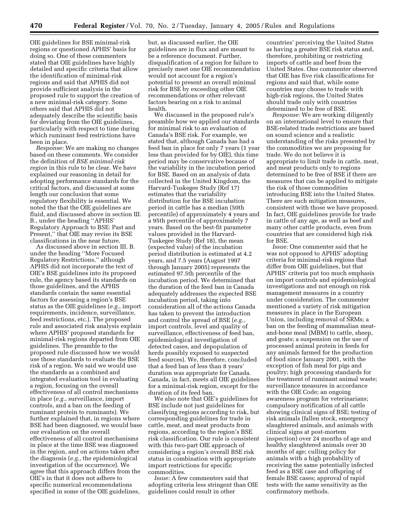OIE guidelines for BSE minimal-risk regions or questioned APHIS' basis for doing so. One of these commenters stated that OIE guidelines have highly detailed and specific criteria that allow the identification of minimal-risk regions and said that APHIS did not provide sufficient analysis in the proposed rule to support the creation of a new minimal-risk category. Some others said that APHIS did not adequately describe the scientific basis for deviating from the OIE guidelines, particularly with respect to time during which ruminant feed restrictions have been in place.

*Response:* We are making no changes based on these comments. We consider the definition of *BSE minimal-risk region* in this rule to be clear. We have explained our reasoning in detail for adopting performance standards for the critical factors, and discussed at some length our conclusion that some regulatory flexibility is essential. We noted the that the OIE guidelines are fluid, and discussed above in section III. B., under the heading ''APHIS' Regulatory Approach to BSE: Past and Present,'' that OIE may revise its BSE classifications in the near future.

As discussed above in section III. B. under the heading ''More Focused Regulatory Restrictions,'' although APHIS did not incorporate the text of OIE's BSE guidelines into its proposed rule, the agency based its standards on those guidelines, and the APHIS standards contain the same essential factors for assessing a region's BSE status as the OIE guidelines (*e.g.*, import requirements, incidence, surveillance, feed restrictions, etc.). The proposed rule and associated risk analysis explain where APHIS' proposed standards for minimal-risk regions departed from OIE guidelines. The preamble to the proposed rule discussed how we would use those standards to evaluate the BSE risk of a region. We said we would use the standards as a combined and integrated evaluation tool in evaluating a region, focusing on the overall effectiveness of all control mechanisms in place (*e.g.*, surveillance, import controls, and a ban on the feeding of ruminant protein to ruminants). We further explained that, in regions where BSE had been diagnosed, we would base our evaluation on the overall effectiveness of all control mechanisms in place at the time BSE was diagnosed in the region, and on actions taken after the diagnosis (*e.g.*, the epidemiological investigation of the occurrence). We agree that this approach differs from the OIE's in that it does not adhere to specific numerical recommendations specified in some of the OIE guidelines,

but, as discussed earlier, the OIE guidelines are in flux and are meant to be a reference document. Further, disqualification of a region for failure to precisely meet one OIE recommendation would not account for a region's potential to present an overall minimal risk for BSE by exceeding other OIE recommendations or other relevant factors bearing on a risk to animal health.

We discussed in the proposed rule's preamble how we applied our standards for minimal risk to an evaluation of Canada's BSE risk. For example, we stated that, although Canada has had a feed ban in place for only 7 years (1 year less than provided for by OIE), this time period may be conservative because of the variability in the incubation period for BSE. Based on an analysis of data collected in the United Kingdom, the Harvard-Tuskegee Study (Ref 17) estimates that the variability distribution for the BSE incubation period in cattle has a median (50th percentile) of approximately 4 years and a 95th percentile of approximately 7 years. Based on the best-fit parameter values provided in the Harvard-Tuskegee Study (Ref 18), the mean (expected value) of the incubation period distribution is estimated at 4.2 years, and 7.5 years (August 1997 through January 2005) represents the estimated 97.5th percentile of the incubation period. We determined that the duration of the feed ban in Canada adequately addresses the expected BSE incubation period, taking into consideration all of the actions Canada has taken to prevent the introduction and control the spread of BSE (*e.g.*, import controls, level and quality of surveillance, effectiveness of feed ban, epidemiological investigation of detected cases, and depopulation of herds possibly exposed to suspected feed sources). We, therefore, concluded that a feed ban of less than 8 years' duration was appropriate for Canada. Canada, in fact, meets all OIE guidelines for a minimal-risk region, except for the duration of its feed ban.

We also note that OIE's guidelines for BSE include not just guidelines for classifying regions according to risk, but corresponding guidelines for trade in cattle, meat, and meat products from regions, according to the region's BSE risk classification. Our rule is consistent with this two-part OIE approach of considering a region's overall BSE risk status in combination with appropriate import restrictions for specific commodities.

*Issue:* A few commenters said that adopting criteria less stringent than OIE guidelines could result in other

countries' perceiving the United States as having a greater BSE risk status and, therefore, prohibiting or restricting imports of cattle and beef from the United States. One commenter observed that OIE has five risk classifications for regions and said that, while some countries may choose to trade with high-risk regions, the United States should trade only with countries determined to be free of BSE.

*Response:* We are working diligently on an international level to ensure that BSE-related trade restrictions are based on sound science and a realistic understanding of the risks presented by the commodities we are proposing for trade. We do not believe it is appropriate to limit trade in cattle, meat, and meat products only to regions determined to be free of BSE if there are measures that can be applied to mitigate the risk of those commodities introducing BSE into the United States. There are such mitigation measures, consistent with those we have proposed. In fact, OIE guidelines provide for trade in cattle of any age, as well as beef and many other cattle products, even from countries that are considered high risk for BSE.

*Issue:* One commenter said that he was not opposed to APHIS' adopting criteria for minimal-risk regions that differ from OIE guidelines, but that APHIS' criteria put too much emphasis on import controls and epidemiological investigations and not enough on risk management measures in a country under consideration. The commenter mentioned a variety of risk mitigation measures in place in the European Union, including removal of SRMs; a ban on the feeding of mammalian meatand-bone meal (MBM) to cattle, sheep, and goats; a suspension on the use of processed animal protein in feeds for any animals farmed for the production of food since January 2001, with the exception of fish meal for pigs and poultry; high processing standards for the treatment of ruminant animal waste; surveillance measures in accordance with the OIE Code; an ongoing awareness program for veterinarians; compulsory notification of all cattle showing clinical signs of BSE; testing of risk animals (fallen stock, emergency slaughtered animals, and animals with clinical signs at post-mortem inspection) over 24 months of age and healthy slaughtered animals over 30 months of age; culling policy for animals with a high probability of receiving the same potentially infected feed as a BSE case and offspring of female BSE cases; approval of rapid tests with the same sensitivity as the confirmatory methods.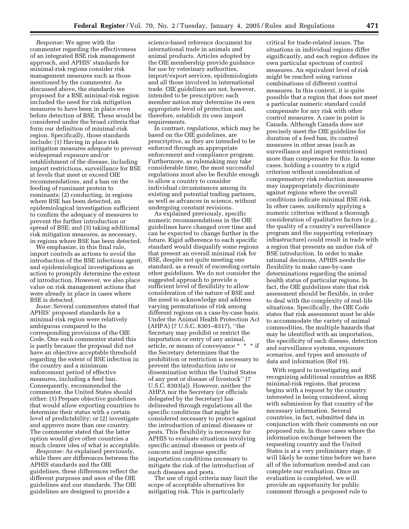*Response:* We agree with the commenter regarding the effectiveness of an integrated BSE risk management approach, and APHIS' standards for minimal-risk regions consider risk management measures such as those mentioned by the commenter. As discussed above, the standards we proposed for a BSE minimal-risk region included the need for risk mitigation measures to have been in place even before detection of BSE. These would be considered under the broad criteria that form our definition of minimal-risk region. Specifically, those standards include: (1) Having in place risk mitigation measures adequate to prevent widespread exposure and/or establishment of the disease, including import restrictions, surveillance for BSE at levels that meet or exceed OIE recommendations, and a ban on the feeding of ruminant protein to ruminants; (2) conducting, in regions where BSE has been detected, an epidemiological investigation sufficient to confirm the adequacy of measures to prevent the further introduction or spread of BSE; and (3) taking additional risk mitigation measures, as necessary, in regions where BSE has been detected.

We emphasize, in this final rule, import controls as actions to avoid the introduction of the BSE infectious agent, and epidemiological investigations as action to promptly determine the extent of introduction. However, we also place value on risk management actions that were already in place in cases where BSE is detected.

*Issue:* Several commenters stated that APHIS' proposed standards for a minimal-risk region were relatively ambiguous compared to the corresponding provisions of the OIE Code. One such commenter stated this is partly because the proposal did not have an objective acceptable threshold regarding the extent of BSE infection in the country and a minimum enforcement period of effective measures, including a feed ban. Consequently, recommended the commenter, the United States should either: (1) Prepare objective guidelines that would allow exporting countries to determine their status with a certain level of predictability; or (2) investigate and approve more than one country. The commenter stated that the latter option would give other countries a much clearer idea of what is acceptable.

*Response:* As explained previously, while there are differences between the APHIS standards and the OIE guidelines, these differences reflect the different purposes and uses of the OIE guidelines and our standards. The OIE guidelines are designed to provide a

science-based reference document for international trade in animals and animal products. Articles adopted by the OIE membership provide guidance for use by veterinary authorities, import/export services, epidemiologists and all those involved in international trade. OIE guidelines are not, however, intended to be prescriptive; each member nation may determine its own appropriate level of protection and, therefore, establish its own import requirements.

In contrast, regulations, which may be based on the OIE guidelines, are prescriptive, as they are intended to be enforced through an appropriate enforcement and compliance program. Furthermore, as rulemaking may take considerable time, the most successful regulations must also be flexible enough to allow a country to consider individual circumstances among its existing and potential trading partners, as well as advances in science, without undergoing constant revisions.

As explained previously, specific numeric recommendations in the OIE guidelines have changed over time and can be expected to change further in the future. Rigid adherence to each specific standard would disqualify some regions that present an overall minimal risk for BSE, despite not quite meeting one standard, as a result of exceeding certain other guidelines. We do not consider the suggested approach to provide a sufficient level of flexibility to allow consideration of the nature of BSE and the need to acknowledge and address varying permutations of risk among different regions on a case-by-case basis. Under the Animal Health Protection Act (AHPA) (7 U.S.C. 8301–8317), ''the Secretary may prohibit or restrict the importation or entry of any animal, article, or means of conveyance \* \* \* if the Secretary determines that the prohibition or restriction is necessary to prevent the introduction into or dissemination within the United States of any pest or disease of livestock'' (7 U.S.C. 8303(a)). However, neither the AHPA nor the Secretary (or officials delegated by the Secretary) has delineated through regulations all the specific conditions that might be considered necessary to protect against the introduction of animal diseases or pests. This flexibility is necessary for APHIS to evaluate situations involving specific animal diseases or pests of concern and impose specific importation conditions necessary to mitigate the risk of the introduction of such diseases and pests.

The use of rigid criteria may limit the scope of acceptable alternatives for mitigating risk. This is particularly

critical for trade-related issues. The situations in individual regions differ significantly, and each region defines its own particular spectrum of control measures. An equivalent level of risk might be reached using various combinations of different control measures. In this context, it is quite possible that a region that does not meet a particular numeric standard could compensate for any risk with other control measures. A case in point is Canada. Although Canada does not precisely meet the OIE guideline for duration of a feed ban, its control measures in other areas (such as surveillance and import restrictions) more than compensate for this. In some cases, holding a country to a rigid criterion without consideration of compensatory risk reduction measures may inappropriately discriminate against regions where the overall conditions indicate minimal BSE risk. In other cases, uniformly applying a numeric criterion without a thorough consideration of qualitative factors (*e.g.*, the quality of a country's surveillance program and the supporting veterinary infrastructure) could result in trade with a region that presents an undue risk of BSE introduction. In order to make rational decisions, APHIS needs the flexibility to make case-by-case determinations regarding the animal health status of particular regions. In fact, the OIE guidelines state that risk assessment should be flexible, in order to deal with the complexity of real-life situations. Specifically, the OIE Code states that risk assessment must be able to accommodate the variety of animal commodities, the multiple hazards that may be identified with an importation, the specificity of each disease, detection and surveillance systems, exposure scenarios, and types and amounts of data and information (Ref 19).

With regard to investigating and recognizing additional countries as BSE minimal-risk regions, that process begins with a request by the country interested in being considered, along with submission by that country of the necessary information. Several countries, in fact, submitted data in conjunction with their comments on our proposed rule. In those cases where the information exchange between the requesting country and the United States is at a very preliminary stage, it will likely be some time before we have all of the information needed and can complete our evaluation. Once an evaluation is completed, we will provide an opportunity for public comment through a proposed rule to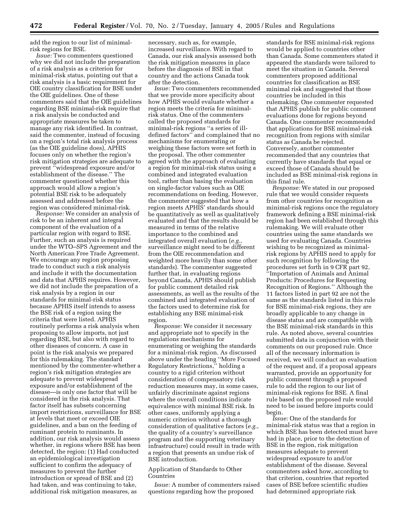add the region to our list of minimalrisk regions for BSE.

*Issue:* Two commenters questioned why we did not include the preparation of a risk analysis as a criterion for minimal-risk status, pointing out that a risk analysis is a basic requirement for OIE country classification for BSE under the OIE guidelines. One of these commenters said that the OIE guidelines regarding BSE minimal-risk require that a risk analysis be conducted and appropriate measures be taken to manage any risk identified. In contrast, said the commenter, instead of focusing on a region's total risk analysis process (as the OIE guideline does), APHIS focuses only on whether the region's risk mitigation strategies are adequate to prevent ''widespread exposure and/or establishment of the disease.'' The commenter questioned whether this approach would allow a region's potential BSE risk to be adequately assessed and addressed before the region was considered minimal-risk.

*Response:* We consider an analysis of risk to be an inherent and integral component of the evaluation of a particular region with regard to BSE. Further, such an analysis is required under the WTO–SPS Agreement and the North American Free Trade Agreement. We encourage any region proposing trade to conduct such a risk analysis and include it with the documentation and data that APHIS requires. However, we did not include the preparation of a risk analysis by a region in our standards for minimal-risk status because APHIS itself intends to assess the BSE risk of a region using the criteria that were listed. APHIS routinely performs a risk analysis when proposing to allow imports, not just regarding BSE, but also with regard to other diseases of concern. A case in point is the risk analysis we prepared for this rulemaking. The standard mentioned by the commenter-whether a region's risk mitigation strategies are adequate to prevent widespread exposure and/or establishment of the disease—is only one factor that will be considered in the risk analysis. That factor itself has subsets concerning import restrictions, surveillance for BSE at levels that meet or exceed OIE guidelines, and a ban on the feeding of ruminant protein to ruminants. In addition, our risk analysis would assess whether, in regions where BSE has been detected, the region: (1) Had conducted an epidemiological investigation sufficient to confirm the adequacy of measures to prevent the further introduction or spread of BSE and (2) had taken, and was continuing to take, additional risk mitigation measures, as

necessary, such as, for example, increased surveillance. With regard to Canada, our risk analysis assessed both the risk mitigation measures in place before the diagnosis of BSE in that country and the actions Canada took after the detection.

*Issue:* Two commenters recommended that we provide more specificity about how APHIS would evaluate whether a region meets the criteria for minimalrisk status. One of the commenters called the proposed standards for minimal-risk regions ''a series of illdefined factors'' and complained that no mechanisms for enumerating or weighing these factors were set forth in the proposal. The other commenter agreed with the approach of evaluating a region for minimal-risk status using a combined and integrated evaluation tool, rather than basing the evaluation on single-factor values such as OIE recommendations on feeding. However, the commenter suggested that how a region meets APHIS' standards should be quantitatively as well as qualitatively evaluated and that the results should be measured in terms of the relative importance to the combined and integrated overall evaluation (*e.g.*, surveillance might need to be different from the OIE recommendation and weighted more heavily than some other standards). The commenter suggested further that, in evaluating regions beyond Canada, APHIS should publish for public comment detailed risk assessments, as well as the results of the combined and integrated evaluation of the factors used to determine risk for establishing any BSE minimal-risk region.

*Response:* We consider it necessary and appropriate not to specify in the regulations mechanisms for enumerating or weighing the standards for a minimal-risk region. As discussed above under the heading ''More Focused Regulatory Restrictions,'' holding a country to a rigid criterion without consideration of compensatory risk reduction measures may, in some cases, unfairly discriminate against regions where the overall conditions indicate equivalence with minimal BSE risk. In other cases, uniformly applying a numeric criterion without a thorough consideration of qualitative factors (*e.g.*, the quality of a country's surveillance program and the supporting veterinary infrastructure) could result in trade with a region that presents an undue risk of BSE introduction.

# Application of Standards to Other **Countries**

*Issue:* A number of commenters raised questions regarding how the proposed

standards for BSE minimal-risk regions would be applied to countries other than Canada. Some commenters stated it appeared the standards were tailored to meet the situation in Canada. Several commenters proposed additional countries for classification as BSE minimal risk and suggested that those countries be included in this rulemaking. One commenter requested that APHIS publish for public comment evaluations done for regions beyond Canada. One commenter recommended that applications for BSE minimal-risk recognition from regions with similar status as Canada be rejected. Conversely, another commenter recommended that any countries that currently have standards that equal or exceed those of Canada should be included as BSE minimal-risk regions in this final rule.

*Response:* We stated in our proposed rule that we would consider requests from other countries for recognition as minimal-risk regions once the regulatory framework defining a BSE minimal-risk region had been established through this rulemaking. We will evaluate other countries using the same standards we used for evaluating Canada. Countries wishing to be recognized as minimalrisk regions by APHIS need to apply for such recognition by following the procedures set forth in 9 CFR part 92, ''Importation of Animals and Animal Products: Procedures for Requesting Recognition of Regions.'' Although the 11 factors listed in part 92 are not the same as the standards listed in this rule for BSE minimal-risk regions, they are broadly applicable to any change in disease status and are compatible with the BSE minimal-risk standards in this rule. As noted above, several countries submitted data in conjunction with their comments on our proposed rule. Once all of the necessary information is received, we will conduct an evaluation of the request and, if a proposal appears warranted, provide an opportunity for public comment through a proposed rule to add the region to our list of minimal-risk regions for BSE. A final rule based on the proposed rule would need to be issued before imports could begin.

*Issue:* One of the standards for minimal-risk status was that a region in which BSE has been detected must have had in place, prior to the detection of BSE in the region, risk mitigation measures adequate to prevent widespread exposure to and/or establishment of the disease. Several commenters asked how, according to that criterion, countries that reported cases of BSE before scientific studies had determined appropriate risk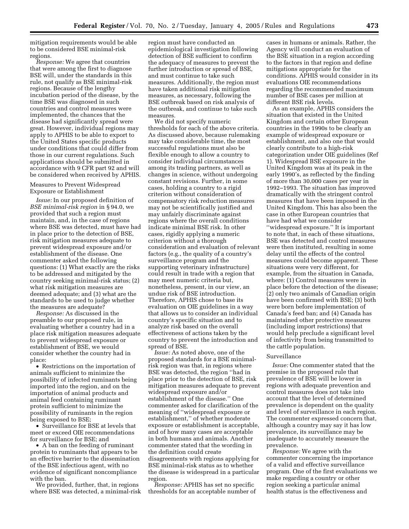mitigation requirements would be able to be considered BSE minimal-risk regions.

*Response:* We agree that countries that were among the first to diagnose BSE will, under the standards in this rule, not qualify as BSE minimal-risk regions. Because of the lengthy incubation period of the disease, by the time BSE was diagnosed in such countries and control measures were implemented, the chances that the disease had significantly spread were great. However, individual regions may apply to APHIS to be able to export to the United States specific products under conditions that could differ from those in our current regulations. Such applications should be submitted in accordance with 9 CFR part 92 and will be considered when received by APHIS.

Measures to Prevent Widespread Exposure or Establishment

*Issue:* In our proposed definition of *BSE minimal-risk region* in § 94.0, we provided that such a region must maintain, and, in the case of regions where BSE was detected, must have had in place prior to the detection of BSE, risk mitigation measures adequate to prevent widespread exposure and/or establishment of the disease. One commenter asked the following questions: (1) What exactly are the risks to be addressed and mitigated by the country seeking minimal-risk status; (2) what risk mitigation measures are deemed adequate; and (3) what are the standards to be used to judge whether the measures are adequate?

*Response:* As discussed in the preamble to our proposed rule, in evaluating whether a country had in a place risk mitigation measures adequate to prevent widespread exposure or establishment of BSE, we would consider whether the country had in place:

• Restrictions on the importation of animals sufficient to minimize the possibility of infected ruminants being imported into the region, and on the importation of animal products and animal feed containing ruminant protein sufficient to minimize the possibility of ruminants in the region being exposed to BSE;

• Surveillance for BSE at levels that meet or exceed OIE recommendations for surveillance for BSE; and

• A ban on the feeding of ruminant protein to ruminants that appears to be an effective barrier to the dissemination of the BSE infectious agent, with no evidence of significant noncompliance with the ban.

We provided, further, that, in regions where BSE was detected, a minimal-risk region must have conducted an epidemiological investigation following detection of BSE sufficient to confirm the adequacy of measures to prevent the further introduction or spread of BSE, and must continue to take such measures. Additionally, the region must have taken additional risk mitigation measures, as necessary, following the BSE outbreak based on risk analysis of the outbreak, and continue to take such measures.

We did not specify numeric thresholds for each of the above criteria. As discussed above, because rulemaking may take considerable time, the most successful regulations must also be flexible enough to allow a country to consider individual circumstances among its trading partners, as well as changes in science, without undergoing constant revisions. Further, in some cases, holding a country to a rigid criterion without consideration of compensatory risk reduction measures may not be scientifically justified and may unfairly discriminate against regions where the overall conditions indicate minimal BSE risk. In other cases, rigidly applying a numeric criterion without a thorough consideration and evaluation of relevant factors (e.g., the quality of a country's surveillance program and the supporting veterinary infrastructure) could result in trade with a region that may meet numeric criteria but, nonetheless, present, in our view, an undue risk of BSE introduction. Therefore, APHIS chose to base its evaluation on OIE guidelines in a way that allows us to consider an individual country's specific situation and to analyze risk based on the overall effectiveness of actions taken by the country to prevent the introduction and spread of BSE.

*Issue:* As noted above, one of the proposed standards for a BSE minimalrisk region was that, in regions where BSE was detected, the region ''had in place prior to the detection of BSE, risk mitigation measures adequate to prevent widespread exposure and/or establishment of the disease.'' One commenter asked for clarification of the meaning of ''widespread exposure or establishment,'' of whether moderate exposure or establishment is acceptable, and of how many cases are acceptable in both humans and animals. Another commenter stated that the wording in the definition could create disagreements with regions applying for BSE minimal-risk status as to whether the disease is widespread in a particular region.

*Response:* APHIS has set no specific thresholds for an acceptable number of

cases in humans or animals. Rather, the Agency will conduct an evaluation of the BSE situation in a region according to the factors in that region and define mitigations appropriate for the conditions. APHIS would consider in its evaluations OIE recommendations regarding the recommended maximum number of BSE cases per million at different BSE risk levels.

As an example, APHIS considers the situation that existed in the United Kingdom and certain other European countries in the 1990s to be clearly an example of widespread exposure or establishment, and also one that would clearly contribute to a high-risk categorization under OIE guidelines (Ref 1). Widespread BSE exposure in the United Kingdom was at its peak in the early 1990's, as reflected by the finding of more than 30,000 cases per year in 1992–1993. The situation has improved dramatically with the stringent control measures that have been imposed in the United Kingdom. This has also been the case in other European countries that have had what we consider ''widespread exposure.'' It is important to note that, in each of these situations, BSE was detected and control measures were then instituted, resulting in some delay until the effects of the control measures could become apparent. These situations were very different, for example, from the situation in Canada, where: (1) Control measures were in place before the detection of the disease; (2) only two animals of Canadian origin have been confirmed with BSE; (3) both were born before implementation of Canada's feed ban; and (4) Canada has maintained other protective measures (including import restrictions) that would help preclude a significant level of infectivity from being transmitted to the cattle population.

#### Surveillance

*Issue:* One commenter stated that the premise in the proposed rule that prevalence of BSE will be lower in regions with adequate prevention and control measures does not take into account that the level of determined prevalence is dependent on the quality and level of surveillance in each region. The commenter expressed concern that, although a country may say it has low prevalence, its surveillance may be inadequate to accurately measure the prevalence.

*Response:* We agree with the commenter concerning the importance of a valid and effective surveillance program. One of the first evaluations we make regarding a country or other region seeking a particular animal health status is the effectiveness and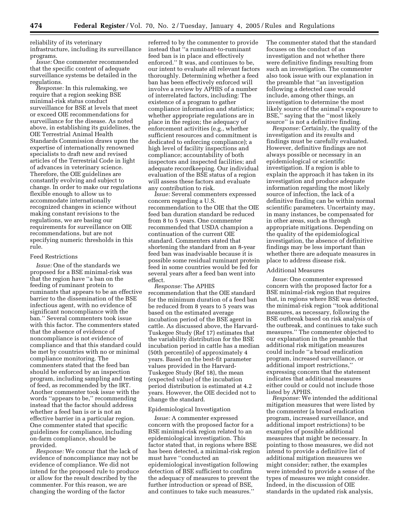reliability of its veterinary infrastructure, including its surveillance programs.

*Issue:* One commenter recommended that the specific content of adequate surveillance systems be detailed in the regulations.

*Response:* In this rulemaking, we require that a region seeking BSE minimal-risk status conduct surveillance for BSE at levels that meet or exceed OIE recommendations for surveillance for the disease. As noted above, in establishing its guidelines, the OIE Terrestrial Animal Health Standards Commission draws upon the expertise of internationally renowned specialists to draft new and revised articles of the Terrestrial Code in light of advances in veterinary science. Therefore, the OIE guidelines are constantly evolving and subject to change. In order to make our regulations flexible enough to allow us to accommodate internationally recognized changes in science without making constant revisions to the regulations, we are basing our requirements for surveillance on OIE recommendations, but are not specifying numeric thresholds in this rule.

#### Feed Restrictions

*Issue:* One of the standards we proposed for a BSE minimal-risk was that the region have ''a ban on the feeding of ruminant protein to ruminants that appears to be an effective barrier to the dissemination of the BSE infectious agent, with no evidence of significant noncompliance with the ban.'' Several commenters took issue with this factor. The commenters stated that the absence of evidence of noncompliance is not evidence of compliance and that this standard could be met by countries with no or minimal compliance monitoring. The commenters stated that the feed ban should be enforced by an inspection program, including sampling and testing of feed, as recommended by the IRT. Another commenter took issue with the words ''appears to be,'' recommending instead that the factor should address whether a feed ban is or is not an effective barrier in a particular region. One commenter stated that specific guidelines for compliance, including on-farm compliance, should be provided.

*Response:* We concur that the lack of evidence of noncompliance may not be evidence of compliance. We did not intend for the proposed rule to produce or allow for the result described by the commenter. For this reason, we are changing the wording of the factor

referred to by the commenter to provide instead that ''a ruminant-to-ruminant feed ban is in place and effectively enforced.'' It was, and continues to be, our intent to evaluate all relevant factors thoroughly. Determining whether a feed ban has been effectively enforced will involve a review by APHIS of a number of interrelated factors, including: The existence of a program to gather compliance information and statistics; whether appropriate regulations are in place in the region; the adequacy of enforcement activities (e.g., whether sufficient resources and commitment is dedicated to enforcing compliance); a high level of facility inspections and compliance; accountability of both inspectors and inspected facilities; and adequate recordkeeping. Our individual evaluation of the BSE status of a region will assess these factors and evaluate any contribution to risk.

*Issue:* Several commenters expressed concern regarding a U.S. recommendation to the OIE that the OIE feed ban duration standard be reduced from 8 to 5 years. One commenter recommended that USDA champion a continuation of the current OIE standard. Commenters stated that shortening the standard from an 8-year feed ban was inadvisable because it is possible some residual ruminant protein feed in some countries would be fed for several years after a feed ban went into effect.

*Response:* The APHIS recommendation that the OIE standard for the minimum duration of a feed ban be reduced from 8 years to 5 years was based on the estimated average incubation period of the BSE agent in cattle. As discussed above, the Harvard-Tuskegee Study (Ref 17) estimates that the variability distribution for the BSE incubation period in cattle has a median (50th percentile) of approximately 4 years. Based on the best-fit parameter values provided in the Harvard-Tuskegee Study (Ref 18), the mean (expected value) of the incubation period distribution is estimated at 4.2 years. However, the OIE decided not to change the standard.

#### Epidemiological Investigation

*Issue:* A commenter expressed concern with the proposed factor for a BSE minimal-risk region related to an epidemiological investigation. This factor stated that, in regions where BSE has been detected, a minimal-risk region must have ''conducted an epidemiological investigation following detection of BSE sufficient to confirm the adequacy of measures to prevent the further introduction or spread of BSE, and continues to take such measures.''

The commenter stated that the standard focuses on the conduct of an investigation and not whether there were definitive findings resulting from such an investigation. The commenter also took issue with our explanation in the preamble that ''an investigation following a detected case would include, among other things, an investigation to determine the most likely source of the animal's exposure to BSE,'' saying that the ''most likely source'' is not a definitive finding.

*Response:* Certainly, the quality of the investigation and its results and findings must be carefully evaluated. However, definitive findings are not always possible or necessary in an epidemiological or scientific investigation. If a region is able to explain the approach it has taken in its investigation and produce adequate information regarding the most likely source of infection, the lack of a definitive finding can be within normal scientific parameters. Uncertainty may, in many instances, be compensated for in other areas, such as through appropriate mitigations. Depending on the quality of the epidemiological investigation, the absence of definitive findings may be less important than whether there are adequate measures in place to address disease risk.

#### Additional Measures

*Issue:* One commenter expressed concern with the proposed factor for a BSE minimal-risk region that requires that, in regions where BSE was detected, the minimal-risk region ''took additional measures, as necessary, following the BSE outbreak based on risk analysis of the outbreak, and continues to take such measures.'' The commenter objected to our explanation in the preamble that additional risk mitigation measures could include ''a broad eradication program, increased surveillance, or additional import restrictions,'' expressing concern that the statement indicates that additional measures either could or could not include those listed by APHIS.

*Response:* We intended the additional mitigation measures that were listed by the commenter (a broad eradication program, increased surveillance, and additional import restrictions) to be examples of possible additional measures that might be necessary. In pointing to those measures, we did not intend to provide a definitive list of additional mitigation measures we might consider; rather, the examples were intended to provide a sense of the types of measures we might consider. Indeed, in the discussion of OIE standards in the updated risk analysis,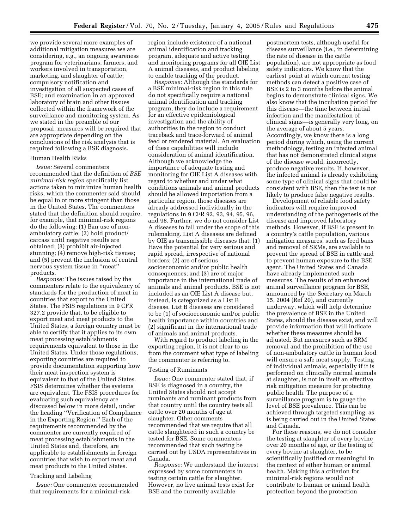we provide several more examples of additional mitigation measures we are considering, e.g., an ongoing awareness program for veterinarians, farmers, and workers involved in transportation, marketing, and slaughter of cattle; compulsory notification and investigation of all suspected cases of BSE; and examination in an approved laboratory of brain and other tissues collected within the framework of the surveillance and monitoring system. As we stated in the preamble of our proposal, measures will be required that are appropriate depending on the conclusions of the risk analysis that is required following a BSE diagnosis.

#### Human Health Risks

*Issue:* Several commenters recommended that the definition of *BSE minimal-risk region* specifically list actions taken to minimize human health risks, which the commenter said should be equal to or more stringent than those in the United States. The commenters stated that the definition should require, for example, that minimal-risk regions do the following: (1) Ban use of nonambulatory cattle; (2) hold product/ carcass until negative results are obtained; (3) prohibit air-injected stunning; (4) remove high-risk tissues; and (5) prevent the inclusion of central nervous system tissue in ''meat'' products.

*Response:* The issues raised by the commenters relate to the equivalency of standards for the production of meat in countries that export to the United States. The FSIS regulations in 9 CFR 327.2 provide that, to be eligible to export meat and meat products to the United States, a foreign country must be able to certify that it applies to its own meat processing establishments requirements equivalent to those in the United States. Under those regulations, exporting countries are required to provide documentation supporting how their meat inspection system is equivalent to that of the United States. FSIS determines whether the systems are equivalent. The FSIS procedures for evaluating such equivalency are discussed below in more detail, under the heading ''Verification of Compliance in the Exporting Region.'' Each of the requirements recommended by the commenter are currently required of meat processing establishments in the United States and, therefore, are applicable to establishments in foreign countries that wish to export meat and meat products to the United States.

# Tracking and Labeling

*Issue:* One commenter recommended that requirements for a minimal-risk

region include existence of a national animal identification and tracking program, adequate and active testing and monitoring programs for all OIE List A animal diseases, and product labeling to enable tracking of the product.

*Response:* Although the standards for a BSE minimal-risk region in this rule do not specifically require a national animal identification and tracking program, they do include a requirement for an effective epidemiological investigation and the ability of authorities in the region to conduct traceback and trace-forward of animal feed or rendered material. An evaluation of these capabilities will include consideration of animal identification. Although we acknowledge the importance of adequate testing and monitoring for OIE List A diseases with regard to whether and under what conditions animals and animal products should be allowed importation from a particular region, those diseases are already addressed individually in the regulations in 9 CFR 92, 93, 94, 95, 96, and 98. Further, we do not consider List A diseases to fall under the scope of this rulemaking. List A diseases are defined by OIE as transmissible diseases that: (1) Have the potential for very serious and rapid spread, irrespective of national borders; (2) are of serious socioeconomic and/or public health consequences; and (3) are of major importance in the international trade of animals and animal products. BSE is not included as an OIE List A disease but, instead, is categorized as a List B disease. List B diseases are considered to be (1) of socioeconomic and/or public health importance within countries and (2) significant in the international trade of animals and animal products.

With regard to product labeling in the exporting region, it is not clear to us from the comment what type of labeling the commenter is referring to.

#### Testing of Ruminants

*Issue:* One commenter stated that, if BSE is diagnosed in a country, the United States should not accept ruminants and ruminant products from that country until the country tests all cattle over 20 months of age at slaughter. Other comments recommended that we require that all cattle slaughtered in such a country be tested for BSE. Some commenters recommended that such testing be carried out by USDA representatives in Canada.

*Response:* We understand the interest expressed by some commenters in testing certain cattle for slaughter. However, no live animal tests exist for BSE and the currently available

postmortem tests, although useful for disease surveillance (i.e., in determining the rate of disease in the cattle population), are not appropriate as food safety indicators. We know that the earliest point at which current testing methods can detect a positive case of BSE is 2 to 3 months before the animal begins to demonstrate clinical signs. We also know that the incubation period for this disease—the time between initial infection and the manifestation of clinical signs—is generally very long, on the average of about 5 years. Accordingly, we know there is a long period during which, using the current methodology, testing an infected animal that has not demonstrated clinical signs of the disease would, incorrectly, produce negative results. If, however, the infected animal is already exhibiting some type of clinical signs that could be consistent with BSE, then the test is not likely to produce false negative results.

Development of reliable food safety indicators will require improved understanding of the pathogenesis of the disease and improved laboratory methods. However, if BSE is present in a country's cattle population, various mitigation measures, such as feed bans and removal of SRMs, are available to prevent the spread of BSE in cattle and to prevent human exposure to the BSE agent. The United States and Canada have already implemented such measures. The results of an enhanced animal surveillance program for BSE, announced by the Secretary on March 15, 2004 (Ref 20), and currently underway, which will help determine the prevalence of BSE in the United States, should the disease exist, and will provide information that will indicate whether these measures should be adjusted. But measures such as SRM removal and the prohibition of the use of non-ambulatory cattle in human food will ensure a safe meat supply. Testing of individual animals, especially if it is performed on clinically normal animals at slaughter, is not in itself an effective risk mitigation measure for protecting public health. The purpose of a surveillance program is to gauge the level of BSE prevalence. This can be achieved through targeted sampling, as is being carried out in the United States and Canada.

For these reasons, we do not consider the testing at slaughter of every bovine over 20 months of age, or the testing of every bovine at slaughter, to be scientifically justified or meaningful in the context of either human or animal health. Making this a criterion for minimal-risk regions would not contribute to human or animal health protection beyond the protection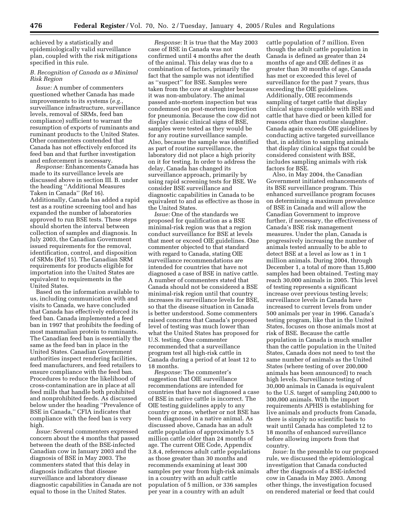achieved by a statistically and epidemiologically valid surveillance plan, coupled with the risk mitigations specified in this rule.

# *B. Recognition of Canada as a Minimal Risk Region*

*Issue:* A number of commenters questioned whether Canada has made improvements to its systems (*e.g.*, surveillance infrastructure, surveillance levels, removal of SRMs, feed ban compliance) sufficient to warrant the resumption of exports of ruminants and ruminant products to the United States. Other commenters contended that Canada has not effectively enforced its feed ban and that further investigation and enforcement is necessary.

*Response:* Enhancements Canada has made to its surveillance levels are discussed above in section III. B. under the heading ''Additional Measures Taken in Canada'' (Ref 16). Additionally, Canada has added a rapid test as a routine screening tool and has expanded the number of laboratories approved to run BSE tests. These steps should shorten the interval between collection of samples and diagnosis. In July 2003, the Canadian Government issued requirements for the removal, identification, control, and disposition of SRMs (Ref 15). The Canadian SRM requirements for products eligible for importation into the United States are equivalent to requirements in the United States.

Based on the information available to us, including communication with and visits to Canada, we have concluded that Canada has effectively enforced its feed ban. Canada implemented a feed ban in 1997 that prohibits the feeding of most mammalian protein to ruminants. The Canadian feed ban is essentially the same as the feed ban in place in the United States. Canadian Government authorities inspect rendering facilities, feed manufacturers, and feed retailers to ensure compliance with the feed ban. Procedures to reduce the likelihood of cross-contamination are in place at all feed mills that handle both prohibited and nonprohibited feeds. As discussed below under the heading ''Prevalence of BSE in Canada,'' CFIA indicates that compliance with the feed ban is very high.

*Issue:* Several commenters expressed concern about the 4 months that passed between the death of the BSE-infected Canadian cow in January 2003 and the diagnosis of BSE in May 2003. The commenters stated that this delay in diagnosis indicates that disease surveillance and laboratory disease diagnostic capabilities in Canada are not equal to those in the United States.

*Response:* It is true that the May 2003 case of BSE in Canada was not confirmed until 4 months after the death of the animal. This delay was due to a combination of factors, primarily the fact that the sample was not identified as ''suspect'' for BSE. Samples were taken from the cow at slaughter because it was non-ambulatory. The animal passed ante-mortem inspection but was condemned on post-mortem inspection for pneumonia. Because the cow did not display classic clinical signs of BSE, samples were tested as they would be for any routine surveillance sample. Also, because the sample was identified as part of routine surveillance, the laboratory did not place a high priority on it for testing. In order to address the delay, Canada has changed its surveillance approach, primarily by using rapid screening tests for BSE. We consider BSE surveillance and diagnostic capabilities in Canada to be equivalent to and as effective as those in the United States.

*Issue:* One of the standards we proposed for qualification as a BSE minimal-risk region was that a region conduct surveillance for BSE at levels that meet or exceed OIE guidelines. One commenter objected to that standard with regard to Canada, stating OIE surveillance recommendations are intended for countries that have not diagnosed a case of BSE in native cattle. A number of commenters stated that Canada should not be considered a BSE minimal-risk region until that country increases its surveillance levels for BSE, so that the disease situation in Canada is better understood. Some commenters raised concerns that Canada's proposed level of testing was much lower than what the United States has proposed for U.S. testing. One commenter recommended that a surveillance program test all high-risk cattle in Canada during a period of at least 12 to 18 months.

*Response:* The commenter's suggestion that OIE surveillance recommendations are intended for countries that have not diagnosed a case of BSE in native cattle is incorrect. The OIE testing guidelines apply to any country or zone, whether or not BSE has been diagnosed in a native animal. As discussed above, Canada has an adult cattle population of approximately 5.5 million cattle older than 24 months of age. The current OIE Code, Appendix 3.8.4, references adult cattle populations as those greater than 30 months and recommends examining at least 300 samples per year from high-risk animals in a country with an adult cattle population of 5 million, or 336 samples per year in a country with an adult

cattle population of 7 million. Even though the adult cattle population in Canada is defined as greater than 24 months of age and OIE defines it as greater than 30 months of age, Canada has met or exceeded this level of surveillance for the past 7 years, thus exceeding the OIE guidelines. Additionally, OIE recommends sampling of target cattle that display clinical signs compatible with BSE and cattle that have died or been killed for reasons other than routine slaughter. Canada again exceeds OIE guidelines by conducting active targeted surveillance that, in addition to sampling animals that display clinical signs that could be considered consistent with BSE, includes sampling animals with risk factors for BSE.

Also, in May 2004, the Canadian Government initiated enhancements of its BSE surveillance program. This enhanced surveillance program focuses on determining a maximum prevalence of BSE in Canada and will allow the Canadian Government to improve further, if necessary, the effectiveness of Canada's BSE risk management measures. Under the plan, Canada is progressively increasing the number of animals tested annually to be able to detect BSE at a level as low as 1 in 1 million animals. During 2004, through December 1, a total of more than 15,800 samples had been obtained. Testing may reach 30,000 animals in 2005. This level of testing represents a significant increase over previous testing levels; surveillance levels in Canada have increased to current levels from under 500 animals per year in 1996. Canada's testing program, like that in the United States, focuses on those animals most at risk of BSE. Because the cattle population in Canada is much smaller than the cattle population in the United States, Canada does not need to test the same number of animals as the United States (where testing of over 200,000 animals has been announced) to reach high levels. Surveillance testing of 30,000 animals in Canada is equivalent to the U.S. target of sampling 240,000 to 300,000 animals. With the import requirements APHIS is establishing for live animals and products from Canada, there is simply no scientific basis to wait until Canada has completed 12 to 18 months of enhanced surveillance before allowing imports from that country.

*Issue:* In the preamble to our proposed rule, we discussed the epidemiological investigation that Canada conducted after the diagnosis of a BSE-infected cow in Canada in May 2003. Among other things, the investigation focused on rendered material or feed that could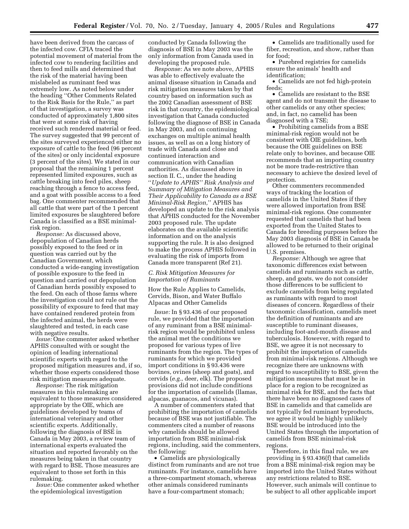have been derived from the carcass of the infected cow. CFIA traced the potential movement of material from the infected cow to rendering facilities and then to feed mills and determined that the risk of the material having been mislabeled as ruminant feed was extremely low. As noted below under the heading ''Other Comments Related to the Risk Basis for the Rule,'' as part of that investigation, a survey was conducted of approximately 1,800 sites that were at some risk of having received such rendered material or feed. The survey suggested that 99 percent of the sites surveyed experienced either no exposure of cattle to the feed (96 percent of the sites) or only incidental exposure (3 percent of the sites). We stated in our proposal that the remaining 1 percent represented limited exposures, such as cattle breaking into feed piles, sheep reaching through a fence to access feed, and a goat with possible access to a feed bag. One commenter recommended that all cattle that were part of the 1 percent limited exposures be slaughtered before Canada is classified as a BSE minimalrisk region.

*Response:* As discussed above, depopulation of Canadian herds possibly exposed to the feed or in question was carried out by the Canadian Government, which conducted a wide-ranging investigation of possible exposure to the feed in question and carried out depopulation of Canadian herds possibly exposed to the feed. On each of those farms where the investigation could not rule out the possibility of exposure to feed that may have contained rendered protein from the infected animal, the herds were slaughtered and tested, in each case with negative results.

*Issue:* One commenter asked whether APHIS consulted with or sought the opinion of leading international scientific experts with regard to the proposed mitigation measures and, if so, whether those experts considered those risk mitigation measures adequate.

*Response:* The risk mitigation measures in this rulemaking are equivalent to those measures considered appropriate by the OIE, which are guidelines developed by teams of international veterinary and other scientific experts. Additionally, following the diagnosis of BSE in Canada in May 2003, a review team of international experts evaluated the situation and reported favorably on the measures being taken in that country with regard to BSE. Those measures are equivalent to those set forth in this rulemaking.

*Issue:* One commenter asked whether the epidemiological investigation

conducted by Canada following the diagnosis of BSE in May 2003 was the only information from Canada used in developing the proposed rule.

*Response:* As we note above, APHIS was able to effectively evaluate the animal disease situation in Canada and risk mitigation measures taken by that country based on information such as the 2002 Canadian assessment of BSE risk in that country, the epidemiological investigation that Canada conducted following the diagnose of BSE in Canada in May 2003, and on continuing exchanges on multiple animal health issues, as well as on a long history of trade with Canada and close and continued interaction and communication with Canadian authorities. As discussed above in section II. C., under the heading ''*Update to APHIS'' Risk Analysis and Summary of Mitigation Measures and Their Applicability to Canada as a BSE Minimal-Risk Region,*'' APHIS has developed an update to the risk analysis that APHIS conducted for the November 2003 proposed rule. The update elaborates on the available scientific information and on the analysis supporting the rule. It is also designed to make the process APHIS followed in evaluating the risk of imports from Canada more transparent (Ref 21).

# *C. Risk Mitigation Measures for Importation of Ruminants*

How the Rule Applies to Camelids, Cervids, Bison, and Water Buffalo Alpacas and Other Camelids

*Issue:* In § 93.436 of our proposed rule, we provided that the importation of any ruminant from a BSE minimalrisk region would be prohibited unless the animal met the conditions we proposed for various types of live ruminants from the region. The types of ruminants for which we provided import conditions in § 93.436 were bovines, ovines (sheep and goats), and cervids (*e.g.*, deer, elk). The proposed provisions did not include conditions for the importation of camelids (llamas, alpacas, guanacos, and vicunas).

A number of commenters stated that prohibiting the importation of camelids because of BSE was not justifiable. The commenters cited a number of reasons why camelids should be allowed importation from BSE minimal-risk regions, including, said the commenters, the following:

• Camelids are physiologically distinct from ruminants and are not true ruminants. For instance, camelids have a three-compartment stomach, whereas other animals considered ruminants have a four-compartment stomach;

• Camelids are traditionally used for fiber, recreation, and show, rather than for food;

• Purebred registries for camelids ensure the animals' health and identification;

• Camelids are not fed high-protein feeds;

• Camelids are resistant to the BSE agent and do not transmit the disease to other camelids or any other species; and, in fact, no camelid has been diagnosed with a TSE;

• Prohibiting camelids from a BSE minimal-risk region would not be consistent with OIE guidelines, both because the OIE guidelines on BSE relate only to bovines, and because OIE recommends that an importing country not be more trade-restrictive than necessary to achieve the desired level of protection.

Other commenters recommended ways of tracking the location of camelids in the United States if they were allowed importation from BSE minimal-risk regions. One commenter requested that camelids that had been exported from the United States to Canada for breeding purposes before the May 2003 diagnosis of BSE in Canada be allowed to be returned to their original U.S. premises.

*Response:* Although we agree that taxonomic differences exist between camelids and ruminants such as cattle, sheep, and goats, we do not consider those differences to be sufficient to exclude camelids from being regulated as ruminants with regard to most diseases of concern. Regardless of their taxonomic classification, camelids meet the definition of ruminants and are susceptible to ruminant diseases, including foot-and-mouth disease and tuberculosis. However, with regard to BSE, we agree it is not necessary to prohibit the importation of camelids from minimal-risk regions. Although we recognize there are unknowns with regard to susceptibility to BSE, given the mitigation measures that must be in place for a region to be recognized as minimal risk for BSE, and the facts that there have been no diagnosed cases of BSE in camelids and that camelids are not typically fed ruminant byproducts, we agree it would be highly unlikely BSE would be introduced into the United States through the importation of camelids from BSE minimal-risk regions.

Therefore, in this final rule, we are providing in § 93.436(f) that camelids from a BSE minimal-risk region may be imported into the United States without any restrictions related to BSE. However, such animals will continue to be subject to all other applicable import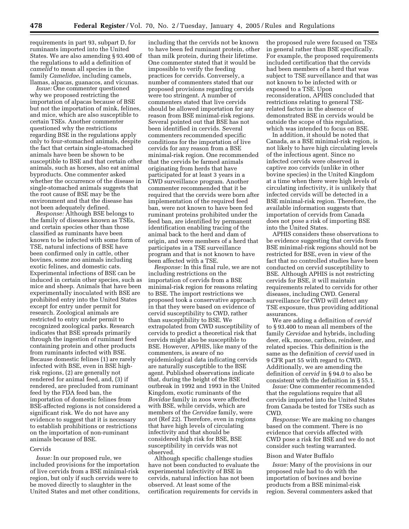requirements in part 93, subpart D, for ruminants imported into the United States. We are also amending § 93.400 of the regulations to add a definition of *camelid* to mean all species in the family *Camelidae*, including camels, llamas, alpacas, guanacos, and vicunas.

*Issue:* One commenter questioned why we proposed restricting the importation of alpacas because of BSE but not the importation of mink, felines, and mice, which are also susceptible to certain TSEs. Another commenter questioned why the restrictions regarding BSE in the regulations apply only to four-stomached animals, despite the fact that certain single-stomached animals have been be shown to be susceptible to BSE and that certain other animals, such as horses, also eat animal byproducts. One commenter asked whether the occurrence of the disease in single-stomached animals suggests that the root cause of BSE may be the environment and that the disease has not been adequately defined.

*Response:* Although BSE belongs to the family of diseases known as TSEs, and certain species other than those classified as ruminants have been known to be infected with some form of TSE, natural infections of BSE have been confirmed only in cattle, other bovines, some zoo animals including exotic felines, and domestic cats. Experimental infections of BSE can be induced in certain other species, such as mice and sheep. Animals that have been experimentally inoculated with BSE are prohibited entry into the United States except for entry under permit for research. Zoological animals are restricted to entry under permit to recognized zoological parks. Research indicates that BSE spreads primarily through the ingestion of ruminant feed containing protein and other products from ruminants infected with BSE. Because domestic felines (1) are rarely infected with BSE, even in BSE highrisk regions, (2) are generally not rendered for animal feed, and, (3) if rendered, are precluded from ruminant feed by the FDA feed ban, the importation of domestic felines from BSE-affected regions is not considered a significant risk. We do not have any evidence to suggest that it is necessary to establish prohibitions or restrictions on the importation of non-ruminant animals because of BSE.

#### Cervids

*Issue:* In our proposed rule, we included provisions for the importation of live cervids from a BSE minimal-risk region, but only if such cervids were to be moved directly to slaughter in the United States and met other conditions,

including that the cervids not be known to have been fed ruminant protein, other than milk protein, during their lifetime. One commenter stated that it would be impossible to verify the feeding practices for cervids. Conversely, a number of commenters stated that our proposed provisions regarding cervids were too stringent. A number of commenters stated that live cervids should be allowed importation for any reason from BSE minimal-risk regions. Several pointed out that BSE has not been identified in cervids. Several commenters recommended specific conditions for the importation of live cervids for any reason from a BSE minimal-risk region. One recommended that the cervids be farmed animals originating from herds that have participated for at least 3 years in a CWD surveillance program. Another commenter recommended that it be required that the cervids were born after implementation of the required feed ban, were not known to have been fed ruminant proteins prohibited under the feed ban, are identified by permanent identification enabling tracing of the animal back to the herd and dam of origin, and were members of a herd that participates in a TSE surveillance program and that is not known to have been affected with a TSE.

*Response:* In this final rule, we are not including restrictions on the importation of cervids from a BSE minimal-risk region for reasons relating to BSE. The import restrictions we proposed took a conservative approach in that they were based on evidence of cervid susceptibility to CWD, rather than susceptibility to BSE. We extrapolated from CWD susceptibility of cervids to predict a theoretical risk that cervids might also be susceptible to BSE. However, APHIS, like many of the commenters, is aware of no epidemiological data indicating cervids are naturally susceptible to the BSE agent. Published observations indicate that, during the height of the BSE outbreak in 1992 and 1993 in the United Kingdom, exotic ruminants of the *Bovidae* family in zoos were affected with BSE, while cervids, which are members of the *Cervidae* family, were not (Ref 22). Therefore, even in regions that have high levels of circulating infectivity and that should be considered high risk for BSE, BSE susceptibility in cervids was not observed.

Although specific challenge studies have not been conducted to evaluate the experimental infectivity of BSE in cervids, natural infection has not been observed. At least some of the certification requirements for cervids in

the proposed rule were focused on TSEs in general rather than BSE specifically. For example, the proposed requirements included certification that the cervids had been members of a herd that was subject to TSE surveillance and that was not known to be infected with or exposed to a TSE. Upon reconsideration, APHIS concluded that restrictions relating to general TSErelated factors in the absence of demonstrated BSE in cervids would be outside the scope of this regulation, which was intended to focus on BSE.

In addition, it should be noted that Canada, as a BSE minimal-risk region, is not likely to have high circulating levels of the infectious agent. Since no infected cervids were observed in captive zoo cervids (unlike in other bovine species) in the United Kingdom at a time when there were high levels of circulating infectivity, it is unlikely that infected cervids will be detected in a BSE minimal-risk region. Therefore, the available information suggests that importation of cervids from Canada does not pose a risk of importing BSE into the United States.

APHIS considers these observations to be evidence suggesting that cervids from BSE minimal-risk regions should not be restricted for BSE, even in view of the fact that no controlled studies have been conducted on cervid susceptibility to BSE. Although APHIS is not restricting cervids for BSE, it will maintain requirements related to cervids for other diseases, including CWD. General surveillance for CWD will detect any TSE exposure, thus providing additional assurances.

We are adding a definition of *cervid* to § 93.400 to mean all members of the family *Cervidae* and hybrids, including deer, elk, moose, caribou, reindeer, and related species. This definition is the same as the definition of *cervid* used in 9 CFR part 55 with regard to CWD. Additionally, we are amending the definition of *cervid* in § 94.0 to also be consistent with the definition in § 55.1.

*Issue:* One commenter recommended that the regulations require that all cervids imported into the United States from Canada be tested for TSEs such as CWD.

*Response:* We are making no changes based on the comment. There is no evidence that cervids affected with CWD pose a risk for BSE and we do not consider such testing warranted.

#### Bison and Water Buffalo

*Issue:* Many of the provisions in our proposed rule had to do with the importation of bovines and bovine products from a BSE minimal-risk region. Several commenters asked that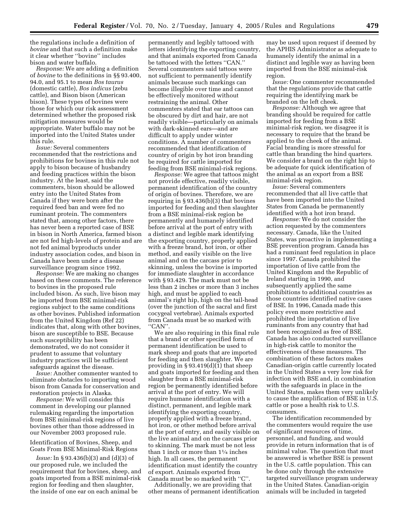the regulations include a definition of *bovine* and that such a definition make it clear whether ''bovine'' includes bison and water buffalo.

*Response:* We are adding a definition of *bovine* to the definitions in §§ 93.400, 94.0, and 95.1 to mean *Bos taurus* (domestic cattle), *Bos indicus* (zebu cattle), and Bison bison (American bison). These types of bovines were those for which our risk assessment determined whether the proposed risk mitigation measures would be appropriate. Water buffalo may not be imported into the United States under this rule.

*Issue:* Several commenters recommended that the restrictions and prohibitions for bovines in this rule not apply to bison because of husbandry and feeding practices within the bison industry. At the least, said the commenters, bison should be allowed entry into the United States from Canada if they were born after the required feed ban and were fed no ruminant protein. The commenters stated that, among other factors, there has never been a reported case of BSE in bison in North America, farmed bison are not fed high-levels of protein and are not fed animal byproducts under industry association codes, and bison in Canada have been under a disease surveillance program since 1992.

*Response:* We are making no changes based on these comments. The reference to bovines in the proposed rule included bison. As such, live bison may be imported from BSE minimal-risk regions subject to the same conditions as other bovines. Published information from the United Kingdom (Ref 22) indicates that, along with other bovines, bison are susceptible to BSE. Because such susceptibility has been demonstrated, we do not consider it prudent to assume that voluntary industry practices will be sufficient safeguards against the disease.

*Issue:* Another commenter wanted to eliminate obstacles to importing wood bison from Canada for conservation and restoration projects in Alaska.

*Response:* We will consider this comment in developing our planned rulemaking regarding the importation from BSE minimal-risk regions of live bovines other than those addressed in our November 2003 proposed rule.

Identification of Bovines, Sheep, and Goats From BSE Minimal-Risk Regions

*Issue:* In § 93.436(b)(3) and (d)(3) of our proposed rule, we included the requirement that for bovines, sheep, and goats imported from a BSE minimal-risk region for feeding and then slaughter, the inside of one ear on each animal be

permanently and legibly tattooed with letters identifying the exporting country, and that animals exported from Canada be tattooed with the letters ''CAN.'' Several commenters said tattoos were not sufficient to permanently identify animals because such markings can become illegible over time and cannot be effectively monitored without restraining the animal. Other commenters stated that ear tattoos can be obscured by dirt and hair, are not readily visible—particularly on animals with dark-skinned ears—and are difficult to apply under winter conditions. A number of commenters recommended that identification of country of origin by hot iron branding be required for cattle imported for feeding from BSE minimal-risk regions.

*Response:* We agree that tattoos might not provide effective, readily visible, permanent identification of the country of origin of bovines. Therefore, we are requiring in  $\S 93.436(b)(3)$  that bovines imported for feeding and then slaughter from a BSE minimal-risk region be permanently and humanely identified before arrival at the port of entry with a distinct and legible mark identifying the exporting country, properly applied with a freeze brand, hot iron, or other method, and easily visible on the live animal and on the carcass prior to skinning, unless the bovine is imported for immediate slaughter in accordance with § 93.429. The mark must not be less than 2 inches or more than 3 inches high, and must be applied to each animal's right hip, high on the tail-head (over the junction of the sacral and first cocygeal vertebrae). Animals exported from Canada must be so marked with ''CAN''.

We are also requiring in this final rule that a brand or other specified form of permanent identification be used to mark sheep and goats that are imported for feeding and then slaughter. We are providing in § 93.419(d)(1) that sheep and goats imported for feeding and then slaughter from a BSE minimal-risk region be permanently identified before arrival at the port of entry. We will require humane identification with a distinct, permanent, and legible mark identifying the exporting country, properly applied with a freeze brand, hot iron, or other method before arrival at the port of entry, and easily visible on the live animal and on the carcass prior to skinning. The mark must be not less than 1 inch or more than 11⁄4 inches high. In all cases, the permanent identification must identify the country of export. Animals exported from Canada must be so marked with ''C''.

Additionally, we are providing that other means of permanent identification

may be used upon request if deemed by the APHIS Administrator as adequate to humanely identify the animal in a distinct and legible way as having been imported from the BSE minimal-risk region.

*Issue:* One commenter recommended that the regulations provide that cattle requiring the identifying mark be branded on the left cheek.

*Response:* Although we agree that branding should be required for cattle imported for feeding from a BSE minimal-risk region, we disagree it is necessary to require that the brand be applied to the cheek of the animal. Facial branding is more stressful for cattle than branding the hind quarters. We consider a brand on the right hip to be adequate for quick identification of the animal as an export from a BSE minimal-risk region.

*Issue:* Several commenters recommended that all live cattle that have been imported into the United States from Canada be permanently identified with a hot iron brand.

*Response:* We do not consider the action requested by the commenters necessary. Canada, like the United States, was proactive in implementing a BSE prevention program. Canada has had a ruminant feed regulation in place since 1997. Canada prohibited the importation of live cattle from the United Kingdom and the Republic of Ireland starting in 1990, and subsequently applied the same prohibitions to additional countries as those countries identified native cases of BSE. In 1996, Canada made this policy even more restrictive and prohibited the importation of live ruminants from any country that had not been recognized as free of BSE. Canada has also conducted surveillance in high-risk cattle to monitor the effectiveness of these measures. The combination of these factors makes Canadian-origin cattle currently located in the United States a very low risk for infection with BSE and, in combination with the safeguards in place in the United States, makes them very unlikely to cause the amplification of BSE in U.S. cattle or pose a health risk to U.S. consumers.

The identification recommended by the commenters would require the use of significant resources of time, personnel, and funding, and would provide in return information that is of minimal value. The question that must be answered is whether BSE is present in the U.S. cattle population. This can be done only through the extensive targeted surveillance program underway in the United States. Canadian-origin animals will be included in targeted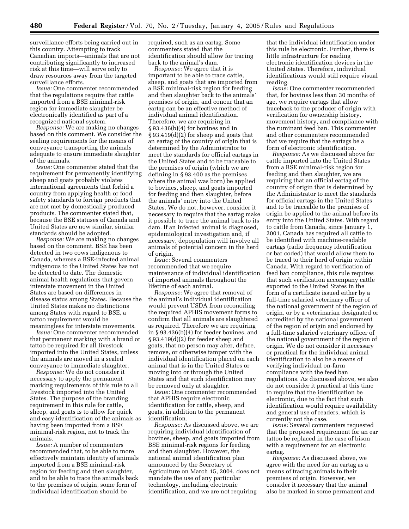surveillance efforts being carried out in this country. Attempting to track Canadian imports—animals that are not contributing significantly to increased risk at this time—will serve only to draw resources away from the targeted surveillance efforts.

*Issue:* One commenter recommended that the regulations require that cattle imported from a BSE minimal-risk region for immediate slaughter be electronically identified as part of a recognized national system.

*Response:* We are making no changes based on this comment. We consider the sealing requirements for the means of conveyance transporting the animals adequate to ensure immediate slaughter of the animals.

*Issue:* One commenter stated that the requirement for permanently identifying sheep and goats probably violates international agreements that forbid a country from applying health or food safety standards to foreign products that are not met by domestically produced products. The commenter stated that, because the BSE statuses of Canada and United States are now similar, similar standards should be adopted.

*Response:* We are making no changes based on the comment. BSE has been detected in two cows indigenous to Canada, whereas a BSE-infected animal indigenous to the United States has not be detected to date. The domestic animal health regulations that govern interstate movement in the United States are based on differences in disease status among States. Because the United States makes no distinctions among States with regard to BSE, a tattoo requirement would be meaningless for interstate movements.

*Issue:* One commenter recommended that permanent marking with a brand or tattoo be required for all livestock imported into the United States, unless the animals are moved in a sealed conveyance to immediate slaughter.

*Response:* We do not consider it necessary to apply the permanent marking requirements of this rule to all livestock imported into the United States. The purpose of the branding requirement in this rule for cattle, sheep, and goats is to allow for quick and easy identification of the animals as having been imported from a BSE minimal-risk region, not to track the animals.

*Issue:* A number of commenters recommended that, to be able to more effectively maintain identity of animals imported from a BSE minimal-risk region for feeding and then slaughter, and to be able to trace the animals back to the premises of origin, some form of individual identification should be

required, such as an eartag. Some commenters stated that the identification should allow for tracing back to the animal's dam.

*Response:* We agree that it is important to be able to trace cattle, sheep, and goats that are imported from a BSE minimal-risk region for feeding and then slaughter back to the animals' premises of origin, and concur that an eartag can be an effective method of individual animal identification. Therefore, we are requiring in § 93.436(b)(4) for bovines and in § 93.419(d)(2) for sheep and goats that an eartag of the country of origin that is determined by the Administrator to meet the standards for official eartags in the United States and to be traceable to the premises of origin (which we are defining in § 93.400 as the premises where the animal was born) be applied to bovines, sheep, and goats imported for feeding and then slaughter, before the animals' entry into the United States. We do not, however, consider it necessary to require that the eartag make it possible to trace the animal back to its dam. If an infected animal is diagnosed, epidemiological investigation and, if necessary, depopulation will involve all animals of potential concern in the herd of origin.

*Issue:* Several commenters recommended that we require maintenance of individual identification of imported animals throughout the lifetime of each animal.

*Response:* We agree that removal of the animal's individual identification would prevent USDA from reconciling the required APHIS movement forms to confirm that all animals are slaughtered as required. Therefore we are requiring in § 93.436(b)(4) for feeder bovines, and § 93.419(d)(2) for feeder sheep and goats, that no person may alter, deface, remove, or otherwise tamper with the individual identification placed on each animal that is in the United States or moving into or through the United States and that such identification may be removed only at slaughter.

*Issue:* One commenter recommended that APHIS require electronic identification for cattle, sheep, and goats, in addition to the permanent identification.

*Response:* As discussed above, we are requiring individual identification of bovines, sheep, and goats imported from BSE minimal-risk regions for feeding and then slaughter. However, the national animal identification plan announced by the Secretary of Agriculture on March 15, 2004, does not mandate the use of any particular technology, including electronic identification, and we are not requiring

that the individual identification under this rule be electronic. Further, there is little infrastructure for reading electronic identification devices in the United States. Therefore, individual identifications would still require visual reading.

*Issue:* One commenter recommended that, for bovines less than 30 months of age, we require eartags that allow traceback to the producer of origin with verification for ownership history, movement history, and compliance with the ruminant feed ban. This commenter and other commenters recommended that we require that the eartags be a form of electronic identification.

*Response:* As we discussed above for cattle imported into the United States from a BSE minimal-risk region for feeding and then slaughter, we are requiring that an official eartag of the country of origin that is determined by the Administrator to meet the standards for official eartags in the United States and to be traceable to the premises of origin be applied to the animal before its entry into the United States. With regard to cattle from Canada, since January 1, 2001, Canada has required all cattle to be identified with machine-readable eartags (radio frequency identification or bar coded) that would allow them to be traced to their herd of origin within Canada. With regard to verification of feed ban compliance, this rule requires that such verification accompany cattle exported to the United States in the form of a certificate issued either by a full-time salaried veterinary officer of the national government of the region of origin, or by a veterinarian designated or accredited by the national government of the region of origin and endorsed by a full-time salaried veterinary officer of the national government of the region of origin. We do not consider it necessary or practical for the individual animal identification to also be a means of verifying individual on-farm compliance with the feed ban regulations. As discussed above, we also do not consider it practical at this time to require that the identification be electronic, due to the fact that such identification would require availability and general use of readers, which is currently not the case.

*Issue:* Several commenters requested that the proposed requirement for an ear tattoo be replaced in the case of bison with a requirement for an electronic eartag.

*Response:* As discussed above, we agree with the need for an eartag as a means of tracing animals to their premises of origin. However, we consider it necessary that the animal also be marked in some permanent and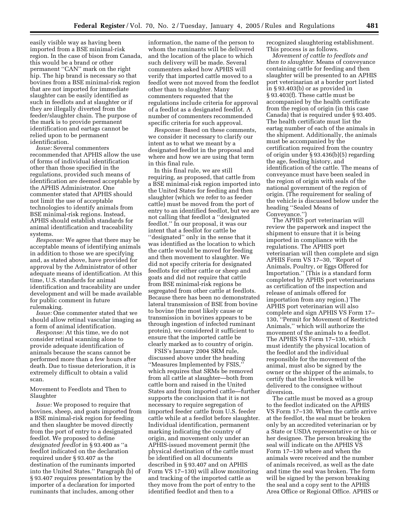easily visible way as having been imported from a BSE minimal-risk region. In the case of bison from Canada, this would be a brand or other permanent ''CAN'' mark on the right hip. The hip brand is necessary so that bovines from a BSE minimal-risk region that are not imported for immediate slaughter can be easily identified as such in feedlots and at slaughter or if they are illegally diverted from the feeder/slaughter chain. The purpose of the mark is to provide permanent identification and eartags cannot be relied upon to be permanent identification.

*Issue:* Several commenters recommended that APHIS allow the use of forms of individual identification other than those specified in the regulations, provided such means of identification are deemed acceptable by the APHIS Administrator. One commenter stated that APHIS should not limit the use of acceptable technologies to identify animals from BSE minimal-risk regions. Instead, APHIS should establish standards for animal identification and traceability systems.

*Response:* We agree that there may be acceptable means of identifying animals in addition to those we are specifying and, as stated above, have provided for approval by the Administrator of other adequate means of identification. At this time, U.S. standards for animal identification and traceability are under development and will be made available for public comment in future rulemaking.

*Issue:* One commenter stated that we should allow retinal vascular imaging as a form of animal identification.

*Response:* At this time, we do not consider retinal scanning alone to provide adequate identification of animals because the scans cannot be performed more than a few hours after death. Due to tissue deterioration, it is extremely difficult to obtain a valid scan.

Movement to Feedlots and Then to Slaughter

*Issue:* We proposed to require that bovines, sheep, and goats imported from a BSE minimal-risk region for feeding and then slaughter be moved directly from the port of entry to a designated feedlot. We proposed to define *designated feedlot* in § 93.400 as ''a feedlot indicated on the declaration required under § 93.407 as the destination of the ruminants imported into the United States.'' Paragraph (b) of § 93.407 requires presentation by the importer of a declaration for imported ruminants that includes, among other

information, the name of the person to whom the ruminants will be delivered and the location of the place to which such delivery will be made. Several commenters asked how APHIS will verify that imported cattle moved to a feedlot were not moved from the feedlot other than to slaughter. Many commenters requested that the regulations include criteria for approval of a feedlot as a designated feedlot. A number of commenters recommended specific criteria for such approval.

*Response:* Based on these comments, we consider it necessary to clarify our intent as to what we meant by a designated feedlot in the proposal and where and how we are using that term in this final rule.

In this final rule, we are still requiring, as proposed, that cattle from a BSE minimal-risk region imported into the United States for feeding and then slaughter (which we refer to as feeder cattle) must be moved from the port of entry to an identified feedlot, but we are not calling that feedlot a ''designated feedlot.'' In our proposal, it was our intent that a feedlot for cattle be ''designated'' only in the sense that it was identified as the location to which the cattle would be moved for feeding and then movement to slaughter. We did not specify criteria for designated feedlots for either cattle or sheep and goats and did not require that cattle from BSE minimal-risk regions be segregated from other cattle at feedlots. Because there has been no demonstrated lateral transmission of BSE from bovine to bovine (the most likely cause or transmission in bovines appears to be through ingestion of infected ruminant protein), we considered it sufficient to ensure that the imported cattle be clearly marked as to country of origin.

FSIS's January 2004 SRM rule, discussed above under the heading ''Measures Implemented by FSIS,'' which requires that SRMs be removed from all cattle at slaughter—both from cattle born and raised in the United States and from imported cattle—further supports the conclusion that it is not necessary to require segregation of imported feeder cattle from U.S. feeder cattle while at a feedlot before slaughter. Individual identification, permanent marking indicating the country of origin, and movement only under an APHIS-issued movement permit (the physical destination of the cattle must be identified on all documents described in § 93.407 and on APHIS Form VS 17–130) will allow monitoring and tracking of the imported cattle as they move from the port of entry to the identified feedlot and then to a

recognized slaughtering establishment. This process is as follows.

*Movement of cattle to feedlots and then to slaughter.* Means of conveyance containing cattle for feeding and then slaughter will be presented to an APHIS port veterinarian at a border port listed in § 93.403(b) or as provided in § 93.403(f). These cattle must be accompanied by the health certificate from the region of origin (in this case Canada) that is required under § 93.405. The health certificate must list the eartag number of each of the animals in the shipment. Additionally, the animals must be accompanied by the certification required from the country of origin under § 93.436(b)(5) regarding the age, feeding history, and identification of the cattle. The means of conveyance must have been sealed in the region of origin with seals of the national government of the region of origin. (The requirement for sealing of the vehicle is discussed below under the heading ''Sealed Means of Conveyance.'')

The APHIS port veterinarian will review the paperwork and inspect the shipment to ensure that it is being imported in compliance with the regulations. The APHIS port veterinarian will then complete and sign APHIS Form VS 17–30, ''Report of Animals, Poultry, or Eggs Offered for Importation.'' (This is a standard form completed by APHIS port veterinarians as certification of the inspection and release of animals offered for importation from any region.) The APHIS port veterinarian will also complete and sign APHIS VS Form 17– 130, ''Permit for Movement of Restricted Animals,'' which will authorize the movement of the animals to a feedlot. The APHIS VS Form 17–130, which must identify the physical location of the feedlot and the individual responsible for the movement of the animal, must also be signed by the owner or the shipper of the animals, to certify that the livestock will be delivered to the consignee without diversion.

The cattle must be moved as a group to the feedlot indicated on the APHIS VS Form 17–130. When the cattle arrive at the feedlot, the seal must be broken only by an accredited veterinarian or by a State or USDA representative or his or her designee. The person breaking the seal will indicate on the APHIS VS Form 17–130 where and when the animals were received and the number of animals received, as well as the date and time the seal was broken. The form will be signed by the person breaking the seal and a copy sent to the APHIS Area Office or Regional Office. APHIS or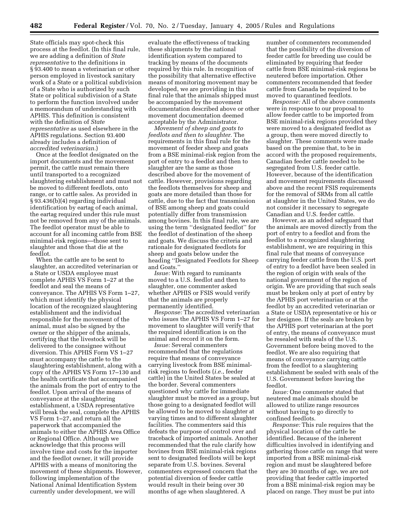State officials may spot-check this process at the feedlot. (In this final rule, we are adding a definition of *State representative* to the definitions in § 93.400 to mean a veterinarian or other person employed in livestock sanitary work of a State or a political subdivision of a State who is authorized by such State or political subdivision of a State to perform the function involved under a memorandum of understanding with APHIS. This definition is consistent with the definition of *State representative* as used elsewhere in the APHIS regulations. Section 93.400 already includes a definition of *accredited veterinarian.*)

Once at the feedlot designated on the import documents and the movement permit, the cattle must remain there until transported to a recognized slaughtering establishment and must not be moved to different feedlots, onto range, or to cattle sales. As provided in § 93.436(b)(4) regarding individual identification by eartag of each animal, the eartag required under this rule must not be removed from any of the animals. The feedlot operator must be able to account for all incoming cattle from BSE minimal-risk regions—those sent to slaughter and those that die at the feedlot.

When the cattle are to be sent to slaughter, an accredited veterinarian or a State or USDA employee must complete APHIS VS Form 1–27 at the feedlot and seal the means of conveyance. The APHIS VS Form 1–27, which must identify the physical location of the recognized slaughtering establishment and the individual responsible for the movement of the animal, must also be signed by the owner or the shipper of the animals, certifying that the livestock will be delivered to the consignee without diversion. This APHIS Form VS 1–27 must accompany the cattle to the slaughtering establishment, along with a copy of the APHIS VS Form 17–130 and the health certificate that accompanied the animals from the port of entry to the feedlot. Upon arrival of the means of conveyance at the slaughtering establishment, a USDA representative will break the seal, complete the APHIS VS Form 1–27, and return all the paperwork that accompanied the animals to either the APHIS Area Office or Regional Office. Although we acknowledge that this process will involve time and costs for the importer and the feedlot owner, it will provide APHIS with a means of monitoring the movement of these shipments. However, following implementation of the National Animal Identification System currently under development, we will

evaluate the effectiveness of tracking these shipments by the national identification system compared to tracking by means of the documents required by this rule. In recognition of the possibility that alternative effective means of monitoring movement may be developed, we are providing in this final rule that the animals shipped must be accompanied by the movement documentation described above or other movement documentation deemed acceptable by the Administrator.

*Movement of sheep and goats to feedlots and then to slaughter.* The requirements in this final rule for the movement of feeder sheep and goats from a BSE minimal-risk region from the port of entry to a feedlot and then to slaughter are the same as those described above for the movement of cattle. However, provisions regarding the feedlots themselves for sheep and goats are more detailed than those for cattle, due to the fact that transmission of BSE among sheep and goats could potentially differ from transmission among bovines. In this final rule, we are using the term ''designated feedlot'' for the feedlot of destination of the sheep and goats. We discuss the criteria and rationale for designated feedlots for sheep and goats below under the heading ''Designated Feedlots for Sheep and Goats.''

*Issue:* With regard to ruminants moved to a U.S. feedlot and then to slaughter, one commenter asked whether APHIS or FSIS would verify that the animals are properly permanently identified.

*Response:* The accredited veterinarian who issues the APHIS VS Form 1–27 for movement to slaughter will verify that the required identification is on the animal and record it on the form.

*Issue:* Several commenters recommended that the regulations require that means of conveyance carrying livestock from BSE minimalrisk regions to feedlots (*i.e.*, feeder cattle) in the United States be sealed at the border. Several commenters questioned why cattle for immediate slaughter must be moved as a group, but those going to a designated feedlot will be allowed to be moved to slaughter at varying times and to different slaughter facilities. The commenters said this defeats the purpose of control over and traceback of imported animals. Another recommended that the rule clarify how bovines from BSE minimal-risk regions sent to designated feedlots will be kept separate from U.S. bovines. Several commenters expressed concern that the potential diversion of feeder cattle would result in their being over 30 months of age when slaughtered. A

number of commenters recommended that the possibility of the diversion of feeder cattle for breeding use could be eliminated by requiring that feeder cattle from BSE minimal-risk regions be neutered before importation. Other commenters recommended that feeder cattle from Canada be required to be moved to quarantined feedlots.

*Response:* All of the above comments were in response to our proposal to allow feeder cattle to be imported from BSE minimal-risk regions provided they were moved to a designated feedlot as a group, then were moved directly to slaughter. These comments were made based on the premise that, to be in accord with the proposed requirements, Canadian feeder cattle needed to be segregated from U.S. feeder cattle. However, because of the identification and movement requirements discussed above and the recent FSIS requirements for the removal of SRMs from all cattle at slaughter in the United States, we do not consider it necessary to segregate Canadian and U.S. feeder cattle.

However, as an added safeguard that the animals are moved directly from the port of entry to a feedlot and from the feedlot to a recognized slaughtering establishment, we are requiring in this final rule that means of conveyance carrying feeder cattle from the U.S. port of entry to a feedlot have been sealed in the region of origin with seals of the national government of the region of origin. We are providing that such seals must be broken only at port of entry by the APHIS port veterinarian or at the feedlot by an accredited veterinarian or a State or USDA representative or his or her designee. If the seals are broken by the APHIS port veterinarian at the port of entry, the means of conveyance must be resealed with seals of the U.S. Government before being moved to the feedlot. We are also requiring that means of conveyance carrying cattle from the feedlot to a slaughtering establishment be sealed with seals of the U.S. Government before leaving the feedlot.

*Issue:* One commenter stated that neutered male animals should be allowed to utilize range resources without having to go directly to confined feedlots.

*Response:* This rule requires that the physical location of the cattle be identified. Because of the inherent difficulties involved in identifying and gathering those cattle on range that were imported from a BSE minimal-risk region and must be slaughtered before they are 30 months of age, we are not providing that feeder cattle imported from a BSE minimal-risk region may be placed on range. They must be put into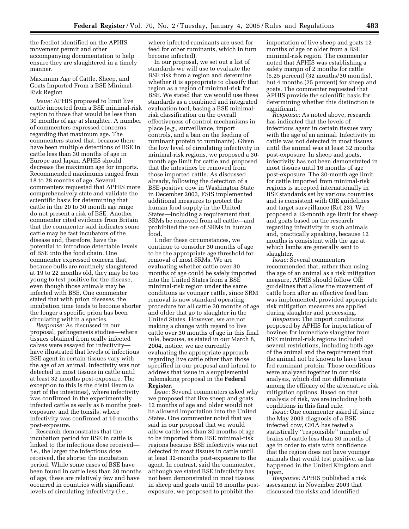the feedlot identified on the APHIS movement permit and other accompanying documentation to help ensure they are slaughtered in a timely manner.

Maximum Age of Cattle, Sheep, and Goats Imported From a BSE Minimal-Risk Region

*Issue:* APHIS proposed to limit live cattle imported from a BSE minimal-risk region to those that would be less than 30 months of age at slaughter. A number of commenters expressed concerns regarding that maximum age. The commenters stated that, because there have been multiple detections of BSE in cattle less than 30 months of age in Europe and Japan, APHIS should decrease the maximum age for imports. Recommended maximums ranged from 18 to 28 months of age. Several commenters requested that APHIS more comprehensively state and validate the scientific basis for determining that cattle in the 20 to 30 month age range do not present a risk of BSE. Another commenter cited evidence from Britain that the commenter said indicates some cattle may be fast incubators of the disease and, therefore, have the potential to introduce detectable levels of BSE into the food chain. One commenter expressed concern that, because bulls are routinely slaughtered at 19 to 22 months old, they may be too young to test positive for the disease, even though those animals may be infected with BSE. One commenter stated that with prion diseases, the incubation time tends to become shorter the longer a specific prion has been circulating within a species.

*Response:* As discussed in our proposal, pathogenesis studies—where tissues obtained from orally infected calves were assayed for infectivity have illustrated that levels of infectious BSE agent in certain tissues vary with the age of an animal. Infectivity was not detected in most tissues in cattle until at least 32 months post-exposure. The exception to this is the distal ileum (a part of the intestines), where infectivity was confirmed in the experimentally infected cattle as early as 6 months postexposure, and the tonsils, where infectivity was confirmed at 10 months post-exposure.

Research demonstrates that the incubation period for BSE in cattle is linked to the infectious dose received *i.e.,* the larger the infectious dose received, the shorter the incubation period. While some cases of BSE have been found in cattle less than 30 months of age, these are relatively few and have occurred in countries with significant levels of circulating infectivity (*i.e.,*

where infected ruminants are used for feed for other ruminants, which in turn become infected).

In our proposal, we set out a list of standards we will use to evaluate the BSE risk from a region and determine whether it is appropriate to classify that region as a region of minimal-risk for BSE. We stated that we would use these standards as a combined and integrated evaluation tool, basing a BSE minimalrisk classification on the overall effectiveness of control mechanisms in place (*e.g.,* surveillance, import controls, and a ban on the feeding of ruminant protein to ruminants). Given the low level of circulating infectivity in minimal-risk regions, we proposed a 30 month age limit for cattle and proposed that the intestines be removed from those imported cattle. As discussed already, following the detection of a BSE-positive cow in Washington State in December 2003, FSIS implemented additional measures to protect the human food supply in the United States—including a requirement that SRMs be removed from all cattle—and prohibited the use of SRMs in human food.

Under these circumstances, we continue to consider 30 months of age to be the appropriate age threshold for removal of most SRMs. We are evaluating whether cattle over 30 months of age could be safely imported into the United States from a BSE minimal-risk region under the same conditions as younger cattle, since SRM removal is now standard operating procedure for all cattle 30 months of age and older that go to slaughter in the United States. However, we are not making a change with regard to live cattle over 30 months of age in this final rule, because, as stated in our March 8, 2004, notice, we are currently evaluating the appropriate approach regarding live cattle other than those specified in our proposal and intend to address that issue in a supplemental rulemaking proposal in the **Federal Register.**

*Issue:* Several commenters asked why we proposed that live sheep and goats 12 months of age and older would not be allowed importation into the United States. One commenter noted that we said in our proposal that we would allow cattle less than 30 months of age to be imported from BSE minimal-risk regions because BSE infectivity was not detected in most tissues in cattle until at least 32-months post-exposure to the agent. In contrast, said the commenter, although we stated BSE infectivity has not been demonstrated in most tissues in sheep and goats until 16 months postexposure, we proposed to prohibit the

importation of live sheep and goats 12 months of age or older from a BSE minimal-risk region. The commenter noted that APHIS was establishing a safety margin of 2 months for cattle (6.25 percent) (32 months/30 months), but 4 months (25 percent) for sheep and goats. The commenter requested that APHIS provide the scientific basis for determining whether this distinction is significant.

*Response:* As noted above, research has indicated that the levels of infectious agent in certain tissues vary with the age of an animal. Infectivity in cattle was not detected in most tissues until the animal was at least 32 months post-exposure. In sheep and goats, infectivity has not been demonstrated in most tissues until 16 months of age post-exposure. The 30-month age limit for cattle imported from minimal-risk regions is accepted internationally in BSE standards set by various countries and is consistent with OIE guidelines and target surveillance (Ref 23). We proposed a 12-month age limit for sheep and goats based on the research regarding infectivity in such animals and, practically speaking, because 12 months is consistent with the age at which lambs are generally sent to slaughter.

*Issue:* Several commenters recommended that, rather than using the age of an animal as a risk mitigation measure, APHIS should follow OIE guidelines that allow the movement of cattle born after an effective feed ban was implemented, provided appropriate risk mitigation measures are applied during slaughter and processing.

*Response:* The import conditions proposed by APHIS for importation of bovines for immediate slaughter from BSE minimal-risk regions included several restrictions, including both age of the animal and the requirement that the animal not be known to have been fed ruminant protein. Those conditions were analyzed together in our risk analysis, which did not differentiate among the efficacy of the alternative risk mitigation options. Based on that analysis of risk, we are including both conditions in this final rule.

*Issue:* One commenter asked if, since the May 2003 diagnosis of a BSE infected cow, CFIA has tested a statistically ''responsible'' number of brains of cattle less than 30 months of age in order to state with confidence that the region does not have younger animals that would test positive, as has happened in the United Kingdom and Japan.

*Response:* APHIS published a risk assessment in November 2003 that discussed the risks and identified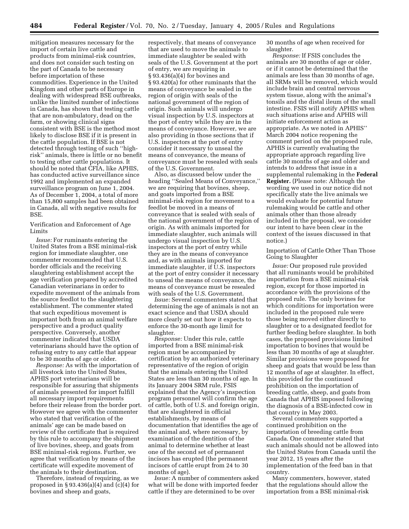mitigation measures necessary for the import of certain live cattle and products from minimal-risk countries, and does not consider such testing on the part of Canada to be necessary before importation of these commodities. Experience in the United Kingdom and other parts of Europe in dealing with widespread BSE outbreaks, unlike the limited number of infections in Canada, has shown that testing cattle that are non-ambulatory, dead on the farm, or showing clinical signs consistent with BSE is the method most likely to disclose BSE if it is present in the cattle population. If BSE is not detected through testing of such ''highrisk'' animals, there is little or no benefit to testing other cattle populations. It should be noted that CFIA, like APHIS, has conducted active surveillance since 1992 and implemented an expanded surveillance program on June 1, 2004. As of December 1, 2004, a total of more than 15,800 samples had been obtained in Canada, all with negative results for BSE.

Verification and Enforcement of Age Limits

*Issue:* For ruminants entering the United States from a BSE minimal-risk region for immediate slaughter, one commenter recommended that U.S. border officials and the receiving slaughtering establishment accept the age verification prepared by accredited Canadian veterinarians in order to expedite movement of the animals from the source feedlot to the slaughtering establishment. The commenter stated that such expeditious movement is important both from an animal welfare perspective and a product quality perspective. Conversely, another commenter indicated that USDA veterinarians should have the option of refusing entry to any cattle that appear to be 30 months of age or older.

*Response:* As with the importation of all livestock into the United States, APHIS port veterinarians will be responsible for assuring that shipments of animals presented for import fulfill all necessary import requirements before their release from the border port. However we agree with the commenter who stated that verification of the animals' age can be made based on review of the certificate that is required by this rule to accompany the shipment of live bovines, sheep, and goats from BSE minimal-risk regions. Further, we agree that verification by means of the certificate will expedite movement of the animals to their destination.

Therefore, instead of requiring, as we proposed in  $\S 93.436(a)(4)$  and  $(c)(4)$  for bovines and sheep and goats,

respectively, that means of conveyance that are used to move the animals to immediate slaughter be sealed with seals of the U.S. Government at the port of entry, we are requiring in § 93.436(a)(4) for bovines and § 93.420(a) for other ruminants that the means of conveyance be sealed in the region of origin with seals of the national government of the region of origin. Such animals will undergo visual inspection by U.S. inspectors at the port of entry while they are in the means of conveyance. However, we are also providing in those sections that if U.S. inspectors at the port of entry consider it necessary to unseal the means of conveyance, the means of conveyance must be resealed with seals of the U.S. Government.

Also, as discussed below under the heading ''Sealed Means of Conveyance,'' we are requiring that bovines, sheep, and goats imported from a BSE minimal-risk region for movement to a feedlot be moved in a means of conveyance that is sealed with seals of the national government of the region of origin. As with animals imported for immediate slaughter, such animals will undergo visual inspection by U.S. inspectors at the port of entry while they are in the means of conveyance and, as with animals imported for immediate slaughter, if U.S. inspectors at the port of entry consider it necessary to unseal the means of conveyance, the means of conveyance must be resealed with seals of the U.S. Government.

*Issue:* Several commenters stated that determining the age of animals is not an exact science and that USDA should more clearly set out how it expects to enforce the 30-month age limit for slaughter.

*Response:* Under this rule, cattle imported from a BSE minimal-risk region must be accompanied by certification by an authorized veterinary representative of the region of origin that the animals entering the United States are less than 30 months of age. In its January 2004 SRM rule, FSIS explained that the Agency's inspection program personnel will confirm the age of cattle, both of U.S. and foreign origin, that are slaughtered in official establishments, by means of documentation that identifies the age of the animal and, where necessary, by examination of the dentition of the animal to determine whether at least one of the second set of permanent incisors has erupted (the permanent incisors of cattle erupt from 24 to 30 months of age).

*Issue:* A number of commenters asked what will be done with imported feeder cattle if they are determined to be over

30 months of age when received for slaughter.

*Response:* If FSIS concludes the animals are 30 months of age or older, or if it cannot be determined that the animals are less than 30 months of age, all SRMs will be removed, which would include brain and central nervous system tissue, along with the animal's tonsils and the distal ileum of the small intestine. FSIS will notify APHIS when such situations arise and APHIS will initiate enforcement action as appropriate. As we noted in APHIS'' March 2004 notice reopening the comment period on the proposed rule, APHIS is currently evaluating the appropriate approach regarding live cattle 30 months of age and older and intends to address that issue in a supplemental rulemaking in the **Federal Register.** (Please note: Although the wording we used in our notice did not specifically state the live animals we would evaluate for potential future rulemaking would be cattle and other animals other than those already included in the proposal, we consider our intent to have been clear in the context of the issues discussed in that notice.)

Importation of Cattle Other Than Those Going to Slaughter

*Issue:* Our proposed rule provided that all ruminants would be prohibited importation from a BSE minimal-risk region, except for those imported in accordance with the provisions of the proposed rule. The only bovines for which conditions for importation were included in the proposed rule were those being moved either directly to slaughter or to a designated feedlot for further feeding before slaughter. In both cases, the proposed provisions limited importation to bovines that would be less than 30 months of age at slaughter. Similar provisions were proposed for sheep and goats that would be less than 12 months of age at slaughter. In effect, this provided for the continued prohibition on the importation of breeding cattle, sheep, and goats from Canada that APHIS imposed following the diagnosis of a BSE-infected cow in that country in May 2003.

Several commenters supported a continued prohibition on the importation of breeding cattle from Canada. One commenter stated that such animals should not be allowed into the United States from Canada until the year 2012, 15 years after the implementation of the feed ban in that country.

Many commenters, however, stated that the regulations should allow the importation from a BSE minimal-risk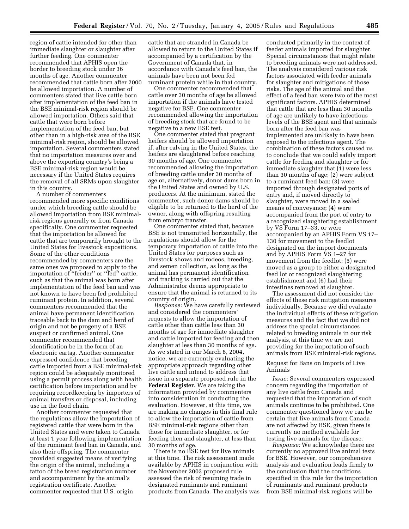region of cattle intended for other than immediate slaughter or slaughter after further feeding. One commenter recommended that APHIS open the border to breeding stock under 36 months of age. Another commenter recommended that cattle born after 2000 be allowed importation. A number of commenters stated that live cattle born after implementation of the feed ban in the BSE minimal-risk region should be allowed importation. Others said that cattle that were born before implementation of the feed ban, but other than in a high-risk area of the BSE minimal-risk region, should be allowed importation. Several commenters stated that no importation measures over and above the exporting country's being a BSE minimal-risk region would be necessary if the United States requires the removal of all SRMs upon slaughter in this country.

A number of commenters recommended more specific conditions under which breeding cattle should be allowed importation from BSE minimalrisk regions generally or from Canada specifically. One commenter requested that the importation be allowed for cattle that are temporarily brought to the United States for livestock expositions. Some of the other conditions recommended by commenters are the same ones we proposed to apply to the importation of ''feeder'' or ''fed'' cattle, such as that the animal was born after implementation of the feed ban and was not known to have been fed prohibited ruminant protein. In addition, several commenters recommended that the animal have permanent identification traceable back to the dam and herd of origin and not be progeny of a BSE suspect or confirmed animal. One commenter recommended that identification be in the form of an electronic eartag. Another commenter expressed confidence that breeding cattle imported from a BSE minimal-risk region could be adequately monitored using a permit process along with health certification before importation and by requiring recordkeeping by importers of animal transfers or disposal, including use in the food chain.

Another commenter requested that the regulations allow the importation of registered cattle that were born in the United States and were taken to Canada at least 1 year following implementation of the ruminant feed ban in Canada, and also their offspring. The commenter provided suggested means of verifying the origin of the animal, including a tattoo of the breed registration number and accompaniment by the animal's registration certificate. Another commenter requested that U.S. origin

cattle that are stranded in Canada be allowed to return to the United States if accompanied by a certification by the Government of Canada that, in accordance with Canada's feed ban, the animals have been not been fed ruminant protein while in that country.

One commenter recommended that cattle over 30 months of age be allowed importation if the animals have tested negative for BSE. One commenter recommended allowing the importation of breeding stock that are found to be negative to a new BSE test.

One commenter stated that pregnant heifers should be allowed importation if, after calving in the United States, the heifers are slaughtered before reaching 30 months of age. One commenter recommended allowing the importation of breeding cattle under 30 months of age or, alternatively, donor dams born in the United States and owned by U.S. producers. At the minimum, stated the commenter, such donor dams should be eligible to be returned to the herd of the owner, along with offspring resulting from embryo transfer.

One commenter stated that, because BSE is not transmitted horizontally, the regulations should allow for the temporary importation of cattle into the United States for purposes such as livestock shows and rodeos, breeding, and semen collection, as long as the animal has permanent identification and tracking is carried out that the Administrator deems appropriate to ensure that the animal is returned to its country of origin.

*Response:* We have carefully reviewed and considered the commenters' requests to allow the importation of cattle other than cattle less than 30 months of age for immediate slaughter and cattle imported for feeding and then slaughter at less than 30 months of age. As we stated in our March 8, 2004, notice, we are currently evaluating the appropriate approach regarding other live cattle and intend to address that issue in a separate proposed rule in the **Federal Register.** We are taking the information provided by commenters into consideration in conducting the evaluation. However, at this time, we are making no changes in this final rule to allow the importation of cattle from BSE minimal-risk regions other than those for immediate slaughter, or for feeding then and slaughter, at less than 30 months of age.

There is no BSE test for live animals at this time. The risk assessment made available by APHIS in conjunction with the November 2003 proposed rule assessed the risk of resuming trade in designated ruminants and ruminant products from Canada. The analysis was

conducted primarily in the context of feeder animals imported for slaughter. Special circumstances that might relate to breeding animals were not addressed. The analysis considered various risk factors associated with feeder animals for slaughter and mitigations of those risks. The age of the animal and the effect of a feed ban were two of the most significant factors. APHIS determined that cattle that are less than 30 months of age are unlikely to have infectious levels of the BSE agent and that animals born after the feed ban was implemented are unlikely to have been exposed to the infectious agent. The combination of these factors caused us to conclude that we could safely import cattle for feeding and slaughter or for immediate slaughter that (1) were less than 30 months of age; (2) were subject to a ruminant feed ban; (3) were imported through designated ports of entry and, if moved directly to slaughter, were moved in a sealed means of conveyance; (4) were accompanied from the port of entry to a recognized slaughtering establishment by VS Form 17–33, or were accompanied by an APHIS Form VS 17– 130 for movement to the feedlot designated on the import documents and by APHIS Form VS 1–27 for movement from the feedlot; (5) were moved as a group to either a designated feed lot or recognized slaughtering establishment and (6) had their intestines removed at slaughter.

The assessment did not consider the effects of these risk mitigation measures individually. Because we did evaluate the individual effects of these mitigation measures and the fact that we did not address the special circumstances related to breeding animals in our risk analysis, at this time we are not providing for the importation of such animals from BSE minimal-risk regions.

# Request for Bans on Imports of Live Animals

*Issue:* Several commenters expressed concern regarding the importation of any live cattle from Canada and requested that the importation of such animals continue to be prohibited. One commenter questioned how we can be certain that live animals from Canada are not affected by BSE, given there is currently no method available for testing live animals for the disease.

*Response:* We acknowledge there are currently no approved live animal tests for BSE. However, our comprehensive analysis and evaluation leads firmly to the conclusion that the conditions specified in this rule for the importation of ruminants and ruminant products from BSE minimal-risk regions will be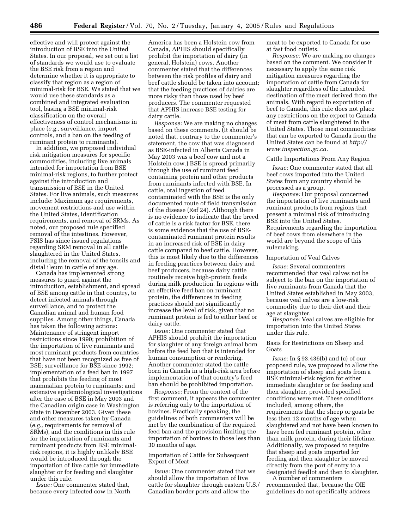effective and will protect against the introduction of BSE into the United States. In our proposal, we set out a list of standards we would use to evaluate the BSE risk from a region and determine whether it is appropriate to classify that region as a region of minimal-risk for BSE. We stated that we would use these standards as a combined and integrated evaluation tool, basing a BSE minimal-risk classification on the overall effectiveness of control mechanisms in place (*e.g.,* surveillance, import controls, and a ban on the feeding of ruminant protein to ruminants).

In addition, we proposed individual risk mitigation measures for specific commodities, including live animals intended for importation from BSE minimal-risk regions, to further protect against the introduction and transmission of BSE in the United States. For live animals, such measures include: Maximum age requirements, movement restrictions and use within the United States, identification requirements, and removal of SRMs. As noted, our proposed rule specified removal of the intestines. However, FSIS has since issued regulations regarding SRM removal in all cattle slaughtered in the United States, including the removal of the tonsils and distal ileum in cattle of any age.

Canada has implemented strong measures to guard against the introduction, establishment, and spread of BSE among cattle in that country, to detect infected animals through surveillance, and to protect the Canadian animal and human food supplies. Among other things, Canada has taken the following actions: Maintenance of stringent import restrictions since 1990; prohibition of the importation of live ruminants and most ruminant products from countries that have not been recognized as free of BSE; surveillance for BSE since 1992; implementation of a feed ban in 1997 that prohibits the feeding of most mammalian protein to ruminants; and extensive epidemiological investigations after the case of BSE in May 2003 and the Canadian origin case in Washington State in December 2003. Given these and other measures taken by Canada (*e.g.,* requirements for removal of SRMs), and the conditions in this rule for the importation of ruminants and ruminant products from BSE minimalrisk regions, it is highly unlikely BSE would be introduced through the importation of live cattle for immediate slaughter or for feeding and slaughter under this rule.

*Issue:* One commenter stated that, because every infected cow in North America has been a Holstein cow from Canada, APHIS should specifically prohibit the importation of dairy (in general, Holstein) cows. Another commenter stated that the differences between the risk profiles of dairy and beef cattle should be taken into account; that the feeding practices of dairies are more risky than those used by beef producers. The commenter requested that APHIS increase BSE testing for dairy cattle.

*Response:* We are making no changes based on these comments. (It should be noted that, contrary to the commenter's statement, the cow that was diagnosed as BSE-infected in Alberta Canada in May 2003 was a beef cow and not a Holstein cow.) BSE is spread primarily through the use of ruminant feed containing protein and other products from ruminants infected with BSE. In cattle, oral ingestion of feed contaminated with the BSE is the only documented route of field transmission of the disease (Ref 24). Although there is no evidence to indicate that the breed of cattle is a risk factor for BSE, there is some evidence that the use of BSEcontaminated ruminant protein results in an increased risk of BSE in dairy cattle compared to beef cattle. However, this is most likely due to the differences in feeding practices between dairy and beef producers, because dairy cattle routinely receive high-protein feeds during milk production. In regions with an effective feed ban on ruminant protein, the differences in feeding practices should not significantly increase the level of risk, given that no ruminant protein is fed to either beef or dairy cattle.

*Issue:* One commenter stated that APHIS should prohibit the importation for slaughter of any foreign animal born before the feed ban that is intended for human consumption or rendering. Another commenter stated the cattle born in Canada in a high-risk area before implementation of that country's feed ban should be prohibited importation.

*Response:* From the context of the first comment, it appears the commenter is referring only to the importation of bovines. Practically speaking, the guidelines of both commenters will be met by the combination of the required feed ban and the provision limiting the importation of bovines to those less than 30 months of age.

# Importation of Cattle for Subsequent Export of Meat

*Issue:* One commenter stated that we should allow the importation of live cattle for slaughter through eastern U.S./ Canadian border ports and allow the

meat to be exported to Canada for use at fast food outlets.

*Response:* We are making no changes based on the comment. We consider it necessary to apply the same risk mitigation measures regarding the importation of cattle from Canada for slaughter regardless of the intended destination of the meat derived from the animals. With regard to exportation of beef to Canada, this rule does not place any restrictions on the export to Canada of meat from cattle slaughtered in the United States. Those meat commodities that can be exported to Canada from the United States can be found at *http:// www.inspection.gc.ca.*

#### Cattle Importations From Any Region

*Issue:* One commenter stated that all beef cows imported into the United States from any country should be processed as a group.

*Response:* Our proposal concerned the importation of live ruminants and ruminant products from regions that present a minimal risk of introducing BSE into the United States. Requirements regarding the importation of beef cows from elsewhere in the world are beyond the scope of this rulemaking.

#### Importation of Veal Calves

*Issue:* Several commenters recommended that veal calves not be subject to the ban on the importation of live ruminants from Canada that the United States established in May 2003, because veal calves are a low-risk commodity due to their diet and their age at slaughter.

*Response:* Veal calves are eligible for importation into the United States under this rule.

#### Basis for Restrictions on Sheep and Goats

*Issue:* In § 93.436(b) and (c) of our proposed rule, we proposed to allow the importation of sheep and goats from a BSE minimal-risk region for either immediate slaughter or for feeding and then slaughter, provided specified conditions were met. These conditions included, among others, the requirements that the sheep or goats be less then 12 months of age when slaughtered and not have been known to have been fed ruminant protein, other than milk protein, during their lifetime. Additionally, we proposed to require that sheep and goats imported for feeding and then slaughter be moved directly from the port of entry to a designated feedlot and then to slaughter.

A number of commenters recommended that, because the OIE guidelines do not specifically address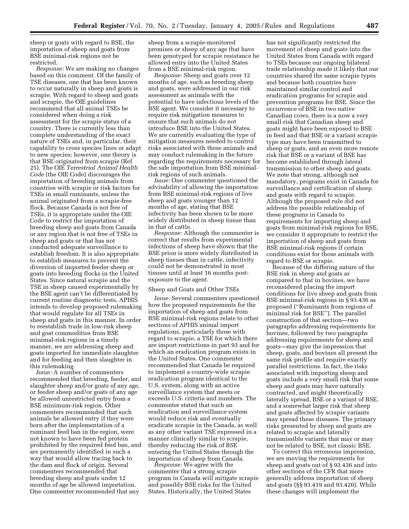sheep or goats with regard to BSE, the importation of sheep and goats from BSE minimal-risk regions not be restricted.

*Response:* We are making no changes based on this comment. Of the family of TSE diseases, one that has been known to occur naturally in sheep and goats is scrapie. With regard to sheep and goats and scrapie, the OIE guidelines recommend that all animal TSEs be considered when doing a risk assessment for the scrapie status of a country. There is currently less than complete understanding of the exact nature of TSEs and, in particular, their capability to cross species lines or adapt to new species; however, one theory is that BSE originated from scrapie (Ref 25). The OIE *Terrestrial Animal Health Code* (the OIE Code) discourages the importation of breeding animals from countries with scrapie or risk factors for TSEs in small ruminants, unless the animal originated from a scrapie-free flock. Because Canada is not free of TSEs, it is appropriate under the OIE Code to restrict the importation of breeding sheep and goats from Canada or any region that is not free of TSEs in sheep and goats or that has not conducted adequate surveillance to establish freedom. It is also appropriate to establish measures to prevent the diversion of imported feeder sheep or goats into breeding flocks in the United States. Since natural scrapie and the TSE in sheep caused experimentally by the BSE agent can't be differentiated by current routine diagnostic tests, APHIS intends to develop proposed rulemaking that would regulate for all TSEs in sheep and goats in this manner. In order to reestablish trade in low-risk sheep and goat commodities from BSE minimal-risk regions in a timely manner, we are addressing sheep and goats imported for immediate slaughter and for feeding and then slaughter in this rulemaking.

*Issue:* A number of commenters recommended that breeding, feeder, and slaughter sheep and/or goats of any age, or feeder sheep and/or goats of any age be allowed unrestricted entry from a BSE minimum-risk region. Other commenters recommended that such animals be allowed entry if they were born after the implementation of a ruminant feed ban in the region, were not known to have been fed protein prohibited by the required feed ban, and are permanently identified in such a way that would allow tracing back to the dam and flock of origin. Several commenters recommended that breeding sheep and goats under 12 months of age be allowed importation. One commenter recommended that any

sheep from a scrapie-monitored premises or sheep of any age that have been genotyped for scrapie resistance be allowed entry into the United States from a BSE minimal-risk region.

*Response:* Sheep and goats over 12 months of age, such as breeding sheep and goats, were addressed in our risk assessment as animals with the potential to have infectious levels of the BSE agent. We consider it necessary to require risk mitigation measures to ensure that such animals do not introduce BSE into the United States. We are currently evaluating the type of mitigation measures needed to control risks associated with these animals and may conduct rulemaking in the future regarding the requirements necessary for the safe importation from BSE minimalrisk regions of such animals.

*Issue:* One commenter questioned the advisability of allowing the importation from BSE minimal-risk regions of live sheep and goats younger than 12 months of age, stating that BSE infectivity has been shown to be more widely distributed in sheep tissue than in that of cattle.

*Response:* Although the commenter is correct that results from experimental infections of sheep have shown that the BSE prion is more widely distributed in sheep tissues than in cattle, infectivity could not be demonstrated in most tissues until at least 16 months postexposure to the agent.

#### Sheep and Goats and Other TSEs

*Issue:* Several commenters questioned how the proposed requirements for the importation of sheep and goats from BSE minimal-risk regions relate to other sections of APHIS animal import regulations, particularly those with regard to scrapie, a TSE for which there are import restrictions in part 93 and for which an eradication program exists in the United States. One commenter recommended that Canada be required to implement a country-wide scrapie eradication program identical to the U.S. system, along with an active surveillance system that meets or exceeds U.S. criteria and numbers. The commenter stated that such an eradication and surveillance system would reduce risk and eventually eradicate scrapie in the Canada, as well as any other variant TSE expressed in a manner clinically similar to scrapie, thereby reducing the risk of BSE entering the United States through the importation of sheep from Canada.

*Response:* We agree with the commenter that a strong scrapie program in Canada will mitigate scrapie and possibly BSE risks for the United States. Historically, the United States

has not significantly restricted the movement of sheep and goats into the United States from Canada with regard to TSEs because our ongoing bilateral trade relationship made it likely that our countries shared the same scrapie types and because both countries have maintained similar control and eradication programs for scrapie and prevention programs for BSE. Since the occurrence of BSE in two native Canadian cows, there is a now a very small risk that Canadian sheep and goats might have been exposed to BSE in feed and that BSE or a variant scrapie type may have been transmitted to sheep or goats, and an even more remote risk that BSE or a variant of BSE has become established through lateral transmission to other sheep and goats. We note that strong, although not mandatory, programs exist in Canada for surveillance and certification of sheep and goats with regard to scrapie. Although the proposed rule did not address the possible relationship of these programs in Canada to requirements for importing sheep and goats from minimal-risk regions for BSE, we consider it appropriate to restrict the importation of sheep and goats from BSE minimal-risk regions if certain conditions exist for those animals with regard to BSE or scrapie.

Because of the differing nature of the BSE risk in sheep and goats as compared to that in bovines, we have reconsidered placing the import conditions for live sheep and goats from BSE minimal-risk regions in § 93.436 as proposed (''Ruminants from regions of minimal risk for BSE''). The parallel construction of that section—two paragraphs addressing requirements for bovines, followed by two paragraphs addressing requirements for sheep and goats—may give the impression that sheep, goats, and bovines all present the same risk profile and require exactly parallel restrictions. In fact, the risks associated with importing sheep and goats include a very small risk that some sheep and goats may have naturally contracted, and might theoretically laterally spread, BSE or a variant of BSE, and a somewhat larger risk that sheep and goats affected by scrapie variants may spread these diseases. The primary risks presented by sheep and goats are related to scrapie and laterally transmissible variants that may or may not be related to BSE, not classic BSE.

To correct this erroneous impression, we are moving the requirements for sheep and goats out of § 93.436 and into other sections of the CFR that more generally address importation of sheep and goats (§§ 93.419 and 93.420). While these changes will implement the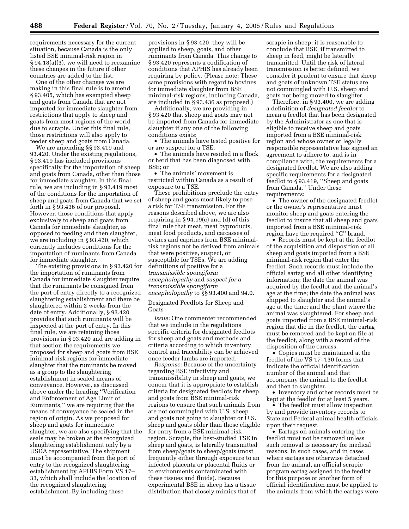requirements necessary for the current situation, because Canada is the only listed BSE minimal-risk region in § 94.18(a)(3), we will need to reexamine these changes in the future if other countries are added to the list.

One of the other changes we are making in this final rule is to amend § 93.405, which has exempted sheep and goats from Canada that are not imported for immediate slaughter from restrictions that apply to sheep and goats from most regions of the world due to scrapie. Under this final rule, those restrictions will also apply to feeder sheep and goats from Canada.

We are amending §§ 93.419 and 93.420. Under the existing regulations, § 93.419 has included provisions specifically for the importation of sheep and goats from Canada, other than those for immediate slaughter. In this final rule, we are including in § 93.419 most of the conditions for the importation of sheep and goats from Canada that we set forth in § 93.436 of our proposal. However, those conditions that apply exclusively to sheep and goats from Canada for immediate slaughter, as opposed to feeding and then slaughter, we are including in § 93.420, which currently includes conditions for the importation of ruminants from Canada for immediate slaughter.

The existing provisions in § 93.420 for the importation of ruminants from Canada for immediate slaughter require that the ruminants be consigned from the port of entry directly to a recognized slaughtering establishment and there be slaughtered within 2 weeks from the date of entry. Additionally, § 93.420 provides that such ruminants will be inspected at the port of entry. In this final rule, we are retaining those provisions in § 93.420 and are adding in that section the requirements we proposed for sheep and goats from BSE minimal-risk regions for immediate slaughter that the ruminants be moved as a group to the slaughtering establishment in sealed means of conveyance. However, as discussed above under the heading ''Verification and Enforcement of Age Limit of Ruminants,'' we are requiring that the means of conveyance be sealed in the region of origin. As we proposed for sheep and goats for immediate slaughter, we are also specifying that the seals may be broken at the recognized slaughtering establishment only by a USDA representative. The shipment must be accompanied from the port of entry to the recognized slaughtering establishment by APHIS Form VS 17– 33, which shall include the location of the recognized slaughtering establishment. By including these

provisions in § 93.420, they will be applied to sheep, goats, and other ruminants from Canada. This change to § 93.420 represents a codification of conditions that APHIS has already been requiring by policy. (Please note: These same provisions with regard to bovines for immediate slaughter from BSE minimal-risk regions, including Canada, are included in § 93.436 as proposed.)

Additionally, we are providing in § 93.420 that sheep and goats may not be imported from Canada for immediate slaughter if any one of the following conditions exists:

• The animals have tested positive for or are suspect for a TSE;

• The animals have resided in a flock or herd that has been diagnosed with BSE; or

• The animals' movement is restricted within Canada as a result of exposure to a TSE.

These prohibitions preclude the entry of sheep and goats most likely to pose a risk for TSE transmission. For the reasons described above, we are also requiring in  $\S 94.19(c)$  and (d) of this final rule that meat, meat byproducts, meat food products, and carcasses of ovines and caprines from BSE minimalrisk regions not be derived from animals that were positive, suspect, or susceptible for TSEs. We are adding definitions of positive for a *transmissible spongiform encephalopathy* and *suspect for a transmissible spongiform encephalopathy* to §§ 93.400 and 94.0.

Designated Feedlots for Sheep and Goats

*Issue:* One commenter recommended that we include in the regulations specific criteria for designated feedlots for sheep and goats and methods and criteria according to which inventory control and traceability can be achieved once feeder lambs are imported.

*Response:* Because of the uncertainty regarding BSE infectivity and transmissibility in sheep and goats, we concur that it is appropriate to establish criteria for designated feedlots for sheep and goats from BSE minimal-risk regions to ensure that such animals from are not commingled with U.S. sheep and goats not going to slaughter or U.S. sheep and goats older than those eligible for entry from a BSE minimal-risk region. Scrapie, the best-studied TSE in sheep and goats, is laterally transmitted from sheep/goats to sheep/goats (most frequently either through exposure to an infected placenta or placental fluids or to environments contaminated with these tissues and fluids). Because experimental BSE in sheep has a tissue distribution that closely mimics that of

scrapie in sheep, it is reasonable to conclude that BSE, if transmitted to sheep in feed, might be laterally transmitted. Until the risk of lateral transmission is better defined, we consider it prudent to ensure that sheep and goats of unknown TSE status are not commingled with U.S. sheep and goats not being moved to slaughter.

Therefore, in § 93.400, we are adding a definition of *designated feedlot* to mean a feedlot that has been designated by the Administrator as one that is eligible to receive sheep and goats imported from a BSE minimal-risk region and whose owner or legally responsible representative has signed an agreement to adhere to, and is in compliance with, the requirements for a designated feedlot. We are also adding specific requirements for a designated feedlot to § 93.419, ''Sheep and goats from Canada.'' Under these requirements:

• The owner of the designated feedlot or the owner's representative must monitor sheep and goats entering the feedlot to insure that all sheep and goats imported from a BSE minimal-risk region have the required ''C'' brand.

• Records must be kept at the feedlot of the acquisition and disposition of all sheep and goats imported from a BSE minimal-risk region that enter the feedlot. Such records must include the official eartag and all other identifying information; the date the animal was acquired by the feedlot and the animal's age at the time; the date the animal was shipped to slaughter and the animal's age at the time; and the plant where the animal was slaughtered. For sheep and goats imported from a BSE minimal-risk region that die in the feedlot, the eartag must be removed and be kept on file at the feedlot, along with a record of the disposition of the carcass.

• Copies must be maintained at the feedlot of the VS 17–130 forms that indicate the official identification number of the animal and that accompany the animal to the feedlot and then to slaughter.

• Inventory and other records must be kept at the feedlot for at least 5 years.

• The feedlot must allow inspection by and provide inventory records to State and Federal animal health officials upon their request.

• Eartags on animals entering the feedlot must not be removed unless such removal is necessary for medical reasons. In such cases, and in cases where eartags are otherwise detached from the animal, an official scrapie program eartag assigned to the feedlot for this purpose or another form of official identification must be applied to the animals from which the eartags were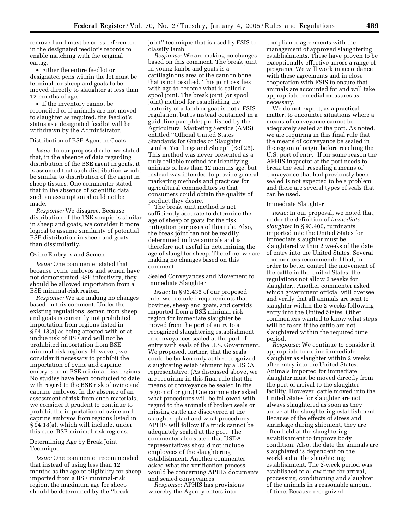removed and must be cross-referenced in the designated feedlot's records to enable matching with the original eartag.

• Either the entire feedlot or designated pens within the lot must be terminal for sheep and goats to be moved directly to slaughter at less than 12 months of age.

• If the inventory cannot be reconciled or if animals are not moved to slaughter as required, the feedlot's status as a designated feedlot will be withdrawn by the Administrator.

#### Distribution of BSE Agent in Goats

*Issue:* In our proposed rule, we stated that, in the absence of data regarding distribution of the BSE agent in goats, it is assumed that such distribution would be similar to distribution of the agent in sheep tissues. One commenter stated that in the absence of scientific data such an assumption should not be made.

*Response:* We disagree. Because distribution of the TSE scrapie is similar in sheep and goats, we consider it more logical to assume similarity of potential BSE distribution in sheep and goats than dissimilarity.

#### Ovine Embryos and Semen

*Issue:* One commenter stated that because ovine embryos and semen have not demonstrated BSE infectivity, they should be allowed importation from a BSE minimal-risk region.

*Response:* We are making no changes based on this comment. Under the existing regulations, semen from sheep and goats is currently not prohibited importation from regions listed in § 94.18(a) as being affected with or at undue risk of BSE and will not be prohibited importation from BSE minimal-risk regions. However, we consider it necessary to prohibit the importation of ovine and caprine embryos from BSE minimal-risk regions. No studies have been conducted to date with regard to the BSE risk of ovine and caprine embryos. In the absence of an assessment of risk from such materials, we consider it prudent to continue to prohibit the importation of ovine and caprine embryos from regions listed in § 94.18(a), which will include, under this rule, BSE minimal-risk regions.

# Determining Age by Break Joint Technique

*Issue:* One commenter recommended that instead of using less than 12 months as the age of eligibility for sheep imported from a BSE minimal-risk region, the maximum age for sheep should be determined by the ''break

joint'' technique that is used by FSIS to classify lamb.

*Response:* We are making no changes based on this comment. The break joint in young lambs and goats is a cartilaginous area of the cannon bone that is not ossified. This joint ossifies with age to become what is called a spool joint. The break joint (or spool joint) method for establishing the maturity of a lamb or goat is not a FSIS regulation, but is instead contained in a guideline pamphlet published by the Agricultural Marketing Service (AMS) entitled ''Official United States Standards for Grades of Slaughter Lambs, Yearlings and Sheep'' (Ref 26). This method was never presented as a truly reliable method for identifying animals of less than 12 months age, but instead was intended to provide general marketing methods and practices for agricultural commodities so that consumers could obtain the quality of product they desire.

The break joint method is not sufficiently accurate to determine the age of sheep or goats for the risk mitigation purposes of this rule. Also, the break joint can not be readily determined in live animals and is therefore not useful in determining the age of slaughter sheep. Therefore, we are making no changes based on this comment.

Sealed Conveyances and Movement to Immediate Slaughter

*Issue:* In § 93.436 of our proposed rule, we included requirements that bovines, sheep and goats, and cervids imported from a BSE minimal-risk region for immediate slaughter be moved from the port of entry to a recognized slaughtering establishment in conveyances sealed at the port of entry with seals of the U.S. Government. We proposed, further, that the seals could be broken only at the recognized slaughtering establishment by a USDA representative. (As discussed above, we are requiring in this final rule that the means of conveyance be sealed in the region of origin.) One commenter asked what procedures will be followed with regard to the animals if broken seals or missing cattle are discovered at the slaughter plant and what procedures APHIS will follow if a truck cannot be adequately sealed at the port. The commenter also stated that USDA representatives should not include employees of the slaughtering establishment. Another commenter asked what the verification process would be concerning APHIS documents and sealed conveyances.

*Response:* APHIS has provisions whereby the Agency enters into

compliance agreements with the management of approved slaughtering establishments. These have proven to be exceptionally effective across a range of programs. We will work in accordance with these agreements and in close cooperation with FSIS to ensure that animals are accounted for and will take appropriate remedial measures as necessary.

We do not expect, as a practical matter, to encounter situations where a means of conveyance cannot be adequately sealed at the port. As noted, we are requiring in this final rule that the means of conveyance be sealed in the region of origin before reaching the U.S. port of entry. If for some reason the APHIS inspector at the port needs to break the seal, resealing a means of conveyance that had previously been sealed is not expected to be a problem and there are several types of seals that can be used.

#### Immediate Slaughter

*Issue:* In our proposal, we noted that, under the definition of *immediate slaughter* in § 93.400, ruminants imported into the United States for immediate slaughter must be slaughtered within 2 weeks of the date of entry into the United States. Several commenters recommended that, in order to better control the movement of the cattle in the United States, the regulations not allow 2 weeks for slaughter,. Another commenter asked which government official will oversee and verify that all animals are sent to slaughter within the 2 weeks following entry into the United States. Other commenters wanted to know what steps will be taken if the cattle are not slaughtered within the required time period.

*Response:* We continue to consider it appropriate to define immediate slaughter as slaughter within 2 weeks after entry into the United States. Animals imported for immediate slaughter must be moved directly from the port of arrival to the slaughter facility. However, cattle moved into the United States for slaughter are not always slaughtered as soon as they arrive at the slaughtering establishment. Because of the effects of stress and shrinkage during shipment, they are often held at the slaughtering establishment to improve body condition. Also, the date the animals are slaughtered is dependent on the workload at the slaughtering establishment. The 2-week period was established to allow time for arrival, processing, conditioning and slaughter of the animals in a reasonable amount of time. Because recognized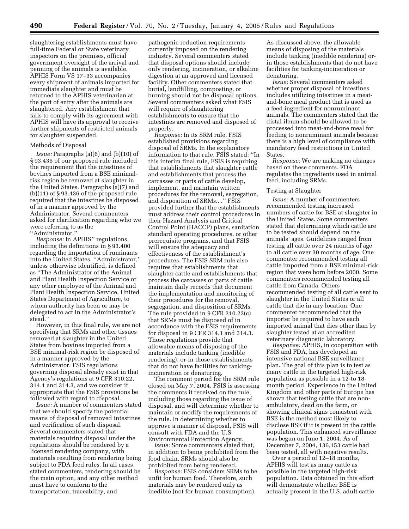slaughtering establishments must have full-time Federal or State veterinary inspectors on the premises, official government oversight of the arrival and penning of the animals is available. APHIS Form VS 17–33 accompanies every shipment of animals imported for immediate slaughter and must be returned to the APHIS veterinarian at the port of entry after the animals are slaughtered. Any establishment that fails to comply with its agreement with APHIS will have its approval to receive further shipments of restricted animals for slaughter suspended.

#### Methods of Disposal

*Issue:* Paragraphs (a)(6) and (b)(10) of § 93.436 of our proposed rule included the requirement that the intestines of bovines imported from a BSE minimalrisk region be removed at slaughter in the United States. Paragraphs (a)(7) and  $(b)(11)$  of § 93.436 of the proposed rule required that the intestines be disposed of in a manner approved by the Administrator. Several commenters asked for clarification regarding who we were referring to as the ''Administrator.''

*Response:* In APHIS'' regulations, including the definitions in § 93.400 regarding the importation of ruminants into the United States, ''Administrator,'' unless otherwise identified, is defined as ''The Administrator of the Animal and Plant Health Inspection Service or any other employee of the Animal and Plant Health Inspection Service, United States Department of Agriculture, to whom authority has been or may be delegated to act in the Administrator's stead.''

However, in this final rule, we are not specifying that SRMs and other tissues removed at slaughter in the United States from bovines imported from a BSE minimal-risk region be disposed of in a manner approved by the Administrator. FSIS regulations governing disposal already exist in that Agency's regulations at 9 CFR 310.22, 314.1 and 314.3, and we consider it appropriate that the FSIS provisions be followed with regard to disposal.

*Issue:* A number of commenters stated that we should specify the potential means of disposal of removed intestines and verification of such disposal. Several commenters stated that materials requiring disposal under the regulations should be rendered by a licensed rendering company, with materials resulting from rendering being subject to FDA feed rules. In all cases, stated commenters, rendering should be the main option, and any other method must have to conform to the transportation, traceability, and

pathogenic reduction requirements currently imposed on the rendering industry. Several commenters stated that disposal options should include only rendering, incineration, or alkaline digestion at an approved and licensed facility. Other commenters stated that burial, landfilling, composting, or burning should not be disposal options. Several commenters asked what FSIS will require of slaughtering establishments to ensure that the intestines are removed and disposed of properly.

*Response:* In its SRM rule, FSIS established provisions regarding disposal of SRMs. In the explanatory information to that rule, FSIS stated: ''In this interim final rule, FSIS is requiring that establishments that slaughter cattle and establishments that process the carcasses or parts of cattle develop, implement, and maintain written procedures for the removal, segregation, and disposition of SRMs....'' FSIS provided further that the establishments must address their control procedures in their Hazard Analysis and Critical Control Point (HACCP) plans, sanitation standard operating procedures, or other prerequisite programs, and that FSIS will ensure the adequacy and effectiveness of the establishment's procedures. The FSIS SRM rule also requires that establishments that slaughter cattle and establishments that process the carcasses or parts of cattle maintain daily records that document the implementation and monitoring of their procedures for the removal, segregation, and disposition of SRMs. The rule provided in 9 CFR 310.22(c) that SRMs must be disposed of in accordance with the FSIS requirements for disposal in 9 CFR 314.1 and 314.3. Those regulations provide that allowable means of disposing of the materials include tanking (inedible rendering), or-in those establishments that do not have facilities for tankingincineration or denaturing.

The comment period for the SRM rule closed on May 7, 2004. FSIS is assessing the comments it received on the rule, including those regarding the issue of disposal, and will determine whether to maintain or modify the requirements of the rule. In determining whether to approve a manner of disposal, FSIS will consult with FDA and the U.S. Environmental Protection Agency.

*Issue:* Some commenters stated that, in addition to being prohibited from the food chain, SRMs should also be prohibited from being rendered.

*Response:* FSIS considers SRMs to be unfit for human food. Therefore, such materials may be rendered only as inedible (not for human consumption).

As discussed above, the allowable means of disposing of the materials include tanking (inedible rendering) orin those establishments that do not have facilities for tanking-incineration or denaturing.

*Issue:* Several commenters asked whether proper disposal of intestines includes utilizing intestines in a meatand-bone meal product that is used as a feed ingredient for nonruminant animals. The commenters stated that the distal ileum should be allowed to be processed into meat-and-bone meal for feeding to nonruminant animals because there is a high level of compliance with mandatory feed restrictions in United States.

*Response:* We are making no changes based on these comments. FDA regulates the ingredients used in animal feed, including SRMs.

#### Testing at Slaughter

*Issue:* A number of commenters recommended testing increased numbers of cattle for BSE at slaughter in the United States. Some commenters stated that determining which cattle are to be tested should depend on the animals' ages. Guidelines ranged from testing all cattle over 24 months of age to all cattle over 30 months of age. One commenter recommended testing all cattle imported from a BSE minimal-risk region that were born before 2000. Some commenters recommended testing all cattle from Canada. Others recommended testing of all cattle sent to slaughter in the United States or all cattle that die in any location. One commenter recommended that the importer be required to have each imported animal that dies other than by slaughter tested at an accredited veterinary diagnostic laboratory.

*Response:* APHIS, in cooperation with FSIS and FDA, has developed an intensive national BSE surveillance plan. The goal of this plan is to test as many cattle in the targeted high-risk population as possible in a 12-to 18 month period. Experience in the United Kingdom and other parts of Europe has shown that testing cattle that are nonambulatory, dead on the farm, or showing clinical signs consistent with BSE is the method most likely to disclose BSE if it is present in the cattle population. This enhanced surveillance was begun on June 1, 2004. As of December 7, 2004, 136,153 cattle had been tested, all with negative results.

Over a period of 12–18 months, APHIS will test as many cattle as possible in the targeted high-risk population. Data obtained in this effort will demonstrate whether BSE is actually present in the U.S. adult cattle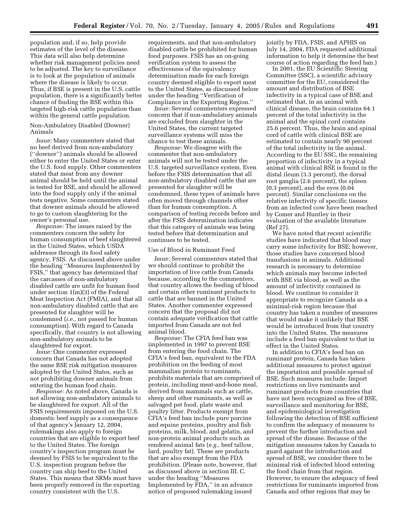population and, if so, help provide estimates of the level of the disease. This data will also help determine whether risk management policies need to be adjusted. The key to surveillance is to look at the population of animals where the disease is likely to occur. Thus, if BSE is present in the U.S. cattle population, there is a significantly better chance of finding the BSE within this targeted high-risk cattle population than within the general cattle population.

# Non-Ambulatory Disabled (Downer) Animals

*Issue:* Many commenters stated that no beef derived from non-ambulatory (''downer'') animals should be allowed either to enter the United States or enter the U.S. food supply. Other commenters stated that meat from any downer animal should be held until the animal is tested for BSE, and should be allowed into the food supply only if the animal tests negative. Some commenters stated that downer animals should be allowed to go to custom slaughtering for the owner's personal use.

*Response:* The issues raised by the commenters concern the safety for human consumption of beef slaughtered in the United States, which USDA addresses through its food safety agency, FSIS. As discussed above under the heading ''Measures Implemented by FSIS,'' that agency has determined that the carcasses of non-ambulatory disabled cattle are unfit for human food under section 1(m)(3) of the Federal Meat Inspection Act (FMIA), and that all non-ambulatory disabled cattle that are presented for slaughter will be condemned (*i.e.*, not passed for human consumption). With regard to Canada specifically, that country is not allowing non-ambulatory animals to be slaughtered for export.

*Issue:* One commenter expressed concern that Canada has not adopted the same BSE risk mitigation measures adopted by the United States, such as not prohibiting downer animals from entering the human food chain.

*Response:* As noted above, Canada is not allowing non-ambulatory animals to be slaughtered for export. All of the FSIS requirements imposed on the U.S. domestic beef supply as a consequence of that agency's January 12, 2004, rulemakings also apply to foreign countries that are eligible to export beef to the United States. The foreign country's inspection program must be deemed by FSIS to be equivalent to the U.S. inspection program before the country can ship beef to the United States. This means that SRMs must have been properly removed in the exporting country consistent with the U.S.

requirements, and that non-ambulatory disabled cattle be prohibited for human food purposes. FSIS has an on-going verification system to assess the effectiveness of the equivalency determination made for each foreign country deemed eligible to export meat to the United States, as discussed below under the heading ''Verification of Compliance in the Exporting Region.''

*Issue:* Several commenters expressed concern that if non-ambulatory animals are excluded from slaughter in the United States, the current targeted surveillance systems will miss the chance to test these animals.

*Response:* We disagree with the commenter that non-ambulatory animals will not be tested under the U.S. targeted surveillance system. Even before the FSIS determination that all non-ambulatory disabled cattle that are presented for slaughter will be condemned, these types of animals have often moved through channels other than for human consumption. A comparison of testing records before and after the FSIS determination indicates that this category of animals was being tested before that determination and continues to be tested.

#### Use of Blood in Ruminant Feed

*Issue:* Several commenters stated that we should continue to prohibit the importation of live cattle from Canada because, according to the commenters, that country allows the feeding of blood and certain other ruminant products to cattle that are banned in the United States. Another commenter expressed concern that the proposal did not contain adequate verification that cattle imported from Canada are not fed animal blood.

*Response:* The CFIA feed ban was implemented in 1997 to prevent BSE from entering the food chain. The CFIA's feed ban, equivalent to the FDA prohibition on the feeding of most mammalian protein to ruminants, prohibits materials that are comprised of protein, including meat-and-bone meal, derived from mammals such as cattle, sheep and other ruminants, as well as salvaged pet food, plate waste and poultry litter. Products exempt from CFIA's feed ban include pure porcine and equine proteins, poultry and fish proteins, milk, blood, and gelatin, and non-protein animal products such as rendered animal fats (*e.g.*, beef tallow, lard, poultry fat). These are products that are also exempt from the FDA prohibition. (Please note, however, that as discussed above in section III. C. under the heading ''Measures Implemented by FDA,'' in an advance notice of proposed rulemaking issued

jointly by FDA, FSIS, and APHIS on July 14, 2004, FDA requested additional information to help it determine the best course of action regarding the feed ban.)

In 2001, the EU Scientific Steering Committee (SSC), a scientific advisory committee for the EU, considered the amount and distribution of BSE infectivity in a typical case of BSE and estimated that, in an animal with clinical disease, the brain contains 64.1 percent of the total infectivity in the animal and the spinal cord contains 25.6 percent. Thus, the brain and spinal cord of cattle with clinical BSE are estimated to contain nearly 90 percent of the total infectivity in the animal. According to the EU SSC, the remaining proportion of infectivity in a typical animal with clinical BSE is found in the distal ileum (3.3 percent), the dorsal root ganglia (2.6 percent), the spleen (0.3 percent), and the eyes (0.04 percent). Similar conclusions on the relative infectivity of specific tissues from an infected cow have been reached by Comer and Huntley in their evaluation of the available literature (Ref 27).

We have noted that recent scientific studies have indicated that blood may carry some infectivity for BSE; however, those studies have concerned blood transfusions in animals. Additional research is necessary to determine which animals may become infected with BSE via blood, as well as the amount of infectivity contained in blood. We continue to consider it appropriate to recognize Canada as a minimal-risk region because that country has taken a number of measures that would make it unlikely that BSE would be introduced from that country into the United States. The measures include a feed ban equivalent to that in effect in the United States.

In addition to CFIA's feed ban on ruminant protein, Canada has taken additional measures to protect against the importation and possible spread of BSE. Such measures include: Import restrictions on live ruminants and ruminant products from countries that have not been recognized as free of BSE, surveillance and monitoring for BSE, and epidemiological investigation following the detection of BSE sufficient to confirm the adequacy of measures to prevent the further introduction and spread of the disease. Because of the mitigation measures taken by Canada to guard against the introduction and spread of BSE, we consider there to be minimal risk of infected blood entering the food chain from that region. However, to ensure the adequacy of feed restrictions for ruminants imported from Canada and other regions that may be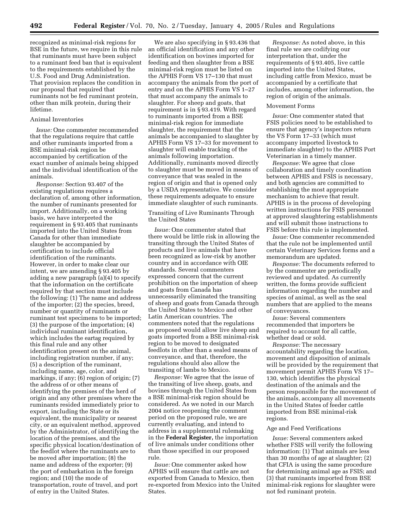recognized as minimal-risk regions for BSE in the future, we require in this rule that ruminants must have been subject to a ruminant feed ban that is equivalent to the requirements established by the U.S. Food and Drug Administration. That provision replaces the condition in our proposal that required that ruminants not be fed ruminant protein, other than milk protein, during their lifetime.

# Animal Inventories

*Issue:* One commenter recommended that the regulations require that cattle and other ruminants imported from a BSE minimal-risk region be accompanied by certification of the exact number of animals being shipped and the individual identification of the animals.

*Response:* Section 93.407 of the existing regulations requires a declaration of, among other information, the number of ruminants presented for import. Additionally, on a working basis, we have interpreted the requirement in § 93.405 that ruminants imported into the United States from Canada for other than immediate slaughter be accompanied by certification to include official identification of the ruminants. However, in order to make clear our intent, we are amending § 93.405 by adding a new paragraph (a)(4) to specify that the information on the certificate required by that section must include the following: (1) The name and address of the importer; (2) the species, breed, number or quantity of ruminants or ruminant test specimens to be imported; (3) the purpose of the importation; (4) individual ruminant identification, which includes the eartag required by this final rule and any other identification present on the animal, including registration number, if any; (5) a description of the ruminant, including name, age, color, and markings, if any; (6) region of origin; (7) the address of or other means of identifying the premises of the herd of origin and any other premises where the ruminants resided immediately prior to export, including the State or its equivalent, the municipality or nearest city, or an equivalent method, approved by the Administrator, of identifying the location of the premises, and the specific physical location/destination of the feedlot where the ruminants are to be moved after importation; (8) the name and address of the exporter; (9) the port of embarkation in the foreign region; and (10) the mode of transportation, route of travel, and port of entry in the United States.

We are also specifying in § 93.436 that an official identification and any other identification on bovines imported for feeding and then slaughter from a BSE minimal-risk region must be listed on the APHIS Form VS 17–130 that must accompany the animals from the port of entry and on the APHIS Form VS 1–27 that must accompany the animals to slaughter. For sheep and goats, that requirement is in § 93.419. With regard to ruminants imported from a BSE minimal-risk region for immediate slaughter, the requirement that the animals be accompanied to slaughter by APHIS Form VS 17–33 for movement to slaughter will enable tracking of the animals following importation. Additionally, ruminants moved directly to slaughter must be moved in means of conveyance that was sealed in the region of origin and that is opened only by a USDA representative. We consider these requirements adequate to ensure immediate slaughter of such ruminants.

# Transiting of Live Ruminants Through the United States

*Issue:* One commenter stated that there would be little risk in allowing the transiting through the United States of products and live animals that have been recognized as low-risk by another country and in accordance with OIE standards. Several commenters expressed concern that the current prohibition on the importation of sheep and goats from Canada has unnecessarily eliminated the transiting of sheep and goats from Canada through the United States to Mexico and other Latin American countries. The commenters noted that the regulations as proposed would allow live sheep and goats imported from a BSE minimal-risk region to be moved to designated feedlots in other than a sealed means of conveyance, and that, therefore, the regulations should also allow the transiting of lambs to Mexico.

*Response:* We agree that the issue of the transiting of live sheep, goats, and bovines through the United States from a BSE minimal-risk region should be considered. As we noted in our March 2004 notice reopening the comment period on the proposed rule, we are currently evaluating, and intend to address in a supplemental rulemaking in the **Federal Register,** the importation of live animals under conditions other than those specified in our proposed rule.

*Issue:* One commenter asked how APHIS will ensure that cattle are not exported from Canada to Mexico, then re-exported from Mexico into the United States.

*Response:* As noted above, in this final rule we are codifying our interpretation that, under the requirements of § 93.405, live cattle imported into the United States, including cattle from Mexico, must be accompanied by a certificate that includes, among other information, the region of origin of the animals.

#### Movement Forms

*Issue:* One commenter stated that FSIS policies need to be established to ensure that agency's inspectors return the VS Form 17–33 (which must accompany imported livestock to immediate slaughter) to the APHIS Port Veterinarian in a timely manner.

*Response:* We agree that close collaboration and timely coordination between APHIS and FSIS is necessary, and both agencies are committed to establishing the most appropriate mechanism to achieve that result. APHIS is in the process of developing written instructions for FSIS personnel at approved slaughtering establishments and will submit those instructions to FSIS before this rule is implemented.

*Issue:* One commenter recommended that the rule not be implemented until certain Veterinary Services forms and a memorandum are updated.

*Response:* The documents referred to by the commenter are periodically reviewed and updated. As currently written, the forms provide sufficient information regarding the number and species of animal, as well as the seal numbers that are applied to the means of conveyances.

*Issue:* Several commenters recommended that importers be required to account for all cattle, whether dead or sold.

*Response:* The necessary accountability regarding the location, movement and disposition of animals will be provided by the requirement that movement permit APHIS Form VS 17– 130, which identifies the physical destination of the animals and the person responsible for the movement of the animals, accompany all movements in the United States of feeder cattle imported from BSE minimal-risk regions.

# Age and Feed Verifications

*Issue:* Several commenters asked whether FSIS will verify the following information: (1) That animals are less than 30 months of age at slaughter; (2) that CFIA is using the same procedure for determining animal age as FSIS; and (3) that ruminants imported from BSE minimal-risk regions for slaughter were not fed ruminant protein.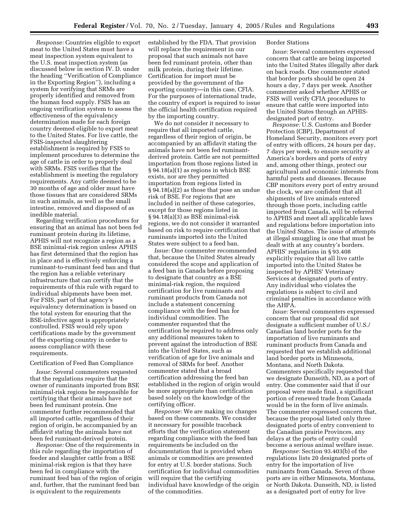*Response:* Countries eligible to export meat to the United States must have a meat inspection system equivalent to the U.S. meat inspection system (as discussed below in section IV. D. under the heading ''Verification of Compliance in the Exporting Region''), including a system for verifying that SRMs are properly identified and removed from the human food supply. FSIS has an ongoing verification system to assess the effectiveness of the equivalency determination made for each foreign country deemed eligible to export meat to the United States. For live cattle, the FSIS-inspected slaughtering establishment is required by FSIS to implement procedures to determine the age of cattle in order to properly deal with SRMs. FSIS verifies that the establishment is meeting the regulatory requirements. Any cattle deemed to be 30 months of age and older must have those tissues that are considered SRMs in such animals, as well as the small intestine, removed and disposed of as inedible material.

Regarding verification procedures for ensuring that an animal has not been fed ruminant protein during its lifetime, APHIS will not recognize a region as a BSE minimal-risk region unless APHIS has first determined that the region has in place and is effectively enforcing a ruminant-to-ruminant feed ban and that the region has a reliable veterinary infrastructure that can certify that the requirements of this rule with regard to individual shipments have been met. For FSIS, part of that agency's equivalency determination is based on the total system for ensuring that the BSE-infective agent is appropriately controlled. FSIS would rely upon certifications made by the government of the exporting country in order to assess compliance with these requirements.

# Certification of Feed Ban Compliance

*Issue:* Several commenters requested that the regulations require that the owner of ruminants imported from BSE minimal-risk regions be responsible for certifying that their animals have not been fed ruminant protein. One commenter further recommended that all imported cattle, regardless of their region of origin, be accompanied by an affidavit stating the animals have not been fed ruminant-derived protein.

*Response:* One of the requirements in this rule regarding the importation of feeder and slaughter cattle from a BSE minimal-risk region is that they have been fed in compliance with the ruminant feed ban of the region of origin and, further, that the ruminant feed ban is equivalent to the requirements

established by the FDA. That provision will replace the requirement in our proposal that such animals not have been fed ruminant protein, other than milk protein, during their lifetime. Certification for import must be provided by the government of the exporting country—in this case, CFIA. For the purposes of international trade, the country of export is required to issue the official health certification required by the importing country.

We do not consider it necessary to require that all imported cattle, regardless of their region of origin, be accompanied by an affidavit stating the animals have not been fed ruminantderived protein. Cattle are not permitted importation from those regions listed in § 94.18(a)(1) as regions in which BSE exists, nor are they permitted importation from regions listed in § 94.18(a)(2) as those that pose an undue risk of BSE. For regions that are included in neither of these categories, except for those regions listed in § 94.18(a)(3) as BSE minimal-risk regions, we do not consider it warranted based on risk to require certification that ruminants imported into the United States were subject to a feed ban.

*Issue:* One commenter recommended that, because the United States already considered the scope and application of a feed ban in Canada before proposing to designate that country as a BSE minimal-risk region, the required certification for live ruminants and ruminant products from Canada not include a statement concerning compliance with the feed ban for individual commodities. The commenter requested that the certification be required to address only any additional measures taken to prevent against the introduction of BSE into the United States, such as verification of age for live animals and removal of SRMs for beef. Another commenter stated that a broad certification addressing the feed ban established in the region of origin would be more appropriate than certification based solely on the knowledge of the certifying officer.

*Response:* We are making no changes based on these comments. We consider it necessary for possible traceback efforts that the verification statement regarding compliance with the feed ban requirements be included on the documentation that is provided when animals or commodities are presented for entry at U.S. border stations. Such certification for individual commodities will require that the certifying individual have knowledge of the origin of the commodities.

#### Border Stations

*Issue:* Several commenters expressed concern that cattle are being imported into the United States illegally after dark on back roads. One commenter stated that border ports should be open 24 hours a day, 7 days per week. Another commenter asked whether APHIS or FSIS will verify CFIA procedures to ensure that cattle were imported into the United States through an APHISdesignated port of entry.

*Response:* U.S. Customs and Border Protection (CBP), Department of Homeland Security, monitors every port of entry with officers, 24 hours per day, 7 days per week, to ensure security at America's borders and ports of entry and, among other things, protect our agricultural and economic interests from harmful pests and diseases. Because CBP monitors every port of entry around the clock, we are confident that all shipments of live animals entered through those ports, including cattle imported from Canada, will be referred to APHIS and meet all applicable laws and regulations before importation into the United States. The issue of attempts at illegal smuggling is one that must be dealt with at any country's borders. APHIS' regulations in § 93.408 explicitly require that all live cattle imported into the United States be inspected by APHIS' Veterinary Services at designated ports of entry. Any individual who violates the regulations is subject to civil and criminal penalties in accordance with the AHPA.

*Issue:* Several commenters expressed concern that our proposal did not designate a sufficient number of U.S./ Canadian land border ports for the importation of live ruminants and ruminant products from Canada and requested that we establish additional land border ports in Minnesota, Montana, and North Dakota. Commenters specifically requested that we designate Dunseith, ND, as a port of entry. One commenter said that if our proposal were made final, a significant portion of renewed trade from Canada would be in the form of live animals. The commenter expressed concern that, because the proposal listed only three designated ports of entry convenient to the Canadian prairie Provinces, any delays at the ports of entry could become a serious animal welfare issue.

*Response:* Section 93.403(b) of the regulations lists 20 designated ports of entry for the importation of live ruminants from Canada. Seven of those ports are in either Minnesota, Montana, or North Dakota. Dunseith, ND, is listed as a designated port of entry for live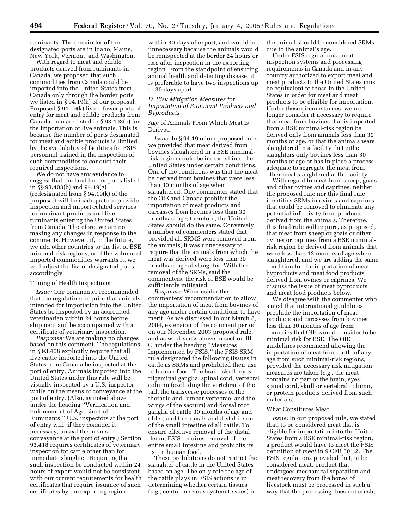ruminants. The remainder of the designated ports are in Idaho, Maine, New York, Vermont, and Washington.

With regard to meat and edible products derived from ruminants in Canada, we proposed that such commodities from Canada could be imported into the United States from Canada only through the border ports we listed in § 94.19(k) of our proposal. Proposed § 94.19(k) listed fewer ports of entry for meat and edible products from Canada than are listed in § 93.403(b) for the importation of live animals. This is because the number of ports designated for meat and edible products is limited by the availability of facilities for FSIS personnel trained in the inspection of such commodities to conduct their required inspections.

We do not have any evidence to suggest that the land border ports listed in §§ 93.403(b) and 94.19(g) (redesignated from § 94.19(k) of the proposal) will be inadequate to provide inspection and import-related services for ruminant products and live ruminants entering the United States from Canada. Therefore, we are not making any changes in response to the comments. However, if, in the future, we add other countries to the list of BSE minimal-risk regions, or if the volume of imported commodities warrants it, we will adjust the list of designated ports accordingly.

#### Timing of Health Inspections

*Issue:* One commenter recommended that the regulations require that animals intended for importation into the United States be inspected by an accredited veterinarian within 24 hours before shipment and be accompanied with a certificate of veterinary inspection.

*Response:* We are making no changes based on this comment. The regulations in § 93.408 explicitly require that all live cattle imported into the United States from Canada be inspected at the port of entry. Animals imported into the United States under this rule will be visually inspected by a U.S. inspector while on the means of conveyance at the port of entry. (Also, as noted above under the heading ''Verification and Enforcement of Age Limit of Ruminants,'' U.S. inspectors at the port of entry will, if they consider it necessary, unseal the means of conveyance at the port of entry.) Section 93.418 requires certificates of veterinary inspection for cattle other than for immediate slaughter. Requiring that such inspection be conducted within 24 hours of export would not be consistent with our current requirements for health certificates that require issuance of such certificates by the exporting region

within 30 days of export, and would be unnecessary because the animals would be reinspected at the border 24 hours or less after inspection in the exporting region. From the standpoint of ensuring animal health and detecting disease, it is preferable to have two inspections up to 30 days apart.

# *D. Risk Mitigation Measures for Importation of Ruminant Products and Byproducts*

# Age of Animals From Which Meat Is Derived

*Issue:* In § 94.19 of our proposed rule, we provided that meat derived from bovines slaughtered in a BSE minimalrisk region could be imported into the United States under certain conditions. One of the conditions was that the meat be derived from bovines that were less than 30 months of age when slaughtered. One commenter stated that the OIE and Canada prohibit the importation of meat products and carcasses from bovines less than 30 months of age; therefore, the United States should do the same. Conversely, a number of commenters stated that, provided all SRMS were removed from the animals, it was unnecessary to require that the animals from which the meat was derived were less than 30 months of age at slaughter. With the removal of the SRMs, said the commenters, the risk of BSE would be sufficiently mitigated.

*Response:* We consider the commenters' recommendation to allow the importation of meat from bovines of any age under certain conditions to have merit. As we discussed in our March 8, 2004, extension of the comment period on our November 2003 proposed rule, and as we discuss above in section III. C. under the heading ''Measures Implemented by FSIS,'' the FSIS SRM rule designated the following tissues in cattle as SRMs and prohibited their use in human food: The brain, skull, eyes, trigeminal ganglia, spinal cord, vertebral column (excluding the vertebrae of the tail, the transverse processes of the thoracic and lumbar vertebrae, and the wings of the sacrum) and dorsal root ganglia of cattle 30 months of age and older, and the tonsils and distal ileum of the small intestine of all cattle. To ensure effective removal of the distal ileum, FSIS requires removal of the entire small intestine and prohibits its use in human food.

These prohibitions do not restrict the slaughter of cattle in the United States based on age. The only role the age of the cattle plays in FSIS actions is in determining whether certain tissues (*e.g.,* central nervous system tissues) in

the animal should be considered SRMs due to the animal's age.

Under FSIS regulations, meat inspection systems and processing requirements in Canada and in any country authorized to export meat and meat products to the United States must be equivalent to those in the United States in order for meat and meat products to be eligible for importation. Under these circumstances, we no longer consider it necessary to require that meat from bovines that is imported from a BSE minimal-risk region be derived only from animals less than 30 months of age, or that the animals were slaughtered in a facility that either slaughters only bovines less than 30 months of age or has in place a process adequate to segregate the meat from other meat slaughtered at the facility.

With regard to meat from sheep, goats, and other ovines and caprines, neither the proposed rule nor this final rule identifies SRMs in ovines and caprines that could be removed to eliminate any potential infectivity from products derived from the animals. Therefore, this final rule will require, as proposed, that meat from sheep or goats or other ovines or caprines from a BSE minimalrisk region be derived from animals that were less than 12 months of age when slaughtered, and we are adding the same condition for the importation of meat byproducts and meat food products derived from ovines or caprines. We discuss the issue of meat byproducts and meat food products below.

We disagree with the commenter who stated that international guidelines preclude the importation of meat products and carcasses from bovines less than 30 months of age from countries that OIE would consider to be minimal risk for BSE. The OIE guidelines recommend allowing the importation of meat from cattle of any age from such minimal-risk regions, provided the necessary risk mitigation measures are taken (*e.g.,* the meat contains no part of the brain, eyes, spinal cord, skull or vertebral column, or protein products derived from such materials).

#### What Constitutes Meat

*Issue:* In our proposed rule, we stated that, to be considered meat that is eligible for importation into the United States from a BSE minimal-risk region, a product would have to meet the FSIS definition of *meat* in 9 CFR 301.2. The FSIS regulations provided that, to be considered meat, product that undergoes mechanical separation and meat recovery from the bones of livestock must be processed in such a way that the processing does not crush,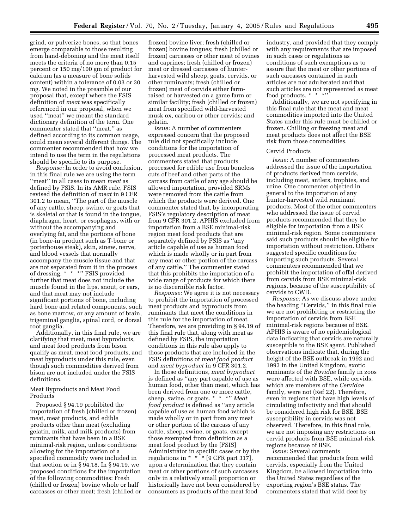grind, or pulverize bones, so that bones emerge comparable to those resulting from hand-deboning and the meat itself meets the criteria of no more than 0.15 percent or 150 mg/100 gm of product for calcium (as a measure of bone solids content) within a tolerance of 0.03 or 30 mg. We noted in the preamble of our proposal that, except where the FSIS definition of *meat* was specifically referenced in our proposal, when we used ''meat'' we meant the standard dictionary definition of the term. One commenter stated that ''meat,'' as defined according to its common usage, could mean several different things. The commenter recommended that how we intend to use the term in the regulations should be specific to its purpose.

*Response:* In order to avoid confusion, in this final rule we are using the term ''meat'' in all cases to mean *meat* as defined by FSIS. In its AMR rule, FSIS revised the definition of *meat* in 9 CFR 301.2 to mean, ''The part of the muscle of any cattle, sheep, swine, or goats that is skeletal or that is found in the tongue, diaphragm, heart, or esophagus, with or without the accompanying and overlying fat, and the portions of bone (in bone-in product such as T-bone or porterhouse steak), skin, sinew, nerve, and blood vessels that normally accompany the muscle tissue and that are not separated from it in the process of dressing. \* \* \*'' FSIS provided further that meat does not include the muscle found in the lips, snout, or ears, and that meat may not include significant portions of bone, including hard bone and related components, such as bone marrow, or any amount of brain, trigeminal ganglia, spinal cord, or dorsal root ganglia.

Additionally, in this final rule, we are clarifying that meat, meat byproducts, and meat food products from bison qualify as meat, meat food products, and meat byproducts under this rule, even though such commodities derived from bison are not included under the FSIS definitions.

# Meat Byproducts and Meat Food Products

Proposed § 94.19 prohibited the importation of fresh (chilled or frozen) meat, meat products, and edible products other than meat (excluding gelatin, milk, and milk products) from ruminants that have been in a BSE minimal-risk region, unless conditions allowing for the importation of a specified commodity were included in that section or in § 94.18. In § 94.19, we proposed conditions for the importation of the following commodities: Fresh (chilled or frozen) bovine whole or half carcasses or other meat; fresh (chilled or

frozen) bovine liver; fresh (chilled or frozen) bovine tongues; fresh (chilled or frozen) carcasses or other meat of ovines and caprines; fresh (chilled or frozen) meat or dressed carcasses of hunterharvested wild sheep, goats, cervids, or other ruminants; fresh (chilled or frozen) meat of cervids either farmraised or harvested on a game farm or similar facility; fresh (chilled or frozen) meat from specified wild-harvested musk ox, caribou or other cervids; and gelatin.

*Issue:* A number of commenters expressed concern that the proposed rule did not specifically include conditions for the importation of processed meat products. The commenters stated that products processed for edible use from boneless cuts of beef and other parts of the carcass from cattle of any age should be allowed importation, provided SRMs were removed from the cattle from which the products were derived. One commenter stated that, by incorporating FSIS's regulatory description of meat from 9 CFR 301.2, APHIS excluded from importation from a BSE minimal-risk region meat food products that are separately defined by FSIS as ''any article capable of use as human food which is made wholly or in part from any meat or other portion of the carcass of any cattle.'' The commenter stated that this prohibits the importation of a wide range of products for which there is no discernible risk factor.

*Response:* We agree it is not necessary to prohibit the importation of processed meat products and byproducts from ruminants that meet the conditions in this rule for the importation of meat. Therefore, we are providing in § 94.19 of this final rule that, along with meat as defined by FSIS, the importation conditions in this rule also apply to those products that are included in the FSIS definitions of *meat food product* and *meat byproduct* in 9 CFR 301.2.

In those definitions, *meat byproduct* is defined as ''any part capable of use as human food, other than meat, which has been derived from one or more cattle, sheep, swine, or goats. \* \* \*'' *Meat food product* is defined as ''any article capable of use as human food which is made wholly or in part from any meat or other portion of the carcass of any cattle, sheep, swine, or goats, except those exempted from definition as a meat food product by the [FSIS] Administrator in specific cases or by the regulations in  $* * * [9 \text{ CFR part } 317]$ , upon a determination that they contain meat or other portions of such carcasses only in a relatively small proportion or historically have not been considered by consumers as products of the meat food

industry, and provided that they comply with any requirements that are imposed in such cases or regulations as conditions of such exemptions as to assure that the meat or other portions of such carcasses contained in such articles are not adulterated and that such articles are not represented as meat food products. \* \* \*'

Additionally, we are not specifying in this final rule that the meat and meat commodities imported into the United States under this rule must be chilled or frozen. Chilling or freezing meat and meat products does not affect the BSE risk from those commodities.

# Cervid Products

*Issue:* A number of commenters addressed the issue of the importation of products derived from cervids, including meat, antlers, trophies, and urine. One commenter objected in general to the importation of any hunter-harvested wild ruminant products. Most of the other commenters who addressed the issue of cervid products recommended that they be eligible for importation from a BSE minimal-risk region. Some commenters said such products should be eligible for importation without restriction. Others suggested specific conditions for importing such products. Several commenters recommended that we prohibit the importation of offal derived from cervids from BSE minimal-risk regions, because of the susceptibility of cervids to CWD.

*Response:* As we discuss above under the heading ''Cervids,'' in this final rule we are not prohibiting or restricting the importation of cervids from BSE minimal-risk regions because of BSE. APHIS is aware of no epidemiological data indicating that cervids are naturally susceptible to the BSE agent. Published observations indicate that, during the height of the BSE outbreak in 1992 and 1993 in the United Kingdom, exotic ruminants of the *Bovidae* family in zoos were affected with BSE, while cervids, which are members of the *Cervidae* family, were not (Ref 22). Therefore, even in regions that have high levels of circulating infectivity and that should be considered high risk for BSE, BSE susceptibility in cervids was not observed. Therefore, in this final rule, we are not imposing any restrictions on cervid products from BSE minimal-risk regions because of BSE.

*Issue:* Several comments recommended that products from wild cervids, especially from the United Kingdom, be allowed importation into the United States regardless of the exporting region's BSE status. The commenters stated that wild deer by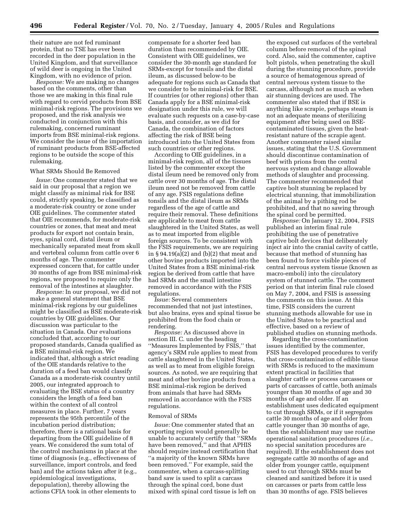their nature are not fed ruminant protein, that no TSE has ever been recorded in the deer population in the United Kingdom, and that surveillance of wild deer is ongoing in the United Kingdom, with no evidence of prion.

*Response:* We are making no changes based on the comments, other than those we are making in this final rule with regard to cervid products from BSE minimal-risk regions. The provisions we proposed, and the risk analysis we conducted in conjunction with this rulemaking, concerned ruminant imports from BSE minimal-risk regions. We consider the issue of the importation of ruminant products from BSE-affected regions to be outside the scope of this rulemaking.

#### What SRMs Should Be Removed

*Issue:* One commenter stated that we said in our proposal that a region we might classify as minimal risk for BSE could, strictly speaking, be classified as a moderate-risk country or zone under OIE guidelines. The commenter stated that OIE recommends, for moderate-risk countries or zones, that meat and meat products for export not contain brain, eyes, spinal cord, distal ileum or mechanically separated meat from skull and vertebral column from cattle over 6 months of age. The commenter expressed concern that, for cattle under 30 months of age from BSE minimal-risk regions, we proposed to require only the removal of the intestines at slaughter.

*Response:* In our proposal, we did not make a general statement that BSE minimal-risk regions by our guidelines might be classified as BSE moderate-risk countries by OIE guidelines. Our discussion was particular to the situation in Canada. Our evaluations concluded that, according to our proposed standards, Canada qualified as a BSE minimal-risk region. We indicated that, although a strict reading of the OIE standards relative to the duration of a feed ban would classify Canada as a moderate-risk country until 2005, our integrated approach to evaluating the BSE status of a country considers the length of a feed ban within the context of all control measures in place. Further, 7 years represents the 95th percentile of the incubation period distribution; therefore, there is a rational basis for departing from the OIE guideline of 8 years. We considered the sum total of the control mechanisms in place at the time of diagnosis (e.g., effectiveness of surveillance, import controls, and feed ban) and the actions taken after it (e.g., epidemiological investigations, depopulation), thereby allowing the actions CFIA took in other elements to

compensate for a shorter feed ban duration than recommended by OIE. Consistent with OIE guidelines, we consider the 30-month age standard for SRMs-except for tonsils and the distal ileum, as discussed below-to be adequate for regions such as Canada that we consider to be minimal-risk for BSE. If countries (or other regions) other than Canada apply for a BSE minimal-risk designation under this rule, we will evaluate such requests on a case-by-case basis, and consider, as we did for Canada, the combination of factors affecting the risk of BSE being introduced into the United States from such countries or other regions.

According to OIE guidelines, in a minimal-risk region, all of the tissues listed by the commenter except the distal ileum need be removed only from cattle over 30 months of age. The distal ileum need not be removed from cattle of any age. FSIS regulations define tonsils and the distal ileum as SRMs regardless of the age of cattle and require their removal. These definitions are applicable to meat from cattle slaughtered in the United States, as well as to meat imported from eligible foreign sources. To be consistent with the FSIS requirements, we are requiring in § 94.19(a)(2) and (b)(2) that meat and other bovine products imported into the United States from a BSE minimal-risk region be derived from cattle that have had SRMs and the small intestine removed in accordance with the FSIS regulations.

*Issue:* Several commenters recommended that not just intestines, but also brains, eyes and spinal tissue be prohibited from the food chain or rendering.

*Response:* As discussed above in section III. C. under the heading ''Measures Implemented by FSIS,'' that agency's SRM rule applies to meat from cattle slaughtered in the United States, as well as to meat from eligible foreign sources. As noted, we are requiring that meat and other bovine products from a BSE minimal-risk region be derived from animals that have had SRMs removed in accordance with the FSIS regulations.

## Removal of SRMs

*Issue:* One commenter stated that an exporting region would generally be unable to accurately certify that ''SRMs have been removed,'' and that APHIS should require instead certification that ''a majority of the known SRMs have been removed.'' For example, said the commenter, when a carcass-splitting band saw is used to split a carcass through the spinal cord, bone dust mixed with spinal cord tissue is left on

the exposed cut surfaces of the vertebral column before removal of the spinal cord. Also, said the commenter, captive bolt pistols, when penetrating the skull during the stunning procedure, provide a source of hematogenous spread of central nervous system tissue to the carcass, although not as much as when air stunning devices are used. The commenter also stated that if BSE is anything like scrapie, perhaps steam is not an adequate means of sterilizing equipment after being used on BSEcontaminated tissues, given the heatresistant nature of the scrapie agent. Another commenter raised similar issues, stating that the U.S. Government should discontinue contamination of beef with prions from the central nervous system and change allowable methods of slaughter and processing. The commenter recommended that captive bolt stunning be replaced by electrical stunning, that immobilization of the animal by a pithing rod be prohibited, and that no sawing through the spinal cord be permitted.

*Response:* On January 12, 2004, FSIS published an interim final rule prohibiting the use of penetrative captive bolt devices that deliberately inject air into the cranial cavity of cattle, because that method of stunning has been found to force visible pieces of central nervous system tissue (known as macro-emboli) into the circulatory system of stunned cattle. The comment period on that interim final rule closed on May 7, 2004, and FSIS is assessing the comments on this issue. At this time, FSIS considers the current stunning methods allowable for use in the United States to be practical and effective, based on a review of published studies on stunning methods.

Regarding the cross-contamination issues identified by the commenter, FSIS has developed procedures to verify that cross-contamination of edible tissue with SRMs is reduced to the maximum extent practical in facilities that slaughter cattle or process carcasses or parts of carcasses of cattle, both animals younger than 30 months of age and 30 months of age and older. If an establishment uses dedicated equipment to cut through SRMs, or if it segregates cattle 30 months of age and older from cattle younger than 30 months of age, then the establishment may use routine operational sanitation procedures (*i.e.*, no special sanitation procedures are required). If the establishment does not segregate cattle 30 months of age and older from younger cattle, equipment used to cut through SRMs must be cleaned and sanitized before it is used on carcasses or parts from cattle less than 30 months of age. FSIS believes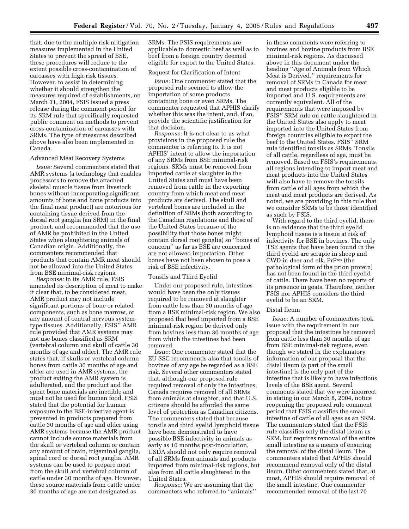that, due to the multiple risk mitigation measures implemented in the United States to prevent the spread of BSE, these procedures will reduce to the extent possible cross-contamination of carcasses with high-risk tissues. However, to assist in determining whether it should strengthen the measures required of establishments, on March 31, 2004, FSIS issued a press release during the comment period for its SRM rule that specifically requested public comment on methods to prevent cross-contamination of carcasses with SRMs. The type of measures described above have also been implemented in Canada.

## Advanced Meat Recovery Systems

*Issue:* Several commenters stated that AMR systems (a technology that enables processors to remove the attached skeletal muscle tissue from livestock bones without incorporating significant amounts of bone and bone products into the final meat product) are notorious for containing tissue derived from the dorsal root ganglia (an SRM) in the final product, and recommended that the use of AMR be prohibited in the United States when slaughtering animals of Canadian origin. Additionally, the commenters recommended that products that contain AMR meat should not be allowed into the United States from BSE minimal-risk regions.

*Response:* In its AMR rule, FSIS amended its description of meat to make it clear that, to be considered meat, AMR product may not include significant portions of bone or related components, such as bone marrow, or any amount of central nervous systemtype tissues. Additionally, FSIS'' AMR rule provided that AMR systems may not use bones classified as SRM (vertebral column and skull of cattle 30 months of age and older). The AMR rule states that, if skulls or vertebral column bones from cattle 30 months of age and older are used in AMR systems, the product exiting the AMR system is adulterated, and the product and the spent bone materials are inedible and must not be used for human food. FSIS stated that the potential for human exposure to the BSE-infective agent is prevented in products prepared from cattle 30 months of age and older using AMR systems because the AMR product cannot include source materials from the skull or vertebral column or contain any amount of brain, trigeminal ganglia, spinal cord or dorsal root ganglia. AMR systems can be used to prepare meat from the skull and vertebral column of cattle under 30 months of age. However, these source materials from cattle under 30 months of age are not designated as

SRMs. The FSIS requirements are applicable to domestic beef as well as to beef from a foreign country deemed eligible for export to the United States.

## Request for Clarification of Intent

*Issue:* One commenter stated that the proposed rule seemed to allow the importation of some products containing bone or even SRMs. The commenter requested that APHIS clarify whether this was the intent, and, if so, provide the scientific justification for that decision.

*Response:* It is not clear to us what provisions in the proposed rule the commenter is referring to. It is not APHIS' intent to allow the importation of any SRMs from BSE minimal-risk regions. SRMs must be removed from imported cattle at slaughter in the United States and must have been removed from cattle in the exporting country from which meat and meat products are derived. The skull and vertebral bones are included in the definition of SRMs (both according to the Canadian regulations and those of the United States because of the possibility that those bones might contain dorsal root ganglia) so ''bones of concern'' as far as BSE are concerned are not allowed importation. Other bones have not been shown to pose a risk of BSE infectivity.

## Tonsils and Third Eyelid

Under our proposed rule, intestines would have been the only tissues required to be removed at slaughter from cattle less than 30 months of age from a BSE minimal-risk region. We also proposed that beef imported from a BSE minimal-risk region be derived only from bovines less than 30 months of age from which the intestines had been removed.

*Issue:* One commenter stated that the EU SSC recommends also that tonsils of bovines of any age be regarded as a BSE risk. Several other commenters stated that, although our proposed rule required removal of only the intestines, Canada requires removal of all SRMs from animals at slaughter, and that U.S. citizens should be afforded the same level of protection as Canadian citizens. The commenters stated that because tonsils and third eyelid lymphoid tissue have been demonstrated to have possible BSE infectivity in animals as early as 10 months post-inoculation, USDA should not only require removal of all SRMs from animals and products imported from minimal-risk regions, but also from all cattle slaughtered in the United States.

*Response:* We are assuming that the commenters who referred to ''animals''

in these comments were referring to bovines and bovine products from BSE minimal-risk regions. As discussed above in this document under the heading ''Age of Animals from Which Meat is Derived,'' requirements for removal of SRMs in Canada for meat and meat products eligible to be imported and U.S. requirements are currently equivalent. All of the requirements that were imposed by FSIS'' SRM rule on cattle slaughtered in the United States also apply to meat imported into the United States from foreign countries eligible to export the beef to the United States. FSIS'' SRM rule identified tonsils as SRMs. Tonsils of all cattle, regardless of age, must be removed. Based on FSIS's requirements, all regions intending to import meat and meat products into the United States will also have to remove the tonsils from cattle of all ages from which the meat and meat products are derived. As noted, we are providing in this rule that we consider SRMs to be those identified as such by FSIS.

With regard to the third eyelid, there is no evidence that the third eyelid lymphoid tissue is a tissue at risk of infectivity for BSE in bovines. The only TSE agents that have been found in the third eyelid are scrapie in sheep and CWD in deer and elk. PrPres (the pathological form of the prion protein) has not been found in the third eyelid of cattle. There have been no reports of its presence in goats. Therefore, neither FSIS nor APHIS considers the third eyelid to be an SRM.

#### Distal Ileum

*Issue:* A number of commenters took issue with the requirement in our proposal that the intestines be removed from cattle less than 30 months of age from BSE minimal-risk regions, even though we stated in the explanatory information of our proposal that the distal ileum (a part of the small intestine) is the only part of the intestine that is likely to have infectious levels of the BSE agent. Several comments stated that we were incorrect in stating in our March 8, 2004, notice reopening the proposed rule comment period that FSIS classifies the small intestine of cattle of all ages as an SRM. The commenters stated that the FSIS rule classifies only the distal ileum as SRM, but requires removal of the entire small intestine as a means of ensuring the removal of the distal ileum. The commenters stated that APHIS should recommend removal only of the distal ileum. Other commenters stated that, at most, APHIS should require removal of the small intestine. One commenter recommended removal of the last 70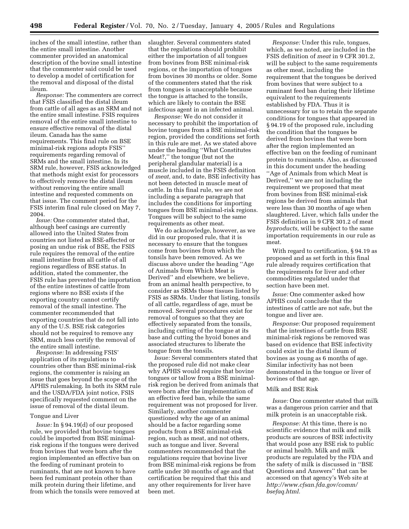inches of the small intestine, rather than the entire small intestine. Another commenter provided an anatomical description of the bovine small intestine that the commenter said could be used to develop a model of certification for the removal and disposal of the distal ileum.

*Response:* The commenters are correct that FSIS classified the distal ileum from cattle of all ages as an SRM and not the entire small intestine. FSIS requires removal of the entire small intestine to ensure effective removal of the distal ileum. Canada has the same requirements. This final rule on BSE minimal-risk regions adopts FSIS'' requirements regarding removal of SRMs and the small intestine. In its SRM rule, however, FSIS acknowledged that methods might exist for processors to effectively remove the distal ileum without removing the entire small intestine and requested comments on that issue. The comment period for the FSIS interim final rule closed on May 7, 2004.

*Issue:* One commenter stated that, although beef casings are currently allowed into the United States from countries not listed as BSE-affected or posing an undue risk of BSE, the FSIS rule requires the removal of the entire small intestine from all cattle of all regions regardless of BSE status. In addition, stated the commenter, the FSIS rule has prevented the importation of the entire intestines of cattle from regions where no BSE exists if the exporting country cannot certify removal of the small intestine. The commenter recommended that exporting countries that do not fall into any of the U.S. BSE risk categories should not be required to remove any SRM, much less certify the removal of the entire small intestine.

*Response:* In addressing FSIS' application of its regulations to countries other than BSE minimal-risk regions, the commenter is raising an issue that goes beyond the scope of the APHIS rulemaking. In both its SRM rule and the USDA/FDA joint notice, FSIS specifically requested comment on the issue of removal of the distal ileum.

### Tongue and Liver

*Issue:* In § 94.19(d) of our proposed rule, we provided that bovine tongues could be imported from BSE minimalrisk regions if the tongues were derived from bovines that were born after the region implemented an effective ban on the feeding of ruminant protein to ruminants, that are not known to have been fed ruminant protein other than milk protein during their lifetime, and from which the tonsils were removed at slaughter. Several commenters stated that the regulations should prohibit either the importation of all tongues from bovines from BSE minimal-risk regions, or the importation of tongues from bovines 30 months or older. Some of the commenters stated that the risk from tongues is unacceptable because the tongue is attached to the tonsils, which are likely to contain the BSE infectious agent in an infected animal.

*Response:* We do not consider it necessary to prohibit the importation of bovine tongues from a BSE minimal-risk region, provided the conditions set forth in this rule are met. As we stated above under the heading ''What Constitutes Meat?,'' the tongue (but not the peripheral glandular material) is a muscle included in the FSIS definition of *meat,* and, to date, BSE infectivity has not been detected in muscle meat of cattle. In this final rule, we are not including a separate paragraph that includes the conditions for importing tongues from BSE minimal-risk regions. Tongues will be subject to the same requirements as other meat.

We do acknowledge, however, as we did in our proposed rule, that it is necessary to ensure that the tongues come from bovines from which the tonsils have been removed. As we discuss above under the heading ''Age of Animals from Which Meat is Derived'' and elsewhere, we believe, from an animal health perspective, to consider as SRMs those tissues listed by FSIS as SRMs. Under that listing, tonsils of all cattle, regardless of age, must be removed. Several procedures exist for removal of tongues so that they are effectively separated from the tonsils, including cutting of the tongue at its base and cutting the hyoid bones and associated structures to liberate the tongue from the tonsils.

*Issue:* Several commenters stated that the proposed rule did not make clear why APHIS would require that bovine tongues or tallow from a BSE minimalrisk region be derived from animals that were born after the implementation of an effective feed ban, while the same requirement was not proposed for liver. Similarly, another commenter questioned why the age of an animal should be a factor regarding some products from a BSE minimal-risk region, such as meat, and not others, such as tongue and liver. Several commenters recommended that the regulations require that bovine liver from BSE minimal-risk regions be from cattle under 30 months of age and that certification be required that this and any other requirements for liver have been met.

*Response:* Under this rule, tongues, which, as we noted, are included in the FSIS definition of *meat* in 9 CFR 301.2, will be subject to the same requirements as other meat, including the requirement that the tongues be derived from bovines that were subject to a ruminant feed ban during their lifetime equivalent to the requirements established by FDA. Thus it is unnecessary for us to retain the separate conditions for tongues that appeared in § 94.19 of the proposed rule, including the condition that the tongues be derived from bovines that were born after the region implemented an effective ban on the feeding of ruminant protein to ruminants. Also, as discussed in this document under the heading ''Age of Animals from which Meat is Derived,'' we are not including the requirement we proposed that meat from bovines from BSE minimal-risk regions be derived from animals that were less than 30 months of age when slaughtered. Liver, which falls under the FSIS definition in 9 CFR 301.2 of meat *byproducts,* will be subject to the same importation requirements in our rule as meat.

With regard to certification, § 94.19 as proposed and as set forth in this final rule already requires certification that the requirements for liver and other commodities regulated under that section have been met.

*Issue:* One commenter asked how APHIS could conclude that the intestines of cattle are not safe, but the tongue and liver are.

*Response:* Our proposed requirement that the intestines of cattle from BSE minimal-risk regions be removed was based on evidence that BSE infectivity could exist in the distal ileum of bovines as young as 6 months of age. Similar infectivity has not been demonstrated in the tongue or liver of bovines of that age.

# Milk and BSE Risk

*Issue:* One commenter stated that milk was a dangerous prion carrier and that milk protein is an unacceptable risk.

*Response:* At this time, there is no scientific evidence that milk and milk products are sources of BSE infectivity that would pose any BSE risk to public or animal health. Milk and milk products are regulated by the FDA and the safety of milk is discussed in ''BSE Questions and Answers'' that can be accessed on that agency's Web site at *http://www.cfsan.fda.gov/comm/ bsefaq.html.*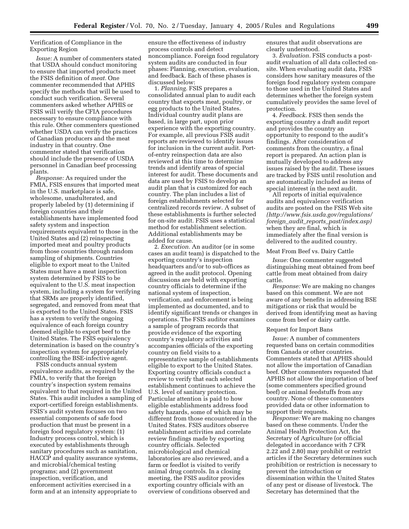# Verification of Compliance in the Exporting Region

*Issue:* A number of commenters stated that USDA should conduct monitoring to ensure that imported products meet the FSIS definition of *meat.* One commenter recommended that APHIS specify the methods that will be used to conduct such verification. Several commenters asked whether APHIS or FSIS will verify the CFIA procedures necessary to ensure compliance with this rule. Other commenters questioned whether USDA can verify the practices of Canadian producers and the meat industry in that country. One commenter stated that verification should include the presence of USDA personnel in Canadian beef processing plants.

*Response:* As required under the FMIA, FSIS ensures that imported meat in the U.S. marketplace is safe, wholesome, unadulterated, and properly labeled by (1) determining if foreign countries and their establishments have implemented food safety system and inspection requirements equivalent to those in the United States and (2) reinspecting imported meat and poultry products from those countries through random sampling of shipments. Countries eligible to export meat to the United States must have a meat inspection system determined by FSIS to be equivalent to the U.S. meat inspection system, including a system for verifying that SRMs are properly identified, segregated, and removed from meat that is exported to the United States. FSIS has a system to verify the ongoing equivalence of each foreign country deemed eligible to export beef to the United States. The FSIS equivalency determination is based on the country's inspection system for appropriately controlling the BSE-infective agent.

FSIS conducts annual system equivalence audits, as required by the FMIA, to verify that the foreign country's inspection system remains equivalent to that required in the United States. This audit includes a sampling of export-certified foreign establishments. FSIS's audit system focuses on two essential components of safe food production that must be present in a foreign food regulatory system: (1) Industry process control, which is executed by establishments through sanitary procedures such as sanitation, HACCP and quality assurance systems, and microbial/chemical testing programs; and (2) government inspection, verification, and enforcement activities exercised in a form and at an intensity appropriate to

ensure the effectiveness of industry process controls and detect noncompliance. Foreign food regulatory system audits are conducted in four phases: Planning, execution, evaluation, and feedback. Each of these phases is discussed below:

1. *Planning.* FSIS prepares a consolidated annual plan to audit each country that exports meat, poultry, or egg products to the United States. Individual country audit plans are based, in large part, upon prior experience with the exporting country. For example, all previous FSIS audit reports are reviewed to identify issues for inclusion in the current audit. Portof-entry reinspection data are also reviewed at this time to determine trends and identify areas of special interest for audit. These documents and data are used by FSIS to develop an audit plan that is customized for each country. The plan includes a list of foreign establishments selected for centralized records review. A subset of these establishments is further selected for on-site audit. FSIS uses a statistical method for establishment selection. Additional establishments may be added for cause.

2. *Execution.* An auditor (or in some cases an audit team) is dispatched to the exporting country's inspection headquarters and/or to sub-offices as agreed in the audit protocol. Opening discussions are held with exporting country officials to determine if the national system of inspection, verification, and enforcement is being implemented as documented, and to identify significant trends or changes in operations. The FSIS auditor examines a sample of program records that provide evidence of the exporting country's regulatory activities and accompanies officials of the exporting country on field visits to a representative sample of establishments eligible to export to the United States. Exporting country officials conduct a review to verify that each selected establishment continues to achieve the U.S. level of sanitary protection. Particular attention is paid to how eligible establishments address food safety hazards, some of which may be different from those encountered in the United States. FSIS auditors observe establishment activities and correlate review findings made by exporting country officials. Selected microbiological and chemical laboratories are also reviewed, and a farm or feedlot is visited to verify animal drug controls. In a closing meeting, the FSIS auditor provides exporting country officials with an overview of conditions observed and

ensures that audit observations are clearly understood.

3. *Evaluation.* FSIS conducts a postaudit evaluation of all data collected onsite. When evaluating audit data, FSIS considers how sanitary measures of the foreign food regulatory system compare to those used in the United States and determines whether the foreign system cumulatively provides the same level of protection.

4. *Feedback.* FSIS then sends the exporting country a draft audit report and provides the country an opportunity to respond to the audit's findings. After consideration of comments from the country, a final report is prepared. An action plan is mutually developed to address any issues raised by the audit. These issues are tracked by FSIS until resolution and are automatically included as items of special interest in the next audit.

All reports of initial equivalence audits and equivalence verification audits are posted on the FSIS Web site *(http://www.fsis.usda.gov/regulations/ foreign*\_*audit*\_*reports*\_*past/index.asp)* when they are final, which is immediately after the final version is delivered to the audited country.

#### Meat From Beef vs. Dairy Cattle

*Issue:* One commenter suggested distinguishing meat obtained from beef cattle from meat obtained from dairy cattle.

*Response:* We are making no changes based on this comment. We are not aware of any benefits in addressing BSE mitigations or risk that would be derived from identifying meat as having come from beef or dairy cattle.

#### Request for Import Bans

*Issue:* A number of commenters requested bans on certain commodities from Canada or other countries. Commenters stated that APHIS should not allow the importation of Canadian beef. Other commenters requested that APHIS not allow the importation of beef (some commenters specified ground beef) or animal feedstuffs from any country. None of these commenters provided data or other information to support their requests.

*Response:* We are making no changes based on these comments. Under the Animal Health Protection Act, the Secretary of Agriculture (or official delegated in accordance with 7 CFR 2.22 and 2.80) may prohibit or restrict articles if the Secretary determines such prohibition or restriction is necessary to prevent the introduction or dissemination within the United States of any pest or disease of livestock. The Secretary has determined that the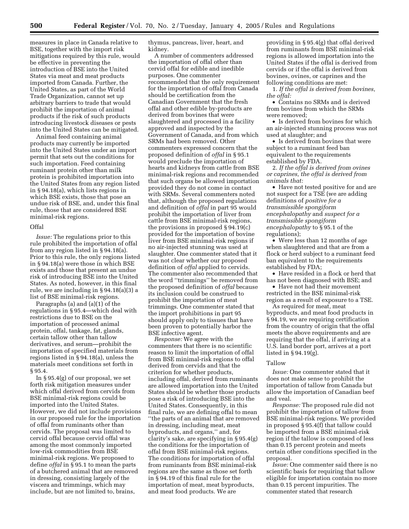measures in place in Canada relative to BSE, together with the import risk mitigations required by this rule, would be effective in preventing the introduction of BSE into the United States via meat and meat products imported from Canada. Further, the United States, as part of the World Trade Organization, cannot set up arbitrary barriers to trade that would prohibit the importation of animal products if the risk of such products introducing livestock diseases or pests into the United States can be mitigated.

Animal feed containing animal products may currently be imported into the United States under an import permit that sets out the conditions for such importation. Feed containing ruminant protein other than milk protein is prohibited importation into the United States from any region listed in § 94.18(a), which lists regions in which BSE exists, those that pose an undue risk of BSE, and, under this final rule, those that are considered BSE minimal-risk regions.

# Offal

*Issue:* The regulations prior to this rule prohibited the importation of offal from any region listed in § 94.18(a). Prior to this rule, the only regions listed in § 94.18(a) were those in which BSE exists and those that present an undue risk of introducing BSE into the United States. As noted, however, in this final rule, we are including in § 94.18(a)(3) a list of BSE minimal-risk regions.

Paragraphs (a) and (a)(1) of the regulations in § 95.4—which deal with restrictions due to BSE on the importation of processed animal protein, offal, tankage, fat, glands, certain tallow other than tallow derivatives, and serum—prohibit the importation of specified materials from regions listed in § 94.18(a), unless the materials meet conditions set forth in § 95.4.

In § 95.4(g) of our proposal, we set forth risk mitigation measures under which offal derived from cervids from BSE minimal-risk regions could be imported into the United States. However, we did not include provisions in our proposed rule for the importation of offal from ruminants other than cervids. The proposal was limited to cervid offal because cervid offal was among the most commonly imported low-risk commodities from BSE minimal-risk regions. We proposed to define *offal* in § 95.1 to mean the parts of a butchered animal that are removed in dressing, consisting largely of the viscera and trimmings, which may include, but are not limited to, brains,

thymus, pancreas, liver, heart, and kidney.

A number of commenters addressed the importation of offal other than cervid offal for edible and inedible purposes. One commenter recommended that the only requirement for the importation of offal from Canada should be certification from the Canadian Government that the fresh offal and other edible by-products are derived from bovines that were slaughtered and processed in a facility approved and inspected by the Government of Canada, and from which SRMs had been removed. Other commenters expressed concern that the proposed definition of *offal* in § 95.1 would preclude the importation of hearts and kidneys from cattle from BSE minimal-risk regions and recommended that such organs be allowed importation provided they do not come in contact with SRMs. Several commenters noted that, although the proposed regulations and definition of *offal* in part 95 would prohibit the importation of liver from cattle from BSE minimal-risk regions, the provisions in proposed § 94.19(c) provided for the importation of bovine liver from BSE minimal-risk regions if no air-injected stunning was used at slaughter. One commenter stated that it was not clear whether our proposed definition of *offal* applied to cervids. The commenter also recommended that the word ''trimmings'' be removed from the proposed definition of *offal* because its inclusion could be construed to prohibit the importation of meat trimmings. One commenter stated that the import prohibitions in part 95 should apply only to tissues that have been proven to potentially harbor the BSE infective agent.

*Response:* We agree with the commenters that there is no scientific reason to limit the importation of offal from BSE minimal-risk regions to offal derived from cervids and that the criterion for whether products, including offal, derived from ruminants are allowed importation into the United States should be whether those products pose a risk of introducing BSE into the United States. Consequently, in this final rule, we are defining offal to mean ''the parts of an animal that are removed in dressing, including meat, meat byproducts, and organs,'' and, for clarity's sake, are specifying in § 95.4(g) the conditions for the importation of offal from BSE minimal-risk regions. The conditions for importation of offal from ruminants from BSE minimal-risk regions are the same as those set forth in § 94.19 of this final rule for the importation of meat, meat byproducts, and meat food products. We are

providing in § 95.4(g) that offal derived from ruminants from BSE minimal-risk regions is allowed importation into the United States if the offal is derived from cervids or if the offal is derived from bovines, ovines, or caprines and the following conditions are met:

1. *If the offal is derived from bovines, the offal:*

• Contains no SRMs and is derived from bovines from which the SRMs were removed;

• Is derived from bovines for which an air-injected stunning process was not used at slaughter; and

• Is derived from bovines that were subject to a ruminant feed ban equivalent to the requirements established by FDA.

2. *If the offal is derived from ovines or caprines, the offal is derived from animals that:*

• Have not tested positive for and are not suspect for a TSE (we are adding definitions of *positive for a transmissible spongiform encephalopathy* and *suspect for a transmissible spongiform encephalopathy* to § 95.1 of the regulations);

• Were less than 12 months of age when slaughtered and that are from a flock or herd subject to a ruminant feed ban equivalent to the requirements established by FDA;

• Have resided in a flock or herd that has not been diagnosed with BSE; and

• Have not had their movement restricted in the BSE minimal-risk region as a result of exposure to a TSE.

As required for meat, meat byproducts, and meat food products in § 94.19, we are requiring certification from the country of origin that the offal meets the above requirements and are requiring that the offal, if arriving at a U.S. land border port, arrives at a port listed in § 94.19(g).

## Tallow

*Issue:* One commenter stated that it does not make sense to prohibit the importation of tallow from Canada but allow the importation of Canadian beef and veal.

*Response:* The proposed rule did not prohibit the importation of tallow from BSE minimal-risk regions. We provided in proposed § 95.4(f) that tallow could be imported from a BSE minimal-risk region if the tallow is composed of less than 0.15 percent protein and meets certain other conditions specified in the proposal.

*Issue:* One commenter said there is no scientific basis for requiring that tallow eligible for importation contain no more than 0.15 percent impurities. The commenter stated that research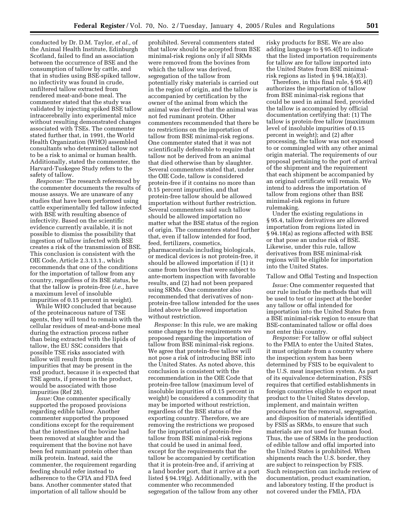conducted by Dr. D.M. Taylor, *et al.,* of the Animal Health Institute, Edinburgh Scotland, failed to find an association between the occurrence of BSE and the consumption of tallow by cattle, and that in studies using BSE-spiked tallow, no infectivity was found in crude, unfiltered tallow extracted from rendered meat-and-bone meal. The commenter stated that the study was validated by injecting spiked BSE tallow intracerebrally into experimental mice without resulting demonstrated changes associated with TSEs. The commenter stated further that, in 1991, the World Health Organization (WHO) assembled consultants who determined tallow not to be a risk to animal or human health. Additionally, stated the commenter, the Harvard-Tuskegee Study refers to the safety of tallow.

*Response:* The research referenced by the commenter documents the results of mouse assays. We are unaware of any studies that have been performed using cattle experimentally fed tallow infected with BSE with resulting absence of infectivity. Based on the scientific evidence currently available, it is not possible to dismiss the possibility that ingestion of tallow infected with BSE creates a risk of the transmission of BSE. This conclusion is consistent with the OIE Code, Article 2.3.13.1., which recommends that one of the conditions for the importation of tallow from any country, regardless of its BSE status, be that the tallow is protein-free (*i.e.*, have a maximum level of insoluble impurities of 0.15 percent in weight).

While WHO concluded that because of the proteinaceous nature of TSE agents, they will tend to remain with the cellular residues of meat-and-bone meal during the extraction process rather than being extracted with the lipids of tallow, the EU SSC considers that possible TSE risks associated with tallow will result from protein impurities that may be present in the end product, because it is expected that TSE agents, if present in the product, would be associated with those impurities (Ref 28).

*Issue:* One commenter specifically supported the proposed provisions regarding edible tallow. Another commenter supported the proposed conditions except for the requirement that the intestines of the bovine had been removed at slaughter and the requirement that the bovine not have been fed ruminant protein other than milk protein. Instead, said the commenter, the requirement regarding feeding should refer instead to adherence to the CFIA and FDA feed bans. Another commenter stated that importation of all tallow should be

prohibited. Several commenters stated that tallow should be accepted from BSE minimal-risk regions only if all SRMs were removed from the bovines from which the tallow was derived, segregation of the tallow from potentially risky materials is carried out in the region of origin, and the tallow is accompanied by certification by the owner of the animal from which the animal was derived that the animal was not fed ruminant protein. Other commenters recommended that there be no restrictions on the importation of tallow from BSE minimal-risk regions. One commenter stated that it was not scientifically defensible to require that tallow not be derived from an animal that died otherwise than by slaughter. Several commenters stated that, under the OIE Code, tallow is considered protein-free if it contains no more than 0.15 percent impurities, and that protein-free tallow should be allowed importation without further restriction. Several commenters said such tallow should be allowed importation no matter what the BSE status of the region of origin. The commenters stated further that, even if tallow intended for food, feed, fertilizers, cosmetics, pharmaceuticals including biologicals, or medical devices is not protein-free, it should be allowed importation if (1) it came from bovines that were subject to ante-mortem inspection with favorable results, and (2) had not been prepared using SRMs. One commenter also recommended that derivatives of nonprotein-free tallow intended for the uses listed above be allowed importation without restriction.

*Response:* In this rule, we are making some changes to the requirements we proposed regarding the importation of tallow from BSE minimal-risk regions. We agree that protein-free tallow will not pose a risk of introducing BSE into the United States. As noted above, this conclusion is consistent with the recommendation in the OIE Code that protein-free tallow (maximum level of insoluble impurities of 0.15 percent in weight) be considered a commodity that may be imported without restriction, regardless of the BSE status of the exporting country. Therefore, we are removing the restrictions we proposed for the importation of protein-free tallow from BSE minimal-risk regions that could be used in animal feed, except for the requirements that the tallow be accompanied by certification that it is protein-free and, if arriving at a land border port, that it arrive at a port listed § 94.19(g). Additionally, with the commenter who recommended segregation of the tallow from any other

risky products for BSE. We are also adding language to § 95.4(f) to indicate that the listed importation requirements for tallow are for tallow imported into the United States from BSE minimalrisk regions as listed in § 94.18(a)(3).

Therefore, in this final rule, § 95.4(f) authorizes the importation of tallow from BSE minimal-risk regions that could be used in animal feed, provided the tallow is accompanied by official documentation certifying that: (1) The tallow is protein-free tallow (maximum level of insoluble impurities of 0.15 percent in weight); and (2) after processing, the tallow was not exposed to or commingled with any other animal origin material. The requirements of our proposal pertaining to the port of arrival of the shipment and the requirement that each shipment be accompanied by an original certificate will remain. We intend to address the importation of tallow from regions other than BSE minimal-risk regions in future rulemaking.

Under the existing regulations in § 95.4, tallow derivatives are allowed importation from regions listed in § 94.18(a) as regions affected with BSE or that pose an undue risk of BSE. Likewise, under this rule, tallow derivatives from BSE minimal-risk regions will be eligible for importation into the United States.

# Tallow and Offal Testing and Inspection

*Issue:* One commenter requested that our rule include the methods that will be used to test or inspect at the border any tallow or offal intended for importation into the United States from a BSE minimal-risk region to ensure that BSE-contaminated tallow or offal does not enter this country.

*Response:* For tallow or offal subject to the FMIA to enter the United States, it must originate from a country where the inspection system has been determined by FSIS to be equivalent to the U.S. meat inspection system. As part of its equivalence determination, FSIS requires that certified establishments in foreign countries eligible to export meat product to the United States develop, implement, and maintain written procedures for the removal, segregation, and disposition of materials identified by FSIS as SRMs, to ensure that such materials are not used for human food. Thus, the use of SRMs in the production of edible tallow and offal imported into the United States is prohibited. When shipments reach the U.S. border, they are subject to reinspection by FSIS. Such reinspection can include review of documentation, product examination, and laboratory testing. If the product is not covered under the FMIA, FDA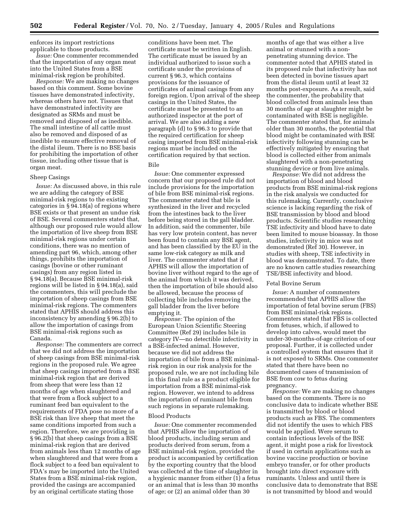enforces its import restrictions applicable to those products.

*Issue:* One commenter recommended that the importation of any organ meat into the United States from a BSE minimal-risk region be prohibited.

*Response:* We are making no changes based on this comment. Some bovine tissues have demonstrated infectivity, whereas others have not. Tissues that have demonstrated infectivity are designated as SRMs and must be removed and disposed of as inedible. The small intestine of all cattle must also be removed and disposed of as inedible to ensure effective removal of the distal ileum. There is no BSE basis for prohibiting the importation of other tissue, including other tissue that is organ meat.

### Sheep Casings

*Issue:* As discussed above, in this rule we are adding the category of BSE minimal-risk regions to the existing categories in § 94.18(a) of regions where BSE exists or that present an undue risk of BSE. Several commenters stated that, although our proposed rule would allow the importation of live sheep from BSE minimal-risk regions under certain conditions, there was no mention of amending part 96, which, among other things, prohibits the importation of casings (bovine or other ruminant casings) from any region listed in § 94.18(a). Because BSE minimal-risk regions will be listed in § 94.18(a), said the commenters, this will preclude the importation of sheep casings from BSE minimal-risk regions. The commenters stated that APHIS should address this inconsistency by amending § 96.2(b) to allow the importation of casings from BSE minimal-risk regions such as Canada.

*Response:* The commenters are correct that we did not address the importation of sheep casings from BSE minimal-risk regions in the proposed rule. We agree that sheep casings imported from a BSE minimal-risk region that are derived from sheep that were less than 12 months of age when slaughtered and that were from a flock subject to a ruminant feed ban equivalent to the requirements of FDA pose no more of a BSE risk than live sheep that meet the same conditions imported from such a region. Therefore, we are providing in § 96.2(b) that sheep casings from a BSE minimal-risk region that are derived from animals less than 12 months of age when slaughtered and that were from a flock subject to a feed ban equivalent to FDA's may be imported into the United States from a BSE minimal-risk region, provided the casings are accompanied by an original certificate stating those

conditions have been met. The certificate must be written in English. The certificate must be issued by an individual authorized to issue such a certificate under the provisions of current § 96.3, which contains provisions for the issuance of certificates of animal casings from any foreign region. Upon arrival of the sheep casings in the United States, the certificate must be presented to an authorized inspector at the port of arrival. We are also adding a new paragraph (d) to § 96.3 to provide that the required certification for sheep casing imported from BSE minimal-risk regions must be included on the certification required by that section. Bile

*Issue:* One commenter expressed concern that our proposed rule did not include provisions for the importation of bile from BSE minimal-risk regions. The commenter stated that bile is synthesized in the liver and recycled from the intestines back to the liver before being stored in the gall bladder. In addition, said the commenter, bile has very low protein content, has never been found to contain any BSE agent, and has been classified by the EU in the same low-risk category as milk and liver. The commenter stated that if APHIS will allow the importation of bovine liver without regard to the age of the animal from which it was derived, then the importation of bile should also be allowed, because the process of collecting bile includes removing the gall bladder from the liver before emptying it.

*Response:* The opinion of the European Union Scientific Steering Committee (Ref 29) includes bile in category IV—no detectible infectivity in a BSE-infected animal. However, because we did not address the importation of bile from a BSE minimalrisk region in our risk analysis for the proposed rule, we are not including bile in this final rule as a product eligible for importation from a BSE minimal-risk region. However, we intend to address the importation of ruminant bile from such regions in separate rulemaking.

### Blood Products

*Issue:* One commenter recommended that APHIS allow the importation of blood products, including serum and products derived from serum, from a BSE minimal-risk region, provided the product is accompanied by certification by the exporting country that the blood was collected at the time of slaughter in a hygienic manner from either (1) a fetus or an animal that is less than 30 months of age; or (2) an animal older than 30

months of age that was either a live animal or stunned with a nonpenetrating stunning device. The commenter noted that APHIS stated in its proposed rule that infectivity has not been detected in bovine tissues apart from the distal ileum until at least 32 months post-exposure. As a result, said the commenter, the probability that blood collected from animals less than 30 months of age at slaughter might be contaminated with BSE is negligible. The commenter stated that, for animals older than 30 months, the potential that blood might be contaminated with BSE infectivity following stunning can be effectively mitigated by ensuring that blood is collected either from animals slaughtered with a non-penetrating stunning device or from live animals.

*Response:* We did not address the importation of blood and blood products from BSE minimal-risk regions in the risk analysis we conducted for this rulemaking. Currently, conclusive science is lacking regarding the risk of BSE transmission by blood and blood products. Scientific studies researching TSE infectivity and blood have to date been limited to mouse bioassay. In those studies, infectivity in mice was not demonstrated (Ref 30). However, in studies with sheep, TSE infectivity in blood was demonstrated. To date, there are no known cattle studies researching TSE/BSE infectivity and blood.

# Fetal Bovine Serum

*Issue:* A number of commenters recommended that APHIS allow the importation of fetal bovine serum (FBS) from BSE minimal-risk regions. Commenters stated that FBS is collected from fetuses, which, if allowed to develop into calves, would meet the under-30-months-of-age criterion of our proposal. Further, it is collected under a controlled system that ensures that it is not exposed to SRMs. One commenter stated that there have been no documented cases of transmission of BSE from cow to fetus during pregnancy.

*Response:* We are making no changes based on the comments. There is no conclusive data to indicate whether BSE is transmitted by blood or blood products such as FBS. The commenters did not identify the uses to which FBS would be applied. Were serum to contain infectious levels of the BSE agent, it might pose a risk for livestock if used in certain applications such as bovine vaccine production or bovine embryo transfer, or for other products brought into direct exposure with ruminants. Unless and until there is conclusive data to demonstrate that BSE is not transmitted by blood and would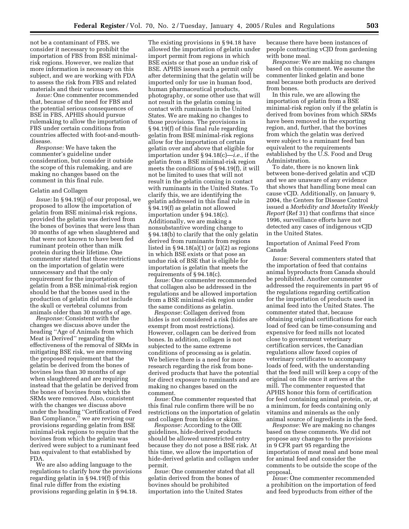not be a contaminant of FBS, we consider it necessary to prohibit the importation of FBS from BSE minimalrisk regions. However, we realize that more information is necessary on this subject, and we are working with FDA to assess the risk from FBS and related materials and their various uses.

*Issue:* One commenter recommended that, because of the need for FBS and the potential serious consequences of BSE in FBS, APHIS should pursue rulemaking to allow the importation of FBS under certain conditions from countries affected with foot-and-mouthdisease.

*Response:* We have taken the commenter's guideline under consideration, but consider it outside the scope of this rulemaking, and are making no changes based on the comment in this final rule.

# Gelatin and Collagen

*Issue:* In § 94.19(j) of our proposal, we proposed to allow the importation of gelatin from BSE minimal-risk regions, provided the gelatin was derived from the bones of bovines that were less than 30 months of age when slaughtered and that were not known to have been fed ruminant protein other than milk protein during their lifetime. One commenter stated that those restrictions on the importation of gelatin were unnecessary and that the only requirement for the importation of gelatin from a BSE minimal-risk region should be that the bones used in the production of gelatin did not include the skull or vertebral columns from animals older than 30 months of age.

*Response:* Consistent with the changes we discuss above under the heading ''Age of Animals from which Meat is Derived'' regarding the effectiveness of the removal of SRMs in mitigating BSE risk, we are removing the proposed requirement that the gelatin be derived from the bones of bovines less than 30 months of age when slaughtered and are requiring instead that the gelatin be derived from the bones of bovines from which the SRMs were removed. Also, consistent with the changes we discuss above under the heading ''Certification of Feed Ban Compliance,'' we are revising our provisions regarding gelatin from BSE minimal-risk regions to require that the bovines from which the gelatin was derived were subject to a ruminant feed ban equivalent to that established by FDA.

We are also adding language to the regulations to clarify how the provisions regarding gelatin in § 94.19(f) of this final rule differ from the existing provisions regarding gelatin in § 94.18.

The existing provisions in § 94.18 have allowed the importation of gelatin under import permit from regions in which BSE exists or that pose an undue risk of BSE. APHIS issues such a permit only after determining that the gelatin will be imported only for use in human food, human pharmaceutical products, photography, or some other use that will not result in the gelatin coming in contact with ruminants in the United States. We are making no changes to those provisions. The provisions in § 94.19(f) of this final rule regarding gelatin from BSE minimal-risk regions allow for the importation of certain gelatin over and above that eligible for importation under § 94.18(c)—*i.e.*, if the gelatin from a BSE minimal-risk region meets the conditions of § 94.19(f), it will not be limited to uses that will not result in the gelatin coming in contact with ruminants in the United States. To clarify this, we are identifying the gelatin addressed in this final rule in § 94.19(f) as gelatin not allowed importation under § 94.18(c). Additionally, we are making a nonsubstantive wording change to § 94.18(b) to clarify that the only gelatin derived from ruminants from regions listed in  $\S 94.18(a)(1)$  or  $(a)(2)$  as regions in which BSE exists or that pose an undue risk of BSE that is eligible for importation is gelatin that meets the requirements of § 94.18(c).

*Issue:* One commenter recommended that collagen also be addressed in the regulations and be allowed importation from a BSE minimal-risk region under the same conditions as gelatin.

*Response:* Collagen derived from hides is not considered a risk (hides are exempt from most restrictions). However, collagen can be derived from bones. In addition, collagen is not subjected to the same extreme conditions of processing as is gelatin. We believe there is a need for more research regarding the risk from bonederived products that have the potential for direct exposure to ruminants and are making no changes based on the comment.

*Issue:* One commenter requested that this final rule confirm there will be no restrictions on the importation of gelatin and collagen from hides or skins.

*Response:* According to the OIE guidelines, hide-derived products should be allowed unrestricted entry because they do not pose a BSE risk. At this time, we allow the importation of hide-derived gelatin and collagen under permit.

*Issue:* One commenter stated that all gelatin derived from the bones of bovines should be prohibited importation into the United States

because there have been instances of people contracting vCJD from gardening with bone meal.

*Response:* We are making no changes based on this comment. We assume the commenter linked gelatin and bone meal because both products are derived from bones.

In this rule, we are allowing the importation of gelatin from a BSE minimal-risk region only if the gelatin is derived from bovines from which SRMs have been removed in the exporting region, and, further, that the bovines from which the gelatin was derived were subject to a ruminant feed ban equivalent to the requirements established by the U.S. Food and Drug Administration.

To date, there is no known link between bone-derived gelatin and vCJD and we are unaware of any evidence that shows that handling bone meal can cause vCJD. Additionally, on January 9, 2004, the Centers for Disease Control issued a *Morbidity and Mortality Weekly Report* (Ref 31) that confirms that since 1996, surveillance efforts have not detected any cases of indigenous vCJD in the United States.

# Importation of Animal Feed From Canada

*Issue:* Several commenters stated that the importation of feed that contains animal byproducts from Canada should be prohibited. Another commenter addressed the requirements in part 95 of the regulations regarding certification for the importation of products used in animal feed into the United States. The commenter stated that, because obtaining original certifications for each load of feed can be time-consuming and expensive for feed mills not located close to government veterinary certification services, the Canadian regulations allow faxed copies of veterinary certificates to accompany loads of feed, with the understanding that the feed mill will keep a copy of the original on file once it arrives at the mill. The commenter requested that APHIS honor this form of certification for feed containing animal protein, or, at a minimum, for feeds containing only vitamins and minerals as the only animal source of ingredients in the feed.

*Response:* We are making no changes based on these comments. We did not propose any changes to the provisions in 9 CFR part 95 regarding the importation of meat meal and bone meal for animal feed and consider the comments to be outside the scope of the proposal.

*Issue:* One commenter recommended a prohibition on the importation of feed and feed byproducts from either of the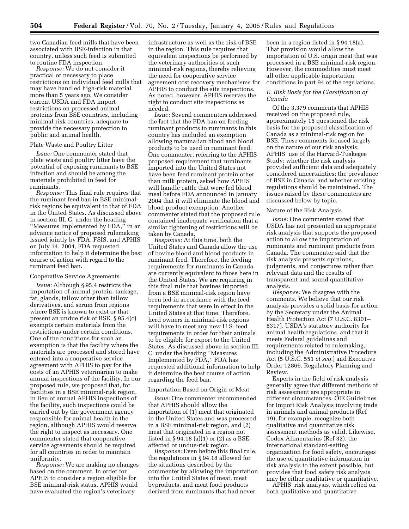two Canadian feed mills that have been associated with BSE-infection in that country, unless such feed is submitted to routine FDA inspection.

*Response:* We do not consider it practical or necessary to place restrictions on individual feed mills that may have handled high-risk material more than 5 years ago. We consider current USDA and FDA import restrictions on processed animal proteins from BSE countries, including minimal-risk countries, adequate to provide the necessary protection to public and animal health.

## Plate Waste and Poultry Litter

*Issue:* One commenter stated that plate waste and poultry litter have the potential of exposing ruminants to BSE infection and should be among the materials prohibited in feed for ruminants.

*Response:* This final rule requires that the ruminant feed ban in BSE minimalrisk regions be equivalent to that of FDA in the United States. As discussed above in section III. C. under the heading ''Measures Implemented by FDA,'' in an advance notice of proposed rulemaking issued jointly by FDA, FSIS, and APHIS on July 14, 2004, FDA requested information to help it determine the best course of action with regard to the ruminant feed ban.

#### Cooperative Service Agreements

*Issue:* Although § 95.4 restricts the importation of animal protein, tankage, fat, glands, tallow other than tallow derivatives, and serum from regions where BSE is known to exist or that present an undue risk of BSE, § 95.4(c) exempts certain materials from the restrictions under certain conditions. One of the conditions for such an exemption is that the facility where the materials are processed and stored have entered into a cooperative service agreement with APHIS to pay for the costs of an APHIS veterinarian to make annual inspections of the facility. In our proposed rule, we proposed that, for facilities in a BSE minimal-risk region, in lieu of annual APHIS inspections of the facility, such inspections could be carried out by the government agency responsible for animal health in the region, although APHIS would reserve the right to inspect as necessary. One commenter stated that cooperative service agreements should be required for all countries in order to maintain uniformity.

*Response:* We are making no changes based on the comment. In order for APHIS to consider a region eligible for BSE minimal-risk status, APHIS would have evaluated the region's veterinary

infrastructure as well as the risk of BSE in the region. This rule requires that equivalent inspections be performed by the veterinary authorities of such minimal-risk regions, thereby relieving the need for cooperative service agreement cost recovery mechanisms for APHIS to conduct the site inspections. As noted, however, APHIS reserves the right to conduct site inspections as needed.

*Issue:* Several commenters addressed the fact that the FDA ban on feeding ruminant products to ruminants in this country has included an exemption allowing mammalian blood and blood products to be used in ruminant feed. One commenter, referring to the APHIS proposed requirement that ruminants imported into the United States not have been feed ruminant protein other than milk protein, asked how APHIS will handle cattle that were fed blood meal before FDA announced in January 2004 that it will eliminate the blood and blood product exemption. Another commenter stated that the proposed rule contained inadequate verification that a similar tightening of restrictions will be taken by Canada.

*Response:* At this time, both the United States and Canada allow the use of bovine blood and blood products in ruminant feed. Therefore, the feeding requirements for ruminants in Canada are currently equivalent to those here in the United States. We are requiring in this final rule that bovines imported from a BSE minimal-risk region have been fed in accordance with the feed requirements that were in effect in the United States at that time. Therefore, herd owners in minimal-risk regions will have to meet any new U.S. feed requirements in order for their animals to be eligible for export to the United States. As discussed above in section III. C. under the heading ''Measures Implemented by FDA,'' FDA has requested additional information to help it determine the best course of action regarding the feed ban.

# Importation Based on Origin of Meat

*Issue:* One commenter recommended that APHIS should allow the importation of (1) meat that originated in the United States and was processed in a BSE minimal-risk region, and (2) meat that originated in a region not listed in § 94.18 (a)(1) or (2) as a BSEaffected or undue-risk region.

*Response:* Even before this final rule, the regulations in § 94.18 allowed for the situations described by the commenter by allowing the importation into the United States of meat, meat byproducts, and meat food products derived from ruminants that had never

been in a region listed in § 94.18(a). That provision would allow the importation of U.S. origin meat that was processed in a BSE minimal-risk region. However, the commodities must meet all other applicable importation conditions in part 94 of the regulations.

# *E. Risk Basis for the Classification of Canada*

Of the 3,379 comments that APHIS received on the proposed rule, approximately 15 questioned the risk basis for the proposed classification of Canada as a minimal-risk region for BSE. These comments focused largely on the nature of our risk analysis; APHIS' use of the Harvard-Tuskegee Study; whether the risk analysis provided sufficient data and adequately considered uncertainties; the prevalence of BSE in Canada; and whether existing regulations should be maintained. The issues raised by these commenters are discussed below by topic.

## Nature of the Risk Analysis

*Issue:* One commenter stated that USDA has not presented an appropriate risk analysis that supports the proposed action to allow the importation of ruminants and ruminant products from Canada. The commenter said that the risk analysis presents opinions, judgments, and conjectures rather than relevant data and the results of transparent and sound quantitative analysis.

*Response:* We disagree with the comments. We believe that our risk analysis provides a solid basis for action by the Secretary under the Animal Health Protection Act (7 U.S.C. 8301– 8317), USDA's statutory authority for animal health regulations, and that it meets Federal guidelines and requirements related to rulemaking, including the Administrative Procedure Act (5 U.S.C. 551 *et seq.*) and Executive Order 12866, Regulatory Planning and Review.

Experts in the field of risk analysis generally agree that different methods of risk assessment are appropriate in different circumstances. OIE Guidelines for Import Risk Analysis involving trade in animals and animal products (Ref 19), for example, recognize both qualitative and quantitative risk assessment methods as valid. Likewise, Codex Alimentarius (Ref 32), the international standard-setting organization for food safety, encourages the use of quantitative information in risk analysis to the extent possible, but provides that food safety risk analysis may be either qualitative or quantitative.

APHIS' risk analysis, which relied on both qualitative and quantitative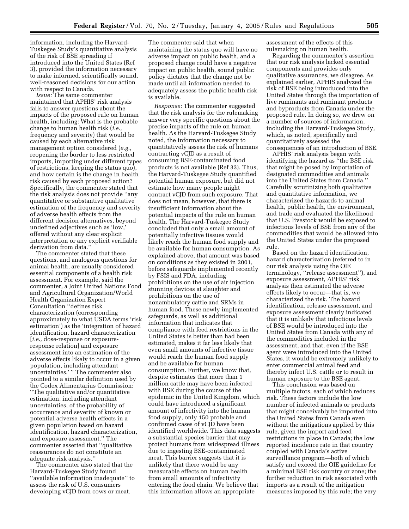information, including the Harvard-Tuskegee Study's quantitative analysis of the risk of BSE spreading if introduced into the United States (Ref 3), provided the information necessary to make informed, scientifically sound, well-reasoned decisions for our action with respect to Canada.

*Issue:* The same commenter maintained that APHIS' risk analysis fails to answer questions about the impacts of the proposed rule on human health, including: What is the probable change to human health risk (*i.e.,* frequency and severity) that would be caused by each alternative risk management option considered (*e.g.,* reopening the border to less restricted imports, importing under different types of restrictions, keeping the status quo), and how certain is the change in health risk caused by each proposed action? Specifically, the commenter stated that the risk analysis does not provide ''any quantitative or substantive qualitative estimation of the frequency and severity of adverse health effects from the different decision alternatives, beyond undefined adjectives such as 'low,' offered without any clear explicit interpretation or any explicit verifiable derivation from data.''

The commenter stated that these questions, and analogous questions for animal health, are usually considered essential components of a health risk assessment. For example, said the commenter, a Joint United Nations Food and Agricultural Organization/World Health Organization Expert Consultation ''defines risk characterization (corresponding approximately to what USDA terms 'risk estimation') as the 'integration of hazard identification, hazard characterization [*i.e.,* dose-response or exposureresponse relation] and exposure assessment into an estimation of the adverse effects likely to occur in a given population, including attendant uncertainties.' '' The commenter also pointed to a similar definition used by the Codex Alimentarius Commission: ''The qualitative and/or quantitative estimation, including attendant uncertainties, of the probability of occurrence and severity of known or potential adverse health effects in a given population based on hazard identification, hazard characterization, and exposure assessment.'' The commenter asserted that ''qualitative reassurances do not constitute an adequate risk analysis.''

The commenter also stated that the Harvard-Tuskegee Study found ''available information inadequate'' to assess the risk of U.S. consumers developing vCJD from cows or meat.

The commenter said that when maintaining the status quo will have no adverse impact on public health, and a proposed change could have a negative impact on public health, sound public policy dictates that the change not be made until all information needed to adequately assess the public health risk is available.

*Response:* The commenter suggested that the risk analysis for the rulemaking answer very specific questions about the precise impacts of the rule on human health. As the Harvard-Tuskegee Study noted, the information necessary to quantitatively assess the risk of humans contracting vCJD as a result of consuming BSE-contaminated food products is not available (Ref 33). Thus, the Harvard-Tuskegee Study quantified potential human exposure, but did not estimate how many people might contract vCJD from such exposure. That does not mean, however, that there is insufficient information about the potential impacts of the rule on human health. The Harvard-Tuskegee Study concluded that only a small amount of potentially infective tissues would likely reach the human food supply and be available for human consumption. As explained above, that amount was based on conditions as they existed in 2001, before safeguards implemented recently by FSIS and FDA, including prohibitions on the use of air injection stunning devices at slaughter and prohibitions on the use of nonambulatory cattle and SRMs in human food. These newly implemented safeguards, as well as additional information that indicates that compliance with feed restrictions in the United States is better than had been estimated, makes it far less likely that even small amounts of infective tissue would reach the human food supply and be available for human consumption. Further, we know that, despite estimates that more than 1 million cattle may have been infected with BSE during the course of the epidemic in the United Kingdom, which could have introduced a significant amount of infectivity into the human food supply, only 150 probable and confirmed cases of vCJD have been identified worldwide. This data suggests a substantial species barrier that may protect humans from widespread illness due to ingesting BSE-contaminated meat. This barrier suggests that it is unlikely that there would be any measurable effects on human health from small amounts of infectivity entering the food chain. We believe that this information allows an appropriate

assessment of the effects of this rulemaking on human health.

Regarding the commenter's assertion that our risk analysis lacked essential components and provides only qualitative assurances, we disagree. As explained earlier, APHIS analyzed the risk of BSE being introduced into the United States through the importation of live ruminants and ruminant products and byproducts from Canada under the proposed rule. In doing so, we drew on a number of sources of information, including the Harvard-Tuskegee Study, which, as noted, specifically and quantitatively assessed the consequences of an introduction of BSE.

APHIS' risk analysis began with identifying the hazard as "the BSE risk that might be posed by importation of designated commodities and animals into the United States from Canada.'' Carefully scrutinizing both qualitative and quantitative information, we characterized the hazards to animal health, public health, the environment, and trade and evaluated the likelihood that U.S. livestock would be exposed to infectious levels of BSE from any of the commodities that would be allowed into the United States under the proposed rule.

Based on the hazard identification, hazard characterization (referred to in our risk analysis using the OIE terminology, ''release assessment''), and exposure assessment, APHIS' risk analysis then estimated the adverse effects likely to occur—that is, we characterized the risk. The hazard identification, release assessment, and exposure assessment clearly indicated that it is unlikely that infectious levels of BSE would be introduced into the United States from Canada with any of the commodities included in the assessment, and that, even if the BSE agent were introduced into the United States, it would be extremely unlikely to enter commercial animal feed and thereby infect U.S. cattle or to result in human exposure to the BSE agent.

This conclusion was based on multiple factors, each of which reduces risk. These factors include the low number of infected animals or products that might conceivably be imported into the United States from Canada even without the mitigations applied by this rule, given the import and feed restrictions in place in Canada; the low reported incidence rate in that country coupled with Canada's active surveillance program—both of which satisfy and exceed the OIE guideline for a minimal BSE risk country or zone; the further reduction in risk associated with imports as a result of the mitigation measures imposed by this rule; the very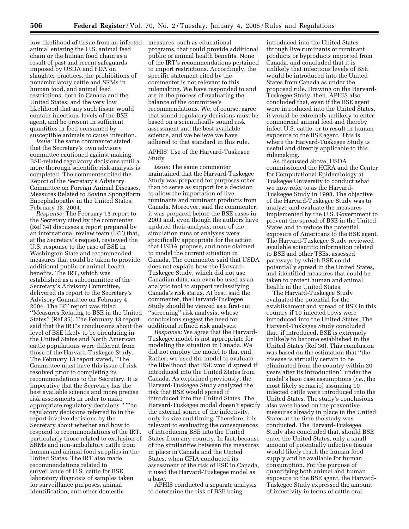low likelihood of tissue from an infected animal entering the U.S. animal feed chain or the human food chain as a result of past and recent safeguards imposed by USDA and FDA on slaughter practices, the prohibitions of nonambulatory cattle and SRMs in human food, and animal feed restrictions, both in Canada and the United States; and the very low likelihood that any such tissue would contain infectious levels of the BSE agent, and be present in sufficient quantities in feed consumed by susceptible animals to cause infection.

*Issue:* The same commenter stated that the Secretary's own advisory committee cautioned against making BSE-related regulatory decisions until a more thorough scientific risk analysis is completed. The commenter cited the Report of the Secretary's Advisory Committee on Foreign Animal Diseases, Measures Related to Bovine Spongiform Encephalopathy in the United States, February 13, 2004.

*Response:* The February 13 report to the Secretary cited by the commenter (Ref 34) discusses a report prepared by an international review team (IRT) that, at the Secretary's request, reviewed the U.S. response to the case of BSE in Washington State and recommended measures that could be taken to provide additional public or animal health benefits. The IRT, which was established as a subcommittee of the Secretary's Advisory Committee, delivered its report to the Secretary's Advisory Committee on February 4, 2004. The IRT report was titled ''Measures Relating to BSE in the United States'' (Ref 35). The February 13 report said that the IRT's conclusions about the level of BSE likely to be circulating in the United States and North American cattle populations were different from those of the Harvard-Tuskegee Study. The February 13 report stated, ''The Committee must have this issue of risk resolved prior to completing its recommendations to the Secretary. It is imperative that the Secretary has the best available science and more precise risk assessments in order to make appropriate regulatory decisions.'' The regulatory decisions referred to in the report involve decisions by the Secretary about whether and how to respond to recommendations of the IRT, particularly those related to exclusion of SRMs and non-ambulatory cattle from human and animal food supplies in the United States. The IRT also made recommendations related to surveillance of U.S. cattle for BSE, laboratory diagnosis of samples taken for surveillance purposes, animal identification, and other domestic

measures, such as educational programs, that could provide additional public or animal health benefits. None of the IRT's recommendations pertained to import restrictions. Accordingly, the specific statement cited by the commenter is not relevant to this rulemaking. We have responded to and are in the process of evaluating the balance of the committee's recommendations. We, of course, agree that sound regulatory decisions must be based on a scientifically sound risk assessment and the best available science, and we believe we have adhered to that standard in this rule.

APHIS' Use of the Harvard-Tuskegee Study

*Issue:* The same commenter maintained that the Harvard-Tuskegee Study was prepared for purposes other than to serve as support for a decision to allow the importation of live ruminants and ruminant products from Canada. Moreover, said the commenter, it was prepared before the BSE cases in 2003 and, even though the authors have updated their analysis, none of the simulation runs or analyses were specifically appropriate for the action that USDA propose, and none claimed to model the current situation in Canada. The commenter said that USDA does not explain how the Harvard-Tuskegee Study, which did not use Canadian data, can even be used as an analytic tool to support reclassifying Canada's risk status. At best, said the commenter, the Harvard-Tuskegee Study should be viewed as a first-cut ''screening'' risk analysis, whose conclusions suggest the need for additional refined risk analyses.

*Response:* We agree that the Harvard-Tuskegee model is not appropriate for modeling the situation in Canada. We did not employ the model to that end. Rather, we used the model to evaluate the likelihood that BSE would spread if introduced into the United States from Canada. As explained previously, the Harvard-Tuskegee Study analyzed the risk that BSE would spread if introduced into the United States. The Harvard-Tuskegee model doesn't specify the external source of the infectivity, only its size and timing. Therefore, it is relevant to evaluating the consequences of introducing BSE into the United States from any country. In fact, because of the similarities between the measures in place in Canada and the United States, when CFIA conducted its assessment of the risk of BSE in Canada, it used the Harvard-Tuskegee model as a base.

APHIS conducted a separate analysis to determine the risk of BSE being

introduced into the United States through live ruminants or ruminant products or byproducts imported from Canada, and concluded that it is unlikely that infectious levels of BSE would be introduced into the United States from Canada as under the proposed rule. Drawing on the Harvard-Tuskegee Study, then, APHIS also concluded that, even if the BSE agent were introduced into the United States, it would be extremely unlikely to enter commercial animal feed and thereby infect U.S. cattle, or to result in human exposure to the BSE agent. This is where the Harvard-Tuskegee Study is useful and directly applicable to this rulemaking.

As discussed above, USDA commissioned the HCRA and the Center for Computational Epidemiology at Tuskegee University to conduct what we now refer to as the Harvard-Tuskegee Study in 1998. The objective of the Harvard-Tuskegee Study was to analyze and evaluate the measures implemented by the U.S. Government to prevent the spread of BSE in the United States and to reduce the potential exposure of Americans to the BSE agent. The Harvard-Tuskegee Study reviewed available scientific information related to BSE and other TSEs, assessed pathways by which BSE could potentially spread in the United States, and identified measures that could be taken to protect human and animal health in the United States.

The Harvard-Tuskegee Study evaluated the potential for the establishment and spread of BSE in this country if 10 infected cows were introduced into the United States. The Harvard-Tuskegee Study concluded that, if introduced, BSE is extremely unlikely to become established in the United States (Ref 36). This conclusion was based on the estimation that ''the disease is virtually certain to be eliminated from the country within 20 years after its introduction'' under the model's base case assumptions (*i.e.*, the most likely scenario) assuming 10 infected cattle were introduced into the United States. The study's conclusions also were based on the preventive measures already in place in the United States at the time the study was conducted. The Harvard-Tuskegee Study also concluded that, should BSE enter the United States, only a small amount of potentially infective tissues would likely reach the human food supply and be available for human consumption. For the purpose of quantifying both animal and human exposure to the BSE agent, the Harvard-Tuskegee Study expressed the amount of infectivity in terms of cattle oral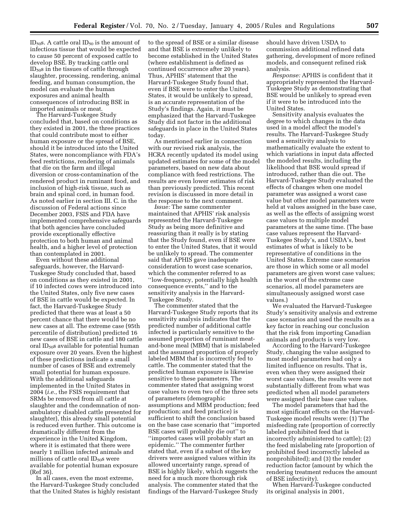ID<sub>50</sub>s. A cattle oral ID<sub>50</sub> is the amount of infectious tissue that would be expected to cause 50 percent of exposed cattle to develop BSE. By tracking cattle oral  $ID<sub>50</sub>s$  in the tissues of cattle through slaughter, processing, rendering, animal feeding, and human consumption, the model can evaluate the human exposures and animal health consequences of introducing BSE in imported animals or meat.

The Harvard-Tuskegee Study concluded that, based on conditions as they existed in 2001, the three practices that could contribute most to either human exposure or the spread of BSE, should it be introduced into the United States, were noncompliance with FDA's feed restrictions, rendering of animals that die on the farm and illegal diversion or cross-contamination of the rendered product in ruminant food, and inclusion of high-risk tissue, such as brain and spinal cord, in human food. As noted earlier in section III. C. in the discussion of Federal actions since December 2003, FSIS and FDA have implemented comprehensive safeguards that both agencies have concluded provide exceptionally effective protection to both human and animal health, and a higher level of protection than contemplated in 2001.

Even without these additional safeguards, however, the Harvard-Tuskegee Study concluded that, based on conditions as they existed in 2001, if 10 infected cows were introduced into the United States, only five new cases of BSE in cattle would be expected. In fact, the Harvard-Tuskegee Study predicted that there was at least a 50 percent chance that there would be no new cases at all. The extreme case (95th percentile of distribution) predicted 16 new cases of BSE in cattle and 180 cattle oral  $ID<sub>50</sub>$ s available for potential human exposure over 20 years. Even the highest of these predictions indicate a small number of cases of BSE and extremely small potential for human exposure. With the additional safeguards implemented in the United States in 2004 (*i.e.*, the FSIS requirement that SRMs be removed from all cattle at slaughter and the condemnation of nonambulatory disabled cattle presented for slaughter), this already small potential is reduced even further. This outcome is dramatically different from the experience in the United Kingdom, where it is estimated that there were nearly 1 million infected animals and millions of cattle oral  $ID<sub>50</sub>$ s were available for potential human exposure (Ref 36).

In all cases, even the most extreme, the Harvard-Tuskegee Study concluded that the United States is highly resistant

to the spread of BSE or a similar disease and that BSE is extremely unlikely to become established in the United States (where establishment is defined as continued occurrence after 20 years). Thus, APHIS' statement that the Harvard-Tuskegee Study found that, even if BSE were to enter the United States, it would be unlikely to spread, is an accurate representation of the Study's findings. Again, it must be emphasized that the Harvard-Tuskegee Study did not factor in the additional safeguards in place in the United States today.

As mentioned earlier in connection with our revised risk analysis, the HCRA recently updated its model using updated estimates for some of the model parameters, based on new data about compliance with feed restrictions. The results are even lower estimates of risk than previously predicted. This recent revision is discussed in more detail in the response to the next comment.

*Issue:* The same commenter maintained that APHIS' risk analysis represented the Harvard-Tuskegee Study as being more definitive and reassuring than it really is by stating that the Study found, even if BSE were to enter the United States, that it would be unlikely to spread. The commenter said that APHIS gave inadequate consideration to worst case scenarios, which the commenter referred to as ''low-frequency, potentially high health consequence events,'' and to the sensitivity analysis in the Harvard-Tuskegee Study.

The commenter stated that the Harvard-Tuskegee Study reports that its sensitivity analysis indicates that the predicted number of additional cattle infected is particularly sensitive to the assumed proportion of ruminant meatand-bone meal (MBM) that is mislabeled and the assumed proportion of properly labeled MBM that is incorrectly fed to cattle. The commenter stated that the predicted human exposure is likewise sensitive to these parameters. The commenter stated that assigning worst case values to even two of the three sets of parameters (demographic assumptions and MBM production; feed production; and feed practice) is sufficient to shift the conclusion based on the base case scenario that ''imported BSE cases will probably die out'' to ''imported cases will probably start an epidemic.'' The commenter further stated that, even if a subset of the key drivers were assigned values within its allowed uncertainty range, spread of BSE is highly likely, which suggests the need for a much more thorough risk analysis. The commenter stated that the findings of the Harvard-Tuskegee Study

should have driven USDA to commission additional refined data gathering, development of more refined models, and consequent refined risk analysis.

*Response:* APHIS is confident that it appropriately represented the Harvard-Tuskegee Study as demonstrating that BSE would be unlikely to spread even if it were to be introduced into the United States.

Sensitivity analysis evaluates the degree to which changes in the data used in a model affect the model's results. The Harvard-Tuskegee Study used a sensitivity analysis to mathematically evaluate the extent to which variations in input data affected the modeled results, including the likelihood that BSE would spread if introduced, rather than die out. The Harvard-Tuskegee Study evaluated the effects of changes when one model parameter was assigned a worst case value but other model parameters were held at values assigned in the base case, as well as the effects of assigning worst case values to multiple model parameters at the same time. (The base case values represent the Harvard-Tuskegee Study's, and USDA's, best estimates of what is likely to be representative of conditions in the United States. Extreme case scenarios are those in which some or all model parameters are given worst case values; in the worst of the extreme case scenarios, all model parameters are simultaneously assigned worst case values.)

We evaluated the Harvard-Tuskegee Study's sensitivity analysis and extreme case scenarios and used the results as a key factor in reaching our conclusion that the risk from importing Canadian animals and products is very low.

According to the Harvard-Tuskegee Study, changing the value assigned to most model parameters had only a limited influence on results. That is, even when they were assigned their worst case values, the results were not substantially different from what was predicted when all model parameters were assigned their base case values.

The model parameters that had the most significant effects on the Harvard-Tuskegee model results were: (1) The misfeeding rate (proportion of correctly labeled prohibited feed that is incorrectly administered to cattle); (2) the feed mislabeling rate (proportion of prohibited feed incorrectly labeled as nonprohibited); and (3) the render reduction factor (amount by which the rendering treatment reduces the amount of BSE infectivity).

When Harvard-Tuskegee conducted its original analysis in 2001,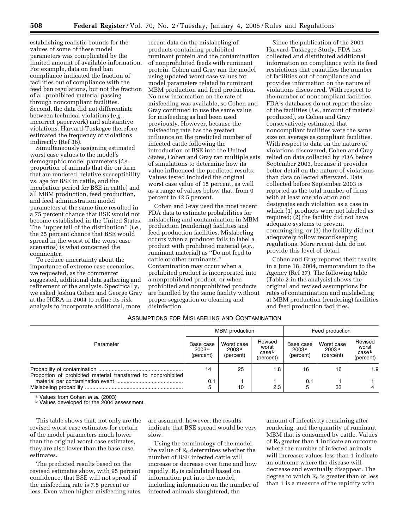establishing realistic bounds for the values of some of these model parameters was complicated by the limited amount of available information. For example, data on feed ban compliance indicated the fraction of facilities out of compliance with the feed ban regulations, but not the fraction of all prohibited material passing through noncompliant facilities. Second, the data did not differentiate between technical violations (*e.g.*, incorrect paperwork) and substantive violations. Harvard-Tuskegee therefore estimated the frequency of violations indirectly (Ref 36).

Simultaneously assigning estimated worst case values to the model's demographic model parameters (*i.e.*, proportion of animals that die on farm that are rendered, relative susceptibility vs. age for BSE in cattle, and the incubation period for BSE in cattle) and all MBM production, feed production, and feed administration model parameters at the same time resulted in a 75 percent chance that BSE would not become established in the United States. The ''upper tail of the distribution'' (*i.e.*, the 25 percent chance that BSE would spread in the worst of the worst case scenarios) is what concerned the commenter.

To reduce uncertainty about the importance of extreme case scenarios, we requested, as the commenter suggested, additional data gathering and refinement of the analysis. Specifically, we asked Joshua Cohen and George Gray at the HCRA in 2004 to refine its risk analysis to incorporate additional, more

recent data on the mislabeling of products containing prohibited ruminant protein and the contamination of nonprohibited feeds with ruminant protein. Cohen and Gray ran the model using updated worst case values for model parameters related to ruminant MBM production and feed production. No new information on the rate of misfeeding was available, so Cohen and Gray continued to use the same value for misfeeding as had been used previously. However, because the misfeeding rate has the greatest influence on the predicted number of infected cattle following the introduction of BSE into the United States, Cohen and Gray ran multiple sets of simulations to determine how its value influenced the predicted results. Values tested included the original worst case value of 15 percent, as well as a range of values below that, from 0 percent to 12.5 percent.

Cohen and Gray used the most recent FDA data to estimate probabilities for mislabeling and contamination in MBM production (rendering) facilities and feed production facilities. Mislabeling occurs when a producer fails to label a product with prohibited material (*e.g.*, ruminant material) as ''Do not feed to cattle or other ruminants.'' Contamination may occur when a prohibited product is incorporated into a nonprohibited product, or when prohibited and nonprohibited products are handled by the same facility without proper segregation or cleaning and disinfection.

Since the publication of the 2001 Harvard-Tuskegee Study, FDA has collected and distributed additional information on compliance with its feed restrictions that quantifies the number of facilities out of compliance and provides information on the nature of violations discovered. With respect to the number of noncompliant facilities, FDA's databases do not report the size of the facilities (*i.e.*, amount of material produced), so Cohen and Gray conservatively estimated that noncompliant facilities were the same size on average as compliant facilities. With respect to data on the nature of violations discovered, Cohen and Gray relied on data collected by FDA before September 2003, because it provides better detail on the nature of violations than data collected afterward. Data collected before September 2003 is reported as the total number of firms with at least one violation and designates each violation as a case in which (1) products were not labeled as required; (2) the facility did not have adequate systems to prevent commingling, or (3) the facility did not adequately follow recordkeeping regulations. More recent data do not provide this level of detail.

Cohen and Gray reported their results in a June 18, 2004, memorandum to the Agency (Ref 37). The following table (Table 2 in the analysis) shows the original and revised assumptions for rates of contamination and mislabeling at MBM production (rendering) facilities and feed production facilities.

# ASSUMPTIONS FOR MISLABELING AND CONTAMINATION

| Parameter                                                      | <b>MBM</b> production                       |                                              |                                         | Feed production                             |                                              |                                                    |
|----------------------------------------------------------------|---------------------------------------------|----------------------------------------------|-----------------------------------------|---------------------------------------------|----------------------------------------------|----------------------------------------------------|
|                                                                | Base case<br>2003 <sup>a</sup><br>(percent) | Worst case<br>2003 <sup>a</sup><br>(percent) | Revised<br>worst<br>case b<br>(percent) | Base case<br>2003 <sup>a</sup><br>(percent) | Worst case<br>2003 <sup>a</sup><br>(percent) | Revised<br>worst<br>case <sup>b</sup><br>(percent) |
| Proportion of prohibited material transferred to nonprohibited | 14                                          | 25                                           | 1.8                                     | 16                                          | 16                                           | 1.9                                                |
|                                                                | 0.1<br>5                                    | 10                                           | 2.3                                     | 0.1                                         | 33                                           |                                                    |

<sup>a</sup> Values from Cohen *et al.* (2003)<br><sup>b</sup> Values developed for the 2004 assessment.

This table shows that, not only are the revised worst case estimates for certain of the model parameters much lower than the original worst case estimates, they are also lower than the base case estimates.

The predicted results based on the revised estimates show, with 95 percent confidence, that BSE will not spread if the misfeeding rate is 7.5 percent or less. Even when higher misfeeding rates

are assumed, however, the results indicate that BSE spread would be very slow.

Using the terminology of the model, the value of  $R_0$  determines whether the number of BSE infected cattle will increase or decrease over time and how rapidly.  $R_0$  is calculated based on information put into the model, including information on the number of infected animals slaughtered, the

amount of infectivity remaining after rendering, and the quantity of ruminant MBM that is consumed by cattle. Values of  $R_0$  greater than 1 indicate an outcome where the number of infected animals will increase; values less than 1 indicate an outcome where the disease will decrease and eventually disappear. The degree to which  $R_0$  is greater than or less than 1 is a measure of the rapidity with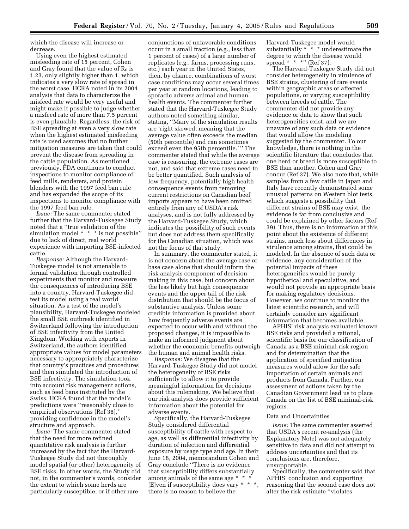which the disease will increase or decrease.

Using even the highest estimated misfeeding rate of 15 percent, Cohen and Gray found that the value of  $R_0$  is 1.23, only slightly higher than 1, which indicates a very slow rate of spread in the worst case. HCRA noted in its 2004 analysis that data to characterize the misfeed rate would be very useful and might make it possible to judge whether a misfeed rate of more than 7.5 percent is even plausible. Regardless, the risk of BSE spreading at even a very slow rate when the highest estimated misfeeding rate is used assumes that no further mitigation measures are taken that could prevent the disease from spreading in the cattle population. As mentioned previously, FDA continues to conduct inspections to monitor compliance of feed mills, renderers, and protein blenders with the 1997 feed ban rule and has expanded the scope of its inspections to monitor compliance with the 1997 feed ban rule.

*Issue:* The same commenter stated further that the Harvard-Tuskegee Study noted that a ''true validation of the simulation model \* \* \* is not possible'' due to lack of direct, real world experience with importing BSE-infected cattle.

*Response:* Although the Harvard-Tuskegee model is not amenable to formal validation through controlled experiments that monitor and measure the consequences of introducing BSE into a country, Harvard-Tuskegee did test its model using a real world situation. As a test of the model's plausibility, Harvard-Tuskegee modeled the small BSE outbreak identified in Switzerland following the introduction of BSE infectivity from the United Kingdom. Working with experts in Switzerland, the authors identified appropriate values for model parameters necessary to appropriately characterize that country's practices and procedures and then simulated the introduction of BSE infectivity. The simulation took into account risk management actions, such as feed bans instituted by the Swiss. HCRA found that the model's predictions were ''reasonably close to empirical observations (Ref 38),'' providing confidence in the model's structure and approach.

*Issue:* The same commenter stated that the need for more refined quantitative risk analysis is further increased by the fact that the Harvard-Tuskegee Study did not thoroughly model spatial (or other) heterogeneity of BSE risks. In other words, the Study did not, in the commenter's words, consider the extent to which some herds are particularly susceptible, or if other rare

conjunctions of unfavorable conditions occur in a small fraction (e.g., less than 1 percent of cases) of a large number of replicates (e.g., farms, processing runs, etc.) each year in the United States, then, by chance, combinations of worst case conditions may occur several times per year at random locations, leading to sporadic adverse animal and human health events. The commenter further stated that the Harvard-Tuskegee Study authors noted something similar, stating, ''Many of the simulation results are 'right skewed, meaning that the average value often exceeds the median (50th percentile) and can sometimes exceed even the 95th percentile.' '' The commenter stated that while the average case is reassuring, the extreme cases are not, and said that extreme cases need to be better quantified. Such analysis of low frequency, potentially high health consequence events from removing current restrictions on Canadian beef imports appears to have been omitted entirely from any of USDA's risk analyses, and is not fully addressed by the Harvard-Tuskegee Study, which indicates the possibility of such events but does not address them specifically for the Canadian situation, which was not the focus of that study.

In summary, the commenter stated, it is not concern about the average case or base case alone that should inform the risk analysis component of decision making in this case, but concern about the less likely but high consequence events and the upper tail of the risk distribution that should be the focus of substantive analysis. Unless some credible information is provided about how frequently adverse events are expected to occur with and without the proposed changes, it is impossible to make an informed judgment about whether the economic benefits outweigh the human and animal health risks.

*Response:* We disagree that the Harvard-Tuskegee Study did not model the heterogeneity of BSE risks sufficiently to allow it to provide meaningful information for decisions about this rulemaking. We believe that our risk analysis does provide sufficient information about the potential for adverse events.

Specifically, the Harvard-Tuskegee Study considered differential susceptibility of cattle with respect to age, as well as differential infectivity by duration of infection and differential exposure by usage type and age. In their June 18, 2004, memorandum Cohen and Gray conclude ''There is no evidence that susceptibility differs substantially among animals of the same age \* \* \* [E]ven if susceptibility does vary \* \* \*, there is no reason to believe the

Harvard-Tuskegee model would substantially  $* * *$  underestimate the degree to which the disease would spread \* \* \*" (Ref 37).

The Harvard-Tuskegee Study did not consider heterogeneity in virulence of BSE strains, clustering of rare events within geographic areas or affected populations, or varying susceptibility between breeds of cattle. The commenter did not provide any evidence or data to show that such heterogeneities exist, and we are unaware of any such data or evidence that would allow the modeling suggested by the commenter. To our knowledge, there is nothing in the scientific literature that concludes that one herd or breed is more susceptible to BSE than another. Cohen and Gray concur (Ref 37). We also note that, while samples from a few cattle in Japan and Italy have recently demonstrated some unusual patterns on Western blot tests, which suggests a possibility that different strains of BSE may exist, the evidence is far from conclusive and could be explained by other factors (Ref 39). Thus, there is no information at this point about the existence of different strains, much less about differences in virulence among strains, that could be modeled. In the absence of such data or evidence, any consideration of the potential impacts of these heterogeneities would be purely hypothetical and speculative, and would not provide an appropriate basis for making regulatory decisions. However, we continue to monitor the latest scientific research, and will certainly consider any significant information that becomes available.

APHIS' risk analysis evaluated known BSE risks and provided a rational, scientific basis for our classification of Canada as a BSE minimal-risk region and for determination that the application of specified mitigation measures would allow for the safe importation of certain animals and products from Canada. Further, our assessment of actions taken by the Canadian Government lead us to place Canada on the list of BSE minimal-risk regions.

### Data and Uncertainties

*Issue:* The same commenter asserted that USDA's recent re-analysis (the Explanatory Note) was not adequately sensitive to data and did not attempt to address uncertainties and that its conclusions are, therefore, unsupportable.

Specifically, the commenter said that APHIS' conclusion and supporting reasoning that the second case does not alter the risk estimate ''violates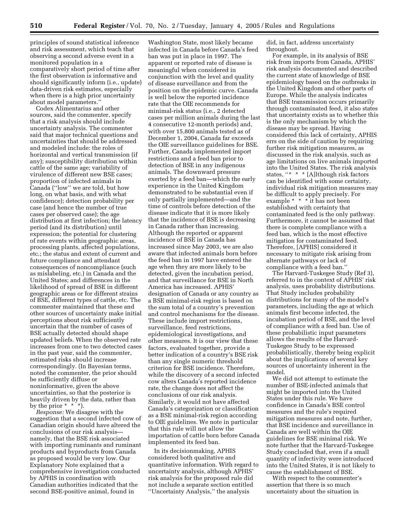principles of sound statistical inference and risk assessment, which teach that observing a second adverse event in a monitored population in a comparatively short period of time after the first observation is informative and should significantly inform (i.e., update) data-driven risk estimates, especially when there is a high prior uncertainty about model parameters.''

Codex Alimentarius and other sources, said the commenter, specify that a risk analysis should include uncertainty analysis. The commenter said that major technical questions and uncertainties that should be addressed and modeled include: the roles of horizontal and vertical transmission (if any); susceptibility distribution within cattle of the same age; variability of virulence of different new BSE cases; proportion of infected animals in Canada (''low'' we are told, but how long, on what basis, and with what confidence); detection probability per case (and hence the number of true cases per observed case); the age distribution at first infection; the latency period (and its distribution) until expression; the potential for clustering of rate events within geographic areas, processing plants, affected populations, etc.; the status and extent of current and future compliance and attendant consequences of noncompliance (such as mislabeling, etc.) in Canada and the United States; and differences in the likelihood of spread of BSE in different geographic areas or for different strains of BSE, different types of cattle, etc. The commenter maintained that these and other sources of uncertainty make initial perceptions about risk sufficiently uncertain that the number of cases of BSE actually detected should shape updated beliefs. When the observed rate increases from one to two detected cases in the past year, said the commenter, estimated risks should increase correspondingly. (In Bayesian terms, noted the commenter, the prior should be sufficiently diffuse or noninformative, given the above uncertainties, so that the posterior is heavily driven by the data, rather than by the prior  $* * *$ .

*Response:* We disagree with the suggestion that a second infected cow of Canadian origin should have altered the conclusions of our risk analysis namely, that the BSE risk associated with importing ruminants and ruminant products and byproducts from Canada as proposed would be very low. Our Explanatory Note explained that a comprehensive investigation conducted by APHIS in coordination with Canadian authorities indicated that the second BSE-positive animal, found in

Washington State, most likely became infected in Canada before Canada's feed ban was put in place in 1997. The apparent or reported rate of disease is meaningful when considered in conjunction with the level and quality of disease surveillance and from the position on the epidemic curve. Canada is well below the reported incidence rate that the OIE recommends for minimal-risk status (i.e., 2 detected cases per million animals during the last 4 consecutive 12-month periods) and, with over 15,800 animals tested as of December 1, 2004, Canada far exceeds the OIE surveillance guidelines for BSE. Further, Canada implemented import restrictions and a feed ban prior to detection of BSE in any indigenous animals. The downward pressure exerted by a feed ban—which the early experience in the United Kingdom demonstrated to be substantial even if only partially implemented—and the time of controls before detection of the disease indicate that it is more likely that the incidence of BSE is decreasing in Canada rather than increasing. Although the reported or apparent incidence of BSE in Canada has increased since May 2003, we are also aware that infected animals born before the feed ban in 1997 have entered the age when they are more likely to be detected, given the incubation period, and that surveillance for BSE in North America has increased. APHIS' designation of Canada or any country as a BSE minimal-risk region is based on the sum total of a country's prevention and control mechanisms for the disease. These include import restrictions, surveillance, feed restrictions, epidemiological investigations, and other measures. It is our view that these factors, evaluated together, provide a better indication of a country's BSE risk than any single numeric threshold criterion for BSE incidence. Therefore, while the discovery of a second infected cow alters Canada's reported incidence rate, the change does not affect the conclusions of our risk analysis. Similarly, it would not have affected Canada's categorization or classification as a BSE minimal-risk region according to OIE guidelines. We note in particular that this rule will not allow the importation of cattle born before Canada implemented its feed ban.

In its decisionmaking, APHIS considered both qualitative and quantitative information. With regard to uncertainty analysis, although APHIS' risk analysis for the proposed rule did not include a separate section entitled ''Uncertainty Analysis,'' the analysis

did, in fact, address uncertainty throughout.

For example, in its analysis of BSE risk from imports from Canada, APHIS' risk analysis documented and described the current state of knowledge of BSE epidemiology based on the outbreaks in the United Kingdom and other parts of Europe. While the analysis indicates that BSE transmission occurs primarily through contaminated feed, it also states that uncertainty exists as to whether this is the only mechanism by which the disease may be spread. Having considered this lack of certainty, APHIS errs on the side of caution by requiring further risk mitigation measures, as discussed in the risk analysis, such as age limitations on live animals imported into the United States. The risk analysis states, ''\* \* \* [A]lthough risk factors can be identified with some certainty, individual risk mitigation measures may be difficult to apply precisely. For example \* \* \* it has not been established with certainty that contaminated feed is the only pathway. Furthermore, it cannot be assumed that there is complete compliance with a feed ban, which is the most effective mitigation for contaminated feed. Therefore, [APHIS] considered it necessary to mitigate risk arising from alternate pathways or lack of compliance with a feed ban.''

The Harvard-Tuskegee Study (Ref 3), referred to in the context of APHIS' risk analysis, uses probability distributions. That Study includes probability distributions for many of the model's parameters, including the age at which animals first become infected, the incubation period of BSE, and the level of compliance with a feed ban. Use of these probabilistic input parameters allows the results of the Harvard-Tuskegee Study to be expressed probabilistically, thereby being explicit about the implications of several key sources of uncertainty inherent in the model.

We did not attempt to estimate the number of BSE-infected animals that might be imported into the United States under this rule. We have confidence in Canada's BSE control measures and the rule's required mitigation measures and note, further, that BSE incidence and surveillance in Canada are well within the OIE guidelines for BSE minimal risk. We note further that the Harvard-Tuskegee Study concluded that, even if a small quantity of infectivity were introduced into the United States, it is not likely to cause the establishment of BSE.

With respect to the commenter's assertion that there is so much uncertainty about the situation in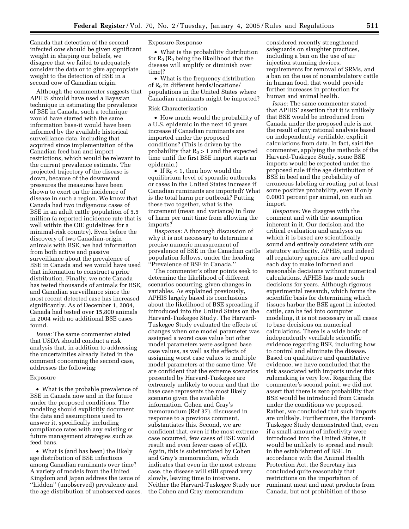Canada that detection of the second infected cow should be given significant weight in shaping our beliefs, we disagree that we failed to adequately consider the data or to give appropriate weight to the detection of BSE in a second cow of Canadian origin.

Although the commenter suggests that APHIS should have used a Bayesian technique in estimating the prevalence of BSE in Canada, such a technique would have started with the same information base-it would have been informed by the available historical surveillance data, including that acquired since implementation of the Canadian feed ban and import restrictions, which would be relevant to the current prevalence estimate. The projected trajectory of the disease is down, because of the downward pressures the measures have been shown to exert on the incidence of disease in such a region. We know that Canada had two indigenous cases of BSE in an adult cattle population of 5.5 million (a reported incidence rate that is well within the OIE guidelines for a minimal-risk country). Even before the discovery of two Canadian-origin animals with BSE, we had information from both active and passive surveillance about the prevalence of BSE in Canada and we would have used that information to construct a prior distribution. Finally, we note Canada has tested thousands of animals for BSE, and Canadian surveillance since the most recent detected case has increased significantly. As of December 1, 2004, Canada had tested over 15,800 animals in 2004 with no additional BSE cases found.

*Issue:* The same commenter stated that USDA should conduct a risk analysis that, in addition to addressing the uncertainties already listed in the comment concerning the second case, addresses the following:

#### Exposure

• What is the probable prevalence of BSE in Canada now and in the future under the proposed conditions. The modeling should explicitly document the data and assumptions used to answer it, specifically including compliance rates with any existing or future management strategies such as feed bans.

• What is (and has been) the likely age distribution of BSE infections among Canadian ruminants over time? A variety of models from the United Kingdom and Japan address the issue of ''hidden'' (unobserved) prevalence and the age distribution of unobserved cases. Exposure-Response

• What is the probability distribution for  $R_0$  ( $R_0$  being the likelihood that the disease will amplify or diminish over time)?

• What is the frequency distribution of  $R_0$  in different herds/locations/ populations in the United States where Canadian ruminants might be imported?

### Risk Characterization

• How much would the probability of a U.S. epidemic in the next 10 years increase if Canadian ruminants are imported under the proposed conditions? (This is driven by the probability that  $R_0 > 1$  and the expected time until the first BSE import starts an epidemic.)

• If  $R_0 < 1$ , then how would the equilibrium level of sporadic outbreaks or cases in the United States increase if Canadian ruminants are imported? What is the total harm per outbreak? Putting these two together, what is the increment (mean and variance) in flow of harm per unit time from allowing the imports?

*Response:* A thorough discussion of why it is not necessary to determine a precise numeric measurement of prevalence of BSE in the Canadian cattle population follows, under the heading ''Prevalence of BSE in Canada.''

The commenter's other points seek to determine the likelihood of different scenarios occurring, given changes in variables. As explained previously, APHIS largely based its conclusions about the likelihood of BSE spreading if introduced into the United States on the Harvard-Tuskegee Study. The Harvard-Tuskegee Study evaluated the effects of changes when one model parameter was assigned a worst case value but other model parameters were assigned base case values, as well as the effects of assigning worst case values to multiple model parameters at the same time. We are confident that the extreme scenarios presented by Harvard-Tuskegee are extremely unlikely to occur and that the base case represents the most likely scenario given the available information. Cohen and Gray's memorandum (Ref 37), discussed in response to a previous comment, substantiates this. Second, we are confident that, even if the most extreme case occurred, few cases of BSE would result and even fewer cases of vCJD. Again, this is substantiated by Cohen and Gray's memorandum, which indicates that even in the most extreme case, the disease will still spread very slowly, leaving time to intervene. Neither the Harvard-Tuskegee Study nor the Cohen and Gray memorandum

considered recently strengthened safeguards on slaughter practices, including a ban on the use of air injection stunning devices, requirements for removal of SRMs, and a ban on the use of nonambulatory cattle in human food, that would provide further increases in protection for human and animal health.

*Issue:* The same commenter stated that APHIS' assertion that it is unlikely that BSE would be introduced from Canada under the proposed rule is not the result of any rational analysis based on independently verifiable, explicit calculations from data. In fact, said the commenter, applying the methods of the Harvard-Tuskegee Study, some BSE imports would be expected under the proposed rule if the age distribution of BSE in beef and the probability of erroneous labeling or routing put at least some positive probability, even if only 0.0001 percent per animal, on such an import.

*Response:* We disagree with the comment and with the assumption inherent in it. Our decision and the critical evaluation and analyses on which it is based are scientifically sound and entirely consistent with our statutory authority. APHIS, and indeed all regulatory agencies, are called upon each day to make informed and reasonable decisions without numerical calculations. APHIS has made such decisions for years. Although rigorous experimental research, which forms the scientific basis for determining which tissues harbor the BSE agent in infected cattle, can be fed into computer modeling, it is not necessary in all cases to base decisions on numerical calculations. There is a wide body of independently verifiable scientific evidence regarding BSE, including how to control and eliminate the disease. Based on qualitative and quantitative evidence, we have concluded that the risk associated with imports under this rulemaking is very low. Regarding the commenter's second point, we did not assert that there is zero probability that BSE would be introduced from Canada under the conditions we proposed. Rather, we concluded that such imports are unlikely. Furthermore, the Harvard-Tuskegee Study demonstrated that, even if a small amount of infectivity were introduced into the United States, it would be unlikely to spread and result in the establishment of BSE. In accordance with the Animal Health Protection Act, the Secretary has concluded quite reasonably that restrictions on the importation of ruminant meat and meat products from Canada, but not prohibition of those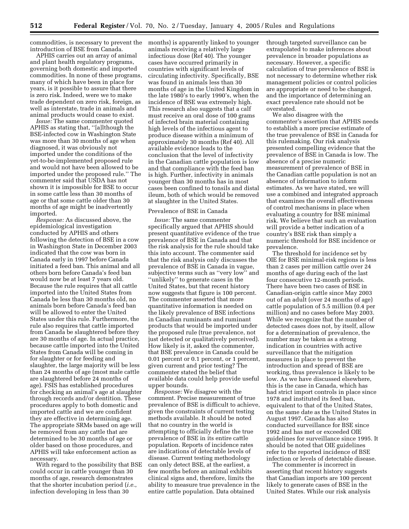introduction of BSE from Canada.

APHIS carries out an array of animal and plant health regulatory programs, governing both domestic and imported commodities. In none of these programs, many of which have been in place for years, is it possible to assure that there is zero risk. Indeed, were we to make trade dependent on zero risk, foreign, as well as interstate, trade in animals and animal products would cease to exist.

*Issue:* The same commenter quoted APHIS as stating that, ''[a]lthough the BSE-infected cow in Washington State was more than 30 months of age when diagnosed, it was obviously not imported under the conditions of the yet-to-be-implemented proposed rule and would not have been allowed to be imported under the proposed rule.'' The commenter said that USDA has not shown it is impossible for BSE to occur in some cattle less than 30 months of age or that some cattle older than 30 months of age might be inadvertently imported.

*Response:* As discussed above, the epidemiological investigation conducted by APHIS and others following the detection of BSE in a cow in Washington State in December 2003 indicated that the cow was born in Canada early in 1997 before Canada initiated a feed ban. This animal and all others born before Canada's feed ban would now be at least 7 years old. Because the rule requires that all cattle imported into the United States from Canada be less than 30 months old, no animals born before Canada's feed ban will be allowed to enter the United States under this rule. Furthermore, the rule also requires that cattle imported from Canada be slaughtered before they are 30 months of age. In actual practice, because cattle imported into the United States from Canada will be coming in for slaughter or for feeding and slaughter, the large majority will be less than 24 months of age (most male cattle are slaughtered before 24 months of age). FSIS has established procedures for checking an animal's age at slaughter through records and/or dentition. These procedures apply to both domestic and imported cattle and we are confident they are effective in determining age. The appropriate SRMs based on age will be removed from any cattle that are determined to be 30 months of age or older based on those procedures, and APHIS will take enforcement action as necessary.

With regard to the possibility that BSE could occur in cattle younger than 30 months of age, research demonstrates that the shorter incubation period (*i.e.*, infection developing in less than 30

commodities, is necessary to prevent the months) is apparently linked to younger animals receiving a relatively large infectious dose (Ref 40). The younger cases have occurred primarily in countries with significant levels of circulating infectivity. Specifically, BSE was found in animals less than 30 months of age in the United Kingdom in the late 1980's to early 1990's, when the incidence of BSE was extremely high. This research also suggests that a calf must receive an oral dose of 100 grams of infected brain material containing high levels of the infectious agent to produce disease within a minimum of approximately 30 months (Ref 40). All available evidence leads to the conclusion that the level of infectivity in the Canadian cattle population is low and that compliance with the feed ban is high. Further, infectivity in animals younger than 30 months has in most cases been confined to tonsils and distal ileum, both of which would be removed at slaughter in the United States.

# Prevalence of BSE in Canada

*Issue:* The same commenter specifically argued that APHIS should present quantitative evidence of the true prevalence of BSE in Canada and that the risk analysis for the rule should take this into account. The commenter said that the risk analysis only discusses the prevalence of BSE in Canada in vague, subjective terms such as ''very low'' and ''unlikely'' to generate cases in the United States, but that recent history now suggests that figure is 100 percent. The commenter asserted that more quantitative information is needed on the likely prevalence of BSE infections in Canadian ruminants and ruminant products that would be imported under the proposed rule (true prevalence, not just detected or qualitatively perceived). How likely is it, asked the commenter, that BSE prevalence in Canada could be 0.01 percent or 0.1 percent, or 1 percent, given current and prior testing? The commenter stated the belief that available data could help provide useful upper bounds.

*Response:* We disagree with the comment. Precise measurement of true prevalence of BSE is difficult to achieve, given the constraints of current testing methods available. It should be noted that no country in the world is attempting to officially define the true prevalence of BSE in its entire cattle population. Reports of incidence rates are indications of detectable levels of disease. Current testing methodology can only detect BSE, at the earliest, a few months before an animal exhibits clinical signs and, therefore, limits the ability to measure true prevalence in the entire cattle population. Data obtained

through targeted surveillance can be extrapolated to make inferences about prevalence in broader populations as necessary. However, a specific calculation of true prevalence of BSE is not necessary to determine whether risk management policies or control policies are appropriate or need to be changed, and the importance of determining an exact prevalence rate should not be overstated.

We also disagree with the commenter's assertion that APHIS needs to establish a more precise estimate of the true prevalence of BSE in Canada for this rulemaking. Our risk analysis presented compelling evidence that the prevalence of BSE in Canada is low. The absence of a precise numeric measurement of prevalence of BSE in the Canadian cattle population is not an absence of information to inform estimates. As we have stated, we will use a combined and integrated approach that examines the overall effectiveness of control mechanisms in place when evaluating a country for BSE minimal risk. We believe that such an evaluation will provide a better indication of a country's BSE risk than simply a numeric threshold for BSE incidence or prevalence.

The threshold for incidence set by OIE for BSE minimal-risk regions is less than 2 cases per million cattle over 24 months of age during each of the last four consecutive 12-month periods. There have been two cases of BSE in Canadian-origin cattle since May 2003 out of an adult (over 24 months of age) cattle population of 5.5 million (0.4 per million) and no cases before May 2003. While we recognize that the number of detected cases does not, by itself, allow for a determination of prevalence, the number may be taken as a strong indication in countries with active surveillance that the mitigation measures in place to prevent the introduction and spread of BSE are working, thus prevalence is likely to be low. As we have discussed elsewhere, this is the case in Canada, which has had strict import controls in place since 1978 and instituted its feed ban, equivalent to that of the United States, on the same date as the United States in August 1997. Canada has also conducted surveillance for BSE since 1992 and has met or exceeded OIE guidelines for surveillance since 1995. It should be noted that OIE guidelines refer to the reported incidence of BSE infection or levels of detectable disease.

The commenter is incorrect in asserting that recent history suggests that Canadian imports are 100 percent likely to generate cases of BSE in the United States. While our risk analysis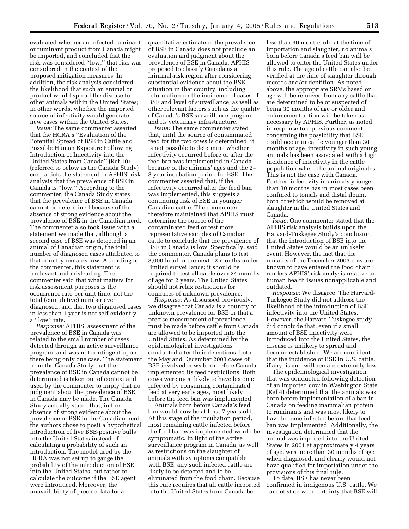evaluated whether an infected ruminant or ruminant product from Canada might be imported, and concluded that the risk was considered ''low,'' that risk was considered in the context of the proposed mitigation measures. In addition, the risk analysis considered the likelihood that such an animal or product would spread the disease to other animals within the United States; in other words, whether the imported source of infectivity would generate new cases within the United States.

*Issue:* The same commenter asserted that the HCRA's ''Evaluation of the Potential Spread of BSE in Cattle and Possible Human Exposure Following Introduction of Infectivity into the United States from Canada'' (Ref 10) (referred to below as the Canada Study) contradicts the statement in APHIS' risk analysis that the prevalence of BSE in Canada is ''low.'' According to the commenter, the Canada Study states that the prevalence of BSE in Canada cannot be determined because of the absence of strong evidence about the prevalence of BSE in the Canadian herd. The commenter also took issue with a statement we made that, although a second case of BSE was detected in an animal of Canadian origin, the total number of diagnosed cases attributed to that country remains low. According to the commenter, this statement is irrelevant and misleading. The commenter said that what matters for risk assessment purposes is the occurrence rate per unit time, not the total (cumulative) number ever diagnosed, and that two diagnosed cases in less than 1 year is not self-evidently a ''low'' rate.

*Response:* APHIS' assessment of the prevalence of BSE in Canada was related to the small number of cases detected through an active surveillance program, and was not contingent upon there being only one case. The statement from the Canada Study that the prevalence of BSE in Canada cannot be determined is taken out of context and used by the commenter to imply that no judgment about the prevalence of BSE in Canada may be made. The Canada Study actually stated that, in the absence of strong evidence about the prevalence of BSE in the Canadian herd, the authors chose to posit a hypothetical introduction of five BSE-positive bulls into the United States instead of calculating a probability of such an introduction. The model used by the HCRA was not set up to gauge the probability of the introduction of BSE into the United States, but rather to calculate the outcome if the BSE agent were introduced. Moreover, the unavailability of precise data for a

quantitative estimate of the prevalence of BSE in Canada does not preclude an evaluation and judgment about the prevalence of BSE in Canada. APHIS proposed to classify Canada as a minimal-risk region after considering substantial evidence about the BSE situation in that country, including information on the incidence of cases of BSE and level of surveillance, as well as other relevant factors such as the quality of Canada's BSE surveillance program and its veterinary infrastructure.

*Issue:* The same commenter stated that, until the source of contaminated feed for the two cows is determined, it is not possible to determine whether infectivity occurred before or after the feed ban was implemented in Canada because of the animals' ages and the 2– 8 year incubation period for BSE. The commenter asserted that, if the infectivity occurred after the feed ban was implemented, this suggests a continuing risk of BSE in younger Canadian cattle. The commenter therefore maintained that APHIS must determine the source of the contaminated feed or test more representative samples of Canadian cattle to conclude that the prevalence of BSE in Canada is low. Specifically, said the commenter, Canada plans to test 8,000 head in the next 12 months under limited surveillance; it should be required to test all cattle over 24 months of age for 2 years. The United States should not relax restrictions for countries of unknown prevalence.

*Response:* As discussed previously, we disagree that Canada is a country of unknown prevalence for BSE or that a precise measurement of prevalence must be made before cattle from Canada are allowed to be imported into the United States. As determined by the epidemiological investigations conducted after their detections, both the May and December 2003 cases of BSE involved cows born before Canada implemented its feed restrictions. Both cows were most likely to have become infected by consuming contaminated feed at very early ages, most likely before the feed ban was implemented.

Animals born before Canada's feed ban would now be at least 7 years old. At this stage of the incubation period, most remaining cattle infected before the feed ban was implemented would be symptomatic. In light of the active surveillance program in Canada, as well as restrictions on the slaughter of animals with symptoms compatible with BSE, any such infected cattle are likely to be detected and to be eliminated from the food chain. Because this rule requires that all cattle imported into the United States from Canada be

less than 30 months old at the time of importation and slaughter, no animals born before Canada's feed ban will be allowed to enter the United States under this rule. The age of cattle can also be verified at the time of slaughter through records and/or dentition. As noted above, the appropriate SRMs based on age will be removed from any cattle that are determined to be or suspected of being 30 months of age or older and enforcement action will be taken as necessary by APHIS. Further, as noted in response to a previous comment concerning the possibility that BSE could occur in cattle younger than 30 months of age, infectivity in such young animals has been associated with a high incidence of infectivity in the cattle population where the animal originates. This is not the case with Canada. Further, infectivity in animals younger than 30 months has in most cases been confined to tonsils and distal ileum, both of which would be removed at slaughter in the United States and Canada.

*Issue:* One commenter stated that the APHIS risk analysis builds upon the Harvard-Tuskegee Study's conclusion that the introduction of BSE into the United States would be an unlikely event. However, the fact that the remains of the December 2003 cow are known to have entered the food chain renders APHIS' risk analysis relative to human health issues nonapplicable and outdated.

*Response:* We disagree. The Harvard-Tuskegee Study did not address the likelihood of the introduction of BSE infectivity into the United States. However, the Harvard-Tuskegee study did conclude that, even if a small amount of BSE infectivity were introduced into the United States, the disease is unlikely to spread and become established. We are confident that the incidence of BSE in U.S. cattle, if any, is and will remain extremely low.

The epidemiological investigation that was conducted following detection of an imported cow in Washington State (Ref 4) determined that the animals was born before implementation of a ban in Canada on feeding mammalian protein to ruminants and was most likely to have become infected before that feed ban was implemented. Additionally, the investigation determined that the animal was imported into the United States in 2001 at approximately 4 years of age, was more than 30 months of age when diagnosed, and clearly would not have qualified for importation under the provisions of this final rule.

To date, BSE has never been confirmed in indigenous U.S. cattle. We cannot state with certainty that BSE will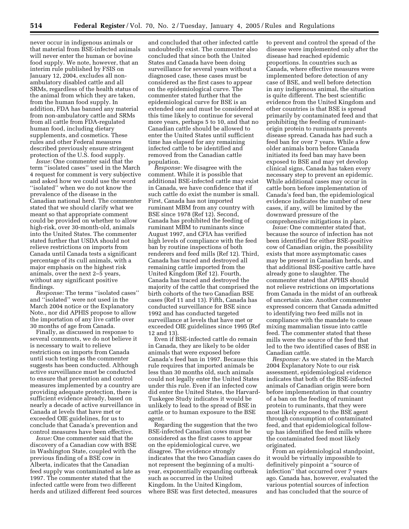never occur in indigenous animals or that material from BSE-infected animals will never enter the human or bovine food supply. We note, however, that an interim rule published by FSIS on January 12, 2004, excludes all nonambulatory disabled cattle and all SRMs, regardless of the health status of the animal from which they are taken, from the human food supply. In addition, FDA has banned any material from non-ambulatory cattle and SRMs from all cattle from FDA-regulated human food, including dietary supplements, and cosmetics. These rules and other Federal measures described previously ensure stringent protection of the U.S. food supply.

*Issue:* One commenter said that the term ''isolated cases'' used in the March 4 request for comment is very subjective and asked how we could use the word ''isolated'' when we do not know the prevalence of the disease in the Canadian national herd. The commenter stated that we should clarify what we meant so that appropriate comment could be provided on whether to allow high-risk, over 30-month-old, animals into the United States. The commenter stated further that USDA should not relieve restrictions on imports from Canada until Canada tests a significant percentage of its cull animals, with a major emphasis on the highest risk animals, over the next 2–5 years, without any significant positive findings.

*Response:* The terms ''isolated cases'' and ''isolated'' were not used in the March 2004 notice or the Explanatory Note., nor did APHIS propose to allow the importation of any live cattle over 30 months of age from Canada.

Finally, as discussed in response to several comments, we do not believe it is necessary to wait to relieve restrictions on imports from Canada until such testing as the commenter suggests has been conducted. Although active surveillance must be conducted to ensure that prevention and control measures implemented by a country are providing adequate protection, there is sufficient evidence already, based on nearly a decade of active surveillance in Canada at levels that have met or exceeded OIE guidelines, for us to conclude that Canada's prevention and control measures have been effective.

*Issue:* One commenter said that the discovery of a Canadian cow with BSE in Washington State, coupled with the previous finding of a BSE cow in Alberta, indicates that the Canadian feed supply was contaminated as late as 1997. The commenter stated that the infected cattle were from two different herds and utilized different feed sources

and concluded that other infected cattle undoubtedly exist. The commenter also concluded that since both the United States and Canada have been doing surveillance for several years without a diagnosed case, these cases must be considered as the first cases to appear on the epidemiological curve. The commenter stated further that the epidemiological curve for BSE is an extended one and must be considered at this time likely to continue for several more years, perhaps 5 to 10, and that no Canadian cattle should be allowed to enter the United States until sufficient time has elapsed for any remaining infected cattle to be identified and removed from the Canadian cattle population.

*Response:* We disagree with the comment. While it is possible that additional BSE-infected cattle may exist in Canada, we have confidence that if such cattle do exist the number is small. First, Canada has not imported ruminant MBM from any country with BSE since 1978 (Ref 12). Second, Canada has prohibited the feeding of ruminant MBM to ruminants since August 1997, and CFIA has verified high levels of compliance with the feed ban by routine inspections of both renderers and feed mills (Ref 12). Third, Canada has traced and destroyed all remaining cattle imported from the United Kingdom (Ref 12). Fourth, Canada has traced and destroyed the majority of the cattle that comprised the birth cohorts of the two Canadian BSE cases (Ref 11 and 13). Fifth, Canada has conducted surveillance for BSE since 1992 and has conducted targeted surveillance at levels that have met or exceeded OIE guidelines since 1995 (Ref 12 and 13).

Even if BSE-infected cattle do remain in Canada, they are likely to be older animals that were exposed before Canada's feed ban in 1997. Because this rule requires that imported animals be less than 30 months old, such animals could not legally enter the United States under this rule. Even if an infected cow did enter the United States, the Harvard-Tuskegee Study indicates it would be unlikely to lead to the spread of BSE in cattle or to human exposure to the BSE agent.

Regarding the suggestion that the two BSE-infected Canadian cows must be considered as the first cases to appear on the epidemiological curve, we disagree. The evidence strongly indicates that the two Canadian cases do not represent the beginning of a multiyear, exponentially expanding outbreak such as occurred in the United Kingdom. In the United Kingdom, where BSE was first detected, measures

to prevent and control the spread of the disease were implemented only after the disease had reached epidemic proportions. In countries such as Canada, where effective measures were implemented before detection of any case of BSE, and well before detection in any indigenous animal, the situation is quite different. The best scientific evidence from the United Kingdom and other countries is that BSE is spread primarily by contaminated feed and that prohibiting the feeding of ruminantorigin protein to ruminants prevents disease spread. Canada has had such a feed ban for over 7 years. While a few older animals born before Canada initiated its feed ban may have been exposed to BSE and may yet develop clinical signs, Canada has taken every necessary step to prevent an epidemic. While additional cases may occur in cattle born before implementation of Canada's feed ban, the epidemiological evidence indicates the number of new cases, if any, will be limited by the downward pressure of the comprehensive mitigations in place.

*Issue:* One commenter stated that, because the source of infection has not been identified for either BSE-positive cow of Canadian origin, the possibility exists that more asymptomatic cases may be present in Canadian herds, and that additional BSE-positive cattle have already gone to slaughter. The commenter stated that APHIS should not relieve restrictions on importations from Canada in the midst of an outbreak of uncertain size. Another commenter expressed concern that Canada admitted to identifying two feed mills not in compliance with the mandate to cease mixing mammalian tissue into cattle feed. The commenter stated that these mills were the source of the feed that led to the two identified cases of BSE in Canadian cattle.

*Response:* As we stated in the March 2004 Explanatory Note to our risk assessment, epidemiological evidence indicates that both of the BSE-infected animals of Canadian origin were born before implementation in that country of a ban on the feeding of ruminant protein to ruminants, that they were most likely exposed to the BSE agent through consumption of contaminated feed, and that epidemiological followup has identified the feed mills where the contaminated feed most likely originated.

From an epidemiological standpoint, it would be virtually impossible to definitively pinpoint a ''source of infection'' that occurred over 7 years ago. Canada has, however, evaluated the various potential sources of infection and has concluded that the source of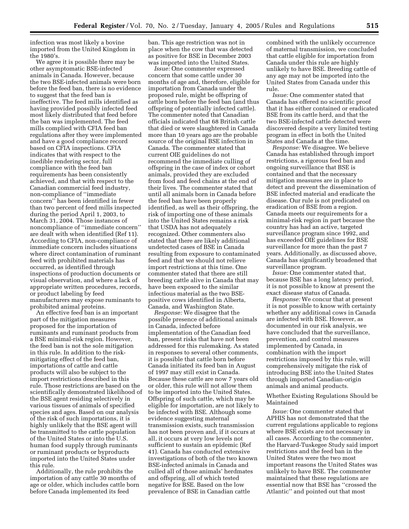infection was most likely a bovine imported from the United Kingdom in the 1980's.

We agree it is possible there may be other asymptomatic BSE-infected animals in Canada. However, because the two BSE-infected animals were born before the feed ban, there is no evidence to suggest that the feed ban is ineffective. The feed mills identified as having provided possibly infected feed most likely distributed that feed before the ban was implemented. The feed mills complied with CFIA feed ban regulations after they were implemented and have a good compliance record based on CFIA inspections. CFIA indicates that with respect to the inedible rendering sector, full compliance with the feed ban requirements has been consistently achieved, and that with respect to the Canadian commercial feed industry, non-compliance of ''immediate concern'' has been identified in fewer than two percent of feed mills inspected during the period April 1, 2003, to March 31, 2004. Those instances of noncompliance of ''immediate concern'' are dealt with when identified (Ref 11). According to CFIA, non-compliance of immediate concern includes situations where direct contamination of ruminant feed with prohibited materials has occurred, as identified through inspections of production documents or visual observation, and where a lack of appropriate written procedures, records, or product labeling by feed manufacturers may expose ruminants to prohibited animal proteins.

An effective feed ban is an important part of the mitigation measures proposed for the importation of ruminants and ruminant products from a BSE minimal-risk region. However, the feed ban is not the sole mitigation in this rule. In addition to the riskmitigating effect of the feed ban, importations of cattle and cattle products will also be subject to the import restrictions described in this rule. Those restrictions are based on the scientifically demonstrated likelihood of the BSE agent residing selectively in various tissues of animals of specified species and ages. Based on our analysis of the risk of such importations, it is highly unlikely that the BSE agent will be transmitted to the cattle population of the United States or into the U.S. human food supply through ruminants or ruminant products or byproducts imported into the United States under this rule.

Additionally, the rule prohibits the importation of any cattle 30 months of age or older, which includes cattle born before Canada implemented its feed

ban. This age restriction was not in place when the cow that was detected as positive for BSE in December 2003 was imported into the United States.

*Issue:* One commenter expressed concern that some cattle under 30 months of age and, therefore, eligible for importation from Canada under the proposed rule, might be offspring of cattle born before the feed ban (and thus offspring of potentially infected cattle). The commenter noted that Canadian officials indicated that 68 British cattle that died or were slaughtered in Canada more than 10 years ago are the probable source of the original BSE infection in Canada. The commenter stated that current OIE guidelines do not recommend the immediate culling of offspring in the case of index or cohort animals, provided they are excluded from food and feed chains at the end of their lives. The commenter stated that until all animals born in Canada before the feed ban have been properly identified, as well as their offspring, the risk of importing one of these animals into the United States remains a risk that USDA has not adequately recognized. Other commenters also stated that there are likely additional undetected cases of BSE in Canada resulting from exposure to contaminated feed and that we should not relieve import restrictions at this time. One commenter stated that there are still breeding cattle alive in Canada that may have been exposed to the similar infectious material as the two BSEpositive cows identified in Alberta, Canada, and Washington State.

*Response:* We disagree that the possible presence of additional animals in Canada, infected before implementation of the Canadian feed ban, present risks that have not been addressed for this rulemaking. As stated in responses to several other comments, it is possible that cattle born before Canada initiated its feed ban in August of 1997 may still exist in Canada. Because these cattle are now 7 years old or older, this rule will not allow them to be imported into the United States. Offspring of such cattle, which may be eligible for importation, are not likely to be infected with BSE. Although some evidence suggesting maternal transmission exists, such transmission has not been proven and, if it occurs at all, it occurs at very low levels not sufficient to sustain an epidemic (Ref 41). Canada has conducted extensive investigations of both of the two known BSE-infected animals in Canada and culled all of those animals' herdmates and offspring, all of which tested negative for BSE. Based on the low prevalence of BSE in Canadian cattle

combined with the unlikely occurrence of maternal transmission, we concluded that cattle eligible for importation from Canada under this rule are highly unlikely to have BSE. Breeding cattle of any age may not be imported into the United States from Canada under this rule.

*Issue:* One commenter stated that Canada has offered no scientific proof that it has either contained or eradicated BSE from its cattle herd, and that the two BSE-infected cattle detected were discovered despite a very limited testing program in effect in both the United States and Canada at the time.

*Response:* We disagree. We believe Canada has established through import restrictions, a rigorous feed ban and ongoing surveillance that BSE is contained and that the necessary mitigation measures are in place to detect and prevent the dissemination of BSE infected material and eradicate the disease. Our rule is not predicated on eradication of BSE from a region. Canada meets our requirements for a minimal-risk region in part because the country has had an active, targeted surveillance program since 1992, and has exceeded OIE guidelines for BSE surveillance for more than the past 7 years. Additionally, as discussed above, Canada has significantly broadened that surveillance program.

*Issue:* One commenter stated that, because BSE has a long latency period, it is not possible to know at present the exact disease status of Canada.

*Response:* We concur that at present it is not possible to know with certainty whether any additional cows in Canada are infected with BSE. However, as documented in our risk analysis, we have concluded that the surveillance, prevention, and control measures implemented by Canada, in combination with the import restrictions imposed by this rule, will comprehensively mitigate the risk of introducing BSE into the United States through imported Canadian-origin animals and animal products.

Whether Existing Regulations Should be Maintained

*Issue:* One commenter stated that APHIS has not demonstrated that the current regulations applicable to regions where BSE exists are not necessary in all cases. According to the commenter, the Harvard-Tuskegee Study said import restrictions and the feed ban in the United States were the two most important reasons the United States was unlikely to have BSE. The commenter maintained that these regulations are essential now that BSE has ''crossed the Atlantic'' and pointed out that most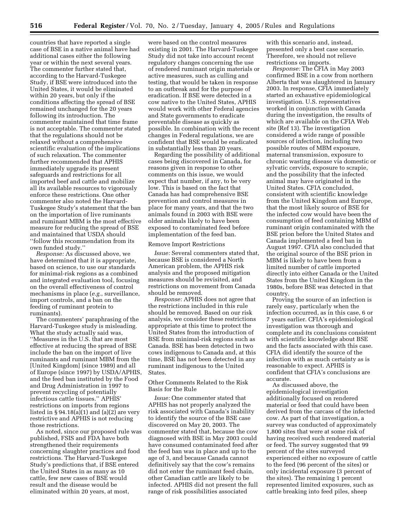countries that have reported a single case of BSE in a native animal have had additional cases either the following year or within the next several years. The commenter further stated that, according to the Harvard-Tuskegee Study, if BSE were introduced into the United States, it would be eliminated within 20 years, but only if the conditions affecting the spread of BSE remained unchanged for the 20 years following its introduction. The commenter maintained that time frame is not acceptable. The commenter stated that the regulations should not be relaxed without a comprehensive scientific evaluation of the implications of such relaxation. The commenter further recommended that APHIS immediately upgrade its present safeguards and restrictions for all imported beef and cattle and mobilize all its available resources to vigorously enforce these restrictions. One other commenter also noted the Harvard-Tuskegee Study's statement that the ban on the importation of live ruminants and ruminant MBM is the most effective measure for reducing the spread of BSE and maintained that USDA should ''follow this recommendation from its own funded study.''

*Response:* As discussed above, we have determined that it is appropriate, based on science, to use our standards for minimal-risk regions as a combined and integrated evaluation tool, focusing on the overall effectiveness of control mechanisms in place (*e.g.*, surveillance, import controls, and a ban on the feeding of ruminant protein to ruminants).

The commenters' paraphrasing of the Harvard-Tuskegee study is misleading. What the study actually said was, ''Measures in the U.S. that are most effective at reducing the spread of BSE include the ban on the import of live ruminants and ruminant MBM from the [United Kingdom] (since 1989) and all of Europe (since 1997) by USDA/APHIS, and the feed ban instituted by the Food and Drug Administration in 1997 to prevent recycling of potentially infectious cattle tissues.'' APHIS' restrictions on imports from regions listed in § 94.18(a)(1) and (a)(2) are very restrictive and APHIS is not reducing those restrictions.

As noted, since our proposed rule was published, FSIS and FDA have both strengthened their requirements concerning slaughter practices and food restrictions. The Harvard-Tuskegee Study's predictions that, if BSE entered the United States in as many as 10 cattle, few new cases of BSE would result and the disease would be eliminated within 20 years, at most,

were based on the control measures existing in 2001. The Harvard-Tuskegee Study did not take into account recent regulatory changes concerning the use of rendered ruminant origin materials or active measures, such as culling and testing, that would be taken in response to an outbreak and for the purpose of eradication. If BSE were detected in a cow native to the United States, APHIS would work with other Federal agencies and State governments to eradicate preventable disease as quickly as possible. In combination with the recent changes in Federal regulations, we are confident that BSE would be eradicated in substantially less than 20 years.

Regarding the possibility of additional cases being discovered in Canada, for reasons given in response to other comments on this issue, we would expect that number, if any, to be very low. This is based on the fact that Canada has had comprehensive BSE prevention and control measures in place for many years, and that the two animals found in 2003 with BSE were older animals likely to have been exposed to contaminated feed before implementation of the feed ban.

#### Remove Import Restrictions

*Issue:* Several commenters stated that, because BSE is considered a North American problem, the APHIS risk analysis and the proposed mitigation measures should be revisited, and restrictions on movement from Canada should be removed.

*Response:* APHIS does not agree that the restrictions included in this rule should be removed. Based on our risk analysis, we consider these restrictions appropriate at this time to protect the United States from the introduction of BSE from minimal-risk regions such as Canada. BSE has been detected in two cows indigenous to Canada and, at this time, BSE has not been detected in any ruminant indigenous to the United States.

Other Comments Related to the Risk Basis for the Rule

*Issue:* One commenter stated that APHIS has not properly analyzed the risk associated with Canada's inability to identify the source of the BSE case discovered on May 20, 2003. The commenter stated that, because the cow diagnosed with BSE in May 2003 could have consumed contaminated feed after the feed ban was in place and up to the age of 3, and because Canada cannot definitively say that the cow's remains did not enter the ruminant feed chain, other Canadian cattle are likely to be infected. APHIS did not present the full range of risk possibilities associated

with this scenario and, instead presented only a best case scenario. Therefore, we should not relieve restrictions on imports.

*Response:* The CFIA in May 2003 confirmed BSE in a cow from northern Alberta that was slaughtered in January 2003. In response, CFIA immediately started an exhaustive epidemiological investigation. U.S. representatives worked in conjunction with Canada during the investigation, the results of which are available on the CFIA Web site (Ref 13). The investigation considered a wide range of possible sources of infection, including two possible routes of MBM exposure, maternal transmission, exposure to chronic wasting disease via domestic or sylvatic cervids, exposure to scrapie, and the possibility that the infected animal may have originated in the United States. CFIA concluded, consistent with scientific knowledge from the United Kingdom and Europe, that the most likely source of BSE for the infected cow would have been the consumption of feed containing MBM of ruminant origin contaminated with the BSE prion before the United States and Canada implemented a feed ban in August 1997. CFIA also concluded that the original source of the BSE prion in MBM is likely to have been from a limited number of cattle imported directly into either Canada or the United States from the United Kingdom in the 1980s, before BSE was detected in that country.

Proving the source of an infection is rarely easy, particularly when the infection occurred, as in this case, 6 or 7 years earlier. CFIA's epidemiological investigation was thorough and complete and its conclusions consistent with scientific knowledge about BSE and the facts associated with this case. CFIA did identify the source of the infection with as much certainty as is reasonable to expect. APHIS is confident that CFIA's conclusions are accurate.

As discussed above, the epidemiological investigation additionally focused on rendered material or feed that could have been derived from the carcass of the infected cow. As part of that investigation, a survey was conducted of approximately 1,800 sites that were at some risk of having received such rendered material or feed. The survey suggested that 99 percent of the sites surveyed experienced either no exposure of cattle to the feed (96 percent of the sites) or only incidental exposure (3 percent of the sites). The remaining 1 percent represented limited exposures, such as cattle breaking into feed piles, sheep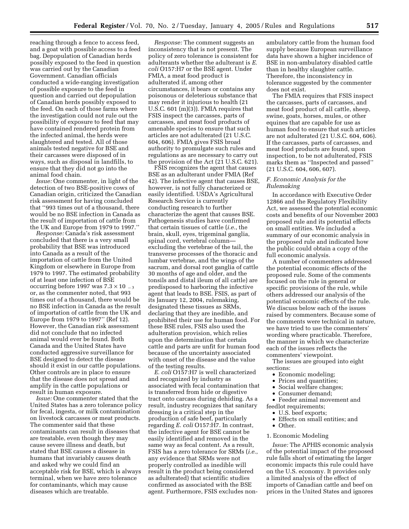reaching through a fence to access feed, and a goat with possible access to a feed bag. Depopulation of Canadian herds possibly exposed to the feed in question was carried out by the Canadian Government. Canadian officials conducted a wide-ranging investigation of possible exposure to the feed in question and carried out depopulation of Canadian herds possibly exposed to the feed. On each of those farms where the investigation could not rule out the possibility of exposure to feed that may have contained rendered protein from the infected animal, the herds were slaughtered and tested. All of those animals tested negative for BSE and their carcasses were disposed of in ways, such as disposal in landfills, to ensure that they did not go into the animal food chain.

*Issue:* One commenter, in light of the detection of two BSE-positive cows of Canadian origin, criticized the Canadian risk assessment for having concluded that ''993 times out of a thousand, there would be no BSE infection in Canada as the result of importation of cattle from the UK and Europe from 1979 to 1997.''

*Response:* Canada's risk assessment concluded that there is a very small probability that BSE was introduced into Canada as a result of the importation of cattle from the United Kingdom or elsewhere in Europe from 1979 to 1997. The estimated probability of at least one infection of BSE occurring before 1997 was  $7.3 \times 10^{-3}$ or, as the commenter noted, that 993 times out of a thousand, there would be no BSE infection in Canada as the result of importation of cattle from the UK and Europe from 1979 to 1997'' (Ref 12). However, the Canadian risk assessment did not conclude that no infected animal would ever be found. Both Canada and the United States have conducted aggressive surveillance for BSE designed to detect the disease should it exist in our cattle populations. Other controls are in place to ensure that the disease does not spread and amplify in the cattle populations or result in human exposure.

*Issue:* One commenter stated that the United States has a zero tolerance policy for fecal, ingesta, or milk contamination on livestock carcasses or meat products. The commenter said that these contaminants can result in diseases that are treatable, even though they may cause severe illness and death, but stated that BSE causes a disease in humans that invariably causes death and asked why we could find an acceptable risk for BSE, which is always terminal, when we have zero tolerance for contaminants, which may cause diseases which are treatable.

*Response:* The comment suggests an inconsistency that is not present. The policy of zero tolerance is consistent for adulterants whether the adulterant is *E. coli* O157:H7 or the BSE agent. Under FMIA, a meat food product is adulterated if, among other circumstances, it bears or contains any poisonous or deleterious substance that may render it injurious to health (21 U.S.C. 601 (m)(3)). FMIA requires that FSIS inspect the carcasses, parts of carcasses, and meat food products of amenable species to ensure that such articles are not adulterated (21 U.S.C. 604, 606). FMIA gives FSIS broad authority to promulgate such rules and regulations as are necessary to carry out the provision of the Act (21 U.S.C. 621).

FSIS recognizes the agent that causes BSE as an adulterant under FMIA (Ref 42). The infective agent that causes BSE, however, is not fully characterized or easily identified. USDA's Agricultural Research Service is currently conducting research to further characterize the agent that causes BSE. Pathogenesis studies have confirmed that certain tissues of cattle (*i.e.*, the brain, skull, eyes, trigeminal ganglia, spinal cord, vertebral column excluding the vertebrae of the tail, the transverse processes of the thoracic and lumbar vertebrae, and the wings of the sacrum, and dorsal root ganglia of cattle 30 months of age and older, and the tonsils and distal ileum of all cattle) are predisposed to harboring the infective agent that leads to BSE. FSIS, as part of its January 12, 2004, rulemaking, designated these tissues as SRMs, declaring that they are inedible, and prohibited their use for human food. For these BSE rules, FSIS also used the adulteration provision, which relies upon the determination that certain cattle and parts are unfit for human food because of the uncertainty associated with onset of the disease and the value of the testing results.

*E. coli* O157:H7 is well characterized and recognized by industry as associated with fecal contamination that is transferred from hide or digestive tract onto carcass during dehiding. As a result, industry recognizes that sanitary dressing is a critical step in the production of safe beef, particularly regarding *E. coli* O157:H7. In contrast, the infective agent for BSE cannot be easily identified and removed in the same way as fecal content. As a result, FSIS has a zero tolerance for SRMs (*i.e.*, any evidence that SRMs were not properly controlled as inedible will result in the product being considered as adulterated) that scientific studies confirmed as associated with the BSE agent. Furthermore, FSIS excludes nonambulatory cattle from the human food supply because European surveillance data have shown a higher incidence of BSE in non-ambulatory disabled cattle than in healthy slaughter cattle. Therefore, the inconsistency in tolerance suggested by the commenter does not exist.

The FMIA requires that FSIS inspect the carcasses, parts of carcasses, and meat food product of all cattle, sheep, swine, goats, horses, mules, or other equines that are capable for use as human food to ensure that such articles are not adulterated (21 U.S.C. 604, 606). If the carcasses, parts of carcasses, and meat food products are found, upon inspection, to be not adulterated, FSIS marks them as ''Inspected and passed'' (21 U.S.C. 604, 606, 607).

# *F. Economic Analysis for the Rulemaking*

In accordance with Executive Order 12866 and the Regulatory Flexibility Act, we assessed the potential economic costs and benefits of our November 2003 proposed rule and its potential effects on small entities. We included a summary of our economic analysis in the proposed rule and indicated how the public could obtain a copy of the full economic analysis.

A number of commenters addressed the potential economic effects of the proposed rule. Some of the comments focused on the rule in general or specific provisions of the rule, while others addressed our analysis of the potential economic effects of the rule. We discuss below each of the issues raised by commenters. Because some of the comments were technical in nature, we have tried to use the commenters' wording where practicable. Therefore, the manner in which we characterize each of the issues reflects the commenters' viewpoint.

The issues are grouped into eight sections:

- Economic modeling;<br>• Prices and quantities
- Prices and quantities;
- Social welfare changes;
- Consumer demand;

• Feeder animal movement and feedlot requirements;

- U.S. beef exports;
- Effects on small entities; and
- Other.

## 1. Economic Modeling

*Issue:* The APHIS economic analysis of the potential impact of the proposed rule falls short of estimating the larger economic impacts this rule could have on the U.S. economy. It provides only a limited analysis of the effect of imports of Canadian cattle and beef on prices in the United States and ignores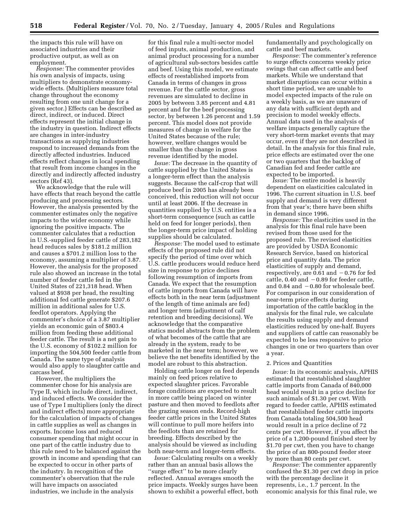the impacts this rule will have on associated industries and their productive output, as well as on employment.

*Response:* The commenter provides his own analysis of impacts, using multipliers to demonstrate economywide effects. (Multipliers measure total change throughout the economy resulting from one unit change for a given sector.) Effects can be described as direct, indirect, or induced. Direct effects represent the initial change in the industry in question. Indirect effects are changes in inter-industry transactions as supplying industries respond to increased demands from the directly affected industries. Induced effects reflect changes in local spending that result from income changes in the directly and indirectly affected industry sectors (Ref 43).

We acknowledge that the rule will have effects that reach beyond the cattle producing and processing sectors. However, the analysis presented by the commenter estimates only the negative impacts to the wider economy while ignoring the positive impacts. The commenter calculates that a reduction in U.S.-supplied feeder cattle of 283,182 head reduces sales by \$181.2 million and causes a \$701.2 million loss to the economy, assuming a multiplier of 3.87. However, the analysis for the proposed rule also showed an increase in the total number of feeder cattle fed in the United States of 221,318 head. When valued at \$938 per head, the resulting additional fed cattle generate \$207.6 million in additional sales for U.S. feedlot operators. Applying the commenter's choice of a 3.87 multiplier yields an economic gain of \$803.4 million from feeding these additional feeder cattle. The result is a net gain to the U.S. economy of \$102.2 million for importing the 504,500 feeder cattle from Canada. The same type of analysis would also apply to slaughter cattle and carcass beef.

However, the multipliers the commenter chose for his analysis are Type II, which include direct, indirect, and induced effects. We consider the use of Type I multipliers (only the direct and indirect effects) more appropriate for the calculation of impacts of changes in cattle supplies as well as changes in exports. Income loss and reduced consumer spending that might occur in one part of the cattle industry due to this rule need to be balanced against the growth in income and spending that can be expected to occur in other parts of the industry. In recognition of the commenter's observation that the rule will have impacts on associated industries, we include in the analysis

for this final rule a multi-sector model of feed inputs, animal production, and animal product processing for a number of agricultural sub-sectors besides cattle and beef. Using this model, we estimate effects of reestablished imports from Canada in terms of changes in gross revenue. For the cattle sector, gross revenues are simulated to decline in 2005 by between 3.85 percent and 4.81 percent and for the beef processing sector, by between 1.26 percent and 1.59 percent. This model does not provide measures of change in welfare for the United States because of the rule; however, welfare changes would be smaller than the change in gross revenue identified by the model.

*Issue:* The decrease in the quantity of cattle supplied by the United States is a longer-term effect than the analysis suggests. Because the calf-crop that will produce beef in 2005 has already been conceived, this reduction will not occur until at least 2006. If the decrease in quantities supplied by U.S. entities is a short-term consequence (such as cattle held on feed for longer periods), then the longer-term price impact of holding supplies should be calculated.

*Response:* The model used to estimate effects of the proposed rule did not specify the period of time over which U.S. cattle producers would reduce herd size in response to price declines following resumption of imports from Canada. We expect that the resumption of cattle imports from Canada will have effects both in the near term (adjustment of the length of time animals are fed) and longer term (adjustment of calf retention and breeding decisions). We acknowledge that the comparative statics model abstracts from the problem of what becomes of the cattle that are already in the system, ready to be marketed in the near term; however, we believe the net benefits identified by the model are robust to this abstraction.

Holding cattle longer on feed depends mainly on feed prices relative to expected slaughter prices. Favorable forage conditions are expected to result in more cattle being placed on winter pasture and then moved to feedlots after the grazing season ends. Record-high feeder cattle prices in the United States will continue to pull more heifers into the feedlots than are retained for breeding. Effects described by the analysis should be viewed as including both near-term and longer-term effects.

*Issue:* Calculating results on a weekly rather than an annual basis allows the ''surge effect'' to be more clearly reflected. Annual averages smooth the price impacts. Weekly surges have been shown to exhibit a powerful effect, both fundamentally and psychologically on cattle and beef markets.

*Response:* The commenter's reference to surge effects concerns weekly price swings that can affect cattle and beef markets. While we understand that market disruptions can occur within a short time period, we are unable to model expected impacts of the rule on a weekly basis, as we are unaware of any data with sufficient depth and precision to model weekly effects. Annual data used in the analysis of welfare impacts generally capture the very short-term market events that may occur, even if they are not described in detail. In the analysis for this final rule, price effects are estimated over the one or two quarters that the backlog of Canadian fed and feeder cattle are expected to be imported.

*Issue:* The entire model is heavily dependent on elasticities calculated in 1996. The current situation in U.S. beef supply and demand is very different from that year's; there have been shifts in demand since 1996.

*Response:* The elasticities used in the analysis for this final rule have been revised from those used for the proposed rule. The revised elasticities are provided by USDA Economic Research Service, based on historical price and quantity data. The price elasticities of supply and demand, respectively, are 0.61 and  $-0.76$  for fed cattle,  $0.40$  and  $-0.89$  for feeder cattle, and  $0.84$  and  $-0.80$  for wholesale beef. For comparison in our consideration of near-term price effects during importation of the cattle backlog in the analysis for the final rule, we calculate the results using supply and demand elasticities reduced by one-half. Buyers and suppliers of cattle can reasonably be expected to be less responsive to price changes in one or two quarters than over a year.

## 2. Prices and Quantities

*Issue:* In its economic analysis, APHIS estimated that reestablished slaughter cattle imports from Canada of 840,000 head would result in a price decline for such animals of \$1.30 per cwt. With regard to feeder cattle, APHIS estimated that reestablished feeder cattle imports from Canada totaling 504,500 head would result in a price decline of 72 cents per cwt. However, if you affect the price of a 1,200-pound finished steer by \$1.70 per cwt, then you have to change the price of an 800-pound feeder steer by more than 80 cents per cwt.

*Response:* The commenter apparently confused the \$1.30 per cwt drop in price with the percentage decline it represents, i.e., 1.7 percent. In the economic analysis for this final rule, we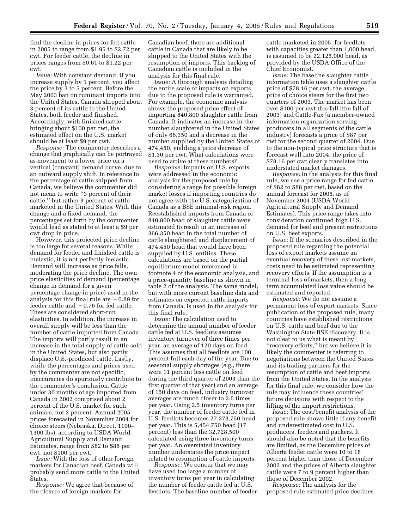find the decline in prices for fed cattle in 2005 to range from \$1.95 to \$2.72 per cwt. For feeder cattle, the decline in prices ranges from \$0.61 to \$1.22 per cwt.

*Issue:* With constant demand, if you increase supply by 1 percent, you affect the price by 3 to 5 percent. Before the May 2003 ban on ruminant imports into the United States, Canada shipped about 3 percent of its cattle to the United States, both feeder and finished. Accordingly, with finished cattle bringing about \$100 per cwt, the estimated effect on the U.S. market should be at least \$9 per cwt.

*Response:* The commenter describes a change that graphically can be portrayed as movement to a lower price on a vertical (constant) demand curve, due to an outward supply shift. In reference to the percentage of cattle shipped from Canada, we believe the commenter did not mean to write ''3 percent of their cattle,'' but rather 3 percent of cattle marketed in the United States. With this change and a fixed demand, the percentages set forth by the commenter would lead as stated to at least a \$9 per cwt drop in price.

However, this projected price decline is too large for several reasons. While demand for feeder and finished cattle is inelastic, it is not perfectly inelastic. Demand will increase as price falls, moderating the price decline. The own price elasticities of demand (percentage change in demand for a given percentage change in price) used in the analysis for this final rule are  $-0.89$  for feeder cattle and  $-0.76$  for fed cattle. These are considered short-run elasticities. In addition, the increase in overall supply will be less than the number of cattle imported from Canada. The imports will partly result in an increase in the total supply of cattle sold in the United States, but also partly displace U.S.-produced cattle. Lastly, while the percentages and prices used by the commenter are not specific, inaccuracies do spuriously contribute to the commenter's conclusion. Cattle under 30 months of age imported from Canada in 2002 comprised about 2 percent of the U.S. market for such animals, not 3 percent. Annual 2005 prices forecasted in November 2004 for choice steers (Nebraska, Direct, 1100– 1300 lbs), according to USDA World Agricultural Supply and Demand Estimates, range from \$82 to \$88 per cwt, not \$100 per cwt.

*Issue:* With the loss of other foreign markets for Canadian beef, Canada will probably send more cattle to the United States.

*Response:* We agree that because of the closure of foreign markets for

Canadian beef, there are additional cattle in Canada that are likely to be shipped to the United States with the resumption of imports. This backlog of Canadian cattle is included in the analysis for this final rule.

*Issue:* A thorough analysis detailing the entire scale of impacts on exports due to the proposed rule is warranted. For example, the economic analysis shows the proposed price effect of importing 840,800 slaughter cattle from Canada. It indicates an increase in the number slaughtered in the United States of only 66,350 and a decrease in the number supplied by the United States of 474,450, yielding a price decrease of \$1.30 per cwt. What calculations were used to arrive at these numbers?

*Response:* Impacts on U.S. exports were addressed in the economic analysis for the proposed rule by considering a range for possible foreign market losses if importing countries do not agree with the U.S. categorization of Canada as a BSE minimal-risk region. Reestablished imports from Canada of 840,800 head of slaughter cattle were estimated to result in an increase of 366,350 head in the total number of cattle slaughtered and displacement of 474,450 head that would have been supplied by U.S. entities. These calculations are based on the partial equilibrium model referenced in footnote 4 of the economic analysis, and a price-quantity baseline as shown in table 2 of the analysis. The same model, but with more current baseline data and estimates on expected cattle imports from Canada, is used in the analysis for this final rule.

*Issue:* The calculation used to determine the annual number of feeder cattle fed at U.S. feedlots assumes inventory turnover of three times per year, an average of 120 days on feed. This assumes that all feedlots are 100 percent full each day of the year. Due to seasonal supply shortages (e.g., there were 11 percent less cattle on feed during the third quarter of 2003 than the first quarter of that year) and an average of 150 days on feed, industry turnover averages are much closer to 2.5 times per year. Using 2.5 inventory turns per year, the number of feeder cattle fed in U.S. feedlots becomes 27,273,750 head per year. This is 5,454,750 head (17 percent) less than the 32,728,500 calculated using three inventory turns per year. An overstated inventory number understates the price impact related to resumption of cattle imports.

*Response:* We concur that we may have used too large a number of inventory turns per year in calculating the number of feeder cattle fed at U.S. feedlots. The baseline number of feeder cattle marketed in 2005, for feedlots with capacities greater than 1,000 head, is assumed to be 22,125,000 head, as provided by the USDA Office of the Chief Economist.

*Issue:* The baseline slaughter cattle information table uses a slaughter cattle price of \$78.16 per cwt, the average price of choice steers for the first two quarters of 2003. The market has been over \$100 per cwt this fall [the fall of 2003] and Cattle-Fax [a member-owned information organization serving producers in all segments of the cattle industry] forecasts a price of \$87 per cwt for the second quarter of 2004. Due to the non-typical price structure that is forecast well into 2004, the price of \$78.16 per cwt clearly translates into understated market damages.

*Response:* In the analysis for this final rule, we use a price range for fed cattle of \$82 to \$88 per cwt, based on the annual forecast for 2005, as of November 2004 (USDA World Agricultural Supply and Demand Estimates). This price range takes into consideration continued high U.S. demand for beef and present restrictions on U.S. beef exports.

*Issue:* If the scenarios described in the proposed rule regarding the potential loss of export markets assume an eventual recovery of these lost markets, costs need to be estimated representing recovery efforts. If the assumption is a terminal loss of markets, then a longterm accumulated loss value should be estimated and reported.

*Response:* We do not assume a permanent loss of export markets. Since publication of the proposed rule, many countries have established restrictions on U.S. cattle and beef due to the Washington State BSE discovery. It is not clear to us what is meant by ''recovery efforts,'' but we believe it is likely the commenter is referring to negotiations between the United States and its trading partners for the resumption of cattle and beef imports from the United States. In the analysis for this final rule, we consider how the rule may influence these countries' future decisions with respect to the lifting of the import restrictions.

*Issue:* The cost/benefit analysis of the proposed rule shows little if any benefit and underestimated cost to U.S. producers, feeders and packers. It should also be noted that the benefits are limited, as the December prices of Alberta feeder cattle were 10 to 18 percent higher than those of December 2002 and the prices of Alberta slaughter cattle were 7 to 9 percent higher than those of December 2002.

*Response:* The analysis for the proposed rule estimated price declines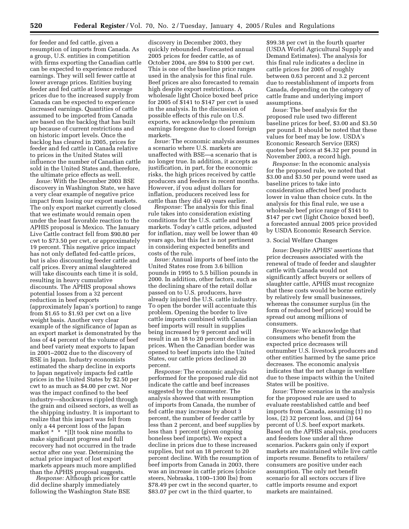for feeder and fed cattle, given a resumption of imports from Canada. As a group, U.S. entities in competition with firms exporting the Canadian cattle can be expected to experience reduced earnings. They will sell fewer cattle at lower average prices. Entities buying feeder and fed cattle at lower average prices due to the increased supply from Canada can be expected to experience increased earnings. Quantities of cattle assumed to be imported from Canada are based on the backlog that has built up because of current restrictions and on historic import levels. Once the backlog has cleared in 2005, prices for feeder and fed cattle in Canada relative to prices in the United States will influence the number of Canadian cattle sold in the United States and, therefore, the ultimate price effects as well.

*Issue:* With the December 2003 BSE discovery in Washington State, we have a very clear example of negative price impact from losing our export markets. The only export market currently closed that we estimate would remain open under the least favorable reaction to the APHIS proposal is Mexico. The January Live Cattle contract fell from \$90.80 per cwt to \$73.50 per cwt, or approximately 19 percent. This negative price impact has not only deflated fed-cattle prices, but is also discounting feeder cattle and calf prices. Every animal slaughtered will take discounts each time it is sold, resulting in heavy cumulative discounts. The APHIS proposal shows potential losses from a 32 percent reduction in beef exports (approximately Japan's portion) to range from \$1.65 to \$1.93 per cwt on a live weight basis. Another very clear example of the significance of Japan as an export market is demonstrated by the loss of 44 percent of the volume of beef and beef variety meat exports to Japan in 2001–2002 due to the discovery of BSE in Japan. Industry economists estimated the sharp decline in exports to Japan negatively impacts fed cattle prices in the United States by \$2.50 per cwt to as much as \$4.00 per cwt. Nor was the impact confined to the beef industry—shockwaves rippled through the grain and oilseed sectors, as well as the shipping industry. It is important to realize that this impact was felt from only a 44 percent loss of the Japan market \*  $\cdot$  \*  $\cdot$  [I]t took nine months to make significant progress and full recovery had not occurred in the trade sector after one year. Determining the actual price impact of lost export markets appears much more amplified than the APHIS proposal suggests.

*Response:* Although prices for cattle did decline sharply immediately following the Washington State BSE

discovery in December 2003, they quickly rebounded. Forecasted annual 2005 prices for feeder cattle, as of October 2004, are \$94 to \$100 per cwt. This is one of the baseline price ranges used in the analysis for this final rule. Beef prices are also forecasted to remain high despite export restrictions. A wholesale light Choice boxed beef price for 2005 of \$141 to \$147 per cwt is used in the analysis. In the discussion of possible effects of this rule on U.S. exports, we acknowledge the premium earnings foregone due to closed foreign markets.

*Issue:* The economic analysis assumes a scenario where U.S. markets are unaffected with BSE—a scenario that is no longer true. In addition, it accepts as justification, in part, for the economic risks, the high prices received by cattle producers and feeders in recent months. However, if you adjust dollars for inflation, producers received less for cattle than they did 40 years earlier.

*Response:* The analysis for this final rule takes into consideration existing conditions for the U.S. cattle and beef markets. Today's cattle prices, adjusted for inflation, may well be lower than 40 years ago, but this fact is not pertinent in considering expected benefits and costs of the rule.

*Issue:* Annual imports of beef into the United States rose from 3.6 billion pounds in 1995 to 5.5 billion pounds in 2000. In addition, other factors, such as the declining share of the retail dollar passed on to U.S. producers, have already injured the U.S. cattle industry. To open the border will accentuate this problem. Opening the border to live cattle imports combined with Canadian beef imports will result in supplies being increased by 9 percent and will result in an 18 to 20 percent decline in prices. When the Canadian border was opened to beef imports into the United States, our cattle prices declined 20 percent.

*Response:* The economic analysis performed for the proposed rule did not indicate the cattle and beef increases suggested by the commenter. The analysis showed that with resumption of imports from Canada, the number of fed cattle may increase by about 3 percent, the number of feeder cattle by less than 2 percent, and beef supplies by less than 1 percent (given ongoing boneless beef imports). We expect a decline in prices due to these increased supplies, but not an 18 percent to 20 percent decline. With the resumption of beef imports from Canada in 2003, there was an increase in cattle prices (choice steers, Nebraska, 1100–1300 lbs) from \$78.49 per cwt in the second quarter, to \$83.07 per cwt in the third quarter, to

\$99.38 per cwt in the fourth quarter (USDA World Agricultural Supply and Demand Estimates). The analysis for this final rule indicates a decline in cattle prices for 2005 of roughly between 0.63 percent and 3.2 percent due to reestablishment of imports from Canada, depending on the category of cattle frame and underlying import assumptions.

*Issue:* The beef analysis for the proposed rule used two different baseline prices for beef, \$3.00 and \$3.50 per pound. It should be noted that these values for beef may be low. USDA's Economic Research Service (ERS) quotes beef prices at \$4.32 per pound in November 2003, a record high.

*Response:* In the economic analysis for the proposed rule, we noted that \$3.00 and \$3.50 per pound were used as baseline prices to take into consideration affected beef products lower in value than choice cuts. In the analysis for this final rule, we use a wholesale beef price range of \$141 to \$147 per cwt (light Choice boxed beef), a forecasted annual 2005 price provided by USDA Economic Research Service.

#### 3. Social Welfare Changes

*Issue:* Despite APHIS' assertions that price decreases associated with the renewal of trade of feeder and slaughter cattle with Canada would not significantly affect buyers or sellers of slaughter cattle, APHIS must recognize that these costs would be borne entirely by relatively few small businesses, whereas the consumer surplus (in the form of reduced beef prices) would be spread out among millions of consumers.

*Response:* We acknowledge that consumers who benefit from the expected price decreases will outnumber U.S. livestock producers and other entities harmed by the same price decreases. The economic analysis indicates that the net change in welfare due to these impacts within the United States will be positive.

*Issue:* Three scenarios in the analysis for the proposed rule are used to evaluate reestablished cattle and beef imports from Canada, assuming (1) no loss, (2) 32 percent loss, and (3) 64 percent of U.S. beef export markets. Based on the APHIS analysis, producers and feeders lose under all three scenarios. Packers gain only if export markets are maintained while live cattle imports resume. Benefits to retailers/ consumers are positive under each assumption. The only net benefit scenario for all sectors occurs if live cattle imports resume and export markets are maintained.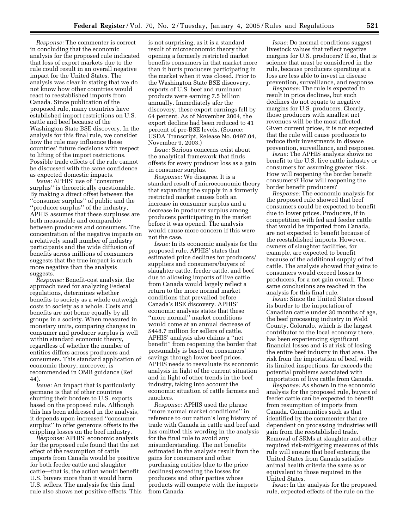*Response:* The commenter is correct in concluding that the economic analysis for the proposed rule indicated that loss of export markets due to the rule could result in an overall negative impact for the United States. The analysis was clear in stating that we do not know how other countries would react to reestablished imports from Canada. Since publication of the proposed rule, many countries have established import restrictions on U.S. cattle and beef because of the Washington State BSE discovery. In the analysis for this final rule, we consider how the rule may influence these countries' future decisions with respect to lifting of the import restrictions. Possible trade effects of the rule cannot be discussed with the same confidence as expected domestic impacts.

*Issue:* APHIS' use of ''consumer surplus'' is theoretically questionable. By making a direct offset between the ''consumer surplus'' of public and the ''producer surplus'' of the industry, APHIS assumes that these surpluses are both measurable and comparable between producers and consumers. The concentration of the negative impacts on a relatively small number of industry participants and the wide diffusion of benefits across millions of consumers suggests that the true impact is much more negative than the analysis suggests.

*Response:* Benefit-cost analysis, the approach used for analyzing Federal regulations, determines whether benefits to society as a whole outweigh costs to society as a whole. Costs and benefits are not borne equally by all groups in a society. When measured in monetary units, comparing changes in consumer and producer surplus is well within standard economic theory, regardless of whether the number of entities differs across producers and consumers. This standard application of economic theory, moreover, is recommended in OMB guidance (Ref 44).

*Issue:* An impact that is particularly germane is that of other countries shutting their borders to U.S. exports based on the proposed rule. Although this has been addressed in the analysis, it depends upon increased ''consumer surplus'' to offer generous offsets to the crippling losses on the beef industry.

*Response:* APHIS' economic analysis for the proposed rule found that the net effect of the resumption of cattle imports from Canada would be positive for both feeder cattle and slaughter cattle—that is, the action would benefit U.S. buyers more than it would harm U.S. sellers. The analysis for this final rule also shows net positive effects. This is not surprising, as it is a standard result of microeconomic theory that opening a formerly restricted market benefits consumers in that market more than it hurts producers participating in the market when it was closed. Prior to the Washington State BSE discovery, exports of U.S. beef and ruminant products were earning 7.5 billion annually. Immediately afer the discovery, these export earnings fell by 64 percent. As of November 2004, the export decline had been reduced to 41 percent of pre-BSE levels. (Source: USDA Transcript, Release No. 0497.04, November 9, 2003.)

*Issue:* Serious concerns exist about the analytical framework that finds offsets for every producer loss as a gain in consumer surplus.

*Response:* We disagree. It is a standard result of microeconomic theory that expanding the supply in a formerly restricted market causes both an increase in consumer surplus and a decrease in producer surplus among producers participating in the market before it was opened. The analysis would cause more concern if this were not the case.

*Issue:* In its economic analysis for the proposed rule, APHIS' states that estimated price declines for producers/ suppliers and consumers/buyers of slaughter cattle, feeder cattle, and beef due to allowing imports of live cattle from Canada would largely reflect a return to the more normal market conditions that prevailed before Canada's BSE discovery. APHIS' economic analysis states that these ''more normal'' market conditions would come at an annual decrease of \$448.7 million for sellers of cattle. APHIS' analysis also claims a ''net benefit'' from reopening the border that presumably is based on consumers' savings through lower beef prices. APHIS needs to reevaluate its economic analysis in light of the current situation and in light of other trends in the beef industry, taking into account the economic situation of cattle farmers and ranchers.

*Response:* APHIS used the phrase ''more normal market conditions'' in reference to our nation's long history of trade with Canada in cattle and beef and has omitted this wording in the analysis for the final rule to avoid any misunderstanding. The net benefits estimated in the analysis result from the gains for consumers and other purchasing entities (due to the price declines) exceeding the losses for producers and other parties whose products will compete with the imports from Canada.

*Issue:* Do normal conditions suggest livestock values that reflect negative margins for U.S. producers? If so, that is science that must be considered in the rule, because producers operating at a loss are less able to invest in disease prevention, surveillance, and response.

*Response:* The rule is expected to result in price declines, but such declines do not equate to negative margins for U.S. producers. Clearly, those producers with smallest net revenues will be the most affected. Given current prices, it is not expected that the rule will cause producers to reduce their investments in disease prevention, surveillance, and response.

*Issue:* The APHIS analysis shows no benefit to the U.S. live cattle industry or consumers for assuming greater risk. How will reopening the border benefit consumers? How will reopening the border benefit producers?

*Response:* The economic analysis for the proposed rule showed that beef consumers could be expected to benefit due to lower prices. Producers, if in competition with fed and feeder cattle that would be imported from Canada, are not expected to benefit because of the reestablished imports. However, owners of slaughter facilities, for example, are expected to benefit because of the additional supply of fed cattle. The analysis showed that gains to consumers would exceed losses to producers, for a net gain overall. These same conclusions are reached in the analysis for this final rule.

*Issue:* Since the United States closed its border to the importation of Canadian cattle under 30 months of age, the beef processing industry in Weld County, Colorado, which is the largest contributor to the local economy there, has been experiencing significant financial losses and is at risk of losing the entire beef industry in that area. The risk from the importation of beef, with its limited inspections, far exceeds the potential problems associated with importation of live cattle from Canada.

*Response:* As shown in the economic analysis for the proposed rule, buyers of feeder cattle can be expected to benefit from resumption of imports from Canada. Communities such as that identified by the commenter that are dependent on processing industries will gain from the reestablished trade. Removal of SRMs at slaughter and other required risk-mitigating measures of this rule will ensure that beef entering the United States from Canada satisfies animal health criteria the same as or equivalent to those required in the United States.

*Issue:* In the analysis for the proposed rule, expected effects of the rule on the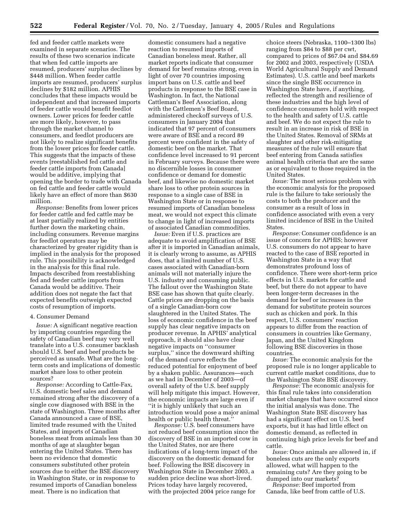fed and feeder cattle markets were examined in separate scenarios. The results of these two scenarios indicate that when fed cattle imports are resumed, producers' surplus declines by \$448 million. When feeder cattle imports are resumed, producers' surplus declines by \$182 million. APHIS concludes that these impacts would be independent and that increased imports of feeder cattle would benefit feedlot owners. Lower prices for feeder cattle are more likely, however, to pass through the market channel to consumers, and feedlot producers are not likely to realize significant benefits from the lower prices for feeder cattle. This suggests that the impacts of these events [reestablished fed cattle and feeder cattle imports from Canada] would be additive, implying that opening the border to trade with Canada on fed cattle and feeder cattle would likely have an effect of more than \$630 million.

*Response:* Benefits from lower prices for feeder cattle and fed cattle may be at least partially realized by entities further down the marketing chain, including consumers. Revenue margins for feedlot operators may be characterized by greater rigidity than is implied in the analysis for the proposed rule. This possibility is acknowledged in the analysis for this final rule. Impacts described from reestablishing fed and feeder cattle imports from Canada would be additive. Their addition does not negate the fact that expected benefits outweigh expected costs of resumption of imports.

#### 4. Consumer Demand

*Issue:* A significant negative reaction by importing countries regarding the safety of Canadian beef may very well translate into a U.S. consumer backlash should U.S. beef and beef products be perceived as unsafe. What are the longterm costs and implications of domestic market share loss to other protein sources?

*Response:* According to Cattle-Fax, U.S. domestic beef sales and demand remained strong after the discovery of a single cow diagnosed with BSE in the state of Washington. Three months after Canada announced a case of BSE, limited trade resumed with the United States, and imports of Canadian boneless meat from animals less than 30 months of age at slaughter began entering the United States. There has been no evidence that domestic consumers substituted other protein sources due to either the BSE discovery in Washington State, or in response to resumed imports of Canadian boneless meat. There is no indication that

domestic consumers had a negative reaction to resumed imports of Canadian boneless meat. Rather, all market reports indicate that consumer demand for beef remains strong, even in light of over 70 countries imposing import bans on U.S. cattle and beef products in response to the BSE case in Washington. In fact, the National Cattleman's Beef Association, along with the Cattlemen's Beef Board, administered checkoff surveys of U.S. consumers in January 2004 that indicated that 97 percent of consumers were aware of BSE and a record 89 percent were confident in the safety of domestic beef on the market. That confidence level increased to 91 percent in February surveys. Because there were no discernible losses in consumer confidence or demand for domestic beef, and likewise no domestic market share loss to other protein sources in response to a single case of BSE in Washington State or in response to resumed imports of Canadian boneless meat, we would not expect this climate to change in light of increased imports of associated Canadian commodities.

*Issue:* Even if U.S. practices are adequate to avoid amplification of BSE after it is imported in Canadian animals, it is clearly wrong to assume, as APHIS does, that a limited number of U.S. cases associated with Canadian-born animals will not materially injure the U.S. industry and consuming public. The fallout over the Washington State BSE case has shown that quite clearly. Cattle prices are dropping on the basis of a single Canadian-born cow slaughtered in the United States. The loss of economic confidence in the beef supply has clear negative impacts on producer revenue. In APHIS' analytical approach, it should also have clear negative impacts on ''consumer surplus,'' since the downward shifting of the demand curve reflects the reduced potential for enjoyment of beef by a shaken public. Assurances—such as we had in December of 2003—of overall safety of the U.S. beef supply will help mitigate this impact. However, the economic impacts are large even if ''it is highly unlikely that such an introduction would pose a major animal health or public health threat.

*Response:* U.S. beef consumers have not reduced beef consumption since the discovery of BSE in an imported cow in the United States, nor are there indications of a long-term impact of the discovery on the domestic demand for beef. Following the BSE discovery in Washington State in December 2003, a sudden price decline was short-lived. Prices today have largely recovered, with the projected 2004 price range for

choice steers (Nebraska, 1100–1300 lbs) ranging from \$84 to \$88 per cwt, compared to prices of \$67.04 and \$84.69 for 2002 and 2003, respectively (USDA World Agricultural Supply and Demand Estimates). U.S. cattle and beef markets since the single BSE occurrence in Washington State have, if anything, reflected the strength and resilience of these industries and the high level of confidence consumers hold with respect to the health and safety of U.S. cattle and beef. We do not expect the rule to result in an increase in risk of BSE in the United States. Removal of SRMs at slaughter and other risk-mitigating measures of the rule will ensure that beef entering from Canada satisfies animal health criteria that are the same as or equivalent to those required in the United States.

*Issue:* The most serious problem with the economic analysis for the proposed rule is the failure to take seriously the costs to both the producer and the consumer as a result of loss in confidence associated with even a very limited incidence of BSE in the United States.

*Response:* Consumer confidence is an issue of concern for APHIS; however U.S. consumers do not appear to have reacted to the case of BSE reported in Washington State in a way that demonstrates profound loss of confidence. There were short-term price effects in U.S. markets for cattle and beef, but there do not appear to have been longer-term decreases in the demand for beef or increases in the demand for substitute protein sources such as chicken and pork. In this respect, U.S. consumers' reaction appears to differ from the reaction of consumers in countries like Germany, Japan, and the United Kingdom following BSE discoveries in those countries.

*Issue:* The economic analysis for the proposed rule is no longer applicable to current cattle market conditions, due to the Washington State BSE discovery.

*Response:* The economic analysis for this final rule takes into consideration market changes that have occurred since the initial analysis was done. The Washington State BSE discovery has had a significant effect on U.S. beef exports, but it has had little effect on domestic demand, as reflected in continuing high price levels for beef and cattle.

*Issue:* Once animals are allowed in, if boneless cuts are the only exports allowed, what will happen to the remaining cuts? Are they going to be dumped into our markets?

*Response:* Beef imported from Canada, like beef from cattle of U.S.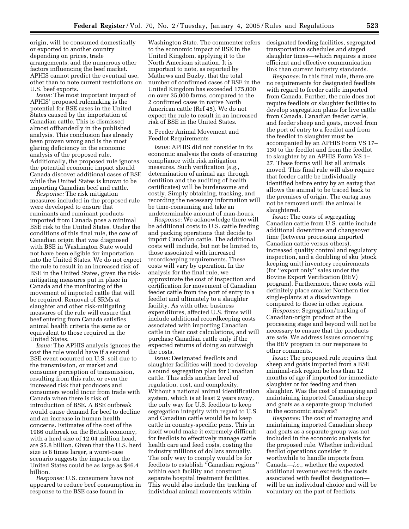origin, will be consumed domestically or exported to another country depending on prices, trade arrangements, and the numerous other factors influencing the beef market. APHIS cannot predict the eventual use, other than to note current restrictions on U.S. beef exports.

*Issue:* The most important impact of APHIS' proposed rulemaking is the potential for BSE cases in the United States caused by the importation of Canadian cattle. This is dismissed almost offhandedly in the published analysis. This conclusion has already been proven wrong and is the most glaring deficiency in the economic analysis of the proposed rule. Additionally, the proposed rule ignores the potential economic impact should Canada discover additional cases of BSE while the United States is known to be importing Canadian beef and cattle.

*Response:* The risk mitigation measures included in the proposed rule were developed to ensure that ruminants and ruminant products imported from Canada pose a minimal BSE risk to the United States. Under the conditions of this final rule, the cow of Canadian origin that was diagnosed with BSE in Washington State would not have been eligible for importation into the United States. We do not expect the rule to result in an increased risk of BSE in the United States, given the riskmitigating measures put in place in Canada and the monitoring of the movement of imported cattle that will be required. Removal of SRMs at slaughter and other risk-mitigating measures of the rule will ensure that beef entering from Canada satisfies animal health criteria the same as or equivalent to those required in the United States.

*Issue:* The APHIS analysis ignores the cost the rule would have if a second BSE event occurred on U.S. soil due to the transmission, or market and consumer perception of transmission, resulting from this rule, or even the increased risk that producers and consumers would incur from trade with Canada when there is risk of introduction of BSE. A BSE outbreak would cause demand for beef to decline and an increase in human health concerns. Estimates of the cost of the 1986 outbreak on the British economy, with a herd size of 12.04 million head, are \$5.8 billion. Given that the U.S. herd size is 8 times larger, a worst-case scenario suggests the impacts on the United States could be as large as \$46.4 billion.

*Response:* U.S. consumers have not appeared to reduce beef consumption in response to the BSE case found in

Washington State. The commenter refers to the economic impact of BSE in the United Kingdom, applying it to the North American situation. It is important to note, as reported by Mathews and Buzby, that the total number of confirmed cases of BSE in the United Kingdom has exceeded 175,000 on over 35,000 farms, compared to the 2 confirmed cases in native North American cattle (Ref 45). We do not expect the rule to result in an increased risk of BSE in the United States.

# 5. Feeder Animal Movement and Feedlot Requirements

*Issue:* APHIS did not consider in its economic analysis the costs of ensuring compliance with risk mitigation measures. Such verification (*e.g.*, determination of animal age through dentition and the auditing of health certificates) will be burdensome and costly. Simply obtaining, tracking, and recording the necessary information will be time-consuming and take an undeterminable amount of man-hours.

*Response:* We acknowledge there will be additional costs to U.S. cattle feeding and packing operations that decide to import Canadian cattle. The additional costs will include, but not be limited to, those associated with increased recordkeeping requirements. These costs will vary by operation. In the analysis for the final rule, we approximate the cost of inspection and certification for movement of Canadian feeder cattle from the port of entry to a feedlot and ultimately to a slaughter facility. As with other business expenditures, affected U.S. firms will include additional recordkeeping costs associated with importing Canadian cattle in their cost calculations, and will purchase Canadian cattle only if the expected returns of doing so outweigh the costs.

*Issue:* Designated feedlots and slaughter facilities will need to develop a sound segregation plan for Canadian cattle. This adds another level of regulation, cost, and complexity. Without a national animal identification system, which is at least 2 years away, the only way for U.S. feedlots to keep segregation integrity with regard to U.S. and Canadian cattle would be to keep cattle in country-specific pens. This in itself would make it extremely difficult for feedlots to effectively manage cattle health care and feed costs, costing the industry millions of dollars annually. The only way to comply would be for feedlots to establish ''Canadian regions'' within each facility and construct separate hospital treatment facilities. This would also include the tracking of individual animal movements within

designated feeding facilities, segregated transportation schedules and staged slaughter times—which requires a more efficient and effective communication link than current industry standards.

*Response:* In this final rule, there are no requirements for designated feedlots with regard to feeder cattle imported from Canada. Further, the rule does not require feedlots or slaughter facilities to develop segregation plans for live cattle from Canada. Canadian feeder cattle, and feeder sheep and goats, moved from the port of entry to a feedlot and from the feedlot to slaughter must be accompanied by an APHIS Form VS 17– 130 to the feedlot and from the feedlot to slaughter by an APHIS Form VS 1– 27. These forms will list all animals moved. This final rule will also require that feeder cattle be individually identified before entry by an eartag that allows the animal to be traced back to the premises of origin. The eartag may not be removed until the animal is slaughtered.

*Issue:* The costs of segregating Canadian cattle from U.S. cattle include additional downtime and changeover time (between processing imported Canadian cattle versus others), increased quality control and regulatory inspection, and a doubling of sku [stock keeping unit] inventory requirements (for ''export only'' sales under the Bovine Export Verification (BEV) program). Furthermore, these costs will definitely place smaller Northern tier single-plants at a disadvantage compared to those in other regions.

*Response:* Segregation/tracking of Canadian-origin product at the processing stage and beyond will not be necessary to ensure that the products are safe. We address issues concerning the BEV program in our responses to other comments.

*Issue:* The proposed rule requires that sheep and goats imported from a BSE minimal-risk region be less than 12 months of age if imported for immediate slaughter or for feeding and then slaughter. Was the cost of managing and maintaining imported Canadian sheep and goats as a separate group included in the economic analysis?

*Response:* The cost of managing and maintaining imported Canadian sheep and goats as a separate group was not included in the economic analysis for the proposed rule. Whether individual feedlot operations consider it worthwhile to handle imports from Canada—*i.e.*, whether the expected additional revenue exceeds the costs associated with feedlot designation will be an individual choice and will be voluntary on the part of feedlots.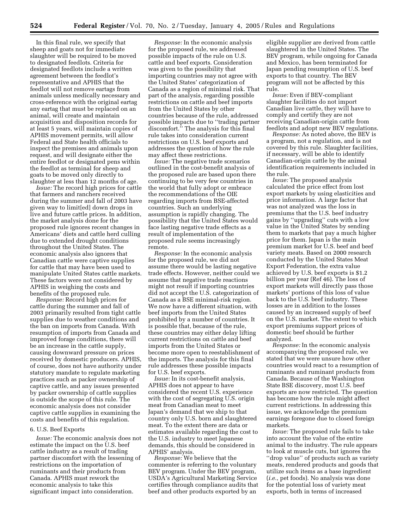In this final rule, we specify that sheep and goats not for immediate slaughter will be required to be moved to designated feedlots. Criteria for designated feedlots include a written agreement between the feedlot's representative and APHIS that the feedlot will not remove eartags from animals unless medically necessary and cross-reference with the original eartag any eartag that must be replaced on an animal, will create and maintain acquisition and disposition records for at least 5 years, will maintain copies of APHIS movement permits, will allow Federal and State health officials to inspect the premises and animals upon request, and will designate either the entire feedlot or designated pens within the feedlot as terminal for sheep and goats to be moved only directly to slaughter at less than 12 months of age.

*Issue:* The record high prices for cattle that farmers and ranchers received during the summer and fall of 2003 have given way to limit[ed] down drops in live and future cattle prices. In addition, the market analysis done for the proposed rule ignores recent changes in Americans' diets and cattle herd culling due to extended drought conditions throughout the United States. The economic analysis also ignores that Canadian cattle were captive supplies for cattle that may have been used to manipulate United States cattle markets. These factors were not considered by APHIS in weighing the costs and benefits of the proposed rule.

*Response:* Record high prices for cattle during the summer and fall of 2003 primarily resulted from tight cattle supplies due to weather conditions and the ban on imports from Canada. With resumption of imports from Canada and improved forage conditions, there will be an increase in the cattle supply, causing downward pressure on prices received by domestic producers. APHIS, of course, does not have authority under statutory mandate to regulate marketing practices such as packer ownership of captive cattle, and any issues presented by packer ownership of cattle supplies is outside the scope of this rule. The economic analysis does not consider captive cattle supplies in examining the costs and benefits of this regulation.

## 6. U.S. Beef Exports

*Issue:* The economic analysis does not estimate the impact on the U.S. beef cattle industry as a result of trading partner discomfort with the lessening of restrictions on the importation of ruminants and their products from Canada. APHIS must rework the economic analysis to take this significant impact into consideration.

*Response:* In the economic analysis for the proposed rule, we addressed possible impacts of the rule on U.S. cattle and beef exports. Consideration was given to the possibility that importing countries may not agree with the United States' categorization of Canada as a region of minimal risk. That part of the analysis, regarding possible restrictions on cattle and beef imports from the United States by other countries because of the rule, addressed possible impacts due to ''trading partner discomfort.'' The analysis for this final rule takes into consideration current restrictions on U.S. beef exports and addresses the question of how the rule may affect these restrictions.

*Issue:* The negative trade scenarios outlined in the cost-benefit analysis of the proposed rule are based upon there continuing to be very few countries in the world that fully adopt or embrace the recommendations of the OIE regarding imports from BSE-affected countries. Such an underlying assumption is rapidly changing. The possibility that the United States would face lasting negative trade effects as a result of implementation of the proposed rule seems increasingly remote.

*Response:* In the economic analysis for the proposed rule, we did not assume there would be lasting negative trade effects. However, neither could we assume that negative trade reactions might not result if importing countries did not accept the U.S. categorization of Canada as a BSE minimal-risk region. We now have a different situation, with beef imports from the United States prohibited by a number of countries. It is possible that, because of the rule, these countries may either delay lifting current restrictions on cattle and beef imports from the United States or become more open to reestablishment of the imports. The analysis for this final rule addresses these possible impacts for U.S. beef exports.

*Issue:* In its cost-benefit analysis, APHIS does not appear to have considered the recent U.S. experience with the cost of segregating U.S. origin meat from Canadian meat to meet Japan's demand that we ship to that country only U.S. born and slaughtered meat. To the extent there are data or estimates available regarding the cost to the U.S. industry to meet Japanese demands, this should be considered in APHIS' analysis.

*Response:* We believe that the commenter is referring to the voluntary BEV program. Under the BEV program, USDA's Agricultural Marketing Service certifies through compliance audits that beef and other products exported by an

eligible supplier are derived from cattle slaughtered in the United States. The BEV program, while ongoing for Canada and Mexico, has been terminated for Japan pending resumption of U.S. beef exports to that country. The BEV program will not be affected by this rule.

*Issue:* Even if BEV-compliant slaughter facilities do not import Canadian live cattle, they will have to comply and certify they are not receiving Canadian-origin cattle from feedlots and adopt new BEV regulations.

*Response:* As noted above, the BEV is a program, not a regulation, and is not covered by this rule. Slaughter facilities, if necessary, will be able to identify Canadian-origin cattle by the animal identification requirements included in the rule.

*Issue:* The proposed analysis calculated the price effect from lost export markets by using elasticities and price information. A large factor that was not analyzed was the loss in premiums that the U.S. beef industry gains by ''upgrading'' cuts with a low value in the United States by sending them to markets that pay a much higher price for them. Japan is the main premium market for U.S. beef and beef variety meats. Based on 2000 research conducted by the United States Meat Export Federation, the extra value achieved by U.S. beef exports is \$1.2 billion per year (Ref 46). The loss of export markets will directly pass those markets' portions of this loss of value back to the U.S. beef industry. These losses are in addition to the losses caused by an increased supply of beef on the U.S. market. The extent to which export premiums support prices of domestic beef should be further analyzed.

*Response:* In the economic analysis accompanying the proposed rule, we stated that we were unsure how other countries would react to a resumption of ruminants and ruminant products from Canada. Because of the Washington State BSE discovery, most U.S. beef exports are now restricted. The question has become how the rule might affect current restrictions. In addressing this issue, we acknowledge the premium earnings foregone due to closed foreign markets.

*Issue:* The proposed rule fails to take into account the value of the entire animal to the industry. The rule appears to look at muscle cuts, but ignores the ''drop value'' of products such as variety meats, rendered products and goods that utilize such items as a base ingredient (*i.e.*, pet foods). No analysis was done for the potential loss of variety meat exports, both in terms of increased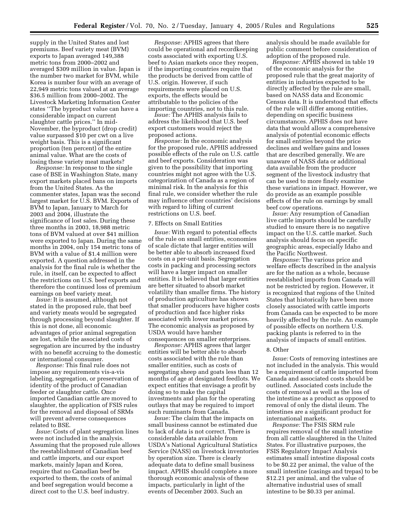supply in the United States and lost premiums. Beef variety meat (BVM) exports to Japan averaged 149,388 metric tons from 2000–2002 and averaged \$309 million in value. Japan is the number two market for BVM, while Korea is number four with an average of 22,949 metric tons valued at an average \$36.5 million from 2000–2002. The Livestock Marketing Information Center states ''The byproduct value can have a considerable impact on current slaughter cattle prices.'' In mid-November, the byproduct (drop credit) value surpassed \$10 per cwt on a live weight basis. This is a significant proportion (ten percent) of the entire animal value. What are the costs of losing these variety meat markets?

*Response:* In response to the single case of BSE in Washington State, many export markets placed bans on imports from the United States. As the commenter states, Japan was the second largest market for U.S. BVM. Exports of BVM to Japan, January to March for 2003 and 2004, illustrate the significance of lost sales. During these three months in 2003, 18,988 metric tons of BVM valued at over \$41 million were exported to Japan. During the same months in 2004, only 154 metric tons of BVM with a value of \$1.4 million were exported. A question addressed in the analysis for the final rule is whether the rule, in itself, can be expected to affect the restrictions on U.S. beef exports and therefore the continued loss of premium earnings on beef variety meat.

*Issue:* It is assumed, although not stated in the proposed rule, that beef and variety meats would be segregated through processing beyond slaughter. If this is not done, all economic advantages of prior animal segregation are lost, while the associated costs of segregation are incurred by the industry with no benefit accruing to the domestic or international consumer.

*Response:* This final rule does not impose any requirements vis-a-vis labeling, segregation, or preservation of identity of the product of Canadian feeder or slaughter cattle. Once imported Canadian cattle are moved to slaughter, the application of FSIS rules for the removal and disposal of SRMs will prevent adverse consequences related to BSE.

*Issue:* Costs of plant segregation lines were not included in the analysis. Assuming that the proposed rule allows the reestablishment of Canadian beef and cattle imports, and our export markets, mainly Japan and Korea, require that no Canadian beef be exported to them, the costs of animal and beef segregation would become a direct cost to the U.S. beef industry.

*Response:* APHIS agrees that there could be operational and recordkeeping costs associated with exporting U.S. beef to Asian markets once they reopen, if the importing countries require that the products be derived from cattle of U.S. origin. However, if such requirements were placed on U.S. exports, the effects would be attributable to the policies of the importing countries, not to this rule.

*Issue:* The APHIS analysis fails to address the likelihood that U.S. beef export customers would reject the proposed actions.

*Response:* In the economic analysis for the proposed rule, APHIS addressed possible effects of the rule on U.S. cattle and beef exports. Consideration was given to the possibility that importing countries might not agree with the U.S. categorization of Canada as a region of minimal risk. In the analysis for this final rule, we consider whether the rule may influence other countries' decisions with regard to lifting of current restrictions on U.S. beef.

## 7. Effects on Small Entities

*Issue:* With regard to potential effects of the rule on small entities, economies of scale dictate that larger entities will be better able to absorb increased fixed costs on a per-unit basis. Segregation costs in packing and processing sectors will have a larger impact on smaller entities. It is believed that larger entities are better situated to absorb market volatility than smaller firms. The history of production agriculture has shown that smaller producers have higher costs of production and face higher risks associated with lower market prices. The economic analysis as proposed by USDA would have harsher consequences on smaller enterprises.

*Response:* APHIS agrees that larger entities will be better able to absorb costs associated with the rule than smaller entities, such as costs of segregating sheep and goats less than 12 months of age at designated feedlots. We expect entities that envisage a profit by doing so to make the capital investments and plan for the operating outlays that may be required to import such ruminants from Canada.

*Issue:* The claim that the impacts on small business cannot be estimated due to lack of data is not correct. There is considerable data available from USDA's National Agricultural Statistics Service (NASS) on livestock inventories by operation size. There is clearly adequate data to define small business impact. APHIS should complete a more thorough economic analysis of these impacts, particularly in light of the events of December 2003. Such an

analysis should be made available for public comment before consideration of adoption of the proposed rule.

*Response:* APHIS showed in table 19 of the economic analysis for the proposed rule that the great majority of entities in industries expected to be directly affected by the rule are small, based on NASS data and Economic Census data. It is understood that effects of the rule will differ among entities, depending on specific business circumstances. APHIS does not have data that would allow a comprehensive analysis of potential economic effects for small entities beyond the price declines and welfare gains and losses that are described generally. We are unaware of NASS data or additional data available from the producer segment of the livestock industry that can be used to more finely examine these variations in impact. However, we do provide as an example possible effects of the rule on earnings by small beef cow operations.

*Issue:* Any resumption of Canadian live cattle imports should be carefully studied to ensure there is no negative impact on the U.S. cattle market. Such analysis should focus on specific geographic areas, especially Idaho and the Pacific Northwest.

*Response:* The various price and welfare effects described in the analysis are for the nation as a whole, because reestablished imports from Canada will not be restricted by region. However, it is recognized that regions of the United States that historically have been more closely associated with cattle imports from Canada can be expected to be more heavily affected by the rule. An example of possible effects on northern U.S. packing plants is referred to in the analysis of impacts of small entities.

### 8. Other

*Issue:* Costs of removing intestines are not included in the analysis. This would be a requirement of cattle imported from Canada and associated costs should be outlined. Associated costs include the costs of removal as well as the loss of the intestine as a product as opposed to removal of only the distal ileum. The intestines are a significant product for international markets.

*Response:* The FSIS SRM rule requires removal of the small intestine from all cattle slaughtered in the United States. For illustrative purposes, the FSIS Regulatory Impact Analysis estimates small intestine disposal costs to be \$0.22 per animal, the value of the small intestine (casings and trepas) to be \$12.21 per animal, and the value of alternative industrial uses of small intestine to be \$0.33 per animal.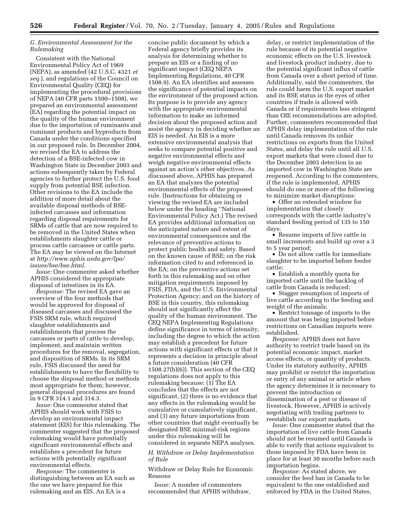# *G. Environmental Assessment for the Rulemaking*

Consistent with the National Environmental Policy Act of 1969 (NEPA), as amended (42 U.S.C. 4321 *et seq.*), and regulations of the Council on Environmental Quality (CEQ) for implementing the procedural provisions of NEPA (40 CFR parts 1500–1508), we prepared an environmental assessment (EA) regarding the potential impact on the quality of the human environment due to the importation of ruminants and ruminant products and byproducts from Canada under the conditions specified in our proposed rule. In December 2004, we revised the EA to address the detection of a BSE-infected cow in Washington State in December 2003 and actions subsequently taken by Federal agencies to further protect the U.S. food supply from potential BSE infection. Other revisions to the EA include the addition of more detail about the available disposal methods of BSEinfected carcasses and information regarding disposal requirements for SRMs of cattle that are now required to be removed in the United States when establishments slaughter cattle or process cattle carcasses or cattle parts. The EA may be viewed on the Internet at *http://www.aphis.usda.gov/lpa/ issues/bse/bse.html.*

*Issue:* One commenter asked whether APHIS considered the appropriate disposal of intestines in its EA.

*Response:* The revised EA gave an overview of the four methods that would be approved for disposal of diseased carcasses and discussed the FSIS SRM rule, which required slaughter establishments and establishments that process the carcasses or parts of cattle to develop, implement, and maintain written procedures for the removal, segregation, and disposition of SRMs. In its SRM rule, FSIS discussed the need for establishments to have the flexibility to choose the disposal method or methods most appropriate for them; however, general disposal procedures are found in 9 CFR 314.1 and 314.3.

*Issue:* One commenter stated that APHIS should work with FSIS to develop an environmental impact statement (EIS) for this rulemaking. The commenter suggested that the proposed rulemaking would have potentially significant environmental effects and establishes a precedent for future actions with potentially significant environmental effects.

*Response:* The commenter is distinguishing between an EA such as the one we have prepared for this rulemaking and an EIS. An EA is a

concise public document by which a Federal agency briefly provides its analysis for determining whether to prepare an EIS or a finding of no significant impact (CEQ NEPA Implementing Regulations, 40 CFR 1508.9). An EA identifies and assesses the significance of potential impacts on the environment of the proposed action. Its purpose is to provide any agency with the appropriate environmental information to make an informed decision about the proposed action and assist the agency in deciding whether an EIS is needed. An EIS is a more extensive environmental analysis that seeks to compare potential positive and negative environmental effects and weigh negative environmental effects against an action's other objectives. As discussed above, APHIS has prepared an EA that analyzes the potential environmental effects of the proposed rule. (Instructions for obtaining or viewing the revised EA are included below under the heading ''National Environmental Policy Act.) The revised EA provides additional information on the anticipated nature and extent of environmental consequences and the relevance of preventive actions to protect public health and safety. Based on the known cause of BSE; on the risk information cited to and referenced in the EA; on the preventive actions set forth in this rulemaking and on other mitigation requirements imposed by FSIS, FDA, and the U.S. Environmental Protection Agency; and on the history of BSE in this country, this rulemaking should not significantly affect the quality of the human environment. The CEQ NEPA Implementing Regulations define significance in terms of intensity, including the degree to which the action may establish a precedent for future actions with significant effects or that it represents a decision in principle about a future consideration (40 CFR 1508.27(b)(6)). This section of the CEQ regulations does not apply to this rulemaking because: (1) The EA concludes that the effects are not significant, (2) there is no evidence that any effects in the rulemaking would be cumulative or cumulatively significant, and (3) any future importations from other countries that might eventually be designated BSE minimal-risk regions under this rulemaking will be considered in separate NEPA analyses.

*H. Withdraw or Delay Implementation of Rule* 

Withdraw or Delay Rule for Economic Reasons

*Issue:* A number of commenters recommended that APHIS withdraw,

delay, or restrict implementation of the rule because of its potential negative economic effects on the U.S. livestock and livestock product industry, due to the potential significant influx of cattle from Canada over a short period of time. Additionally, said the commenters, the rule could harm the U.S. export market and its BSE status in the eyes of other countries if trade is allowed with Canada or if requirements less stringent than OIE recommendations are adopted. Further, commenters recommended that APHIS delay implementation of the rule until Canada removes its unfair restrictions on exports from the United States, and delay the rule until all U.S. export markets that were closed due to the December 2003 detection in an imported cow in Washington State are reopened. According to the commenters, if the rule is implemented, APHIS should do one or more of the following to minimize market disruptions:

• Offer an extended window for implementation that closely corresponds with the cattle industry's standard feeding period of 135 to 150 days;

• Resume imports of live cattle in small increments and build up over a 3 to 5 year period;

• Do not allow cattle for immediate slaughter to be imported before feeder cattle;

• Establish a monthly quota for imported cattle until the backlog of cattle from Canada is reduced;

• Stagger resumption of imports of live cattle according to the feeding and weight of the animals;

• Restrict tonnage of imports to the amount that was being imported before restrictions on Canadian imports were established.

*Response:* APHIS does not have authority to restrict trade based on its potential economic impact, market access effects, or quantity of products. Under its statutory authority, APHIS may prohibit or restrict the importation or entry of any animal or article when the agency determines it is necessary to prevent the introduction or dissemination of a pest or disease of livestock. However, APHIS is actively negotiating with trading partners to reestablish our export markets.

*Issue:* One commenter stated that the importation of live cattle from Canada should not be resumed until Canada is able to verify that actions equivalent to those imposed by FDA have been in place for at least 30 months before such importation begins.

*Response:* As stated above, we consider the feed ban in Canada to be equivalent to the one established and enforced by FDA in the United States,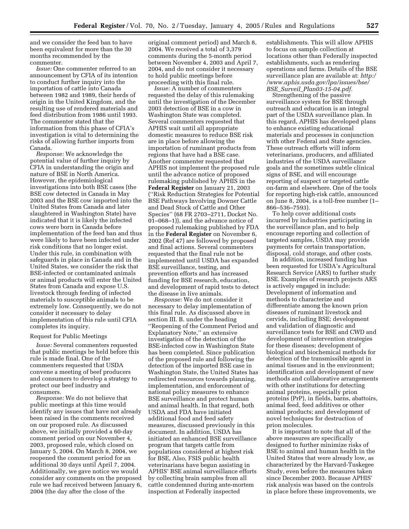and we consider the feed ban to have been equivalent for more than the 30 months recommended by the commenter.

*Issue:* One commenter referred to an announcement by CFIA of its intention to conduct further inquiry into the importation of cattle into Canada between 1982 and 1989, their herds of origin in the United Kingdom, and the resulting use of rendered materials and feed distribution from 1986 until 1993. The commenter stated that the information from this phase of CFIA's investigation is vital to determining the risks of allowing further imports from Canada.

*Response:* We acknowledge the potential value of further inquiry by CFIA in understanding the origin and nature of BSE in North America. However, the epidemiological investigations into both BSE cases (the BSE cow detected in Canada in May 2003 and the BSE cow imported into the United States from Canada and later slaughtered in Washington State) have indicated that it is likely the infected cows were born in Canada before implementation of the feed ban and thus were likely to have been infected under risk conditions that no longer exist. Under this rule, in combination with safeguards in place in Canada and in the United States, we consider the risk that BSE-infected or contaminated animals or animal products will enter the United States from Canada and expose U.S. livestock through feeding of infected materials to susceptible animals to be extremely low. Consequently, we do not consider it necessary to delay implementation of this rule until CFIA completes its inquiry.

#### Request for Public Meetings

*Issue:* Several commenters requested that public meetings be held before this rule is made final. One of the commenters requested that USDA convene a meeting of beef producers and consumers to develop a strategy to protect our beef industry and consumers.

*Response:* We do not believe that public meetings at this time would identify any issues that have not already been raised in the comments received on our proposed rule. As discussed above, we initially provided a 60-day comment period on our November 4, 2003, proposed rule, which closed on January 5, 2004. On March 8, 2004, we reopened the comment period for an additional 30 days until April 7, 2004. Additionally, we gave notice we would consider any comments on the proposed rule we had received between January 6, 2004 (the day after the close of the

original comment period) and March 8, 2004. We received a total of 3,379 comments during the 5-month period between November 4, 2003 and April 7, 2004, and do not consider it necessary to hold public meetings before proceeding with this final rule.

*Issue:* A number of commenters requested the delay of this rulemaking until the investigation of the December 2003 detection of BSE in a cow in Washington State was completed. Several commenters requested that APHIS wait until all appropriate domestic measures to reduce BSE risk are in place before allowing the importation of ruminant products from regions that have had a BSE case. Another commenter requested that APHIS not implement the proposed rule until the advance notice of proposed rulemaking published by APHIS in the **Federal Register** on January 21, 2003 (''Risk Reduction Strategies for Potential BSE Pathways Involving Downer Cattle and Dead Stock of Cattle and Other Species'' (68 FR 2703–2711, Docket No. 01–068–1)), and the advance notice of proposed rulemaking published by FDA in the **Federal Register** on November 6, 2002 (Ref 47) are followed by proposed and final actions. Several commenters requested that the final rule not be implemented until USDA has expanded BSE surveillance, testing, and prevention efforts and has increased funding for BSE research, education, and development of rapid tests to detect the disease in live animals.

*Response:* We do not consider it necessary to delay implementation of this final rule. As discussed above in section III. B. under the heading ''Reopening of the Comment Period and Explanatory Note,'' an extensive investigation of the detection of the BSE-infected cow in Washington State has been completed. Since publication of the proposed rule and following the detection of the imported BSE case in Washington State, the United States has redirected resources towards planning, implementation, and enforcement of national policy measures to enhance BSE surveillance and protect human and animal health. In that regard, both USDA and FDA have initiated additional food and feed safety measures, discussed previously in this document. In addition, USDA has initiated an enhanced BSE surveillance program that targets cattle from populations considered at highest risk for BSE, Also, FSIS public health veterinarians have begun assisting in APHIS' BSE animal surveillance efforts by collecting brain samples from all cattle condemned during ante-mortem inspection at Federally inspected

establishments. This will allow APHIS to focus on sample collection at locations other than Federally inspected establishments, such as rendering operations and farms. Details of the BSE surveillance plan are available at: *http:/ /www.aphis.usda.gov/lpa/issues/bse/ BSE*\_*Surveil*\_*Plan03-15-04.pdf.*

Strengthening of the passive surveillance system for BSE through outreach and education is an integral part of the USDA surveillance plan. In this regard, APHIS has developed plans to enhance existing educational materials and processes in conjunction with other Federal and State agencies. These outreach efforts will inform veterinarians, producers, and affiliated industries of the USDA surveillance goals and the sometimes subtle clinical signs of BSE, and will encourage reporting of suspect or targeted cattle on-farm and elsewhere. One of the tools for reporting high-risk cattle, announced on June 8, 2004, is a toll-free number (1– 866–536–7593).

To help cover additional costs incurred by industries participating in the surveillance plan, and to help encourage reporting and collection of targeted samples, USDA may provide payments for certain transportation, disposal, cold storage, and other costs.

In addition, increased funding has been requested for USDA's Agricultural Research Service (ARS) to further study BSE. Examples of research projects ARS is actively engaged in include: Development of information and methods to characterize and differentiate among the known prion diseases of ruminant livestock and cervids, including BSE; development and validation of diagnostic and surveillance tests for BSE and CWD and development of intervention strategies for these diseases; development of biological and biochemical methods for detection of the transmissible agent in animal tissues and in the environment; identification and development of new methods and collaborative arrangements with other institutions for detecting animal proteins, especially prion proteins (PrP), in fields, barns, abattoirs, animal feed, feed additives or other animal products; and development of novel techniques for destruction of prion molecules.

It is important to note that all of the above measures are specifically designed to further minimize risks of BSE to animal and human health in the United States that were already low, as characterized by the Harvard-Tuskegee Study, even before the measures taken since December 2003. Because APHIS' risk analysis was based on the controls in place before these improvements, we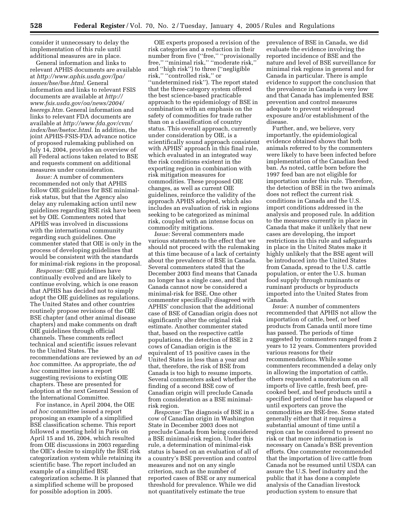consider it unnecessary to delay the implementation of this rule until additional measures are in place.

General information and links to relevant APHIS documents are available at *http://www.aphis.usda.gov/lpa/ issues/bse/bse.html.* General information and links to relevant FSIS documents are available at *http:// www.fsis.usda.gov/oa/news/2004/ bseregs.htm.* General information and links to relevant FDA documents are available at *http://www.fda.gov/cvm/ index/bse/bsetoc.html.* In addition, the joint APHIS-FSIS-FDA advance notice of proposed rulemaking published on July 14, 2004, provides an overview of all Federal actions taken related to BSE and requests comment on additional measures under consideration.

*Issue:* A number of commenters recommended not only that APHIS follow OIE guidelines for BSE minimalrisk status, but that the Agency also delay any rulemaking action until new guidelines regarding BSE risk have been set by OIE. Commenters noted that APHIS was involved in discussions with the international community regarding such guidelines. One commenter stated that OIE is only in the process of developing guidelines that would be consistent with the standards for minimal-risk regions in the proposal.

*Response:* OIE guidelines have continually evolved and are likely to continue evolving, which is one reason that APHIS has decided not to simply adopt the OIE guidelines as regulations. The United States and other countries routinely propose revisions of the OIE BSE chapter (and other animal disease chapters) and make comments on draft OIE guidelines through official channels. These comments reflect technical and scientific issues relevant to the United States. The recommendations are reviewed by an *ad hoc* committee. As appropriate, the *ad hoc* committee issues a report suggesting revisions to existing OIE chapters. These are presented for adoption at the next General Session of the International Committee.

For instance, in April 2004, the OIE *ad hoc* committee issued a report proposing an example of a simplified BSE classification scheme. This report followed a meeting held in Paris on April 15 and 16, 2004, which resulted from OIE discussions in 2003 regarding the OIE's desire to simplify the BSE risk categorization system while retaining its scientific base. The report included an example of a simplified BSE categorization scheme. It is planned that a simplified scheme will be proposed for possible adoption in 2005.

OIE experts proposed a revision of the risk categories and a reduction in their number from five ("free," "provisionally free,'' ''minimal risk,'' ''moderate risk,'' and ''high risk'') to three (''negligible risk,'' ''controlled risk,'' or ''undetermined risk''). The report stated that the three-category system offered the best science-based practicable approach to the epidemiology of BSE in combination with an emphasis on the safety of commodities for trade rather than on a classification of country status. This overall approach, currently under consideration by OIE, is a scientifically sound approach consistent with APHIS' approach in this final rule, which evaluated in an integrated way the risk conditions existent in the exporting region in combination with risk mitigation measures for commodities. These proposed OIE changes, as well as current OIE guidelines, reinforce the validity of the approach APHIS adopted, which also includes an evaluation of risk in regions seeking to be categorized as minimal risk, coupled with an intense focus on commodity mitigations.

*Issue:* Several commenters made various statements to the effect that we should not proceed with the rulemaking at this time because of a lack of certainty about the prevalence of BSE in Canada. Several commenters stated that the December 2003 find means that Canada no longer has a single case, and that Canada cannot now be considered a minimal-risk for BSE. One other commenter specifically disagreed with APHIS' conclusion that the additional case of BSE of Canadian origin does not significantly alter the original risk estimate. Another commenter stated that, based on the respective cattle populations, the detection of BSE in 2 cows of Canadian origin is the equivalent of 15 positive cases in the United States in less than a year and that, therefore, the risk of BSE from Canada is too high to resume imports. Several commenters asked whether the finding of a second BSE cow of Canadian origin will preclude Canada from consideration as a BSE minimalrisk region.

*Response:* The diagnosis of BSE in a cow of Canadian origin in Washington State in December 2003 does not preclude Canada from being considered a BSE minimal-risk region. Under this rule, a determination of minimal-risk status is based on an evaluation of all of a country's BSE prevention and control measures and not on any single criterion, such as the number of reported cases of BSE or any numerical threshold for prevalence. While we did not quantitatively estimate the true

prevalence of BSE in Canada, we did evaluate the evidence involving the reported incidence of BSE and the nature and level of BSE surveillance for minimal risk regions in general and for Canada in particular. There is ample evidence to support the conclusion that the prevalence in Canada is very low and that Canada has implemented BSE prevention and control measures adequate to prevent widespread exposure and/or establishment of the disease.

Further, and, we believe, very importantly, the epidemiological evidence obtained shows that both animals referred to by the commenters were likely to have been infected before implementation of the Canadian feed ban. As noted, cattle born before the 1997 feed ban are not eligible for importation under this rule. Therefore, the detection of BSE in the two animals does not reflect the current risk conditions in Canada and the U.S. import conditions addressed in the analysis and proposed rule. In addition to the measures currently in place in Canada that make it unlikely that new cases are developing, the import restrictions in this rule and safeguards in place in the United States make it highly unlikely that the BSE agent will be introduced into the United States from Canada, spread to the U.S. cattle population, or enter the U.S. human food supply through ruminants or ruminant products or byproducts imported into the United States from Canada.

*Issue:* A number of commenters recommended that APHIS not allow the importation of cattle, beef, or beef products from Canada until more time has passed. The periods of time suggested by commenters ranged from 2 years to 12 years. Commenters provided various reasons for their recommendations. While some commenters recommended a delay only in allowing the importation of cattle, others requested a moratorium on all imports of live cattle, fresh beef, precooked beef, and beef products until a specified period of time has elapsed or until exporters can prove the commodities are BSE-free. Some stated generally either that it requires a substantial amount of time until a region can be considered to present no risk or that more information is necessary on Canada's BSE prevention efforts. One commenter recommended that the importation of live cattle from Canada not be resumed until USDA can assure the U.S. beef industry and the public that it has done a complete analysis of the Canadian livestock production system to ensure that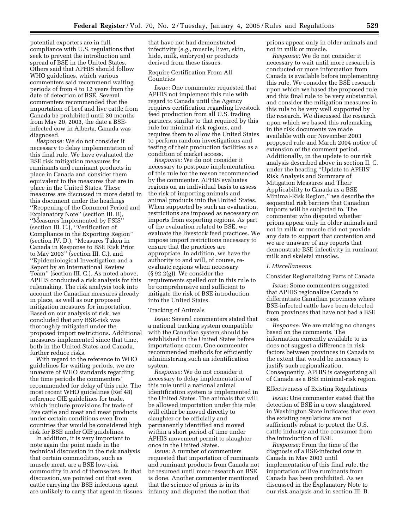potential exporters are in full compliance with U.S. regulations that seek to prevent the introduction and spread of BSE in the United States. Others said that APHIS should follow WHO guidelines, which various commenters said recommend waiting periods of from 4 to 12 years from the date of detection of BSE. Several commenters recommended that the importation of beef and live cattle from Canada be prohibited until 30 months from May 20, 2003, the date a BSEinfected cow in Alberta, Canada was diagnosed.

*Response:* We do not consider it necessary to delay implementation of this final rule. We have evaluated the BSE risk mitigation measures for ruminants and ruminant products in place in Canada and consider them equivalent to the measures that are in place in the United States. These measures are discussed in more detail in this document under the headings ''Reopening of the Comment Period and Explanatory Note'' (section III. B), ''Measures Implemented by FSIS'' (section III. C.), ''Verification of Compliance in the Exporting Region'' (section IV. D.), ''Measures Taken in Canada in Response to BSE Risk Prior to May 2003'' (section III. C.), and ''Epidemiological Investigation and a Report by an International Review Team'' (section III. C.). As noted above, APHIS conducted a risk analysis for this rulemaking. The risk analysis took into account the Canadian measures already in place, as well as our proposed mitigation measures for importation. Based on our analysis of risk, we concluded that any BSE-risk was thoroughly mitigated under the proposed import restrictions. Additional measures implemented since that time, both in the United States and Canada, further reduce risks.

With regard to the reference to WHO guidelines for waiting periods, we are unaware of WHO standards regarding the time periods the commenters' recommended for delay of this rule. The most recent WHO guidelines (Ref 48) reference OIE guidelines for trade, which include provisions for trade of live cattle and meat and meat products under certain conditions even from countries that would be considered high risk for BSE under OIE guidelines.

In addition, it is very important to note again the point made in the technical discussion in the risk analysis that certain commodities, such as muscle meat, are a BSE low-risk commodity in and of themselves. In that discussion, we pointed out that even cattle carrying the BSE infectious agent are unlikely to carry that agent in tissues that have not had demonstrated infectivity (*e.g.*, muscle, liver, skin, hide, milk, embryos) or products derived from these tissues.

# Require Certification From All Countries

*Issue:* One commenter requested that APHIS not implement this rule with regard to Canada until the Agency requires certification regarding livestock feed production from all U.S. trading partners, similar to that required by this rule for minimal-risk regions, and requires them to allow the United States to perform random investigations and testing of their production facilities as a condition of market access.

*Response:* We do not consider it necessary to postpone implementation of this rule for the reason recommended by the commenter. APHIS evaluates regions on an individual basis to assess the risk of importing animals and animal products into the United States. When supported by such an evaluation, restrictions are imposed as necessary on imports from exporting regions. As part of the evaluation related to BSE, we evaluate the livestock feed practices. We impose import restrictions necessary to ensure that the practices are appropriate. In addition, we have the authority to and will, of course, reevaluate regions when necessary (§ 92.2(g)). We consider the requirements spelled out in this rule to be comprehensive and sufficient to mitigate the risk of BSE introduction into the United States.

#### Tracking of Animals

*Issue:* Several commenters stated that a national tracking system compatible with the Canadian system should be established in the United States before importations occur. One commenter recommended methods for efficiently administering such an identification system.

*Response:* We do not consider it necessary to delay implementation of this rule until a national animal identification system is implemented in the United States. The animals that will be allowed importation under this rule will either be moved directly to slaughter or be officially and permanently identified and moved within a short period of time under APHIS movement permit to slaughter once in the United States.

*Issue:* A number of commenters requested that importation of ruminants and ruminant products from Canada not be resumed until more research on BSE is done. Another commenter mentioned that the science of prions is in its infancy and disputed the notion that

prions appear only in older animals and not in milk or muscle.

*Response:* We do not consider it necessary to wait until more research is conducted or more information from Canada is available before implementing this rule. We consider the BSE research upon which we based the proposed rule and this final rule to be very substantial, and consider the mitigation measures in this rule to be very well supported by the research. We discussed the research upon which we based this rulemaking in the risk documents we made available with our November 2003 proposed rule and March 2004 notice of extension of the comment period. Additionally, in the update to our risk analysis described above in section II. C. under the heading ''Update to APHIS' Risk Analysis and Summary of Mitigation Measures and Their Applicability to Canada as a BSE Minimal-Risk Region,'' we describe the sequential risk barriers that Canadian imports will be subjected to. The commenter who disputed whether prions appear only in older animals and not in milk or muscle did not provide any data to support that contention and we are unaware of any reports that demonstrate BSE infectivity in ruminant milk and skeletal muscles.

#### *I. Miscellaneous*

# Consider Regionalizing Parts of Canada

*Issue:* Some commenters suggested that APHIS regionalize Canada to differentiate Canadian provinces where BSE-infected cattle have been detected from provinces that have not had a BSE case.

*Response:* We are making no changes based on the comments. The information currently available to us does not suggest a difference in risk factors between provinces in Canada to the extent that would be necessary to justify such regionalization. Consequently, APHIS is categorizing all of Canada as a BSE minimal-risk region.

## Effectiveness of Existing Regulations

*Issue:* One commenter stated that the detection of BSE in a cow slaughtered in Washington State indicates that even the existing regulations are not sufficiently robust to protect the U.S. cattle industry and the consumer from the introduction of BSE.

*Response:* From the time of the diagnosis of a BSE-infected cow in Canada in May 2003 until implementation of this final rule, the importation of live ruminants from Canada has been prohibited. As we discussed in the Explanatory Note to our risk analysis and in section III. B.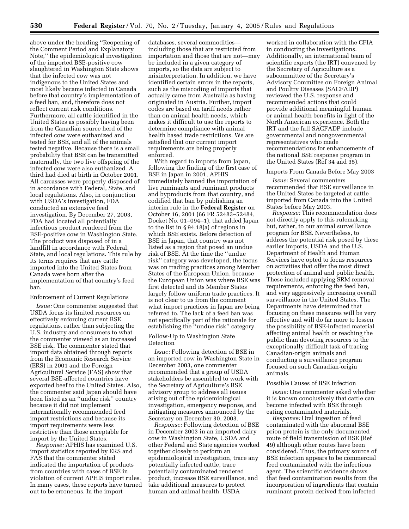above under the heading ''Reopening of the Comment Period and Explanatory Note,'' the epidemiological investigation of the imported BSE-positive cow slaughtered in Washington State shows that the infected cow was not indigenous to the United States and most likely became infected in Canada before that country's implementation of a feed ban, and, therefore does not reflect current risk conditions. Furthermore, all cattle identified in the United States as possibly having been from the Canadian source herd of the infected cow were euthanized and tested for BSE, and all of the animals tested negative. Because there is a small probability that BSE can be transmitted maternally, the two live offspring of the infected cow were also euthanized. A third had died at birth in October 2001. All carcasses were properly disposed of in accordance with Federal, State, and local regulations. Also, in conjunction with USDA's investigation, FDA conducted an extensive feed investigation. By December 27, 2003, FDA had located all potentially infectious product rendered from the BSE-positive cow in Washington State. The product was disposed of in a landfill in accordance with Federal, State, and local regulations. This rule by its terms requires that any cattle imported into the United States from Canada were born after the implementation of that country's feed ban.

#### Enforcement of Current Regulations

*Issue:* One commenter suggested that USDA focus its limited resources on effectively enforcing current BSE regulations, rather than subjecting the U.S. industry and consumers to what the commenter viewed as an increased BSE risk. The commenter stated that import data obtained through reports from the Economic Research Service (ERS) in 2001 and the Foreign Agricultural Service (FAS) show that several BSE-affected countries have exported beef to the United States. Also, the commenter said Japan should have been listed as an ''undue risk'' country because it did not implement internationally recommended feed import restrictions and because its import requirements were less restrictive than those acceptable for import by the United States.

*Response:* APHIS has examined U.S. import statistics reported by ERS and FAS that the commenter stated indicated the importation of products from countries with cases of BSE in violation of current APHIS import rules. In many cases, these reports have turned out to be erroneous. In the import

databases, several commodities including those that are restricted from importation and those that are not—may be included in a given category of imports, so the data are subject to misinterpretation. In addition, we have identified certain errors in the reports, such as the miscoding of imports that actually came from Australia as having originated in Austria. Further, import codes are based on tariff needs rather than on animal health needs, which makes it difficult to use the reports to determine compliance with animal health based trade restrictions. We are satisfied that our current import requirements are being properly enforced.

With regard to imports from Japan, following the finding of the first case of BSE in Japan in 2001, APHIS immediately banned the importation of live ruminants and ruminant products and byproducts from that country, and codified that ban by publishing an interim rule in the **Federal Register** on October 16, 2001 (66 FR 52483–52484, Docket No. 01–094–1), that added Japan to the list in § 94.18(a) of regions in which BSE exists. Before detection of BSE in Japan, that country was not listed as a region that posed an undue risk of BSE. At the time the ''undue risk'' category was developed, the focus was on trading practices among Member States of the European Union, because the European Union was where BSE was first detected and its Member States largely follow uniform trade practices. It is not clear to us from the comment what import practices in Japan are being referred to. The lack of a feed ban was not specifically part of the rationale for establishing the ''undue risk'' category.

Follow-Up to Washington State Detection

*Issue:* Following detection of BSE in an imported cow in Washington State in December 2003, one commenter recommended that a group of USDA stakeholders be assembled to work with the Secretary of Agriculture's BSE advisory group to address all issues arising out of the epidemiological investigation, emergency response, and mitigating measures announced by the Secretary on December 30, 2003.

*Response:* Following detection of BSE in December 2003 in an imported dairy cow in Washington State, USDA and other Federal and State agencies worked together closely to perform an epidemiological investigation, trace any potentially infected cattle, trace potentially contaminated rendered product, increase BSE surveillance, and take additional measures to protect human and animal health. USDA

worked in collaboration with the CFIA in conducting the investigations. Additionally, an international team of scientific experts (the IRT) convened by the Secretary of Agriculture as a subcommittee of the Secretary's Advisory Committee on Foreign Animal and Poultry Diseases (SACFADP) reviewed the U.S. response and recommended actions that could provide additional meaningful human or animal health benefits in light of the North American experience. Both the IRT and the full SACFADP include governmental and nongovernmental representatives who made recommendations for enhancements of the national BSE response program in the United States (Ref 34 and 35).

## Imports From Canada Before May 2003

*Issue:* Several commenters recommended that BSE surveillance in the United States be targeted at cattle imported from Canada into the United States before May 2003.

*Response:* This recommendation does not directly apply to this rulemaking but, rather, to our animal surveillance program for BSE. Nevertheless, to address the potential risk posed by these earlier imports, USDA and the U.S. Department of Health and Human Services have opted to focus resources on activities that offer the most direct protection of animal and public health. These included applying SRM removal requirements, enforcing the feed ban, and very aggressively increasing overall surveillance in the United States. The Departments have determined that focusing on these measures will be very effective and will do far more to lessen the possibility of BSE-infected material affecting animal health or reaching the public than devoting resources to the exceptionally difficult task of tracing Canadian-origin animals and conducting a surveillance program focused on such Canadian-origin animals.

# Possible Causes of BSE Infection

*Issue:* One commenter asked whether it is known conclusively that cattle can become infected with BSE through eating contaminated materials.

*Response:* Oral ingestion of feed contaminated with the abnormal BSE prion protein is the only documented route of field transmission of BSE (Ref 49) although other routes have been considered. Thus, the primary source of BSE infection appears to be commercial feed contaminated with the infectious agent. The scientific evidence shows that feed contamination results from the incorporation of ingredients that contain ruminant protein derived from infected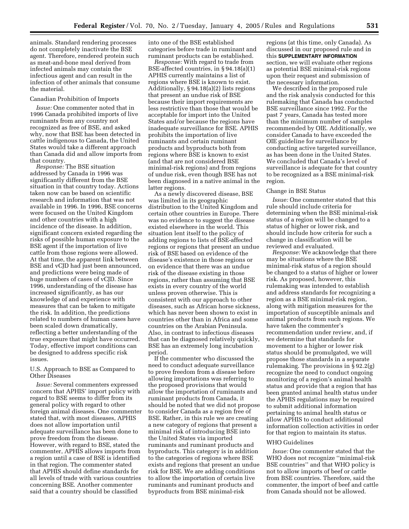animals. Standard rendering processes do not completely inactivate the BSE agent. Therefore, rendered protein such as meat-and-bone meal derived from infected animals may contain the infectious agent and can result in the infection of other animals that consume the material.

#### Canadian Prohibition of Imports

*Issue:* One commenter noted that in 1996 Canada prohibited imports of live ruminants from any country not recognized as free of BSE, and asked why, now that BSE has been detected in cattle indigenous to Canada, the United States would take a different approach than Canada did and allow imports from that country.

*Response:* The BSE situation addressed by Canada in 1996 was significantly different from the BSE situation in that country today. Actions taken now can be based on scientific research and information that was not available in 1996. In 1996, BSE concerns were focused on the United Kingdom and other countries with a high incidence of the disease. In addition, significant concern existed regarding the risks of possible human exposure to the BSE agent if the importation of live cattle from those regions were allowed. At that time, the apparent link between BSE and vCJD had just been announced, and predictions were being made of huge numbers of cases of vCJD. Since 1996, understanding of the disease has increased significantly, as has our knowledge of and experience with measures that can be taken to mitigate the risk. In addition, the predictions related to numbers of human cases have been scaled down dramatically, reflecting a better understanding of the true exposure that might have occurred. Today, effective import conditions can be designed to address specific risk issues.

## U.S. Approach to BSE as Compared to Other Diseases

*Issue:* Several commenters expressed concern that APHIS' import policy with regard to BSE seems to differ from its general policy with regard to other foreign animal diseases. One commenter stated that, with most diseases, APHIS does not allow importation until adequate surveillance has been done to prove freedom from the disease. However, with regard to BSE, stated the commenter, APHIS allows imports from a region until a case of BSE is identified in that region. The commenter stated that APHIS should define standards for all levels of trade with various countries concerning BSE. Another commenter said that a country should be classified

into one of the BSE established categories before trade in ruminant and ruminant products can be established.

*Response:* With regard to trade from BSE-affected countries, in § 94.18(a)(1) APHIS currently maintains a list of regions where BSE is known to exist. Additionally, § 94.18(a)(2) lists regions that present an undue risk of BSE because their import requirements are less restrictive than those that would be acceptable for import into the United States and/or because the regions have inadequate surveillance for BSE. APHIS prohibits the importation of live ruminants and certain ruminant products and byproducts both from regions where BSE is known to exist (and that are not considered BSE minimal-risk regions) and from regions of undue risk, even though BSE has not been diagnosed in a native animal in the latter regions.

As a newly discovered disease, BSE was limited in its geographic distribution to the United Kingdom and certain other countries in Europe. There was no evidence to suggest the disease existed elsewhere in the world. This situation lent itself to the policy of adding regions to lists of BSE-affected regions or regions that present an undue risk of BSE based on evidence of the disease's existence in those regions or on evidence that there was an undue risk of the disease existing in those regions, rather than assuming that BSE exists in every country of the world unless proven otherwise. This is consistent with our approach to other diseases, such as African horse sickness, which has never been shown to exist in countries other than in Africa and some countries on the Arabian Peninsula. Also, in contrast to infectious diseases that can be diagnosed relatively quickly, BSE has an extremely long incubation period.

If the commenter who discussed the need to conduct adequate surveillance to prove freedom from a disease before allowing importations was referring to the proposed provisions that would allow the importation of ruminants and ruminant products from Canada, it should be noted that we did not propose to consider Canada as a region free of BSE. Rather, in this rule we are creating a new category of regions that present a minimal risk of introducing BSE into the United States via imported ruminants and ruminant products and byproducts. This category is in addition to the categories of regions where BSE exists and regions that present an undue risk for BSE. We are adding conditions to allow the importation of certain live ruminants and ruminant products and byproducts from BSE minimal-risk

regions (at this time, only Canada). As discussed in our proposed rule and in this **SUPPLEMENTARY INFORMATION** section, we will evaluate other regions as potential BSE minimal-risk regions upon their request and submission of the necessary information.

We described in the proposed rule and the risk analysis conducted for this rulemaking that Canada has conducted BSE surveillance since 1992. For the past 7 years, Canada has tested more than the minimum number of samples recommended by OIE. Additionally, we consider Canada to have exceeded the OIE guideline for surveillance by conducting active targeted surveillance, as has been done in the United States. We concluded that Canada's level of surveillance is adequate for that country to be recognized as a BSE minimal-risk region.

### Change in BSE Status

*Issue:* One commenter stated that this rule should include criteria for determining when the BSE minimal-risk status of a region will be changed to a status of higher or lower risk, and should include how criteria for such a change in classification will be reviewed and evaluated.

*Response:* We acknowledge that there may be situations where the BSE minimal-risk status of a region should be changed to a status of higher or lower risk. As proposed, however, this rulemaking was intended to establish and address standards for recognizing a region as a BSE minimal-risk region, along with mitigation measures for the importation of susceptible animals and animal products from such regions. We have taken the commenter's recommendation under review, and, if we determine that standards for movement to a higher or lower risk status should be promulgated, we will propose those standards in a separate rulemaking. The provisions in § 92.2(g) recognize the need to conduct ongoing monitoring of a region's animal health status and provide that a region that has been granted animal health status under the APHIS regulations may be required to submit additional information pertaining to animal health status or allow APHIS to conduct additional information collection activities in order for that region to maintain its status.

## WHO Guidelines

*Issue:* One commenter stated that the WHO does not recognize ''minimal-risk BSE countries'' and that WHO policy is not to allow imports of beef or cattle from BSE countries. Therefore, said the commenter, the import of beef and cattle from Canada should not be allowed.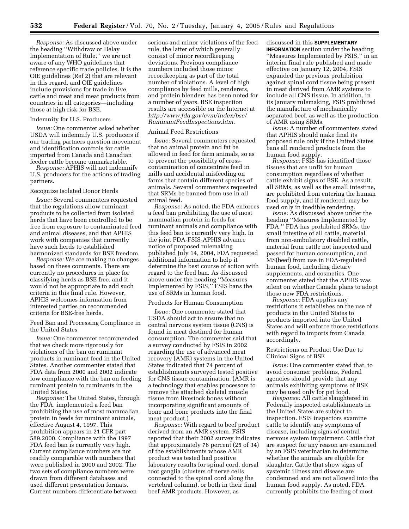*Response:* As discussed above under the heading ''Withdraw or Delay Implementation of Rule,'' we are not aware of any WHO guidelines that reference specific trade policies. It is the OIE guidelines (Ref 2) that are relevant in this regard, and OIE guidelines include provisions for trade in live cattle and meat and meat products from countries in all categories—including those at high risk for BSE.

### Indemnity for U.S. Producers

*Issue:* One commenter asked whether USDA will indemnify U.S. producers if our trading partners question movement and identification controls for cattle imported from Canada and Canadian feeder cattle become unmarketable.

*Response:* APHIS will not indemnify U.S. producers for the actions of trading partners.

#### Recognize Isolated Donor Herds

*Issue:* Several commenters requested that the regulations allow ruminant products to be collected from isolated herds that have been controlled to be free from exposure to contaminated feed and animal diseases, and that APHIS work with companies that currently have such herds to established harmonized standards for BSE freedom.

*Response:* We are making no changes based on these comments. There are currently no procedures in place for classifying herds as BSE free, and it would not be appropriate to add such criteria in this final rule. However, APHIS welcomes information from interested parties on recommended criteria for BSE-free herds.

Feed Ban and Processing Compliance in the United States

*Issue:* One commenter recommended that we check more rigorously for violations of the ban on ruminant products in ruminant feed in the United States. Another commenter stated that FDA data from 2000 and 2002 indicate low compliance with the ban on feeding ruminant protein to ruminants in the United States.

*Response:* The United States, through the FDA, implemented a feed ban prohibiting the use of most mammalian protein in feeds for ruminant animals, effective August 4, 1997. This prohibition appears in 21 CFR part 589.2000. Compliance with the 1997 FDA feed ban is currently very high. Current compliance numbers are not readily comparable with numbers that were published in 2000 and 2002. The two sets of compliance numbers were drawn from different databases and used different presentation formats. Current numbers differentiate between

serious and minor violations of the feed rule, the latter of which generally consist of minor recordkeeping deviations. Previous compliance numbers included those minor recordkeeping as part of the total number of violations. A level of high compliance by feed mills, renderers, and protein blenders has been noted for a number of years. BSE inspection results are accessible on the Internet at *http://www.fda.gov/cvm/index/bse/ RuminantFeedInspections.htm.*

#### Animal Feed Restrictions

*Issue:* Several commenters requested that no animal protein and fat be allowed in feed for farm animals, so as to prevent the possibility of crosscontamination of concentrate feed in mills and accidental misfeeding on farms that contain different species of animals. Several commenters requested that SRMs be banned from use in all animal feed.

*Response:* As noted, the FDA enforces a feed ban prohibiting the use of most mammalian protein in feeds for ruminant animals and compliance with this feed ban is currently very high. In the joint FDA-FSIS-APHIS advance notice of proposed rulemaking published July 14, 2004, FDA requested additional information to help it determine the best course of action with regard to the feed ban. As discussed above under the heading ''Measures Implemented by FSIS,'' FSIS bans the use of SRMs in human food.

### Products for Human Consumption

*Issue:* One commenter stated that USDA should act to ensure that no central nervous system tissue (CNS) is found in meat destined for human consumption. The commenter said that a survey conducted by FSIS in 2002 regarding the use of advanced meat recovery (AMR) systems in the United States indicated that 74 percent of establishments surveyed tested positive for CNS tissue contamination. (AMR is a technology that enables processors to remove the attached skeletal muscle tissue from livestock bones without incorporating significant amounts of bone and bone products into the final meat product.)

*Response:* With regard to beef product derived from an AMR system, FSIS reported that their 2002 survey indicates that approximately 76 percent (25 of 34) of the establishments whose AMR product was tested had positive laboratory results for spinal cord, dorsal root ganglia (clusters of nerve cells connected to the spinal cord along the vertebral column), or both in their final beef AMR products. However, as

# discussed in this **SUPPLEMENTARY**

**INFORMATION** section under the heading ''Measures Implemented by FSIS,'' in an interim final rule published and made effective on January 12, 2004, FSIS expanded the previous prohibition against spinal cord tissue being present in meat derived from AMR systems to include all CNS tissue. In addition, in its January rulemaking, FSIS prohibited the manufacture of mechanically separated beef, as well as the production of AMR using SRMs.

*Issue:* A number of commenters stated that APHIS should make final its proposed rule only if the United States bans all rendered products from the human food supply.

*Response:* FSIS has identified those tissues that are unfit for human consumption regardless of whether cattle exhibit signs of BSE. As a result, all SRMs, as well as the small intestine, are prohibited from entering the human food supply, and if rendered, may be used only in inedible rendering.

*Issue:* As discussed above under the heading ''Measures Implemented by FDA,'' FDA has prohibited SRMs, the small intestine of all cattle, material from non-ambulatory disabled cattle, material from cattle not inspected and passed for human consumption, and MS(beef) from use in FDA-regulated human food, including dietary supplements, and cosmetics. One commenter stated that the APHIS was silent on whether Canada plans to adopt those new FDA restrictions.

*Response:* FDA applies any restrictions it establishes on the use of products in the United States to products imported into the United States and will enforce those restrictions with regard to imports from Canada accordingly.

# Restrictions on Product Use Due to Clinical Signs of BSE

*Issue:* One commenter stated that, to avoid consumer problems, Federal agencies should provide that any animals exhibiting symptoms of BSE may be used only for pet food.

*Response:* All cattle slaughtered in Federally inspected establishments in the United States are subject to inspection. FSIS inspectors examine cattle to identify any symptoms of disease, including signs of central nervous system impairment. Cattle that are suspect for any reason are examined by an FSIS veterinarian to determine whether the animals are eligible for slaughter. Cattle that show signs of systemic illness and disease are condemned and are not allowed into the human food supply. As noted, FDA currently prohibits the feeding of most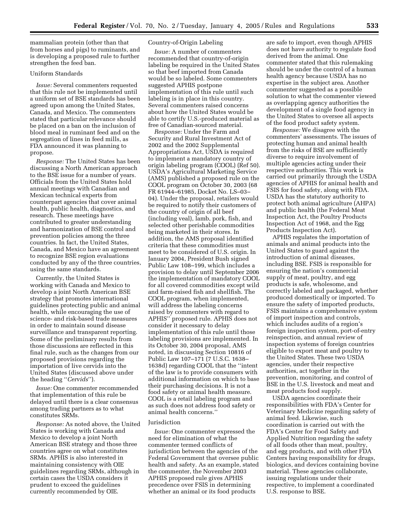mammalian protein (other than that from horses and pigs) to ruminants, and is developing a proposed rule to further strengthen the feed ban.

# Uniform Standards

*Issue:* Several commenters requested that this rule not be implemented until a uniform set of BSE standards has been agreed upon among the United States, Canada, and Mexico. The commenters stated that particular relevance should be placed on a ban on the inclusion of blood meal in ruminant feed and on the segregation of lines in feed mills, as FDA announced it was planning to propose.

*Response:* The United States has been discussing a North American approach to the BSE issue for a number of years. Officials from the United States hold annual meetings with Canadian and Mexican technical experts from counterpart agencies that cover animal health, public health, diagnostics, and research. These meetings have contributed to greater understanding and harmonization of BSE control and prevention policies among the three countries. In fact, the United States, Canada, and Mexico have an agreement to recognize BSE region evaluations conducted by any of the three countries, using the same standards.

Currently, the United States is working with Canada and Mexico to develop a joint North American BSE strategy that promotes international guidelines protecting public and animal health, while encouraging the use of science- and risk-based trade measures in order to maintain sound disease surveillance and transparent reporting. Some of the preliminary results from those discussions are reflected in this final rule, such as the changes from our proposed provisions regarding the importation of live cervids into the United States (discussed above under the heading ''*Cervids*'').

*Issue:* One commenter recommended that implementation of this rule be delayed until there is a clear consensus among trading partners as to what constitutes SRMs.

*Response:* As noted above, the United States is working with Canada and Mexico to develop a joint North American BSE strategy and those three countries agree on what constitutes SRMs. APHIS is also interested in maintaining consistency with OIE guidelines regarding SRMs, although in certain cases the USDA considers it prudent to exceed the guidelines currently recommended by OIE.

# Country-of-Origin Labeling

*Issue:* A number of commenters recommended that country-of-origin labeling be required in the United States so that beef imported from Canada would be so labeled. Some commenters suggested APHIS postpone implementation of this rule until such labeling is in place in this country. Several commenters raised concerns about how the United States would be able to certify U.S.-produced material as free of Canadian-sourced material.

*Response:* Under the Farm and Security and Rural Investment Act of 2002 and the 2002 Supplemental Appropriations Act, USDA is required to implement a mandatory country of origin labeling program (COOL) (Ref 50). USDA's Agricultural Marketing Service (AMS) published a proposed rule on the COOL program on October 30, 2003 (68 FR 61944–61985, Docket No. LS–03– 04). Under the proposal, retailers would be required to notify their customers of the country of origin of all beef (including veal), lamb, pork, fish, and selected other perishable commodities being marketed in their stores. In addition, the AMS proposal identified criteria that these commodities must meet to be considered of U.S. origin. In January 2004, President Bush signed Public Law 108–199, which includes a provision to delay until September 2006 the implementation of mandatory COOL for all covered commodities except wild and farm-raised fish and shellfish. The COOL program, when implemented, will address the labeling concerns raised by commenters with regard to APHIS'' proposed rule. APHIS does not consider it necessary to delay implementation of this rule until those labeling provisions are implemented. In its October 30, 2004 proposal, AMS noted, in discussing Section 10816 of Public Law 107–171 (7 U.S.C. 1638– 1638d) regarding COOL that the ''intent of the law is to provide consumers with additional information on which to base their purchasing decisions. It is not a food safety or animal health measure. COOL is a retail labeling program and as such does not address food safety or animal health concerns.''

### Jurisdiction

*Issue:* One commenter expressed the need for elimination of what the commenter termed conflicts of jurisdiction between the agencies of the Federal Government that oversee public health and safety. As an example, stated the commenter, the November 2003 APHIS proposed rule gives APHIS precedence over FSIS in determining whether an animal or its food products

are safe to import, even though APHIS does not have authority to regulate food derived from the animal. One commenter stated that this rulemaking should be under the control of a human health agency because USDA has no expertise in the subject area. Another commenter suggested as a possible solution to what the commenter viewed as overlapping agency authorities the development of a single food agency in the United States to oversee all aspects of the food product safety system.

*Response:* We disagree with the commenters' assessments. The issues of protecting human and animal health from the risks of BSE are sufficiently diverse to require involvement of multiple agencies acting under their respective authorities. This work is carried out primarily through the USDA agencies of APHIS for animal health and FSIS for food safety, along with FDA. USDA has the statutory authority to protect both animal agriculture (AHPA) and public health (the Federal Meat Inspection Act, the Poultry Products Inspection Act of 1968, and the Egg Products Inspection Act).

APHIS regulates the importation of animals and animal products into the United States to guard against the introduction of animal diseases, including BSE. FSIS is responsible for ensuring the nation's commercial supply of meat, poultry, and egg products is safe, wholesome, and correctly labeled and packaged, whether produced domestically or imported. To ensure the safety of imported products, FSIS maintains a comprehensive system of import inspection and controls, which includes audits of a region's foreign inspection system, port-of-entry reinspection, and annual review of inspection systems of foreign countries eligible to export meat and poultry to the United States. These two USDA agencies, under their respective authorities, act together in the prevention, monitoring, and control of BSE in the U.S. livestock and meat and meat products food supply.

USDA agencies coordinate their responsibilities with FDA's Center for Veterinary Medicine regarding safety of animal feed. Likewise, such coordination is carried out with the FDA's Center for Food Safety and Applied Nutrition regarding the safety of all foods other than meat, poultry, and egg products, and with other FDA Centers having responsibility for drugs, biologics, and devices containing bovine material. These agencies collaborate, issuing regulations under their respective, to implement a coordinated U.S. response to BSE.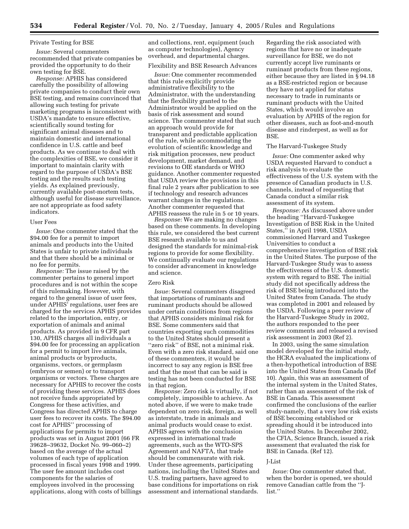### Private Testing for BSE

*Issue:* Several commenters recommended that private companies be provided the opportunity to do their own testing for BSE.

*Response:* APHIS has considered carefully the possibility of allowing private companies to conduct their own BSE testing, and remains convinced that allowing such testing for private marketing programs is inconsistent with USDA's mandate to ensure effective, scientifically sound testing for significant animal diseases and to maintain domestic and international confidence in U.S. cattle and beef products. As we continue to deal with the complexities of BSE, we consider it important to maintain clarity with regard to the purpose of USDA's BSE testing and the results such testing yields. As explained previously, currently available post-mortem tests, although useful for disease surveillance, are not appropriate as food safety indicators.

### User Fees

*Issue:* One commenter stated that the \$94.00 fee for a permit to import animals and products into the United States is unfair to private individuals and that there should be a minimal or no fee for permits.

*Response:* The issue raised by the commenter pertains to general import procedures and is not within the scope of this rulemaking. However, with regard to the general issue of user fees, under APHIS' regulations, user fees are charged for the services APHIS provides related to the importation, entry, or exportation of animals and animal products. As provided in 9 CFR part 130, APHIS charges all individuals a \$94.00 fee for processing an application for a permit to import live animals, animal products or byproducts, organisms, vectors, or germplasm (embryos or semen) or to transport organisms or vectors. These charges are necessary for APHIS to recover the costs of providing these services. APHIS does not receive funds appropriated by Congress for these activities, and Congress has directed APHIS to charge user fees to recover its costs. The \$94.00 cost for APHIS'' processing of applications for permits to import products was set in August 2001 (66 FR 39628–39632, Docket No. 99–060–2) based on the average of the actual volumes of each type of application processed in fiscal years 1998 and 1999. The user fee amount includes cost components for the salaries of employees involved in the processing applications, along with costs of billings and collections, rent, equipment (such as computer technologies), Agency overhead, and departmental charges.

# Flexibility and BSE Research Advances

*Issue:* One commenter recommended that this rule explicitly provide administrative flexibility to the Administrator, with the understanding that the flexibility granted to the Administrator would be applied on the basis of risk assessment and sound science. The commenter stated that such an approach would provide for transparent and predictable application of the rule, while accommodating the evolution of scientific knowledge and risk mitigation processes, new product development, market demand, and revisions to OIE standards or WHO guidance. Another commenter requested that USDA review the provisions in this final rule 2 years after publication to see if technology and research advances warrant changes in the regulations. Another commenter requested that APHIS reassess the rule in 5 or 10 years.

*Response:* We are making no changes based on these comments. In developing this rule, we considered the best current BSE research available to us and designed the standards for minimal-risk regions to provide for some flexibility. We continually evaluate our regulations to consider advancement in knowledge and science.

#### Zero Risk

*Issue:* Several commenters disagreed that importations of ruminants and ruminant products should be allowed under certain conditions from regions that APHIS considers minimal risk for BSE. Some commenters said that countries exporting such commodities to the United States should present a ''zero risk'' of BSE, not a minimal risk. Even with a zero risk standard, said one of these commenters, it would be incorrect to say any region is BSE free and that the most that can be said is testing has not been conducted for BSE in that region.

*Response:* Zero risk is virtually, if not completely, impossible to achieve. As noted above, if we were to make trade dependent on zero risk, foreign, as well as interstate, trade in animals and animal products would cease to exist. APHIS agrees with the conclusion expressed in international trade agreements, such as the WTO-SPS Agreement and NAFTA, that trade should be commensurate with risk. Under these agreements, participating nations, including the United States and U.S. trading partners, have agreed to base conditions for importations on risk assessment and international standards.

Regarding the risk associated with regions that have no or inadequate surveillance for BSE, we do not currently accept live ruminants or ruminant products from these regions, either because they are listed in § 94.18 as a BSE-restricted region or because they have not applied for status necessary to trade in ruminants or ruminant products with the United States, which would involve an evaluation by APHIS of the region for other diseases, such as foot-and-mouth disease and rinderpest, as well as for BSE.

### The Harvard-Tuskegee Study

*Issue:* One commenter asked why USDA requested Harvard to conduct a risk analysis to evaluate the effectiveness of the U.S. system with the presence of Canadian products in U.S. channels, instead of requesting that Canada conduct a similar risk assessment of its system.

*Response:* As discussed above under the heading ''Harvard-Tuskegee Investigation of BSE Risk in the United States,'' in April 1998, USDA commissioned Harvard and Tuskegee Universities to conduct a comprehensive investigation of BSE risk in the United States. The purpose of the Harvard-Tuskegee Study was to assess the effectiveness of the U.S. domestic system with regard to BSE. The initial study did not specifically address the risk of BSE being introduced into the United States from Canada. The study was completed in 2001 and released by the USDA. Following a peer review of the Harvard-Tuskegee Study in 2002, the authors responded to the peer review comments and released a revised risk assessment in 2003 (Ref 2).

In 2003, using the same simulation model developed for the initial study, the HCRA evaluated the implications of a then-hypothetical introduction of BSE into the United States from Canada (Ref 10). Again, this was an assessment of the internal system in the United States, rather than an assessment of the risk of BSE in Canada. This assessment confirmed the conclusions of the earlier study-namely, that a very low risk exists of BSE becoming established or spreading should it be introduced into the United States. In December 2002, the CFIA, Science Branch, issued a risk assessment that evaluated the risk for BSE in Canada. (Ref 12).

### J-List

*Issue:* One commenter stated that, when the border is opened, we should remove Canadian cattle from the ''Jlist.''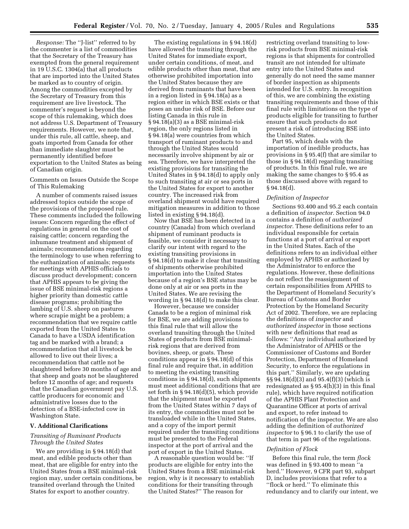*Response:* The ''J-list'' referred to by the commenter is a list of commodities that the Secretary of the Treasury has exempted from the general requirement in 19 U.S.C. 1304(a) that all products that are imported into the United States be marked as to country of origin. Among the commodities excepted by the Secretary of Treasury from this requirement are live livestock. The commenter's request is beyond the scope of this rulemaking, which does not address U.S. Department of Treasury requirements. However, we note that, under this rule, all cattle, sheep, and goats imported from Canada for other than immediate slaughter must be permanently identified before exportation to the United States as being of Canadian origin.

# Comments on Issues Outside the Scope of This Rulemaking

A number of comments raised issues addressed topics outside the scope of the provisions of the proposed rule. These comments included the following issues: Concern regarding the effect of regulations in general on the cost of raising cattle; concern regarding the inhumane treatment and shipment of animals; recommendations regarding the terminology to use when referring to the euthanization of animals; requests for meetings with APHIS officials to discuss product development; concern that APHIS appears to be giving the issue of BSE minimal-risk regions a higher priority than domestic cattle disease programs; prohibiting the lambing of U.S. sheep on pastures where scrapie might be a problem; a recommendation that we require cattle exported from the United States to Canada to have a USDA identification tag and be marked with a brand; a recommendation that all livestock be allowed to live out their lives; a recommendation that cattle not be slaughtered before 30 months of age and that sheep and goats not be slaughtered before 12 months of age; and requests that the Canadian government pay U.S. cattle producers for economic and administrative losses due to the detection of a BSE-infected cow in Washington State.

## **V. Additional Clarifications**

# *Transiting of Ruminant Products Through the United States*

We are providing in § 94.18(d) that meat, and edible products other than meat, that are eligible for entry into the United States from a BSE minimal-risk region may, under certain conditions, be transited overland through the United States for export to another country.

The existing regulations in § 94.18(d) have allowed the transiting through the United States for immediate export, under certain conditions, of meat, and edible products other than meat, that are otherwise prohibited importation into the United States because they are derived from ruminants that have been in a region listed in § 94.18(a) as a region either in which BSE exists or that poses an undue risk of BSE. Before our listing Canada in this rule in § 94.18(a)(3) as a BSE minimal-risk region, the only regions listed in § 94.18(a) were countries from which transport of ruminant products to and through the United States would necessarily involve shipment by air or sea. Therefore, we have interpreted the existing provisions for transiting the United States in § 94.18(d) to apply only to such transiting at air or sea ports in the United States for export to another country. The increased risk from overland shipment would have required mitigation measures in addition to those listed in existing § 94.18(d).

Now that BSE has been detected in a country (Canada) from which overland shipment of ruminant products is feasible, we consider it necessary to clarify our intent with regard to the existing transiting provisions in § 94.18(d) to make it clear that transiting of shipments otherwise prohibited importation into the United States because of a region's BSE status may be done only at air or sea ports in the United States. We are revising the wording in § 94.18(d) to make this clear.

However, because we consider Canada to be a region of minimal risk for BSE, we are adding provisions to this final rule that will allow the overland transiting through the United States of products from BSE minimalrisk regions that are derived from bovines, sheep, or goats. These conditions appear in § 94.18(d) of this final rule and require that, in addition to meeting the existing transiting conditions in § 94.18(d), such shipments must meet additional conditions that are set forth in § 94.18(d)(5), which provide that the shipment must be exported from the United States within 7 days of its entry, the commodities must not be transloaded while in the United States, and a copy of the import permit required under the transiting conditions must be presented to the Federal inspector at the port of arrival and the port of export in the United States.

A reasonable question would be: ''If products are eligible for entry into the United States from a BSE minimal-risk region, why is it necessary to establish conditions for their transiting through the United States?'' The reason for

restricting overland transiting to lowrisk products from BSE minimal-risk regions is that shipments for controlled transit are not intended for ultimate entry into the United States and generally do not need the same manner of border inspection as shipments intended for U.S. entry. In recognition of this, we are combining the existing transiting requirements and those of this final rule with limitations on the type of products eligible for transiting to further ensure that such products do not present a risk of introducing BSE into the United States.

Part 95, which deals with the importation of inedible products, has provisions in § 95.4(f) that are similar to those in § 94.18(d) regarding transiting of products. In this final rule, we are making the same changes to § 95.4 as those discussed above with regard to  $§ 94.18(d).$ 

### *Definition of Inspector*

Sections 93.400 and 95.2 each contain a definition of *inspector.* Section 94.0 contains a definition of *authorized inspector.* These definitions refer to an individual responsible for certain functions at a port of arrival or export in the United States. Each of the definitions refers to an individual either employed by APHIS or authorized by the Administrator to enforce the regulations. However, these definitions do not reflect the reassignment of certain responsibilities from APHIS to the Department of Homeland Security's Bureau of Customs and Border Protection by the Homeland Security Act of 2002. Therefore, we are replacing the definitions of *inspector* and *authorized inspector* in those sections with new definitions that read as follows: ''Any individual authorized by the Administrator of APHIS or the Commissioner of Customs and Border Protection, Department of Homeland Security, to enforce the regulations in this part.'' Similarly, we are updating §§ 94.18(d)(3) and 95.4(f)(3) (which is redesignated as § 95.4(h)(3) in this final rule), which have required notification of the APHIS Plant Protection and Quarantine Officer at ports of arrival and export, to refer instead to notification of the inspector. We are also adding the definition of *authorized inspector* to § 96.1 to clarify the use of that term in part 96 of the regulations.

#### *Definition of Flock*

Before this final rule, the term *flock* was defined in § 93.400 to mean ''a herd.'' However, 9 CFR part 93, subpart D, includes provisions that refer to a ''flock or herd.'' To eliminate this redundancy and to clarify our intent, we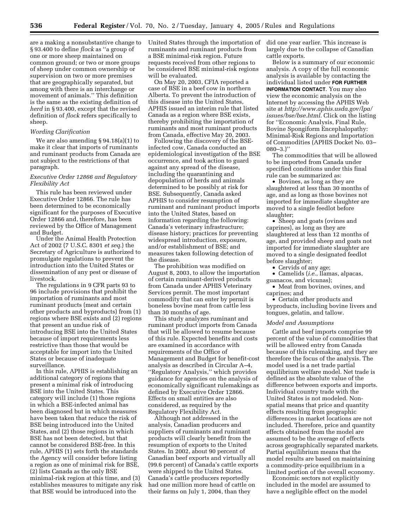are a making a nonsubstantive change to § 93.400 to define *flock* as ''a group of one or more sheep maintained on common ground; or two or more groups of sheep under common ownership or supervision on two or more premises that are geographically separated, but among with there is an interchange or movement of animals.'' This definition is the same as the existing definition of *herd* in § 93.400, except that the revised definition of *flock* refers specifically to sheep.

### *Wording Clarification*

We are also amending § 94.18(a)(1) to make it clear that imports of ruminants and ruminant products from Canada are not subject to the restrictions of that paragraph.

## *Executive Order 12866 and Regulatory Flexibility Act*

This rule has been reviewed under Executive Order 12866. The rule has been determined to be economically significant for the purposes of Executive Order 12866 and, therefore, has been reviewed by the Office of Management and Budget.

Under the Animal Health Protection Act of 2002 (7 U.S.C. 8301 *et seq.*) the Secretary of Agriculture is authorized to promulgate regulations to prevent the introduction into the United States or dissemination of any pest or disease of livestock.

The regulations in 9 CFR parts 93 to 96 include provisions that prohibit the importation of ruminants and most ruminant products (meat and certain other products and byproducts) from (1) regions where BSE exists and (2) regions that present an undue risk of introducing BSE into the United States because of import requirements less restrictive than those that would be acceptable for import into the United States or because of inadequate surveillance.

In this rule, APHIS is establishing an additional category of regions that present a minimal risk of introducing BSE into the United States. This category will include (1) those regions in which a BSE-infected animal has been diagnosed but in which measures have been taken that reduce the risk of BSE being introduced into the United States, and (2) those regions in which BSE has not been detected, but that cannot be considered BSE-free. In this rule, APHIS (1) sets forth the standards the Agency will consider before listing a region as one of minimal risk for BSE, (2) lists Canada as the only BSE minimal-risk region at this time, and (3) establishes measures to mitigate any risk that BSE would be introduced into the

United States through the importation of ruminants and ruminant products from a BSE minimal-risk region. Future requests received from other regions to be considered BSE minimal-risk regions will be evaluated.

On May 20, 2003, CFIA reported a case of BSE in a beef cow in northern Alberta. To prevent the introduction of this disease into the United States, APHIS issued an interim rule that listed Canada as a region where BSE exists, thereby prohibiting the importation of ruminants and most ruminant products from Canada, effective May 20, 2003.

Following the discovery of the BSEinfected cow, Canada conducted an epidemiological investigation of the BSE occurrence, and took action to guard against any spread of the disease, including the quarantining and depopulation of herds and animals determined to be possibly at risk for BSE. Subsequently, Canada asked APHIS to consider resumption of ruminant and ruminant product imports into the United States, based on information regarding the following: Canada's veterinary infrastructure; disease history; practices for preventing widespread introduction, exposure, and/or establishment of BSE; and measures taken following detection of the disease.

The prohibition was modified on August 8, 2003, to allow the importation of certain ruminant-derived products from Canada under APHIS Veterinary Services permit. The most important commodity that can enter by permit is boneless bovine meat from cattle less than 30 months of age.

This study analyzes ruminant and ruminant product imports from Canada that will be allowed to resume because of this rule. Expected benefits and costs are examined in accordance with requirements of the Office of Management and Budget for benefit-cost analysis as described in Circular A–4, ''Regulatory Analysis,'' which provides guidance for agencies on the analysis of economically significant rulemakings as defined by Executive Order 12866. Effects on small entities are also considered, as required by the Regulatory Flexibility Act.

Although not addressed in the analysis, Canadian producers and suppliers of ruminants and ruminant products will clearly benefit from the resumption of exports to the United States. In 2002, about 90 percent of Canadian beef exports and virtually all (99.6 percent) of Canada's cattle exports were shipped to the United States. Canada's cattle producers reportedly had one million more head of cattle on their farms on July 1, 2004, than they

did one year earlier. This increase is largely due to the collapse of Canadian cattle exports.

Below is a summary of our economic analysis. A copy of the full economic analysis is available by contacting the individual listed under **FOR FURTHER INFORMATION CONTACT**. You may also view the economic analysis on the Internet by accessing the APHIS Web site at *http://www.aphis.usda.gov/lpa/ issues/bse/bse.html.* Click on the listing for ''Economic Analysis, Final Rule, Bovine Spongiform Encephalopathy: Minimal-Risk Regions and Importation of Commodities (APHIS Docket No. 03–  $080 - 3.$ )"

The commodities that will be allowed to be imported from Canada under specified conditions under this final rule can be summarized as:

• Bovines, as long as they are slaughtered at less than 30 months of age, and as long as those bovines not imported for immediate slaughter are moved to a single feedlot before slaughter;

• Sheep and goats (ovines and caprines), as long as they are slaughtered at less than 12 months of age, and provided sheep and goats not imported for immediate slaughter are moved to a single designated feedlot before slaughter;

• Cervids of any age;

• Camelids (*i.e.*, llamas, alpacas, guanacos, and vicunas);

• Meat from bovines, ovines, and caprines; and

• Certain other products and byproducts, including bovine livers and tongues, gelatin, and tallow.

### *Model and Assumptions*

Cattle and beef imports comprise 99 percent of the value of commodities that will be allowed entry from Canada because of this rulemaking, and they are therefore the focus of the analysis. The model used is a net trade partial equilibrium welfare model. Net trade is defined as the absolute value of the difference between exports and imports. Individual country trade with the United States is not modeled. Nonspatial means that price and quantity effects resulting from geographic differences in market locations are not included. Therefore, price and quantity effects obtained from the model are assumed to be the average of effects across geographically separated markets. Partial equilibrium means that the model results are based on maintaining a commodity-price equilibrium in a limited portion of the overall economy.

Economic sectors not explicitly included in the model are assumed to have a negligible effect on the model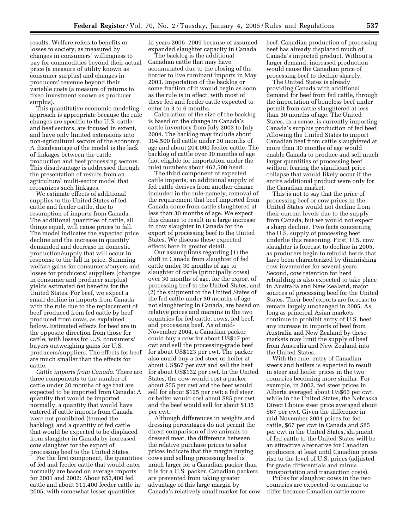results. Welfare refers to benefits or losses to society, as measured by changes in consumers' willingness to pay for commodities beyond their actual price (a measure of utility known as consumer surplus) and changes in producers' revenue beyond their variable costs (a measure of returns to fixed investment known as producer surplus).

This quantitative economic modeling approach is appropriate because the rule changes are specific to the U.S. cattle and beef sectors, are focused in extent, and have only limited extensions into non-agricultural sectors of the economy. A disadvantage of the model is the lack of linkages between the cattle production and beef processing sectors. This disadvantage is addressed through the presentation of results from an agricultural multi-sector model that recognizes such linkages.

We estimate effects of additional supplies to the United States of fed cattle and feeder cattle, due to resumption of imports from Canada. The additional quantities of cattle, all things equal, will cause prices to fall. The model indicates the expected price decline and the increase in quantity demanded and decrease in domestic production/supply that will occur in response to the fall in price. Summing welfare gains for consumers/buyers and losses for producers/ suppliers (changes in consumer and producer surplus) yields estimated net benefits for the United States. For beef, we expect a small decline in imports from Canada with the rule due to the replacement of beef produced from fed cattle by beef produced from cows, as explained below. Estimated effects for beef are in the opposite direction from those for cattle, with losses for U.S. consumers/ buyers outweighing gains for U.S. producers/suppliers. The effects for beef are much smaller than the effects for cattle.

*Cattle imports from Canada.* There are three components to the number of cattle under 30 months of age that are expected to be imported from Canada: A quantity that would be imported normally, a quantity that would have entered if cattle imports from Canada were not prohibited (termed the backlog); and a quantity of fed cattle that would be expected to be displaced from slaughter in Canada by increased cow slaughter for the export of processing beef to the United States.

For the first component, the quantities of fed and feeder cattle that would enter normally are based on average imports for 2001 and 2002: About 652,400 fed cattle and about 311,400 feeder cattle in 2005, with somewhat lesser quantities

in years 2006–2009 because of assumed expanded slaughter capacity in Canada.

The backlog is the additional Canadian cattle that may have accumulated due to the closing of the border to live ruminant imports in May 2003. Importation of the backlog or some fraction of it would begin as soon as the rule is in effect, with most of these fed and feeder cattle expected to enter in 3 to 6 months.

Calculation of the size of the backlog is based on the change in Canada's cattle inventory from July 2003 to July 2004. The backlog may include about 394,500 fed cattle under 30 months of age and about 204,000 feeder cattle. The backlog of cattle over 30 months of age (not eligible for importation under the rule) numbers about 462,500 head.

The third component of expected cattle imports, an additional supply of fed cattle derives from another change included in the rule-namely, removal of the requirement that beef imported from Canada come from cattle slaughtered at less than 30 months of age. We expect this change to result in a large increase in cow slaughter in Canada for the export of processing beef to the United States. We discuss these expected effects here in greater detail.

Our assumptions regarding (1) the shift in Canada from slaughter of fed cattle under 30 months of age to slaughter of cattle (principally cows) over 30 months of age, for the export of processing beef to the United States, and (2) the shipment to the United States of the fed cattle under 30 months of age not slaughtering in Canada, are based on relative prices and margins in the two countries for fed cattle, cows, fed beef, and processing beef. As of mid-November 2004, a Canadian packer could buy a cow for about US\$17 per cwt and sell the processing-grade beef for about US\$123 per cwt. The packer also could buy a fed steer or heifer at about US\$67 per cwt and sell the beef for about US\$132 per cwt. In the United States, the cow would cost a packer about \$55 per cwt and the beef would sell for about \$125 per cwt; a fed steer or heifer would cost about \$85 per cwt and the beef would sell for about \$135 per cwt.

Although differences in weights and dressing percentages do not permit the direct comparison of live animals to dressed meat, the difference between the relative purchase prices to sales prices indicate that the margin buying cows and selling processing beef is much larger for a Canadian packer than it is for a U.S. packer. Canadian packers are prevented from taking greater advantage of this large margin by Canada's relatively small market for cow beef. Canadian production of processing beef has already displaced much of Canada's imported product. Without a larger demand, increased production would cause the Canadian price of processing beef to decline sharply.

The United States is already providing Canada with additional demand for beef from fed cattle, through the importation of boneless beef under permit from cattle slaughtered at less than 30 months of age. The United States, in a sense, is currently importing Canada's surplus production of fed beef. Allowing the United States to import Canadian beef from cattle slaughtered at more than 30 months of age would enable Canada to produce and sell much larger quantities of processing beef without fearing the significant price collapse that would likely occur if the entire additional product were only for the Canadian market.

This is not to say that the price of processing beef or cow prices in the United States would not decline from their current levels due to the supply from Canada, but we would not expect a sharp decline. Two facts concerning the U.S. supply of processing beef underlie this reasoning. First, U.S. cow slaughter is forecast to decline in 2005, as producers begin to rebuild herds that have been characterized by diminishing cow inventories for several years. Second, cow retention for herd rebuilding is also expected to take place in Australia and New Zealand, major sources of processing beef for the United States. Their beef exports are forecast to remain largely unchanged in 2005. As long as principal Asian markets continue to prohibit entry of U.S. beef, any increase in imports of beef from Australia and New Zealand by these markets may limit the supply of beef from Australia and New Zealand into the United States.

With the rule, entry of Canadian steers and heifers is expected to result in steer and heifer prices in the two countries becoming more similar. For example, in 2002, fed steer prices in Alberta averaged about US\$63 per cwt, while in the United States, the Nebraska Direct Choice steer price averaged about \$67 per cwt. Given the difference in mid-November 2004 prices for fed cattle, \$67 per cwt in Canada and \$85 per cwt in the United States, shipment of fed cattle to the United States will be an attractive alternative for Canadian producers, at least until Canadian prices rise to the level of U.S. prices (adjusted for grade differentials and minus transportation and transaction costs).

Prices for slaughter cows in the two countries are expected to continue to differ because Canadian cattle more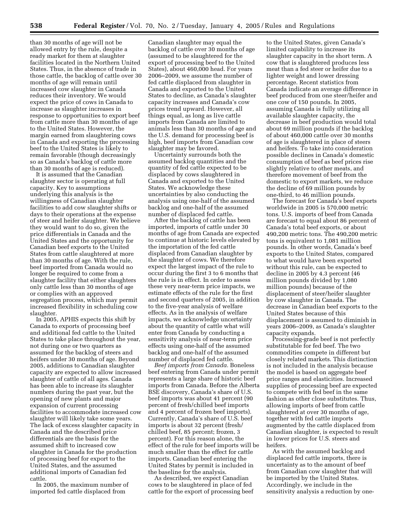than 30 months of age will not be allowed entry by the rule, despite a ready market for them at slaughter facilities located in the Northern United States. Thus, in the absence of trade in those cattle, the backlog of cattle over 30 months of age will remain until increased cow slaughter in Canada reduces their inventory. We would expect the price of cows in Canada to increase as slaughter increases in response to opportunities to export beef from cattle more than 30 months of age to the United States. However, the margin earned from slaughtering cows in Canada and exporting the processing beef to the United States is likely to remain favorable (though decreasingly so as Canada's backlog of cattle more than 30 months of age is reduced).

It is assumed that the Canadian slaughter sector is operating at full capacity. Key to assumptions underlying this analysis is the willingness of Canadian slaughter facilities to add cow slaughter shifts or days to their operations at the expense of steer and heifer slaughter. We believe they would want to do so, given the price differentials in Canada and the United States and the opportunity for Canadian beef exports to the United States from cattle slaughtered at more than 30 months of age. With the rule, beef imported from Canada would no longer be required to come from a slaughter facility that either slaughters only cattle less than 30 months of age or complies with an approved segregation process, which may permit increased flexibility in scheduling cow slaughter.

In 2005, APHIS expects this shift by Canada to exports of processing beef and additional fed cattle to the United States to take place throughout the year, not during one or two quarters as assumed for the backlog of steers and heifers under 30 months of age. Beyond 2005, additions to Canadian slaughter capacity are expected to allow increased slaughter of cattle of all ages. Canada has been able to increase its slaughter numbers during the past year, but the opening of new plants and major expansion of current processing facilities to accommodate increased cow slaughter will likely take some years. The lack of excess slaughter capacity in Canada and the described price differentials are the basis for the assumed shift to increased cow slaughter in Canada for the production of processing beef for export to the United States, and the assumed additional imports of Canadian fed cattle.

In 2005, the maximum number of imported fed cattle displaced from

Canadian slaughter may equal the backlog of cattle over 30 months of age (assumed to be slaughtered for the export of processing beef to the United States), about 460,000 head. For years 2006–2009, we assume the number of fed cattle displaced from slaughter in Canada and exported to the United States to decline, as Canada's slaughter capacity increases and Canada's cow prices trend upward. However, all things equal, as long as live cattle imports from Canada are limited to animals less than 30 months of age and the U.S. demand for processing beef is high, beef imports from Canadian cow slaughter may be favored.

Uncertainty surrounds both the assumed backlog quantities and the quantity of fed cattle expected to be displaced by cows slaughtered in Canada and exported to the United States. We acknowledge these uncertainties by also conducting the analysis using one-half of the assumed backlog and one-half of the assumed number of displaced fed cattle.

After the backlog of cattle has been imported, imports of cattle under 30 months of age from Canada are expected to continue at historic levels elevated by the importation of the fed cattle displaced from Canadian slaughter by the slaughter of cows. We therefore expect the largest impact of the rule to occur during the first 3 to 6 months that the rule is in effect. In order to assess these very near-term price impacts, we estimate effects of the rule for the first and second quarters of 2005, in addition to the five-year analysis of welfare effects. As in the analysis of welfare impacts, we acknowledge uncertainty about the quantity of cattle what will enter from Canada by conducting a sensitivity analysis of near-term price effects using one-half of the assumed backlog and one-half of the assumed number of displaced fed cattle.

*Beef imports from Canada.* Boneless beef entering from Canada under permit represents a large share of historic beef imports from Canada. Before the Alberta BSE discovery, Canada's share of U.S. beef imports was about 41 percent (90 percent of fresh/chilled beef imports and 4 percent of frozen beef imports). Currently, Canada's share of U.S. beef imports is about 32 percent (fresh/ chilled beef, 85 percent; frozen, 3 percent). For this reason alone, the effect of the rule for beef imports will be much smaller than the effect for cattle imports. Canadian beef entering the United States by permit is included in the baseline for the analysis.

As described, we expect Canadian cows to be slaughtered in place of fed cattle for the export of processing beef

to the United States, given Canada's limited capability to increase its slaughter capacity in the short term. A cow that is slaughtered produces less meat than a fed steer or heifer due to a lighter weight and lower dressing percentage. Recent statistics from Canada indicate an average difference in beef produced from one steer/heifer and one cow of 150 pounds. In 2005, assuming Canada is fully utilizing all available slaughter capacity, the decrease in beef production would total about 69 million pounds if the backlog of about 460,000 cattle over 30 months of age is slaughtered in place of steers and heifers. To take into consideration possible declines in Canada's domestic consumption of beef as beef prices rise slightly relative to other meats, and therefore movement of beef from the domestic to export markets, we reduce the decline of 69 million pounds by one-third, to 46 million pounds.

The forecast for Canada's beef exports worldwide in 2005 is 570,000 metric tons. U.S. imports of beef from Canada are forecast to equal about 86 percent of Canada's total beef exports, or about 490,200 metric tons. The 490,200 metric tons is equivalent to 1,081 million pounds. In other words, Canada's beef exports to the United States, compared to what would have been exported without this rule, can be expected to decline in 2005 by 4.3 percent (46 million pounds divided by 1,080 million pounds) because of the displacement of steer/heifer slaughter by cow slaughter in Canada. The decrease in Canadian beef exports to the United States because of this displacement is assumed to diminish in years 2006–2009, as Canada's slaughter capacity expands.

Processing-grade beef is not perfectly substitutable for fed beef. The two commodities compete in different but closely related markets. This distinction is not included in the analysis because the model is based on aggregate beef price ranges and elasticities. Increased supplies of processing beef are expected to compete with fed beef in the same fashion as other close substitutes. Thus, allowing imports of beef from cattle slaughtered at over 30 months of age, together with fed cattle imports augmented by the cattle displaced from Canadian slaughter, is expected to result in lower prices for U.S. steers and heifers.

As with the assumed backlog and displaced fed cattle imports, there is uncertainty as to the amount of beef from Canadian cow slaughter that will be imported by the United States. Accordingly, we include in the sensitivity analysis a reduction by one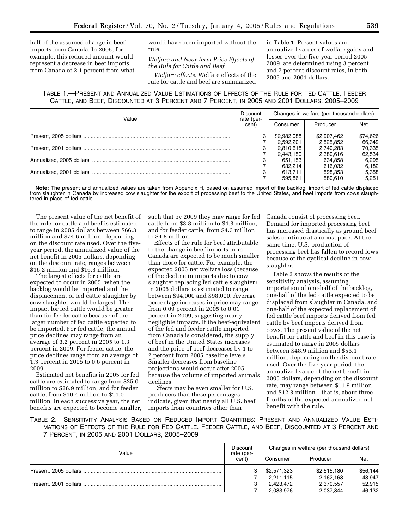half of the assumed change in beef imports from Canada. In 2005, for example, this reduced amount would represent a decrease in beef imports from Canada of 2.1 percent from what would have been imported without the rule.

*Welfare and Near-term Price Effects of the Rule for Cattle and Beef* 

*Welfare effects.* Welfare effects of the rule for cattle and beef are summarized in Table 1. Present values and annualized values of welfare gains and losses over the five-year period 2005– 2009, are determined using 3 percent and 7 percent discount rates, in both 2005 and 2001 dollars.

# TABLE 1.—PRESENT AND ANNUALIZED VALUE ESTIMATIONS OF EFFECTS OF THE RULE FOR FED CATTLE, FEEDER CATTLE, AND BEEF, DISCOUNTED AT 3 PERCENT AND 7 PERCENT, IN 2005 AND 2001 DOLLARS, 2005–2009

|       | <b>Discount</b>     | Changes in welfare (per thousand dollars) |                 |          |  |
|-------|---------------------|-------------------------------------------|-----------------|----------|--|
| Value | rate (per-<br>cent) | Consumer                                  | Producer        | Net      |  |
|       | 3                   | \$2,982,088                               | $-$ \$2,907,462 | \$74,626 |  |
|       |                     | 2,592,201                                 | $-2,525,852$    | 66,349   |  |
|       | 3                   | 2,810,618                                 | $-2.740.283$    | 70,335   |  |
|       |                     | 2.443.150                                 | $-2,380,616$    | 62,534   |  |
|       | 3                   | 651.153                                   | $-634.858$      | 16,295   |  |
|       |                     | 632.214                                   | $-616.032$      | 16,182   |  |
|       | 3                   | 613,711                                   | $-598.353$      | 15,358   |  |
|       |                     | 595.861                                   | $-580.610$      | 15.251   |  |

**Note:** The present and annualized values are taken from Appendix H, based on assumed import of the backlog, import of fed cattle displaced from slaughter in Canada by increased cow slaughter for the export of processing beef to the United States, and beef imports from cows slaughtered in place of fed cattle.

The present value of the net benefit of the rule for cattle and beef is estimated to range in 2005 dollars between \$66.3 million and \$74.6 million, depending on the discount rate used. Over the fiveyear period, the annualized value of the net benefit in 2005 dollars, depending on the discount rate, ranges between \$16.2 million and \$16.3 million.

The largest effects for cattle are expected to occur in 2005, when the backlog would be imported and the displacement of fed cattle slaughter by cow slaughter would be largest. The impact for fed cattle would be greater than for feeder cattle because of the larger number of fed cattle expected to be imported. For fed cattle, the annual price declines may range from an average of 3.2 percent in 2005 to 1.3 percent in 2009. For feeder cattle, the price declines range from an average of 1.3 percent in 2005 to 0.6 percent in 2009.

Estimated net benefits in 2005 for fed cattle are estimated to range from \$25.0 million to \$26.9 million, and for feeder cattle, from \$10.4 million to \$11.0 million. In each successive year, the net benefits are expected to become smaller, such that by 2009 they may range for fed cattle from \$3.8 million to \$4.3 million, and for feeder cattle, from \$4.3 million to \$4.8 million.

Effects of the rule for beef attributable to the change in beef imports from Canada are expected to be much smaller than those for cattle. For example, the expected 2005 net welfare loss (because of the decline in imports due to cow slaughter replacing fed cattle slaughter) in 2005 dollars is estimated to range between \$94,000 and \$98,000. Average percentage increases in price may range from 0.09 percent in 2005 to 0.01 percent in 2009, suggesting nearly negligible impacts. If the beef-equivalent of the fed and feeder cattle imported from Canada is considered, the supply of beef in the United States increases and the price of beef decreases by 1 to 2 percent from 2005 baseline levels. Smaller decreases from baseline projections would occur after 2005 because the volume of imported animals declines.

Effects may be even smaller for U.S. producers than these percentages indicate, given that nearly all U.S. beef imports from countries other than

Canada consist of processing beef. Demand for imported processing beef has increased drastically as ground beef sales continue at a robust pace. At the same time, U.S. production of processing beef has fallen to record lows because of the cyclical decline in cow slaughter.

Table 2 shows the results of the sensitivity analysis, assuming importation of one-half of the backlog, one-half of the fed cattle expected to be displaced from slaughter in Canada, and one-half of the expected replacement of fed cattle beef imports derived from fed cattle by beef imports derived from cows. The present value of the net benefit for cattle and beef in this case is estimated to range in 2005 dollars between \$48.9 million and \$56.1 million, depending on the discount rate used. Over the five-year period, the annualized value of the net benefit in 2005 dollars, depending on the discount rate, may range between \$11.9 million and \$12.3 million—that is, about threefourths of the expected annualized net benefit with the rule.

TABLE 2.—SENSITIVITY ANALYSIS BASED ON REDUCED IMPORT QUANTITIES: PRESENT AND ANNUALIZED VALUE ESTI-MATIONS OF EFFECTS OF THE RULE FOR FED CATTLE, FEEDER CATTLE, AND BEEF, DISCOUNTED AT 3 PERCENT AND 7 PERCENT, IN 2005 AND 2001 DOLLARS, 2005–2009

| Value | Discount            | Changes in welfare (per thousand dollars) |                 |          |  |
|-------|---------------------|-------------------------------------------|-----------------|----------|--|
|       | rate (per-<br>cent) | Consumer                                  | Producer        | Net      |  |
|       | 3                   | \$2,571,323                               | $-$ \$2,515,180 | \$56,144 |  |
|       |                     | 2.211.115                                 | $-2.162.168$    | 48.947   |  |
|       | 3                   | 2,423,472                                 | $-2,370,557$    | 52,915   |  |
|       |                     | 2.083.976                                 | $-2.037.844$    | 46.132   |  |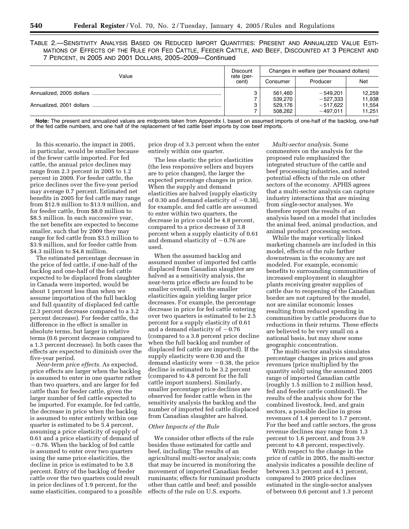| Table 2.—Sensitivity Analysis Based on Reduced Import Quantities: Present and Annualized Value Esti- |  |  |  |  |  |
|------------------------------------------------------------------------------------------------------|--|--|--|--|--|
| MATIONS OF EFFECTS OF THE RULE FOR FED CATTLE. FEEDER CATTLE, AND BEEF, DISCOUNTED AT 3 PERCENT AND  |  |  |  |  |  |
| 7 PERCENT, IN 2005 AND 2001 DOLLARS, 2005-2009-Continued                                             |  |  |  |  |  |

| Value | Discount<br>rate (per- | Changes in welfare (per thousand dollars) |            |            |  |
|-------|------------------------|-------------------------------------------|------------|------------|--|
|       |                        | Consumer                                  | Producer   | <b>Net</b> |  |
|       | 3                      | 561.460                                   | $-549.201$ | 12,259     |  |
|       |                        | 539.270                                   | $-527.333$ | 11,938     |  |
|       | 3                      | 529.176                                   | $-517.622$ | 11,554     |  |
|       |                        | 508.262                                   | $-497.011$ | 11.251     |  |

**Note:** The present and annualized values are midpoints taken from Appendix I, based on assumed imports of one-half of the backlog, one-half of the fed cattle numbers, and one half of the replacement of fed cattle beef imports by cow beef imports.

In this scenario, the impact in 2005, in particular, would be smaller because of the fewer cattle imported. For fed cattle, the annual price declines may range from 2.3 percent in 2005 to 1.2 percent in 2009. For feeder cattle, the price declines over the five-year period may average 0.7 percent. Estimated net benefits in 2005 for fed cattle may range from \$12.9 million to \$13.9 million, and for feeder cattle, from \$8.0 million to \$8.5 million. In each successive year, the net benefits are expected to become smaller, such that by 2009 they may range for fed cattle from \$3.5 million to \$3.9 million, and for feeder cattle from \$4.3 million to \$4.8 million.

The estimated percentage decrease in the price of fed cattle, if one-half of the backlog and one-half of the fed cattle expected to be displaced from slaughter in Canada were imported, would be about 1 percent less than when we assume importation of the full backlog and full quantity of displaced fed cattle (2.3 percent decrease compared to a 3.2 percent decrease). For feeder cattle, the difference in the effect is smaller in absolute terms, but larger in relative terms (0.6 percent decrease compared to a 1.3 percent decrease). In both cases the effects are expected to diminish over the five-year period.

*Near-term price effects.* As expected, price effects are larger when the backlog is assumed to enter in one quarter rather than two quarters, and are larger for fed cattle than for feeder cattle, given the larger number of fed cattle expected to be imported. For example, for fed cattle, the decrease in price when the backlog is assumed to enter entirely within one quarter is estimated to be 5.4 percent, assuming a price elasticity of supply of 0.61 and a price elasticity of demand of  $-0.76$ . When the backlog of fed cattle is assumed to enter over two quarters using the same price elasticities, the decline in price is estimated to be 3.8 percent. Entry of the backlog of feeder cattle over the two quarters could result in price declines of 1.9 percent, for the same elasticities, compared to a possible price drop of 3.3 percent when the enter entirely within one quarter.

The less elastic the price elasticities (the less responsive sellers and buyers are to price changes), the larger the expected percentage changes in price. When the supply and demand elasticities are halved (supply elasticity of 0.30 and demand elasticity of  $-0.38$ ), for example, and fed cattle are assumed to enter within two quarters, the decrease in price could be 4.8 percent, compared to a price decrease of 3.8 percent when a supply elasticity of 0.61 and demand elasticity of  $-0.76$  are used.

When the assumed backlog and assumed number of imported fed cattle displaced from Canadian slaughter are halved as a sensitivity analysis, the near-term price effects are found to be smaller overall, with the smaller elasticities again yielding larger price decreases. For example, the percentage decrease in price for fed cattle entering over two quarters is estimated to be 2.5 percent for a supply elasticity of 0.61 and a demand elasticity of  $-0.76$ (compared to a 3.8 percent price decline when the full backlog and number of displaced fed cattle are imported). If the supply elasticity were 0.30 and the demand elasticity were  $-0.38$ , the price decline is estimated to be 3.2 percent (compared to 4.8 percent for the full cattle import numbers). Similarly, smaller percentage price declines are observed for feeder cattle when in the sensitivity analysis the backlog and the number of imported fed cattle displaced from Canadian slaughter are halved.

# *Other Impacts of the Rule*

We consider other effects of the rule besides those estimated for cattle and beef, including: The results of an agricultural multi-sector analysis; costs that may be incurred in monitoring the movement of imported Canadian feeder ruminants; effects for ruminant products other than cattle and beef; and possible effects of the rule on U.S. exports.

*Multi-sector analysis.* Some commenters on the analysis for the proposed rule emphasized the integrated structure of the cattle and beef processing industries, and noted potential effects of the rule on other sectors of the economy. APHIS agrees that a multi-sector analysis can capture industry interactions that are missing from single-sector analyses. We therefore report the results of an analysis based on a model that includes the animal feed, animal production, and animal product processing sectors.

While the major vertically linked marketing channels are included in this model, effects of the rule farther downstream in the economy are not modeled. For example, economic benefits to surrounding communities of increased employment in slaughter plants receiving greater supplies of cattle due to reopening of the Canadian border are not captured by the model, nor are similar economic losses resulting from reduced spending in communities by cattle producers due to reductions in their returns. These effects are believed to be very small on a national basis, but may show some geographic concentration.

The multi-sector analysis simulates percentage changes in prices and gross revenues (price multiplied by the quantity sold) using the assumed 2005 range of imported Canadian cattle (roughly 1.5 million to 2 million head, fed and feeder cattle combined). The results of the analysis show for the combined livestock, feed, and grain sectors, a possible decline in gross revenues of 1.4 percent to 1.7 percent. For the beef and cattle sectors, the gross revenue declines may range from 1.3 percent to 1.6 percent, and from 3.9 percent to 4.8 percent, respectively.

With respect to the change in the price of cattle in 2005, the multi-sector analysis indicates a possible decline of between 3.3 percent and 4.1 percent, compared to 2005 price declines estimated in the single-sector analyses of between 0.6 percent and 1.3 percent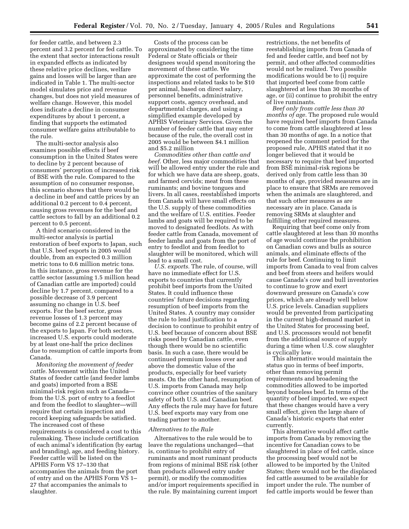for feeder cattle, and between 2.3 percent and 3.2 percent for fed cattle. To the extent that sector interactions result in expanded effects as indicated by these relative price declines, welfare gains and losses will be larger than are indicated in Table 1. The multi-sector model simulates price and revenue changes, but does not yield measures of welfare change. However, this model does indicate a decline in consumer expenditures by about 1 percent, a finding that supports the estimated consumer welfare gains attributable to the rule.

The multi-sector analysis also examines possible effects if beef consumption in the United States were to decline by 2 percent because of consumers' perception of increased risk of BSE with the rule. Compared to the assumption of no consumer response, this scenario shows that there would be a decline in beef and cattle prices by an additional 0.2 percent to 0.4 percent, causing gross revenues for the beef and cattle sectors to fall by an additional 0.2 percent to 0.5 percent.

A third scenario considered in the multi-sector analysis is partial restoration of beef exports to Japan, such that U.S. beef exports in 2005 would double, from an expected 0.3 million metric tons to 0.6 million metric tons. In this instance, gross revenue for the cattle sector (assuming 1.5 million head of Canadian cattle are imported) could decline by 1.7 percent, compared to a possible decrease of 3.9 percent assuming no change in U.S. beef exports. For the beef sector, gross revenue losses of 1.3 percent may become gains of 2.2 percent because of the exports to Japan. For both sectors, increased U.S. exports could moderate by at least one-half the price declines due to resumption of cattle imports from Canada.

*Monitoring the movement of feeder cattle.* Movement within the United States of feeder cattle (and feeder lambs and goats) imported from a BSE minimal-risk region such as Canada from the U.S. port of entry to a feedlot and from the feedlot to slaughter—will require that certain inspection and record keeping safeguards be satisfied. The increased cost of these requirements is considered a cost to this rulemaking. These include certification of each animal's identification (by eartag and branding), age, and feeding history. Feeder cattle will be listed on the APHIS Form VS 17–130 that accompanies the animals from the port of entry and on the APHIS Form VS 1– 27 that accompanies the animals to slaughter.

Costs of the process can be approximated by considering the time Federal or State officials or their designees would spend monitoring the movement of these cattle. We approximate the cost of performing the inspections and related tasks to be \$10 per animal, based on direct salary, personnel benefits, administrative support costs, agency overhead, and departmental charges, and using a simplified example developed by APHIS Veterinary Services. Given the number of feeder cattle that may enter because of the rule, the overall cost in 2005 would be between \$4.1 million and \$5.2 million

*Commodities other than cattle and beef.* Other, less major commodities that will be allowed entry under the rule and for which we have data are sheep, goats, and farmed cervids; meat from these ruminants; and bovine tongues and livers. In all cases, reestablished imports from Canada will have small effects on the U.S. supply of these commodities and the welfare of U.S. entities. Feeder lambs and goats will be required to be moved to designated feedlots. As with feeder cattle from Canada, movement of feeder lambs and goats from the port of entry to feedlot and from feedlot to slaughter will be monitored, which will lead to a small cost.

*U.S. exports.* The rule, of course, will have no immediate effect for U.S. exports to countries that currently prohibit beef imports from the United States. It could influence these countries' future decisions regarding resumption of beef imports from the United States. A country may consider the rule to lend justification to a decision to continue to prohibit entry of U.S. beef because of concern about BSE risks posed by Canadian cattle, even though there would be no scientific basis. In such a case, there would be continued premium losses over and above the domestic value of the products, especially for beef variety meats. On the other hand, resumption of U.S. imports from Canada may help convince other countries of the sanitary safety of both U.S. and Canadian beef. Any effects the rule may have for future U.S. beef exports may vary from one trading partner to another.

# *Alternatives to the Rule*

Alternatives to the rule would be to leave the regulations unchanged—that is, continue to prohibit entry of ruminants and most ruminant products from regions of minimal BSE risk (other than products allowed entry under permit), or modify the commodities and/or import requirements specified in the rule. By maintaining current import

restrictions, the net benefits of reestablishing imports from Canada of fed and feeder cattle, and beef not by permit, and other affected commodities would not be realized. Two possible modifications would be to (i) require that imported beef come from cattle slaughtered at less than 30 months of age, or (ii) continue to prohibit the entry of live ruminants.

*Beef only from cattle less than 30 months of age.* The proposed rule would have required beef imports from Canada to come from cattle slaughtered at less than 30 months of age. In a notice that reopened the comment period for the proposed rule, APHIS stated that it no longer believed that it would be necessary to require that beef imported from BSE minimal-risk regions be derived only from cattle less than 30 months of age, provided measures are in place to ensure that SRMs are removed when the animals are slaughtered, and that such other measures as are necessary are in place. Canada is removing SRMs at slaughter and fulfilling other required measures.

Requiring that beef come only from cattle slaughtered at less than 30 months of age would continue the prohibition on Canadian cows and bulls as source animals, and eliminate effects of the rule for beef. Continuing to limit imports from Canada to veal from calves and beef from steers and heifers would cause Canada's cow and bull inventories to continue to grow and exert downward pressure on Canada's cow prices, which are already well below U.S. price levels. Canadian suppliers would be prevented from participating in the current high-demand market in the United States for processing beef, and U.S. processors would not benefit from the additional source of supply during a time when U.S. cow slaughter is cyclically low.

This alternative would maintain the status quo in terms of beef imports, other than removing permit requirements and broadening the commodities allowed to be imported beyond boneless beef. In terms of the quantity of beef imported, we expect that these changes would have a very small effect, given the large share of Canada's historic exports that enter currently.

This alternative would affect cattle imports from Canada by removing the incentive for Canadian cows to be slaughtered in place of fed cattle, since the processing beef would not be allowed to be imported by the United States; there would not be the displaced fed cattle assumed to be available for import under the rule. The number of fed cattle imports would be fewer than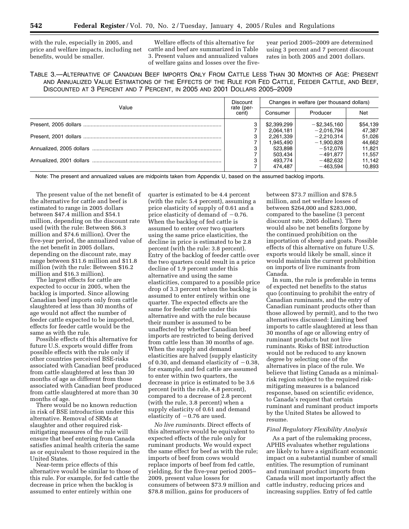with the rule, especially in 2005, and price and welfare impacts, including net benefits, would be smaller.

Welfare effects of this alternative for cattle and beef are summarized in Table 3. Present values and annualized values of welfare gains and losses over the fiveyear period 2005–2009 are determined using 3 percent and 7 percent discount rates in both 2005 and 2001 dollars.

TABLE 3.—ALTERNATIVE OF CANADIAN BEEF IMPORTS ONLY FROM CATTLE LESS THAN 30 MONTHS OF AGE: PRESENT AND ANNUALIZED VALUE ESTIMATIONS OF THE EFFECTS OF THE RULE FOR FED CATTLE, FEEDER CATTLE, AND BEEF, DISCOUNTED AT 3 PERCENT AND 7 PERCENT, IN 2005 AND 2001 DOLLARS 2005–2009

|       | <b>Discount</b>     | Changes in welfare (per thousand dollars) |                 |          |  |
|-------|---------------------|-------------------------------------------|-----------------|----------|--|
| Value | rate (per-<br>cent) | Consumer                                  | Producer        | Net      |  |
|       | 3                   | \$2,399,299                               | $-$ \$2,345,160 | \$54,139 |  |
|       |                     | 2,064,181                                 | $-2,016,794$    | 47,387   |  |
|       | 3                   | 2,261,339                                 | $-2.210.314$    | 51,026   |  |
|       |                     | 1,945,490                                 | $-1,900,828$    | 44,662   |  |
|       | 3                   | 523.898                                   | $-512.076$      | 11,821   |  |
|       |                     | 503.434                                   | $-491.877$      | 11,557   |  |
|       | 3                   | 493.774                                   | $-482.632$      | 11.142   |  |
|       |                     | 474.487                                   | $-463.594$      | 10,893   |  |

Note: The present and annualized values are midpoints taken from Appendix U, based on the assumed backlog imports.

The present value of the net benefit of the alternative for cattle and beef is estimated to range in 2005 dollars between \$47.4 million and \$54.1 million, depending on the discount rate used (with the rule: Between \$66.3 million and \$74.6 million). Over the five-year period, the annualized value of the net benefit in 2005 dollars, depending on the discount rate, may range between \$11.6 million and \$11.8 million (with the rule: Between \$16.2 million and \$16.3 million).

The largest effects for cattle are expected to occur in 2005, when the backlog is imported. Since allowing Canadian beef imports only from cattle slaughtered at less than 30 months of age would not affect the number of feeder cattle expected to be imported, effects for feeder cattle would be the same as with the rule.

Possible effects of this alternative for future U.S. exports would differ from possible effects with the rule only if other countries perceived BSE-risks associated with Canadian beef produced from cattle slaughtered at less than 30 months of age as different from those associated with Canadian beef produced from cattle slaughtered at more than 30 months of age.

There would be no known reduction in risk of BSE introduction under this alternative. Removal of SRMs at slaughter and other required riskmitigating measures of the rule will ensure that beef entering from Canada satisfies animal health criteria the same as or equivalent to those required in the United States.

Near-term price effects of this alternative would be similar to those of this rule. For example, for fed cattle the decrease in price when the backlog is assumed to enter entirely within one

quarter is estimated to be 4.4 percent (with the rule: 5.4 percent), assuming a price elasticity of supply of 0.61 and a price elasticity of demand of  $-0.76$ . When the backlog of fed cattle is assumed to enter over two quarters using the same price elasticities, the decline in price is estimated to be 2.8 percent (with the rule: 3.8 percent). Entry of the backlog of feeder cattle over the two quarters could result in a price decline of 1.9 percent under this alternative and using the same elasticities, compared to a possible price drop of 3.3 percent when the backlog is assumed to enter entirely within one quarter. The expected effects are the same for feeder cattle under this alternative and with the rule because their number is assumed to be unaffected by whether Canadian beef imports are restricted to being derived from cattle less than 30 months of age. When the supply and demand elasticities are halved (supply elasticity of 0.30, and demand elasticity of  $-0.38$ , for example, and fed cattle are assumed to enter within two quarters, the decrease in price is estimated to be 3.6 percent (with the rule, 4.8 percent), compared to a decrease of 2.8 percent (with the rule, 3.8 percent) when a supply elasticity of 0.61 and demand elasticity of  $-0.76$  are used.

*No live ruminants.* Direct effects of this alternative would be equivalent to expected effects of the rule only for ruminant products. We would expect the same effect for beef as with the rule; imports of beef from cows would replace imports of beef from fed cattle, yielding, for the five-year period 2005– 2009, present value losses for consumers of between \$73.9 million and \$78.8 million, gains for producers of

between \$73.7 million and \$78.5 million, and net welfare losses of between \$264,000 and \$283,000, compared to the baseline (3 percent discount rate, 2005 dollars). There would also be net benefits forgone by the continued prohibition on the importation of sheep and goats. Possible effects of this alternative on future U.S. exports would likely be small, since it would maintain the current prohibition on imports of live ruminants from Canada.

In sum, the rule is preferable in terms of expected net benefits to the status quo (continuing to prohibit the entry of Canadian ruminants, and the entry of Canadian ruminant products other than those allowed by permit), and to the two alternatives discussed: Limiting beef imports to cattle slaughtered at less than 30 months of age or allowing entry of ruminant products but not live ruminants. Risks of BSE introduction would not be reduced to any known degree by selecting one of the alternatives in place of the rule. We believe that listing Canada as a minimalrisk region subject to the required riskmitigating measures is a balanced response, based on scientific evidence, to Canada's request that certain ruminant and ruminant product imports by the United States be allowed to resume.

# *Final Regulatory Flexibility Analysis*

As a part of the rulemaking process, APHIS evaluates whether regulations are likely to have a significant economic impact on a substantial number of small entities. The resumption of ruminant and ruminant product imports from Canada will most importantly affect the cattle industry, reducing prices and increasing supplies. Entry of fed cattle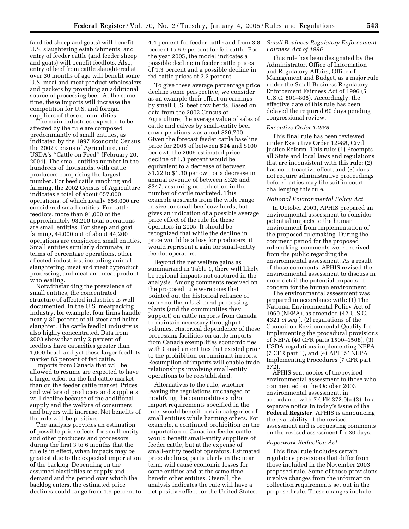(and fed sheep and goats) will benefit U.S. slaughtering establishments, and entry of feeder cattle (and feeder sheep and goats) will benefit feedlots. Also, entry of beef from cattle slaughtered at over 30 months of age will benefit some U.S. meat and meat product wholesalers and packers by providing an additional source of processing beef. At the same time, these imports will increase the competition for U.S. and foreign suppliers of these commodities.

The main industries expected to be affected by the rule are composed predominantly of small entities, as indicated by the 1997 Economic Census, the 2002 Census of Agriculture, and USDA's ''Cattle on Feed'' (February 20, 2004). The small entities number in the hundreds of thousands, with cattle producers comprising the largest number. For beef cattle ranching and farming, the 2002 Census of Agriculture indicates a total of about 657,000 operations, of which nearly 656,000 are considered small entities. For cattle feedlots, more than 91,000 of the approximately 93,200 total operations are small entities. For sheep and goat farming, 44,000 out of about 44,200 operations are considered small entities. Small entities similarly dominate, in terms of percentage operations, other affected industries, including animal slaughtering, meat and meat byproduct processing, and meat and meat product wholesaling.

Notwithstanding the prevalence of small entities, the concentrated structure of affected industries is welldocumented. In the U.S. meatpacking industry, for example, four firms handle nearly 80 percent of all steer and heifer slaughter. The cattle feedlot industry is also highly concentrated. Data from 2003 show that only 2 percent of feedlots have capacities greater than 1,000 head, and yet these larger feedlots market 85 percent of fed cattle.

Imports from Canada that will be allowed to resume are expected to have a larger effect on the fed cattle market than on the feeder cattle market. Prices and welfare of producers and suppliers will decline because of the additional supply and the welfare of consumers and buyers will increase. Net benefits of the rule will be positive.

The analysis provides an estimation of possible price effects for small-entity and other producers and processors during the first 3 to 6 months that the rule is in effect, when impacts may be greatest due to the expected importation of the backlog. Depending on the assumed elasticities of supply and demand and the period over which the backlog enters, the estimated price declines could range from 1.9 percent to

4.4 percent for feeder cattle and from 3.8 percent to 6.9 percent for fed cattle. For the year 2005, the model indicates a possible decline in feeder cattle prices of 1.3 percent and a possible decline in fed cattle prices of 3.2 percent.

To give these average percentage price decline some perspective, we consider as an example their effect on earnings by small U.S. beef cow herds. Based on data from the 2002 Census of Agriculture, the average value of sales of cattle and calves by small-entity beef cow operations was about \$26,700. Given the forecast feeder cattle baseline price for 2005 of between \$94 and \$100 per cwt, the 2005 estimated price decline of 1.3 percent would be equivalent to a decrease of between \$1.22 to \$1.30 per cwt, or a decrease in annual revenue of between \$326 and \$347, assuming no reduction in the number of cattle marketed. This example abstracts from the wide range in size for small beef cow herds, but gives an indication of a possible average price effect of the rule for these operators in 2005. It should be recognized that while the decline in price would be a loss for producers, it would represent a gain for small-entity feedlot operators.

Beyond the net welfare gains as summarized in Table 1, there will likely be regional impacts not captured in the analysis. Among comments received on the proposed rule were ones that pointed out the historical reliance of some northern U.S. meat processing plants (and the communities they support) on cattle imports from Canada to maintain necessary throughput volumes. Historical dependence of these processing facilities on cattle imports from Canada exemplifies economic ties with Canadian entities that existed prior to the prohibition on ruminant imports. Resumption of imports will enable trade relationships involving small-entity operations to be reestablished.

Alternatives to the rule, whether leaving the regulations unchanged or modifying the commodities and/or import requirements specified in the rule, would benefit certain categories of small entities while harming others. For example, a continued prohibition on the importation of Canadian feeder cattle would benefit small-entity suppliers of feeder cattle, but at the expense of small-entity feedlot operators. Estimated price declines, particularly in the near term, will cause economic losses for some entities and at the same time benefit other entities. Overall, the analysis indicates the rule will have a net positive effect for the United States.

# *Small Business Regulatory Enforcement Fairness Act of 1996*

This rule has been designated by the Administrator, Office of Information and Regulatory Affairs, Office of Management and Budget, as a major rule under the Small Business Regulatory Enforcement Fairness Act of 1996 (5 U.S.C. 801–808). Accordingly, the effective date of this rule has been delayed the required 60 days pending congressional review.

#### *Executive Order 12988*

This final rule has been reviewed under Executive Order 12988, Civil Justice Reform. This rule: (1) Preempts all State and local laws and regulations that are inconsistent with this rule; (2) has no retroactive effect; and (3) does not require administrative proceedings before parties may file suit in court challenging this rule.

#### *National Environmental Policy Act*

In October 2003, APHIS prepared an environmental assessment to consider potential impacts to the human environment from implementation of the proposed rulemaking. During the comment period for the proposed rulemaking, comments were received from the public regarding the environmental assessment. As a result of those comments, APHIS revised the environmental assessment to discuss in more detail the potential impacts of concern for the human environment.

The environmental assessment was prepared in accordance with: (1) The National Environmental Policy Act of 1969 (NEPA), as amended (42 U.S.C. 4321 *et seq.*), (2) regulations of the Council on Environmental Quality for implementing the procedural provisions of NEPA (40 CFR parts 1500–1508), (3) USDA regulations implementing NEPA (7 CFR part 1), and (4) APHIS' NEPA Implementing Procedures (7 CFR part 372).

APHIS sent copies of the revised environmental assessment to those who commented on the October 2003 environmental assessment, in accordance with 7 CFR 372.9(a)(3). In a separate notice in today's issue of the **Federal Register**, APHIS is announcing the availability of the revised assessment and is requesting comments on the revised assessment for 30 days.

#### *Paperwork Reduction Act*

This final rule includes certain regulatory provisions that differ from those included in the November 2003 proposed rule. Some of those provisions involve changes from the information collection requirements set out in the proposed rule. These changes include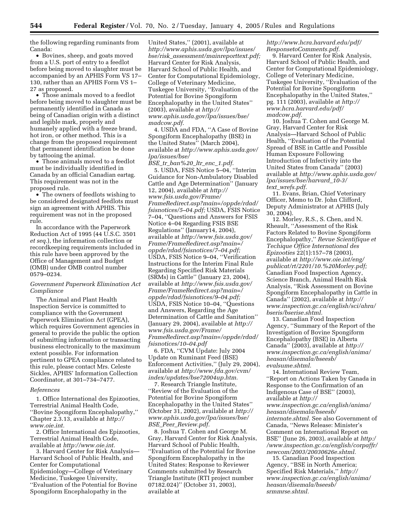the following regarding ruminants from Canada:

• Bovines, sheep, and goats moved from a U.S. port of entry to a feedlot before being moved to slaughter must be accompanied by an APHIS Form VS 17– 130, rather than an APHIS Form VS 1– 27 as proposed.

• Those animals moved to a feedlot before being moved to slaughter must be permanently identified in Canada as being of Canadian origin with a distinct and legible mark, properly and humanely applied with a freeze brand, hot iron, or other method. This is a change from the proposed requirement that permanent identification be done by tattooing the animal.

• Those animals moved to a feedlot must be individually identified in Canada by an official Canadian eartag. This requirement was not in the proposed rule.

• The owners of feedlots wishing to be considered designated feedlots must sign an agreement with APHIS. This requirement was not in the proposed rule.

In accordance with the Paperwork Reduction Act of 1995 (44 U.S.C. 3501 *et seq.*), the information collection or recordkeeping requirements included in this rule have been approved by the Office of Management and Budget (OMB) under OMB control number 0579–0234.

# *Government Paperwork Elimination Act Compliance*

The Animal and Plant Health Inspection Service is committed to compliance with the Government Paperwork Elimination Act (GPEA), which requires Government agencies in general to provide the public the option of submitting information or transacting business electronically to the maximum extent possible. For information pertinent to GPEA compliance related to this rule, please contact Mrs. Celeste Sickles, APHIS' Information Collection Coordinator, at 301–734–7477.

### *References*

1. Office International des Epizooties, Terrestrial Animal Health Code, ''Bovine Spongiform Encephalopathy,'' Chapter 2.3.13, available at *http:// www.oie.int.*

2. Office International des Epizooties, Terrestrial Animal Health Code, available at *http://www.oie.int.*

3. Harvard Center for Risk Analysis— Harvard School of Public Health, and Center for Computational Epidemiology—College of Veterinary Medicine, Tuskegee University, ''Evaluation of the Potential for Bovine Spongiform Encephalopathy in the

United States,'' (2001), available at *http://www.aphis.usda.gov/lpa/issues/ bse/risk*\_*assessment/mainreporttext.pdf;* Harvard Center for Risk Analysis, Harvard School of Public Health, and Center for Computational Epidemiology, College of Veterinary Medicine, Tuskegee University, ''Evaluation of the Potential for Bovine Spongiform Encephalopathy in the United States'' (2003), available at *http:// www.aphis.usda.gov/lpa/issues/bse/ madcow.pdf.*

4. USDA and FDA, ''A Case of Bovine Spongiform Encephalopathy (BSE) in the United States'' (March 2004), available at *http://www.aphis.usda.gov/ lpa/issues/bse/*

*BSE*\_*tr*\_*ban%20*\_*ltr*\_*enc*\_*1.pdf.* 5. USDA, FSIS Notice 5–04, ''Interim Guidance for Non-Ambulatory Disabled Cattle and Age Determination'' (January 12, 2004), available at *http:// www.fsis.usda.gov/Frame/ FrameRedirect.asp?main=/oppde/rdad/ fsisnotices/5–04.pdf;* USDA, FSIS Notice 7–04, ''Questions and Answers for FSIS Notice 4–04 Regarding FSIS BSE Regulations'' (January14, 2004), available at *http://www.fsis.usda.gov/ Frame/FrameRedirect.asp?main=/ oppde/rdad/fsisnotices/7–04.pdf;* USDA, FSIS Notice 9–04, ''Verification Instructions for the Interim Final Rule Regarding Specified Risk Materials (SRMs) in Cattle'' (January 23, 2004), available at *http://www.fsis.usda.gov/ Frame/FrameRedirect.asp?main=/ oppde/rdad/fsisnotices/9–04.pdf;* USDA, FSIS Notice 10–04, ''Questions and Answers, Regarding the Age Determination of Cattle and Sanitation'' (January 29, 2004), available at *http:// www.fsis.usda.gov/Frame/ FrameRedirect.asp?main=/oppde/rdad/ fsisnotices/10–04.pdf*

6. FDA, ''CVM Update: July 2004 Update on Ruminant Feed (BSE) Enforcement Activities,'' (July 29, 2004), available at *http://www.fda.gov/cvm/ index/updates/bse72004up.htm.*

7. Research Triangle Institute, ''Review of the Evaluation of the Potential for Bovine Spongiform Encephalopathy in the United States'' (October 31, 2002), available at *http:// www.aphis.usda.gov/lpa/issues/bse/ BSE*\_*Peer*\_*Review.pdf.*

8. Joshua T. Cohen and George M. Gray, Harvard Center for Risk Analysis, Harvard School of Public Health, ''Evaluation of the Potential for Bovine Spongiform Encephalopathy in the United States: Response to Reviewer Comments submitted by Research Triangle Institute (RTI project number 07182.024)'' (October 31, 2003), available at

# *http://www.hcra.harvard.edu/pdf/ ResponsetoComments.pdf.*

9. Harvard Center for Risk Analysis, Harvard School of Public Health, and Center for Computational Epidemiology, College of Veterinary Medicine, Tuskegee University, ''Evaluation of the Potential for Bovine Spongiform Encephalopathy in the United States,'' pg. 111 (2003), available at *http:// www.hcra.harvard.edu/pdf/ madcow.pdf.*

10. Joshua T. Cohen and George M. Gray, Harvard Center for Risk Analysis—Harvard School of Public Health, ''Evaluation of the Potential Spread of BSE in Cattle and Possible Human Exposure Following Introduction of Infectivity into the United States from Canada'' (2003) available at *http://www.aphis.usda.gov/ lpa/issues/bse/harvard*\_*10-3/ text*\_*wrefs.pdf.*

11. Evans, Brian, Chief Veterinary Officer, Memo to Dr. John Clifford, Deputy Administrator at APHIS (July 30, 2004).

12. Morley, R.S., S. Chen, and N. Rheault, ''Assessment of the Risk Factors Related to Bovine Spongiform Encephalopathy,'' *Revue Scientifique et Techique Office International des Epizooties* 22(1):157–78 (2003), available at *http://www.oie.int/eng/ publicat/rt/2201/10.%20Morley.pdf;* Canadian Food Inspection Agency, Science Branch, Animal Health Risk Analysis, ''Risk Assessment on Bovine Spongiform Encephalopathy in Cattle in Canada'' (2002), available at *http:// www.inspection.gc.ca/english/sci/ahra/ bseris/bserise.shtml.*

13. Canadian Food Inspection Agency, ''Summary of the Report of the Investigation of Bovine Spongiform Encephalopathy (BSE) in Alberta Canada'' (2003), available at *http:// www.inspection.gc.ca/english/anima/ heasan/disemala/bseesb/ evalsume.shtml.*

14. International Review Team, ''Report on Actions Taken by Canada in Response to the Confirmation of an Indigenous Case of BSE'' (2003), available at *http:// www.inspection.gc.ca/english/anima/ heasan/disemala/bseesb/ internate.shtml.* See also Government of Canada, ''News Release: Minister's Comment on International Report on BSE'' (June 26, 2003), available at *http:/ /www.inspection.gc.ca/english/corpaffr/ newcom/2003/20030626e.shtml.*

15. Canadian Food Inspection Agency, ''BSE in North America; Specified Risk Materials,'' *http:// www.inspection.gc.ca/english/anima/ heasan/disemala/bseesb/ srmmrse.shtml.*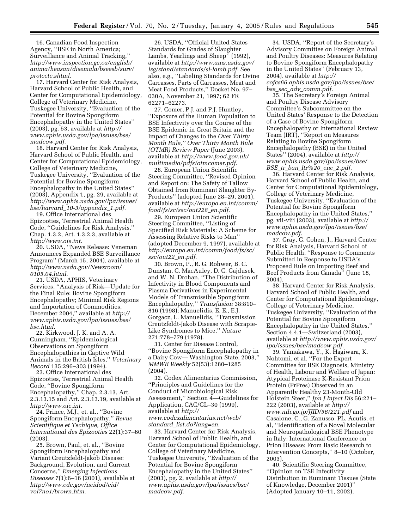16. Canadian Food Inspection Agency, ''BSE in North America; Surveillance and Animal Tracking,'' *http://www.inspection.gc.ca/english/ anima/heasan/disemala/bseesb/surv/ protecte.shtml.*

17. Harvard Center for Risk Analysis, Harvard School of Public Health, and Center for Computational Epidemiology, College of Veterinary Medicine, Tuskegee University, ''Evaluation of the Potential for Bovine Spongiform Encephalopathy in the United States'' (2003), pg. 53, available at *http:// www.aphis.usda.gov/lpa/issues/bse/ madcow.pdf.*

18. Harvard Center for Risk Analysis, Harvard School of Public Health, and Center for Computational Epidemiology, College of Veterinary Medicine, Tuskegee University, ''Evaluation of the Potential for Bovine Spongiform Encephalopathy in the United States'' (2003), Appendix 1, pg. 29, available at *http://www.aphis.usda.gov/lpa/issues/ bse/harvard*\_*10-3/appendix*\_*1.pdf.*

19. Office International des Epizooties, Terrestrial Animal Health Code, ''Guidelines for Risk Analysis,'' Chap. 1.3.2, Art. 1.3.2.3, available at *http://www.oie.int.*

20. USDA, ''News Release: Veneman Announces Expanded BSE Surveillance Program'' (March 15, 2004), available at *http://www.usda.gov/Newsroom/ 0105.04.html.*

21. USDA, APHIS, Veterinary Services, ''Analysis of Risk—Update for the Final Rule: Bovine Spongiform Encephalopathy; Minimal Risk Regions and Importation of Commodities, December 2004,'' available at *http:// www.aphis.usda.gov/lpa/issues/bse/ bse.html.*

22. Kirkwood, J. K. and A. A. Cunningham, ''Epidemiological Observations on Spongiform Encephalopathies in Captive Wild Animals in the British Isles,'' *Veterinary Record* 135:296–303 (1994).

23. Office International des Epizooties, Terrestrial Animal Health Code, ''Bovine Spongiform Encephalopathy,'' Chap. 2.3.13, Art. 2.3.13.15 and Art. 2.3.13.19, available at *http://www.oie.int.*

24. Prince, M.J., et. al., ''Bovine Spongiform Encephalopathy,'' *Revue Scientifique et Techique, Office International des Epizooties* 22(1):37–60 (2003).

25. Brown, Paul, et. al., ''Bovine Spongiform Encephalopathy and Variant Creutzfeldt-Jakob Disease: Background, Evolution, and Current Concerns,'' *Emerging Infectious Diseases* 7(1):6–16 (2001), available at *http://www.cdc.gov/ncidod/eid/ vol7no1/brown.htm.*

26. USDA, ''Official United States Standards for Grades of Slaughter Lambs, Yearlings and Sheep'' (1992), available at *http://www.ams.usda.gov/ lsg/stand/standards/sl-lamb.pdf.* See also, e.g., ''Labeling Standards for Ovine Carcasses, Parts of Carcasses, Meat and Meat Food Products,'' Docket No. 97– 030A, November 21, 1997; 62 FR 62271–62273.

27. Comer, P.J. and P.J. Huntley, ''Exposure of the Human Population to BSE Infectivity over the Course of the BSE Epidemic in Great Britain and the Impact of Changes to the *Over Thirty Month Rule,'' Over Thirty Month Rule (OTMR) Review Paper* (June 2003), available at *http://www.food.gov.uk/ multimedia/pdfs/otmcomer.pdf.*

28. European Union Scientific Steering Committee, ''Revised Opinion and Report on: The Safety of Tallow Obtained from Ruminant Slaughter By-Products'' (adopted June 28–29, 2001), available at *http://europa.eu.int/comm/ food/fs/sc/ssc/out228*\_*en.pdf.*

29. European Union Scientific Steering Committee, ''Listing of Specified Risk Materials: A Scheme for Assessing Relative Risks to Man'' (adopted December 9, 1997), available at *http://europa.eu.int/comm/food/fs/sc/ ssc/out22*\_*en.pdf.*

30. Brown, P., R. G. Rohwer, B. C. Dunstan, C. MacAuley, D. C. Gajdusek, and W. N. Drohan, ''The Distribution of Infectivity in Blood Components and Plasma Derivatives in Experimental Models of Transmissible Spongiform Encephalopathy,'' *Transfusion* 38:810– 816 (1998); Manuelidis, E. E., E.J. Gorgacz, L. Manuelidis, ''Transmission Creutzfeldt-Jakob Disease with Scrapie-Like Syndromes to Mice,'' *Nature* 271:778–779 (1978).

31. Center for Disease Control, ''Bovine Spongiform Encephalopathy in a Dairy Cow— Washington State, 2003,'' *MMWR Weekly* 52(53):1280–1285 (2004).

32. Codex Alimentarius Commission, ''Principles and Guidelines for the Conduct of Microbiological Risk Assessment,'' Section 4—Guidelines for Application, CAC/GL–30 (1999), available at *http:// www.codexalimentarius.net/web/ standard*\_*list.do?lang=en.*

33. Harvard Center for Risk Analysis, Harvard School of Public Health, and Center for Computational Epidemiology, College of Veterinary Medicine, Tuskegee University, ''Evaluation of the Potential for Bovine Spongiform Encephalopathy in the United States'' (2003), pg. 2, available at *http:// www.aphis.usda.gov/lpa/issues/bse/ madcow.pdf.*

34. USDA, ''Report of the Secretary's Advisory Committee on Foreign Animal and Poultry Diseases: Measures Relating to Bovine Spongiform Encephalopathy in the United States'' (February 13, 2004), available at *http:// cofcs66.aphis.usda.gov/lpa/issues/bse/ bse*\_*sec*\_*adv*\_*comm.pdf.*

35. The Secretary's Foreign Animal and Poultry Disease Advisory Committee's Subcommittee on the United States' Response to the Detection of a Case of Bovine Spongiform Encephalopathy or International Review Team (IRT), ''Report on Measures Relating to Bovine Spongiform Encephalopathy (BSE) in the United States'' (2004), available at *http:// www.aphis.usda.gov/lpa/issues/bse/ BSE*\_*tr*\_*ban*\_*ltr%20*\_*enc*\_*2.pdf.*

36. Harvard Center for Risk Analysis, Harvard School of Public Health, and Center for Computational Epidemiology, College of Veterinary Medicine, Tuskegee University, ''Evaluation of the Potential for Bovine Spongiform Encephalopathy in the United States,'' pg. vii-viii (2003), available at *http:// www.aphis.usda.gov/lpa/issues/bse/ madcow.pdf.*

37. Gray, G. Cohen, J., Harvard Center for Risk Analysis, Harvard School of Public Health, ''Response to Comments Submitted in Response to USDA's Proposed Rule on Importing Beef and Beef Products from Canada'' (June 18, 2004).

38. Harvard Center for Risk Analysis, Harvard School of Public Health, and Center for Computational Epidemiology, College of Veterinary Medicine, Tuskegee University, ''Evaluation of the Potential for Bovine Spongiform Encephalopathy in the United States,'' Section 4.4.1—Switzerland (2003), available at *http://www.aphis.usda.gov/ lpa/issues/bse/madcow.pdf.*

39. Yamakawa, Y., K. Hagiwara, K. Nohtomi, et al, ''For the Expert Committee for BSE Diagnosis, Ministry of Health, Labour and Welfare of Japan: Atypical Proteinase K-Resistant Prion Protein (PrPres) Observed in an Apparently Healthy 23-Month-Old Holstein Steer,'' *Jpn J Infect Dis* 56:221– 222 (2003), available at *http:// www.nih.go.jp/JJID/56/221.pdf* and Casalone, C., G. Zanusso, PL. Acutis, et al, ''Identification of a Novel Molecular and Neuropathological BSE Phenotype in Italy: International Conference on Prion Disease: From Basic Research to Intervention Concepts,'' 8–10 (October, 2003).

40. Scientific Steering Committee, ''Opinion on TSE Infectivity Distribution in Ruminant Tissues (State of Knowledge, December 2001)'' (Adopted January 10–11, 2002),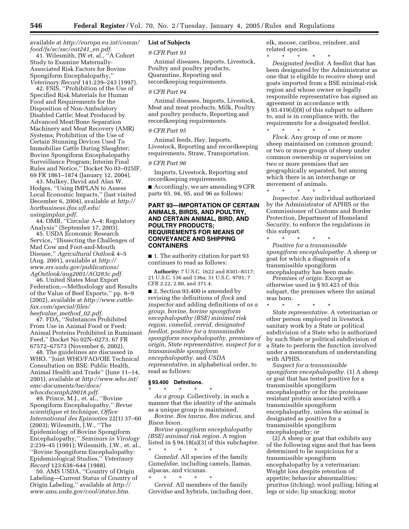# available at *http://europa.eu.int/comm/ food/fs/sc/ssc/out241*\_*en.pdf.*

41. Wilesmith, JW et. al., ''A Cohort Study to Examine Maternally-Associated Risk Factors for Bovine Spongiform Encephalopathy,'' *Veterinary Record* 141:239–243 (1997).

42. FSIS, ''Prohibition of the Use of Specified Risk Materials for Human Food and Requirements for the Disposition of Non-Ambulatory Disabled Cattle; Meat Produced by Advanced Meat/Bone Separation Machinery and Meat Recovery (AMR) Systems; Prohibition of the Use of Certain Stunning Devices Used To Immobilize Cattle During Slaughter; Bovine Spongiform Encephalopathy Surveillance Program; Interim Final Rules and Notice,'' Docket No 03–025IF, 69 FR 1861–1874 (January 12, 2004).

43. Mulkey, David and Alan W. Hodges, ''Using IMPLAN to Assess Local Economic Impacts,'' (last visited December 6, 2004), available at *http:// hortbusiness.ifas.ufl.edu/ usingimplan.pdf.*

44. OMB, ''Circular A–4: Regulatory Analysis'' (September 17, 2003).

45. USDA Economic Research Service, ''Dissecting the Challenges of Mad Cow and Foot-and-Mouth Disease,'' *Agricultural Outlook* 4–5 (Aug. 2001), available at *http:// www.ers.usda.gov/publications/ AgOutlook/aug2001/AO283c.pdf.*

46. United States Meat Export Federation,—Methodology and Results of the Value of Beef Exports,'' pp. 8–9 (2002), available at *http://www.cattlefax.com/special/files/ beefvalue*\_*method*\_*02.pdf.*

47. FDA, ''Substances Prohibited From Use in Animal Food or Feed; Animal Proteins Prohibited in Ruminant Feed,'' Docket No 02N–0273, 67 FR 67572–67573 (November 6, 2002).

48. The guidelines are discussed in WHO, ''Joint WHO/FAO/OIE Technical Consultation on BSE: Public Health, Animal Health and Trade'' (June 11–14, 2001), available at *http://www.who.int/ emc-documents/tse/docs/ whocdscsraph20018.pdf.*

49. Prince, M.J., et. al., ''Bovine Spongiform Encephalopathy,'' *Revue scientifique et technique, Office International des Epizooties* 22(1) 37–60 (2003); Wilesmith, J.W., ''The Epidemiology of Bovine Spongiform Encephalopathy,'' *Seminars in Virology* 2:239–45 (1991); Wilesmith, J.W., et. al., ''Bovine Spongiform Encephalopathy: Epidemiological Studies,'' *Veterinary Record* 123:638–644 (1988).

50. AMS USDA, ''Country of Origin Labeling—Current Status of Country of Origin Labeling,'' available at *http:// www.ams.usda.gov/cool/status.htm.*

# **List of Subjects**

# *9 CFR Part 93*

Animal diseases, Imports, Livestock, Poultry and poultry products, Quarantine, Reporting and recordkeeping requirements.

# *9 CFR Part 94*

Animal diseases, Imports, Livestock, Meat and meat products, Milk, Poultry and poultry products, Reporting and recordkeeping requirements.

# *9 CFR Part 95*

Animal feeds, Hay, Imports, Livestock, Reporting and recordkeeping requirements, Straw, Transportation.

### *9 CFR Part 96*

Imports, Livestock, Reporting and recordkeeping requirements.

■ Accordingly, we are amending 9 CFR parts 93, 94, 95, and 96 as follows:

# **PART 93—IMPORTATION OF CERTAIN ANIMALS, BIRDS, AND POULTRY, AND CERTAIN ANIMAL, BIRD, AND POULTRY PRODUCTS; REQUIREMENTS FOR MEANS OF CONVEYANCE AND SHIPPING CONTAINERS**

■ 1. The authority citation for part 93 continues to read as follows:

**Authority:** 7 U.S.C. 1622 and 8301–8317; 21 U.S.C. 136 and 136a; 31 U.S.C. 9701; 7 CFR 2.22, 2.80, and 371.4.

■ 2. Section 93.400 is amended by revising the definitions of *flock* and *inspector* and adding definitions of *as a group, bovine, bovine spongiform encephalopathy (BSE) minimal risk region, camelid, cervid, designated feedlot, positive for a transmissible spongiform encephalopathy, premises of origin, State representative, suspect for a transmissible spongiform encephalopathy,* and *USDA representative,* in alphabetical order, to read as follows:

### **§ 93.400 Definitions.**

\* \* \* \* \* *As a group.* Collectively, in such a manner that the identity of the animals as a unique group is maintained.

*Bovine. Bos taurus, Bos indicus,* and *Bison bison.*

*Bovine spongiform encephalopathy (BSE) minimal risk region.* A region listed in § 94.18(a)(3) of this subchapter. \* \* \* \* \*

*Camelid.* All species of the family *Camelidae,* including camels, llamas, alpacas, and vicunas.

\* \* \* \* \* *Cervid.* All members of the family *Cervidae* and hybrids, including deer, elk, moose, caribou, reindeer, and related species.

\* \* \* \* \* *Designated feedlot.* A feedlot that has been designated by the Administrator as one that is eligible to receive sheep and goats imported from a BSE minimal-risk region and whose owner or legally responsible representative has signed an agreement in accordance with § 93.419(d)(8) of this subpart to adhere to, and is in compliance with, the requirements for a designated feedlot.

\* \* \* \* \* *Flock.* Any group of one or more sheep maintained on common ground; or two or more groups of sheep under common ownership or supervision on two or more premises that are geographically separated, but among which there is an interchange or movement of animals.

\* \* \* \* \* *Inspector.* Any individual authorized by the Administrator of APHIS or the Commissioner of Customs and Border Protection, Department of Homeland Security, to enforce the regulations in this subpart.

\* \* \* \* \* *Positive for a transmissible spongiform encephalopathy.* A sheep or goat for which a diagnosis of a transmissible spongiform encephalopathy has been made.

*Premises of origin.* Except as otherwise used in § 93.423 of this subpart, the premises where the animal was born.

\* \* \* \* \* *State representative.* A veterinarian or other person employed in livestock sanitary work by a State or political subdivision of a State who is authorized by such State or political subdivision of a State to perform the function involved under a memorandum of understanding with APHIS.

*Suspect for a transmissible spongiform encephalopathy.* (1) A sheep or goat that has tested positive for a transmissible spongiform encephalopathy or for the proteinase resistant protein associated with a transmissible spongiform encephalopathy, unless the animal is designated as positive for a transmissible spongiform encephalopathy; or

(2) A sheep or goat that exhibits any of the following signs and that has been determined to be suspicious for a transmissible spongiform encephalopathy by a veterinarian: Weight loss despite retention of appetite; behavior abnormalities; pruritus (itching); wool pulling; biting at legs or side; lip smacking; motor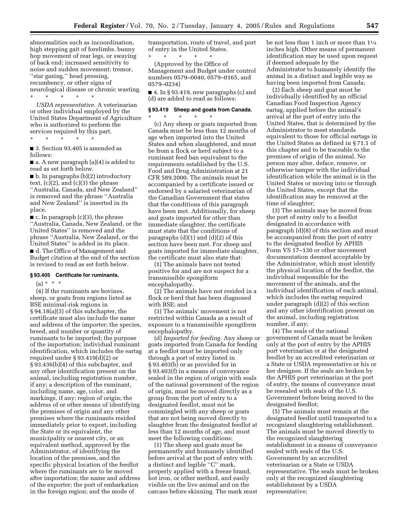abnormalities such as incoordination, high stepping gait of forelimbs, bunny hop movement of rear legs, or swaying of back end; increased sensitivity to noise and sudden movement; tremor, ''star gazing,'' head pressing, recumbency, or other signs of neurological disease or chronic wasting.

\* \* \* \* \*

*USDA representative.* A veterinarian or other individual employed by the United States Department of Agriculture who is authorized to perform the services required by this part.

\* \* \* \* \* ■ 3. Section 93.405 is amended as

follows: ■ a. A new paragraph (a)(4) is added to

read as set forth below. ■ b. In paragraphs (b)(2) introductory text,  $(c)(2)$ , and  $(c)(3)$  the phrase ''Australia, Canada, and New Zealand'' is removed and the phrase ''Australia and New Zealand'' is inserted in its place.

 $\blacksquare$  c. In paragraph (c)(3), the phrase ''Australia, Canada, New Zealand, or the United States'' is removed and the phrase ''Australia, New Zealand, or the United States'' is added in its place. ■ d. The Office of Management and Budget citation at the end of the section is revised to read as set forth below.

### **§ 93.405 Certificate for ruminants.**

 $(a) * * * *$ 

(4) If the ruminants are bovines, sheep, or goats from regions listed as BSE minimal-risk regions in § 94.18(a)(3) of this subchapter, the certificate must also include the name and address of the importer; the species, breed, and number or quantity of ruminants to be imported; the purpose of the importation; individual ruminant identification, which includes the eartag required under § 93.419(d)(2) or § 93.436(b)(4) of this subchapter, and any other identification present on the animal, including registration number, if any; a description of the ruminant, including name, age, color, and markings, if any; region of origin; the address of or other means of identifying the premises of origin and any other premises where the ruminants resided immediately prior to export, including the State or its equivalent, the municipality or nearest city, or an equivalent method, approved by the Administrator, of identifying the location of the premises, and the specific physical location of the feedlot where the ruminants are to be moved after importation; the name and address of the exporter; the port of embarkation in the foreign region; and the mode of

transportation, route of travel, and port of entry in the United States.

\* \* \* \* \* (Approved by the Office of Management and Budget under control numbers 0579–0040, 0579–0165, and 0579–0234)

■ 4. In § 93.419, new paragraphs (c) and (d) are added to read as follows:

### **§ 93.419 Sheep and goats from Canada.** \* \* \* \* \*

(c) Any sheep or goats imported from Canada must be less than 12 months of age when imported into the United States and when slaughtered, and must be from a flock or herd subject to a ruminant feed ban equivalent to the requirements established by the U.S. Food and Drug Administration at 21 CFR 589.2000. The animals must be accompanied by a certificate issued or endorsed by a salaried veterinarian of the Canadian Government that states that the conditions of this paragraph have been met. Additionally, for sheep and goats imported for other than immediate slaughter, the certificate must state that the conditions of paragraphs  $(d)(1)$  and  $(d)(2)$  of this section have been met. For sheep and goats imported for immediate slaughter, the certificate must also state that:

(1) The animals have not tested positive for and are not suspect for a transmissible spongiform encephalopathy.

(2) The animals have not resided in a flock or herd that has been diagnosed with BSE; and

(3) The animals' movement is not restricted within Canada as a result of exposure to a transmissible spongiform encephalopathy.

(d) *Imported for feeding.* Any sheep or goats imported from Canada for feeding at a feedlot must be imported only through a port of entry listed in § 93.403(b) or as provided for in § 93.403(f) in a means of conveyance sealed in the region of origin with seals of the national government of the region of origin, must be moved directly as a group from the port of entry to a designated feedlot, must not be commingled with any sheep or goats that are not being moved directly to slaughter from the designated feedlot at less than 12 months of age, and must meet the following conditions:

(1) The sheep and goats must be permanently and humanely identified before arrival at the port of entry with a distinct and legible ''C'' mark, properly applied with a freeze brand, hot iron, or other method, and easily visible on the live animal and on the carcass before skinning. The mark must be not less than 1 inch or more than 11⁄4 inches high. Other means of permanent identification may be used upon request if deemed adequate by the Administrator to humanely identify the animal in a distinct and legible way as having been imported from Canada;

(2) Each sheep and goat must be individually identified by an official Canadian Food Inspection Agency eartag, applied before the animal's arrival at the port of entry into the United States, that is determined by the Administrator to meet standards equivalent to those for official eartags in the United States as defined in § 71.1 of this chapter and to be traceable to the premises of origin of the animal. No person may alter, deface, remove, or otherwise tamper with the individual identification while the animal is in the United States or moving into or through the United States, except that the identification may be removed at the time of slaughter;

(3) The animals may be moved from the port of entry only to a feedlot designated in accordance with paragraph (d)(8) of this section and must be accompanied from the port of entry to the designated feedlot by APHIS Form VS 17–130 or other movement documentation deemed acceptable by the Administrator, which must identify the physical location of the feedlot, the individual responsible for the movement of the animals, and the individual identification of each animal, which includes the eartag required under paragraph (d)(2) of this section and any other identification present on the animal, including registration number, if any;

(4) The seals of the national government of Canada must be broken only at the port of entry by the APHIS port veterinarian or at the designated feedlot by an accredited veterinarian or a State or USDA representative or his or her designee. If the seals are broken by the APHIS port veterinarian at the port of entry, the means of conveyance must be resealed with seals of the U.S. Government before being moved to the designated feedlot;

(5) The animals must remain at the designated feedlot until transported to a recognized slaughtering establishment. The animals must be moved directly to the recognized slaughtering establishment in a means of conveyance sealed with seals of the U.S. Government by an accredited veterinarian or a State or USDA representative. The seals must be broken only at the recognized slaughtering establishment by a USDA representative;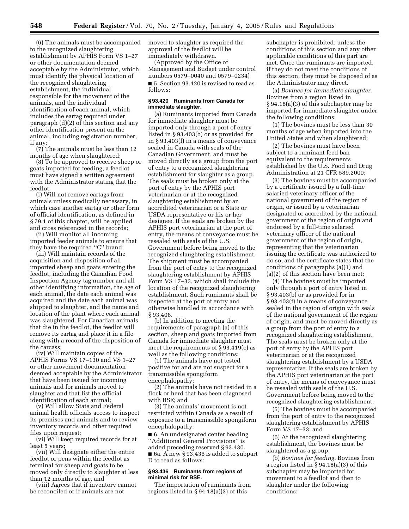(6) The animals must be accompanied to the recognized slaughtering establishment by APHIS Form VS 1–27 or other documentation deemed acceptable by the Administrator, which must identify the physical location of the recognized slaughtering establishment, the individual responsible for the movement of the animals, and the individual identification of each animal, which includes the eartag required under paragraph (d)(2) of this section and any other identification present on the animal, including registration number, if any;

(7) The animals must be less than 12 months of age when slaughtered;

(8) To be approved to receive sheep or goats imported for feeding, a feedlot must have signed a written agreement with the Administrator stating that the feedlot:

(i) Will not remove eartags from animals unless medically necessary, in which case another eartag or other form of official identification, as defined in § 79.1 of this chapter, will be applied and cross referenced in the records;

(ii) Will monitor all incoming imported feeder animals to ensure that they have the required ''C'' brand;

(iii) Will maintain records of the acquisition and disposition of all imported sheep and goats entering the feedlot, including the Canadian Food Inspection Agency tag number and all other identifying information, the age of each animal, the date each animal was acquired and the date each animal was shipped to slaughter, and the name and location of the plant where each animal was slaughtered. For Canadian animals that die in the feedlot, the feedlot will remove its eartag and place it in a file along with a record of the disposition of the carcass;

(iv) Will maintain copies of the APHIS Forms VS 17–130 and VS 1–27 or other movement documentation deemed acceptable by the Administrator that have been issued for incoming animals and for animals moved to slaughter and that list the official identification of each animal;

(v) Will allow State and Federal animal health officials access to inspect its premises and animals and to review inventory records and other required files upon request;

(vi) Will keep required records for at least 5 years;

(vii) Will designate either the entire feedlot or pens within the feedlot as terminal for sheep and goats to be moved only directly to slaughter at less than 12 months of age, and

(viii) Agrees that if inventory cannot be reconciled or if animals are not

moved to slaughter as required the approval of the feedlot will be immediately withdrawn.

(Approved by the Office of Management and Budget under control numbers 0579–0040 and 0579–0234) ■ 5. Section 93.420 is revised to read as follows:

### **§ 93.420 Ruminants from Canada for immediate slaughter.**

(a) Ruminants imported from Canada for immediate slaughter must be imported only through a port of entry listed in § 93.403(b) or as provided for in § 93.403(f) in a means of conveyance sealed in Canada with seals of the Canadian Government, and must be moved directly as a group from the port of entry to a recognized slaughtering establishment for slaughter as a group. The seals must be broken only at the port of entry by the APHIS port veterinarian or at the recognized slaughtering establishment by an accredited veterinarian or a State or USDA representative or his or her designee. If the seals are broken by the APHIS port veterinarian at the port of entry, the means of conveyance must be resealed with seals of the U.S. Government before being moved to the recognized slaughtering establishment. The shipment must be accompanied from the port of entry to the recognized slaughtering establishment by APHIS Form VS 17–33, which shall include the location of the recognized slaughtering establishment. Such ruminants shall be inspected at the port of entry and otherwise handled in accordance with § 93.408.

(b) In addition to meeting the requirements of paragraph (a) of this section, sheep and goats imported from Canada for immediate slaughter must meet the requirements of § 93.419(c) as well as the following conditions:

(1) The animals have not tested positive for and are not suspect for a transmissible spongiform encephalopathy;

(2) The animals have not resided in a flock or herd that has been diagnosed with BSE; and

(3) The animals' movement is not restricted within Canada as a result of exposure to a transmissible spongiform encephalopathy.

■ 6. An undesignated center heading ''Additional General Provisions'' is added preceding reserved § 93.430. ■ 6a. A new § 93.436 is added to subpart D to read as follows:

### **§ 93.436 Ruminants from regions of minimal risk for BSE.**

The importation of ruminants from regions listed in § 94.18(a)(3) of this

subchapter is prohibited, unless the conditions of this section and any other applicable conditions of this part are met. Once the ruminants are imported, if they do not meet the conditions of this section, they must be disposed of as the Administrator may direct.

(a) *Bovines for immediate slaughter.* Bovines from a region listed in § 94.18(a)(3) of this subchapter may be imported for immediate slaughter under the following conditions:

(1) The bovines must be less than 30 months of age when imported into the United States and when slaughtered;

(2) The bovines must have been subject to a ruminant feed ban equivalent to the requirements established by the U.S. Food and Drug Administration at 21 CFR 589.2000;

(3) The bovines must be accompanied by a certificate issued by a full-time salaried veterinary officer of the national government of the region of origin, or issued by a veterinarian designated or accredited by the national government of the region of origin and endorsed by a full-time salaried veterinary officer of the national government of the region of origin, representing that the veterinarian issuing the certificate was authorized to do so, and the certificate states that the conditions of paragraphs (a)(1) and (a)(2) of this section have been met;

(4) The bovines must be imported only through a port of entry listed in § 93.403(b) or as provided for in § 93.403(f) in a means of conveyance sealed in the region of origin with seals of the national government of the region of origin, and must be moved directly as a group from the port of entry to a recognized slaughtering establishment. The seals must be broken only at the port of entry by the APHIS port veterinarian or at the recognized slaughtering establishment by a USDA representative. If the seals are broken by the APHIS port veterinarian at the port of entry, the means of conveyance must be resealed with seals of the U.S. Government before being moved to the recognized slaughtering establishment;

(5) The bovines must be accompanied from the port of entry to the recognized slaughtering establishment by APHIS Form VS 17–33; and

(6) At the recognized slaughtering establishment, the bovines must be slaughtered as a group.

(b) *Bovines for feeding.* Bovines from a region listed in § 94.18(a)(3) of this subchapter may be imported for movement to a feedlot and then to slaughter under the following conditions: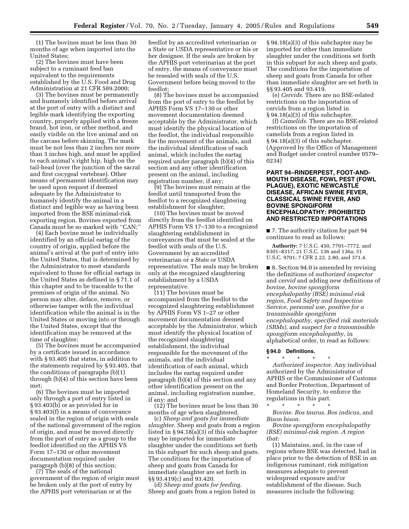(1) The bovines must be less than 30 months of age when imported into the United States;

(2) The bovines must have been subject to a ruminant feed ban equivalent to the requirements established by the U.S. Food and Drug Administration at 21 CFR 589.2000;

(3) The bovines must be permanently and humanely identified before arrival at the port of entry with a distinct and legible mark identifying the exporting country, properly applied with a freeze brand, hot iron, or other method, and easily visible on the live animal and on the carcass before skinning. The mark must be not less than 2 inches nor more than 3 inches high, and must be applied to each animal's right hip, high on the tail-head (over the junction of the sacral and first cocygeal vertebrae). Other means of permanent identification may be used upon request if deemed adequate by the Administrator to humanely identify the animal in a distinct and legible way as having been imported from the BSE minimal-risk exporting region. Bovines exported from Canada must be so marked with ''CΛN;''

(4) Each bovine must be individually identified by an official eartag of the country of origin, applied before the animal's arrival at the port of entry into the United States, that is determined by the Administrator to meet standards equivalent to those for official eartags in the United States as defined in § 71.1 of this chapter and to be traceable to the premises of origin of the animal. No person may alter, deface, remove, or otherwise tamper with the individual identification while the animal is in the United States or moving into or through the United States, except that the identification may be removed at the time of slaughter;

(5) The bovines must be accompanied by a certificate issued in accordance with § 93.405 that states, in addition to the statements required by § 93.405, that the conditions of paragraphs (b)(1) through (b)(4) of this section have been met;

(6) The bovines must be imported only through a port of entry listed in § 93.403(b) or as provided for in § 93.403(f) in a means of conveyance sealed in the region of origin with seals of the national government of the region of origin, and must be moved directly from the port of entry as a group to the feedlot identified on the APHIS VS Form 17–130 or other movement documentation required under paragraph (b)(8) of this section;

(7) The seals of the national government of the region of origin must be broken only at the port of entry by the APHIS port veterinarian or at the

feedlot by an accredited veterinarian or a State or USDA representative or his or her designee. If the seals are broken by the APHIS port veterinarian at the port of entry, the means of conveyance must be resealed with seals of the U.S. Government before being moved to the feedlot;

(8) The bovines must be accompanied from the port of entry to the feedlot by APHIS Form VS 17–130 or other movement documentation deemed acceptable by the Administrator, which must identify the physical location of the feedlot, the individual responsible for the movement of the animals, and the individual identification of each animal, which includes the eartag required under paragraph (b)(4) of this section and any other identification present on the animal, including registration number, if any;

(9) The bovines must remain at the feedlot until transported from the feedlot to a recognized slaughtering establishment for slaughter;

(10) The bovines must be moved directly from the feedlot identified on APHIS Form VS 17–130 to a recognized slaughtering establishment in conveyances that must be sealed at the feedlot with seals of the U.S. Government by an accredited veterinarian or a State or USDA representative. The seals may be broken only at the recognized slaughtering establishment by a USDA representative.

(11) The bovines must be accompanied from the feedlot to the recognized slaughtering establishment by APHIS Form VS 1–27 or other movement documentation deemed acceptable by the Administrator, which must identify the physical location of the recognized slaughtering establishment, the individual responsible for the movement of the animals, and the individual identification of each animal, which includes the eartag required under paragraph (b)(4) of this section and any other identification present on the animal, including registration number, if any; and

(12) The bovines must be less than 30 months of age when slaughtered.

(c) *Sheep and goats for immediate slaughter.* Sheep and goats from a region listed in § 94.18(a)(3) of this subchapter may be imported for immediate slaughter under the conditions set forth in this subpart for such sheep and goats. The conditions for the importation of sheep and goats from Canada for immediate slaughter are set forth in §§ 93.419(c) and 93.420.

(d) *Sheep and goats for feeding.* Sheep and goats from a region listed in

§ 94.18(a)(3) of this subchapter may be imported for other than immediate slaughter under the conditions set forth in this subpart for such sheep and goats. The conditions for the importation of sheep and goats from Canada for other than immediate slaughter are set forth in §§ 93.405 and 93.419.

(e) *Cervids.* There are no BSE-related restrictions on the importation of cervids from a region listed in § 94.18(a)(3) of this subchapter.

(f) *Camelids.* There are no BSE-related restrictions on the importation of camelids from a region listed in § 94.18(a)(3) of this subchapter. (Approved by the Office of Management and Budget under control number 0579– 0234)

# **PART 94–RINDERPEST, FOOT-AND-MOUTH DISEASE, FOWL PEST (FOWL PLAGUE), EXOTIC NEWCASTLE DISEASE, AFRICAN SWINE FEVER, CLASSICAL SWINE FEVER, AND BOVINE SPONGIFORM ENCEPHALOPATHY: PROHIBITED AND RESTRICTED IMPORTATIONS**

■ 7. The authority citation for part 94 continues to read as follows:

**Authority:** 7 U.S.C. 450, 7701–7772, and 8301–8317; 21 U.S.C. 136 and 136a; 31 U.S.C. 9701; 7 CFR 2.22, 2.80, and 371.4.

■ 8. Section 94.0 is amended by revising the definitions of *authorized inspector* and *cervid* and adding new definitions of *bovine, bovine spongiform encephalopathy (BSE) minimal-risk region, Food Safety and Inspection Service, personal use, positive for a transmissible spongiform encephalopathy, specified risk materials (SRMs),* and *suspect for a transmissible spongiform encephalopathy,* in alphabetical order, to read as follows:

#### **§ 94.0 Definitions.**

\* \* \* \* \* *Authorized inspector.* Any individual authorized by the Administrator of APHIS or the Commissioner of Customs and Border Protection, Department of Homeland Security, to enforce the regulations in this part.

\* \* \* \* \* *Bovine. Bos taurus, Bos indicus,* and *Bison bison.*

*Bovine spongiform encephalopathy (BSE) minimal-risk region. A region that:*

(1) Maintains, and, in the case of regions where BSE was detected, had in place prior to the detection of BSE in an indigenous ruminant, risk mitigation measures adequate to prevent widespread exposure and/or establishment of the disease. Such measures include the following: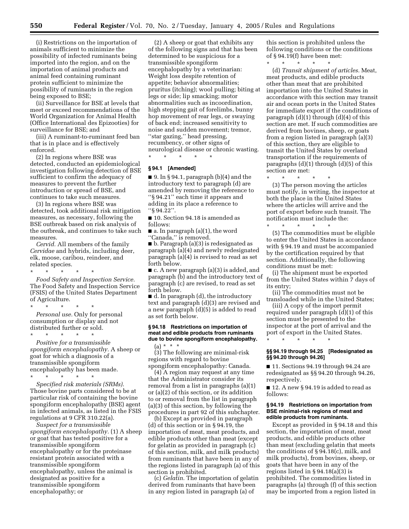(i) Restrictions on the importation of animals sufficient to minimize the possibility of infected ruminants being imported into the region, and on the importation of animal products and animal feed containing ruminant protein sufficient to minimize the possibility of ruminants in the region being exposed to BSE;

(ii) Surveillance for BSE at levels that meet or exceed recommendations of the World Organization for Animal Health (Office International des Epizooties) for surveillance for BSE; and

(iii) A ruminant-to-ruminant feed ban that is in place and is effectively enforced.

(2) In regions where BSE was detected, conducted an epidemiological investigation following detection of BSE sufficient to confirm the adequacy of measures to prevent the further introduction or spread of BSE, and continues to take such measures.

(3) In regions where BSE was detected, took additional risk mitigation measures, as necessary, following the BSE outbreak based on risk analysis of the outbreak, and continues to take such measures.

*Cervid.* All members of the family *Cervidae* and hybrids, including deer, elk, moose, caribou, reindeer, and related species.

\* \* \* \* \* *Food Safety and Inspection Service.* The Food Safety and Inspection Service (FSIS) of the United States Department of Agriculture.

\* \* \* \* \* *Personal use.* Only for personal consumption or display and not distributed further or sold.

\* \* \* \* \*

*Positive for a transmissible spongiform encephalopathy.* A sheep or goat for which a diagnosis of a transmissible spongiform encephalopathy has been made. \* \* \* \* \*

*Specified risk materials (SRMs).* Those bovine parts considered to be at particular risk of containing the bovine spongiform encephalopathy (BSE) agent in infected animals, as listed in the FSIS regulations at 9 CFR 310.22(a).

*Suspect for a transmissible spongiform encephalopathy.* (1) A sheep or goat that has tested positive for a transmissible spongiform encephalopathy or for the proteinase resistant protein associated with a transmissible spongiform encephalopathy, unless the animal is designated as positive for a transmissible spongiform encephalopathy; or

(2) A sheep or goat that exhibits any of the following signs and that has been determined to be suspicious for a transmissible spongiform encephalopathy by a veterinarian: Weight loss despite retention of appetite; behavior abnormalities; pruritus (itching); wool pulling; biting at legs or side; lip smacking; motor abnormalities such as incoordination, high stepping gait of forelimbs, bunny hop movement of rear legs, or swaying of back end; increased sensitivity to noise and sudden movement; tremor, ''star gazing,'' head pressing, recumbency, or other signs of neurological disease or chronic wasting. \* \* \* \* \*

**§ 94.1 [Amended]**

 $\blacksquare$  9. In § 94.1, paragraph (b)(4) and the introductory text to paragraph (d) are amended by removing the reference to ''§ 94.21'' each time it appears and adding in its place a reference to ''§ 94.22''.

■ 10. Section 94.18 is amended as follows:

 $\blacksquare$  a. In paragraph (a)(1), the word ''Canada,'' is removed.

■ b. Paragraph (a)(3) is redesignated as paragraph (a)(4) and newly redesignated paragraph (a)(4) is revised to read as set forth below.

■ c. A new paragraph (a)(3) is added, and paragraph (b) and the introductory text of paragraph (c) are revised, to read as set forth below.

■ d. In paragraph (d), the introductory text and paragraph (d)(3) are revised and a new paragraph (d)(5) is added to read as set forth below.

# **§ 94.18 Restrictions on importation of meat and edible products from ruminants due to bovine spongiform encephalopathy.**

 $(a) * * * *$ 

(3) The following are minimal-risk regions with regard to bovine spongiform encephalopathy: Canada.

(4) A region may request at any time that the Administrator consider its removal from a list in paragraphs (a)(1) or (a)(2) of this section, or its addition to or removal from the list in paragraph (a)(3) of this section, by following the procedures in part 92 of this subchapter.

(b) Except as provided in paragraph (d) of this section or in § 94.19, the importation of meat, meat products, and edible products other than meat (except for gelatin as provided in paragraph (c) of this section, milk, and milk products) from ruminants that have been in any of the regions listed in paragraph (a) of this section is prohibited.

(c) *Gelatin.* The importation of gelatin derived from ruminants that have been in any region listed in paragraph (a) of

this section is prohibited unless the following conditions or the conditions of § 94.19(f) have been met:

\* \* \* \* \* (d) *Transit shipment of articles.* Meat, meat products, and edible products other than meat that are prohibited importation into the United States in accordance with this section may transit air and ocean ports in the United States for immediate export if the conditions of paragraph (d)(1) through (d)(4) of this section are met. If such commodities are derived from bovines, sheep, or goats from a region listed in paragraph (a)(3) of this section, they are eligible to transit the United States by overland transportation if the requirements of paragraphs  $(d)(1)$  through  $(d)(5)$  of this section are met:

\* \* \* \* \* (3) The person moving the articles must notify, in writing, the inspector at both the place in the United States where the articles will arrive and the port of export before such transit. The notification must include the:

\* \* \* \* \* (5) The commodities must be eligible to enter the United States in accordance with § 94.19 and must be accompanied by the certification required by that section. Additionally, the following conditions must be met:

(i) The shipment must be exported from the United States within 7 days of its entry;

(ii) The commodities must not be transloaded while in the United States;

(iii) A copy of the import permit required under paragraph (d)(1) of this section must be presented to the inspector at the port of arrival and the port of export in the United States.

**§§ 94.19 through 94.25 [Redesignated as §§ 94.20 through 94.26]**

\* \* \* \* \*

■ 11. Sections 94.19 through 94.24 are redesignated as §§ 94.20 through 94.26, respectively.

■ 12. A new § 94.19 is added to read as follows:

#### **§ 94.19 Restrictions on importation from BSE minimal-risk regions of meat and edible products from ruminants.**

Except as provided in § 94.18 and this section, the importation of meat, meat products, and edible products other than meat (excluding gelatin that meets the conditions of § 94.18(c), milk, and milk products), from bovines, sheep, or goats that have been in any of the regions listed in § 94.18(a)(3) is prohibited. The commodities listed in paragraphs (a) through (f) of this section may be imported from a region listed in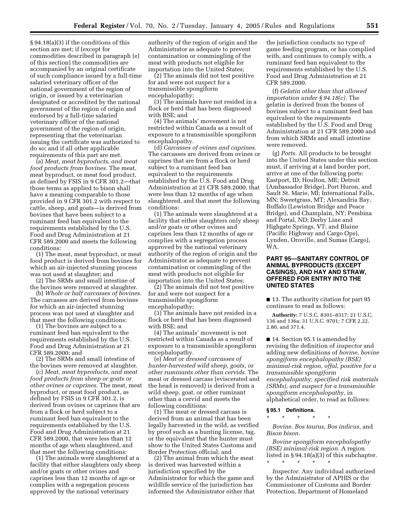§ 94.18(a)(3) if the conditions of this section are met; if (except for commodities described in paragraph (e) of this section) the commodities are accompanied by an original certificate of such compliance issued by a full-time salaried veterinary officer of the national government of the region of origin, or issued by a veterinarian designated or accredited by the national government of the region of origin and endorsed by a full-time salaried veterinary officer of the national government of the region of origin, representing that the veterinarian issuing the certificate was authorized to do so; and if all other applicable requirements of this part are met.

(a) *Meat, meat byproducts, and meat food products from bovines.* The meat, meat byproduct, or meat food product, as defined by FSIS in 9 CFR 301.2—that those terms as applied to bison shall have a meaning comparable to those provided in 9 CFR 301.2 with respect to cattle, sheep, and goats—is derived from bovines that have been subject to a ruminant feed ban equivalent to the requirements established by the U.S. Food and Drug Administration at 21 CFR 589.2000 and meets the following conditions:

(1) The meat, meat byproduct, or meat food product is derived from bovines for which an air-injected stunning process was not used at slaughter; and

(2) The SRMs and small intestine of the bovines were removed at slaughter.

(b) *Whole or half carcasses of bovines.* The carcasses are derived from bovines for which an air-injected stunning process was not used at slaughter and that meet the following conditions:

(1) The bovines are subject to a ruminant feed ban equivalent to the requirements established by the U.S. Food and Drug Administration at 21 CFR 589.2000; and

(2) The SRMs and small intestine of the bovines were removed at slaughter.

(c) *Meat, meat byproducts, and meat food products from sheep or goats or other ovines or caprines.* The meat, meat byproduct, or meat food product, as defined by FSIS in 9 CFR 301.2, is derived from ovines or caprines that are from a flock or herd subject to a ruminant feed ban equivalent to the requirements established by the U.S. Food and Drug Administration at 21 CFR 589.2000, that were less than 12 months of age when slaughtered, and that meet the following conditions:

(1) The animals were slaughtered at a facility that either slaughters only sheep and/or goats or other ovines and caprines less than 12 months of age or complies with a segregation process approved by the national veterinary

authority of the region of origin and the Administrator as adequate to prevent contamination or commingling of the meat with products not eligible for importation into the United States;

(2) The animals did not test positive for and were not suspect for a transmissible spongiform encephalopathy;

(3) The animals have not resided in a flock or herd that has been diagnosed with BSE; and

(4) The animals' movement is not restricted within Canada as a result of exposure to a transmissible spongiform encephalopathy.

(d) *Carcasses of ovines and caprines.* The carcasses are derived from ovines or caprines that are from a flock or herd subject to a ruminant feed ban equivalent to the requirements established by the U.S. Food and Drug Administration at 21 CFR 589.2000, that were less than 12 months of age when slaughtered, and that meet the following conditions:

(1) The animals were slaughtered at a facility that either slaughters only sheep and/or goats or other ovines and caprines less than 12 months of age or complies with a segregation process approved by the national veterinary authority of the region of origin and the Administrator as adequate to prevent contamination or commingling of the meat with products not eligible for importation into the United States;

(2) The animals did not test positive for and were not suspect for a transmissible spongiform encephalopathy;

(3) The animals have not resided in a flock or herd that has been diagnosed with BSE; and

(4) The animals' movement is not restricted within Canada as a result of exposure to a transmissible spongiform encephalopathy.

(e) *Meat or dressed carcasses of hunter-harvested wild sheep, goats, or other ruminants other than cervids.* The meat or dressed carcass (eviscerated and the head is removed) is derived from a wild sheep, goat, or other ruminant other than a cervid and meets the following conditions:

(1) The meat or dressed carcass is derived from an animal that has been legally harvested in the wild, as verified by proof such as a hunting license, tag, or the equivalent that the hunter must show to the United States Customs and Border Protection official; and

(2) The animal from which the meat is derived was harvested within a jurisdiction specified by the Administrator for which the game and wildlife service of the jurisdiction has informed the Administrator either that the jurisdiction conducts no type of game feeding program, or has complied with, and continues to comply with, a ruminant feed ban equivalent to the requirements established by the U.S. Food and Drug Administration at 21 CFR 589.2000.

(f) *Gelatin other than that allowed importation under § 94.18(c).* The gelatin is derived from the bones of bovines subject to a ruminant feed ban equivalent to the requirements established by the U.S. Food and Drug Administration at 21 CFR 589.2000 and from which SRMs and small intestine were removed.

(g) *Ports.* All products to be brought into the United States under this section must, if arriving at a land border port, arrive at one of the following ports: Eastport, ID; Houlton, ME; Detroit (Ambassador Bridge), Port Huron, and Sault St. Marie, MI; International Falls, MN; Sweetgrass, MT; Alexandria Bay, Buffalo (Lewiston Bridge and Peace Bridge), and Champlain, NY; Pembina and Portal, ND; Derby Line and Highgate Springs, VT; and Blaine (Pacific Highway and Cargo Ops), Lynden, Oroville, and Sumas (Cargo), WA.

# **PART 95—SANITARY CONTROL OF ANIMAL BYPRODUCTS (EXCEPT CASINGS), AND HAY AND STRAW, OFFERED FOR ENTRY INTO THE UNITED STATES**

■ 13. The authority citation for part 95 continues to read as follows:

**Authority:** 7 U.S.C. 8301–8317; 21 U.S.C. 136 and 136a; 31 U.S.C. 9701; 7 CFR 2.22, 2.80, and 371.4.

■ 14. Section 95.1 is amended by revising the definition of *inspector* and adding new definitions of *bovine, bovine spongiform encephalopathy (BSE) minimal-risk region, offal, positive for a transmissible spongiform encephalopathy, specified risk materials (SRMs), and suspect for a transmissible spongiform encephalopathy,* in alphabetical order, to read as follows:

#### **§ 95.1 Definitions.**

\* \* \* \* \*

*Bovine. Bos taurus, Bos indicus,* and *Bison bison.*

*Bovine spongiform encephalopathy (BSE) minimal-risk region.* A region listed in § 94.18(a)(3) of this subchapter. \* \* \* \* \*

*Inspector.* Any individual authorized by the Administrator of APHIS or the Commissioner of Customs and Border Protection, Department of Homeland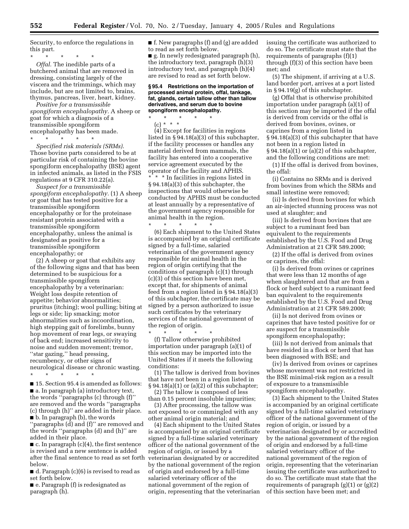Security, to enforce the regulations in this part.

\* \* \* \* \* *Offal.* The inedible parts of a butchered animal that are removed in dressing, consisting largely of the viscera and the trimmings, which may include, but are not limited to, brains, thymus, pancreas, liver, heart, kidney.

*Positive for a transmissible spongiform encephalopathy.* A sheep or goat for which a diagnosis of a transmissible spongiform encephalopathy has been made.

\* \* \* \* \* *Specified risk materials (SRMs).* Those bovine parts considered to be at particular risk of containing the bovine spongiform encephalopathy (BSE) agent in infected animals, as listed in the FSIS regulations at 9 CFR 310.22(a).

*Suspect for a transmissible spongiform encephalopathy.* (1) A sheep or goat that has tested positive for a transmissible spongiform encephalopathy or for the proteinase resistant protein associated with a transmissible spongiform encephalopathy, unless the animal is designated as positive for a transmissible spongiform encephalopathy; or

(2) A sheep or goat that exhibits any of the following signs and that has been determined to be suspicious for a transmissible spongiform encephalopathy by a veterinarian: Weight loss despite retention of appetite; behavior abnormalities; pruritus (itching); wool pulling; biting at legs or side; lip smacking; motor abnormalities such as incoordination, high stepping gait of forelimbs, bunny hop movement of rear legs, or swaying of back end; increased sensitivity to noise and sudden movement; tremor, ''star gazing,'' head pressing, recumbency, or other signs of neurological disease or chronic wasting. \* \* \* \* \*

■ 15. Section 95.4 is amended as follows: ■ a. In paragraph (a) introductory text, the words ''paragraphs (c) through (f)'' are removed and the words ''paragraphs (c) through (h)'' are added in their place. ■ b. In paragraph (b), the words ''paragraphs (d) and (f)'' are removed and the words ''paragraphs (d) and (h)'' are added in their place.

 $\blacksquare$  c. In paragraph (c)(4), the first sentence is revised and a new sentence is added after the final sentence to read as set forth below.

■ d. Paragraph (c)(6) is revised to read as set forth below.

■ e. Paragraph (f) is redesignated as paragraph (h).

■ f. New paragraphs (f) and (g) are added to read as set forth below. ■ g. In newly redesignated paragraph (h), the introductory text, paragraph (h)(3) introductory text, and paragraph (h)(4) are revised to read as set forth below.

### **§ 95.4 Restrictions on the importation of processed animal protein, offal, tankage, fat, glands, certain tallow other than tallow derivatives, and serum due to bovine spongiform encephalopathy.**

\* \* \* \* \* (c) \* \* \* (4) Except for facilities in regions listed in § 94.18(a)(3) of this subchapter, if the facility processes or handles any material derived from mammals, the facility has entered into a cooperative service agreement executed by the operator of the facility and APHIS. \* \* \* In facilities in regions listed in § 94.18(a)(3) of this subchapter, the inspections that would otherwise be conducted by APHIS must be conducted at least annually by a representative of the government agency responsible for animal health in the region.

\* \* \* \* \* (6) Each shipment to the United States is accompanied by an original certificate signed by a full-time, salaried veterinarian of the government agency responsible for animal health in the region of origin certifying that the conditions of paragraph (c)(1) through (c)(3) of this section have been met, except that, for shipments of animal feed from a region listed in § 94.18(a)(3) of this subchapter, the certificate may be signed by a person authorized to issue such certificates by the veterinary services of the national government of the region of origin.

\* \* \* \* \* (f) Tallow otherwise prohibited importation under paragraph (a)(1) of this section may be imported into the United States if it meets the following conditions:

(1) The tallow is derived from bovines that have not been in a region listed in § 94.18(a)(1) or (a)(2) of this subchapter;

(2) The tallow is composed of less than 0.15 percent insoluble impurities;

(3) After processing, the tallow was not exposed to or commingled with any other animal origin material; and

(4) Each shipment to the United States is accompanied by an original certificate signed by a full-time salaried veterinary officer of the national government of the region of origin, or issued by a veterinarian designated by or accredited by the national government of the region of origin and endorsed by a full-time salaried veterinary officer of the national government of the region of origin, representing that the veterinarian issuing the certificate was authorized to do so. The certificate must state that the requirements of paragraphs (f)(1) through (f)(3) of this section have been met; and

(5) The shipment, if arriving at a U.S. land border port, arrives at a port listed in § 94.19(g) of this subchapter.

(g) Offal that is otherwise prohibited importation under paragraph (a)(1) of this section may be imported if the offal is derived from cervids or the offal is derived from bovines, ovines, or caprines from a region listed in § 94.18(a)(3) of this subchapter that have not been in a region listed in § 94.18(a)(1) or (a)(2) of this subchapter, and the following conditions are met:

(1) If the offal is derived from bovines, the offal:

(i) Contains no SRMs and is derived from bovines from which the SRMs and small intestine were removed;

(ii) Is derived from bovines for which an air-injected stunning process was not used at slaughter; and

(iii) Is derived from bovines that are subject to a ruminant feed ban equivalent to the requirements established by the U.S. Food and Drug Administration at 21 CFR 589.2000;

(2) If the offal is derived from ovines or caprines, the offal:

(i) Is derived from ovines or caprines that were less than 12 months of age when slaughtered and that are from a flock or herd subject to a ruminant feed ban equivalent to the requirements established by the U.S. Food and Drug Administration at 21 CFR 589.2000;

(ii) Is not derived from ovines or caprines that have tested positive for or are suspect for a transmissible spongiform encephalopathy;

(iii) Is not derived from animals that have resided in a flock or herd that has been diagnosed with BSE; and

(iv) Is derived from ovines or caprines whose movement was not restricted in the BSE minimal-risk region as a result of exposure to a transmissible spongiform encephalopathy.

(3) Each shipment to the United States is accompanied by an original certificate signed by a full-time salaried veterinary officer of the national government of the region of origin, or issued by a veterinarian designated by or accredited by the national government of the region of origin and endorsed by a full-time salaried veterinary officer of the national government of the region of origin, representing that the veterinarian issuing the certificate was authorized to do so. The certificate must state that the requirements of paragraph  $(g)(1)$  or  $(g)(2)$ of this section have been met; and